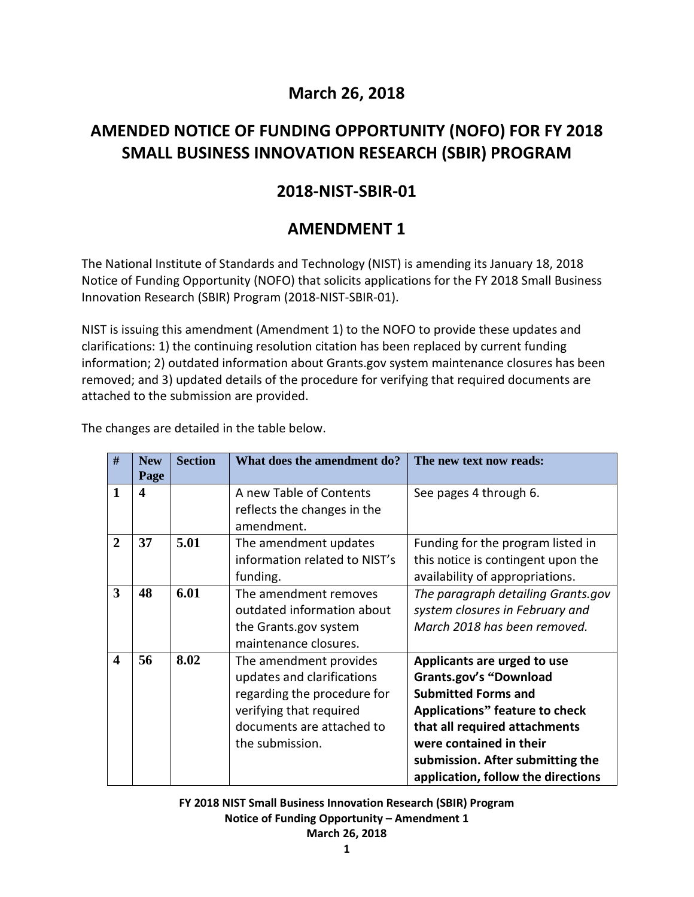## **March 26, 2018**

# **AMENDED NOTICE OF FUNDING OPPORTUNITY (NOFO) FOR FY 2018 SMALL BUSINESS INNOVATION RESEARCH (SBIR) PROGRAM**

# **2018-NIST-SBIR-01**

# **AMENDMENT 1**

The National Institute of Standards and Technology (NIST) is amending its January 18, 2018 Notice of Funding Opportunity (NOFO) that solicits applications for the FY 2018 Small Business Innovation Research (SBIR) Program (2018-NIST-SBIR-01).

NIST is issuing this amendment (Amendment 1) to the NOFO to provide these updates and clarifications: 1) the continuing resolution citation has been replaced by current funding information; 2) outdated information about Grants.gov system maintenance closures has been removed; and 3) updated details of the procedure for verifying that required documents are attached to the submission are provided.

The changes are detailed in the table below.

| #                       | <b>New</b><br>Page | <b>Section</b> | What does the amendment do?                                                                                                                                    | The new text now reads:                                                                                                                                                                                                                                                   |
|-------------------------|--------------------|----------------|----------------------------------------------------------------------------------------------------------------------------------------------------------------|---------------------------------------------------------------------------------------------------------------------------------------------------------------------------------------------------------------------------------------------------------------------------|
| 1                       | 4                  |                | A new Table of Contents<br>reflects the changes in the<br>amendment.                                                                                           | See pages 4 through 6.                                                                                                                                                                                                                                                    |
| $\overline{2}$          | 37                 | 5.01           | The amendment updates<br>information related to NIST's<br>funding.                                                                                             | Funding for the program listed in<br>this notice is contingent upon the<br>availability of appropriations.                                                                                                                                                                |
| 3                       | 48                 | 6.01           | The amendment removes<br>outdated information about<br>the Grants.gov system<br>maintenance closures.                                                          | The paragraph detailing Grants.gov<br>system closures in February and<br>March 2018 has been removed.                                                                                                                                                                     |
| $\overline{\mathbf{4}}$ | 56                 | 8.02           | The amendment provides<br>updates and clarifications<br>regarding the procedure for<br>verifying that required<br>documents are attached to<br>the submission. | Applicants are urged to use<br><b>Grants.gov's "Download</b><br><b>Submitted Forms and</b><br><b>Applications" feature to check</b><br>that all required attachments<br>were contained in their<br>submission. After submitting the<br>application, follow the directions |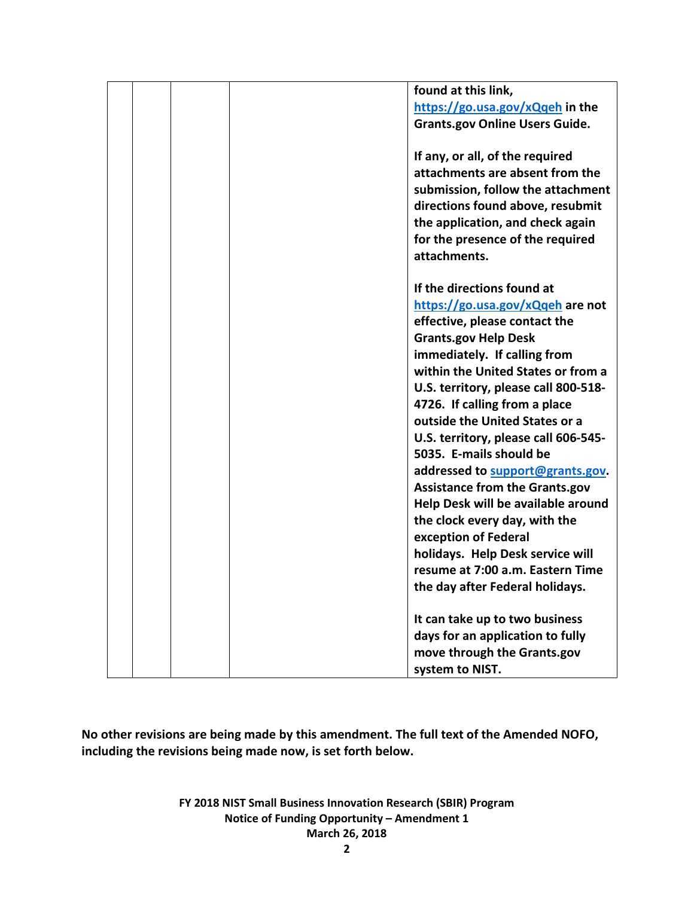|  | found at this link,                   |
|--|---------------------------------------|
|  | https://go.usa.gov/xQqeh in the       |
|  | <b>Grants.gov Online Users Guide.</b> |
|  |                                       |
|  | If any, or all, of the required       |
|  | attachments are absent from the       |
|  | submission, follow the attachment     |
|  | directions found above, resubmit      |
|  | the application, and check again      |
|  | for the presence of the required      |
|  | attachments.                          |
|  |                                       |
|  | If the directions found at            |
|  | https://go.usa.gov/xQqeh are not      |
|  | effective, please contact the         |
|  | <b>Grants.gov Help Desk</b>           |
|  | immediately. If calling from          |
|  | within the United States or from a    |
|  | U.S. territory, please call 800-518-  |
|  | 4726. If calling from a place         |
|  | outside the United States or a        |
|  | U.S. territory, please call 606-545-  |
|  | 5035. E-mails should be               |
|  | addressed to support@grants.gov.      |
|  | <b>Assistance from the Grants.gov</b> |
|  | Help Desk will be available around    |
|  | the clock every day, with the         |
|  | exception of Federal                  |
|  | holidays. Help Desk service will      |
|  | resume at 7:00 a.m. Eastern Time      |
|  | the day after Federal holidays.       |
|  |                                       |
|  | It can take up to two business        |
|  | days for an application to fully      |
|  | move through the Grants.gov           |
|  | system to NIST.                       |

**No other revisions are being made by this amendment. The full text of the Amended NOFO, including the revisions being made now, is set forth below.**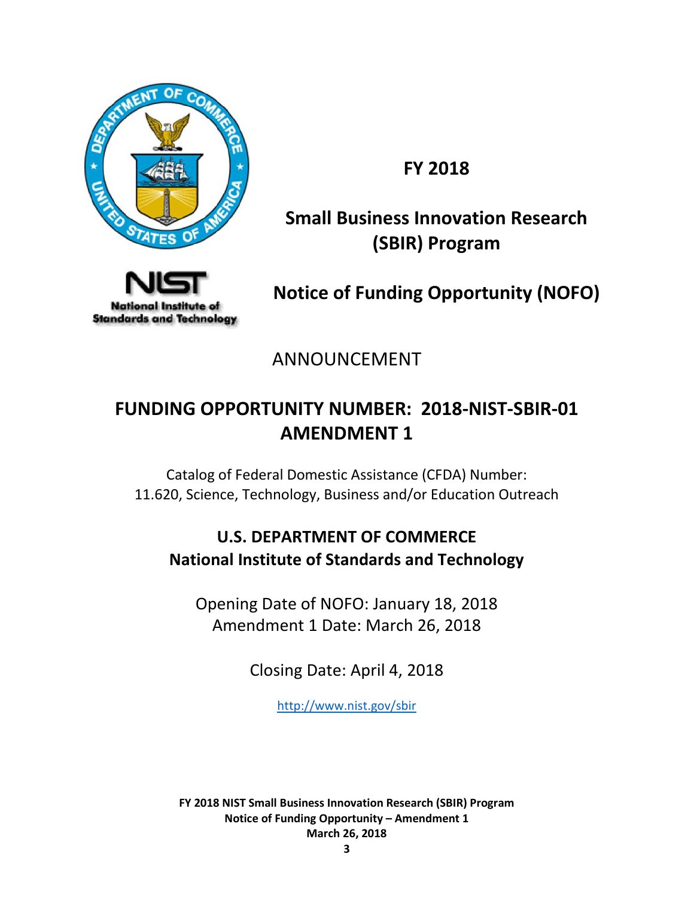

**FY 2018**

# **Small Business Innovation Research (SBIR) Program**



**Notice of Funding Opportunity (NOFO)**

ANNOUNCEMENT

# **FUNDING OPPORTUNITY NUMBER: 2018-NIST-SBIR-01 AMENDMENT 1**

Catalog of Federal Domestic Assistance (CFDA) Number: 11.620, Science, Technology, Business and/or Education Outreach

# **U.S. DEPARTMENT OF COMMERCE National Institute of Standards and Technology**

Opening Date of NOFO: January 18, 2018 Amendment 1 Date: March 26, 2018

Closing Date: April 4, 2018

<http://www.nist.gov/sbir>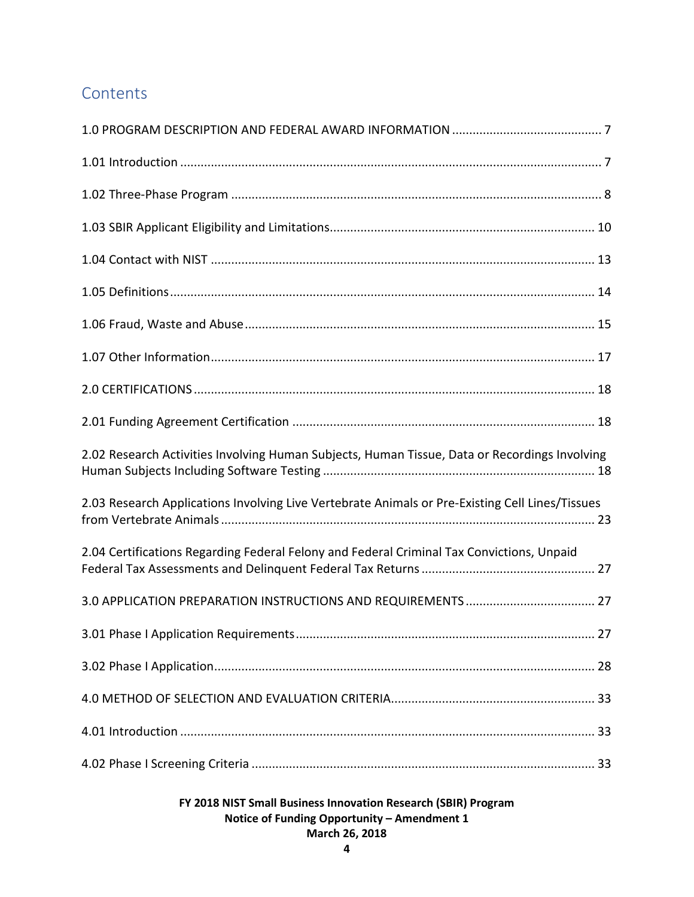# **Contents**

| 2.02 Research Activities Involving Human Subjects, Human Tissue, Data or Recordings Involving   |
|-------------------------------------------------------------------------------------------------|
| 2.03 Research Applications Involving Live Vertebrate Animals or Pre-Existing Cell Lines/Tissues |
| 2.04 Certifications Regarding Federal Felony and Federal Criminal Tax Convictions, Unpaid       |
|                                                                                                 |
|                                                                                                 |
|                                                                                                 |
|                                                                                                 |
|                                                                                                 |
|                                                                                                 |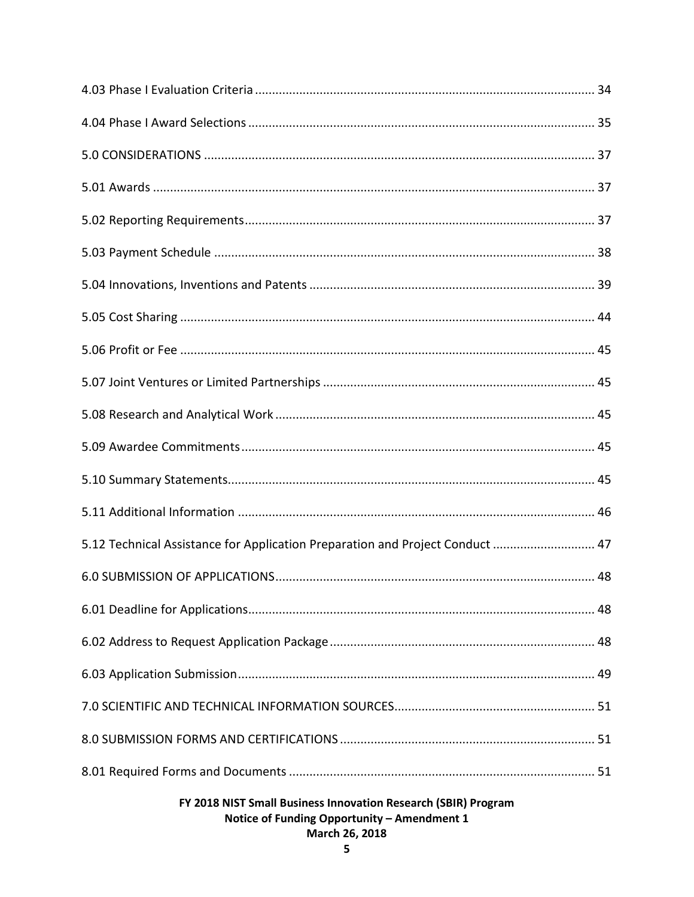| 5.12 Technical Assistance for Application Preparation and Project Conduct  47                                 |  |  |  |
|---------------------------------------------------------------------------------------------------------------|--|--|--|
|                                                                                                               |  |  |  |
|                                                                                                               |  |  |  |
|                                                                                                               |  |  |  |
|                                                                                                               |  |  |  |
|                                                                                                               |  |  |  |
|                                                                                                               |  |  |  |
|                                                                                                               |  |  |  |
| FY 2018 NIST Small Business Innovation Research (SBIR) Program<br>Notice of Funding Opportunity - Amendment 1 |  |  |  |

## March 26, 2018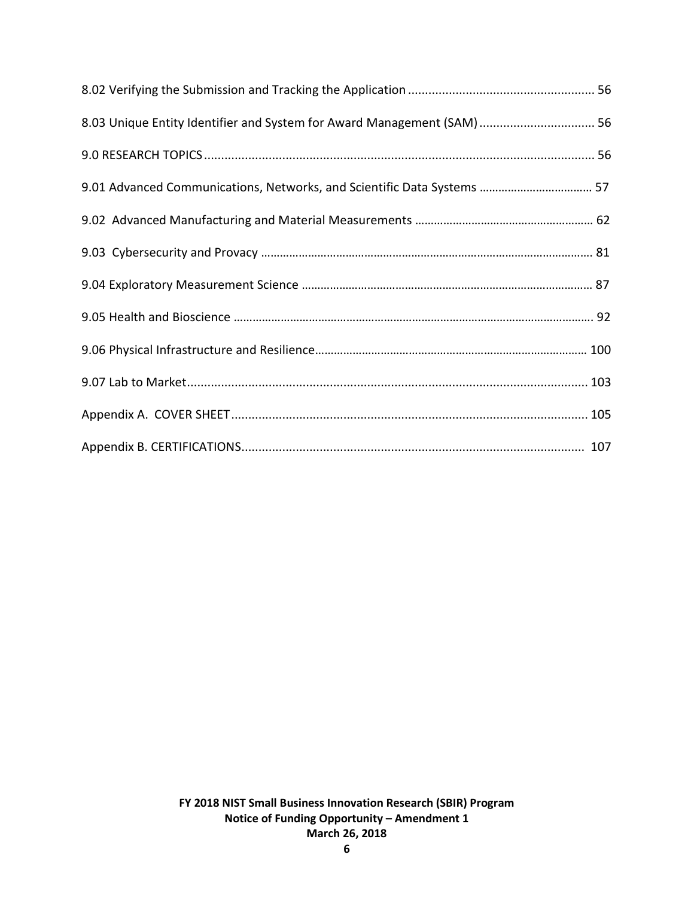| 8.03 Unique Entity Identifier and System for Award Management (SAM)  56 |  |
|-------------------------------------------------------------------------|--|
|                                                                         |  |
| 9.01 Advanced Communications, Networks, and Scientific Data Systems  57 |  |
|                                                                         |  |
|                                                                         |  |
|                                                                         |  |
|                                                                         |  |
|                                                                         |  |
|                                                                         |  |
|                                                                         |  |
|                                                                         |  |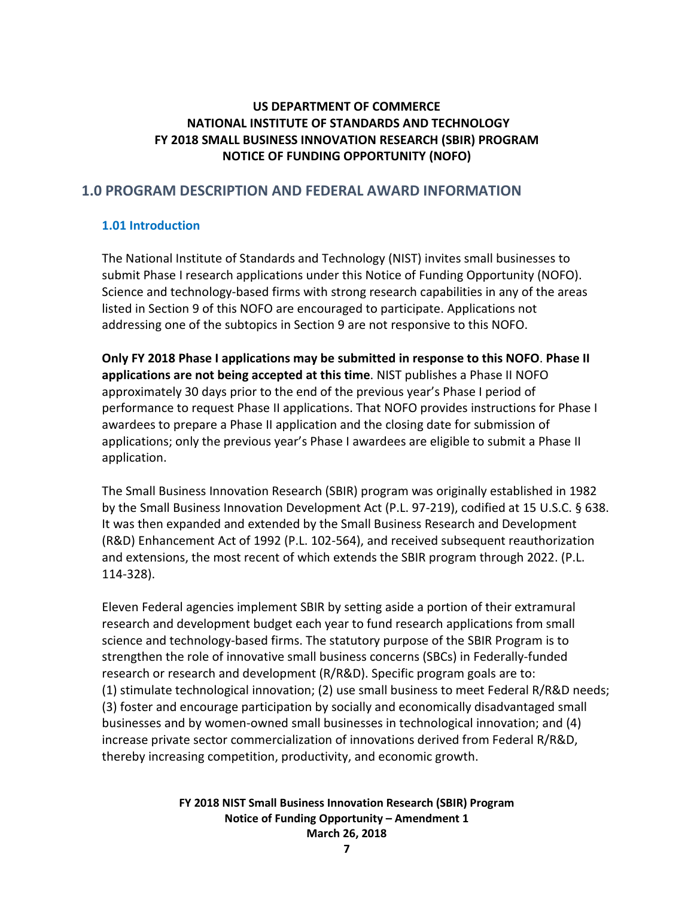## **US DEPARTMENT OF COMMERCE NATIONAL INSTITUTE OF STANDARDS AND TECHNOLOGY FY 2018 SMALL BUSINESS INNOVATION RESEARCH (SBIR) PROGRAM NOTICE OF FUNDING OPPORTUNITY (NOFO)**

## <span id="page-6-0"></span>**1.0 PROGRAM DESCRIPTION AND FEDERAL AWARD INFORMATION**

## <span id="page-6-1"></span>**1.01 Introduction**

The National Institute of Standards and Technology (NIST) invites small businesses to submit Phase I research applications under this Notice of Funding Opportunity (NOFO). Science and technology-based firms with strong research capabilities in any of the areas listed in Section 9 of this NOFO are encouraged to participate. Applications not addressing one of the subtopics in Section 9 are not responsive to this NOFO.

**Only FY 2018 Phase I applications may be submitted in response to this NOFO**. **Phase II applications are not being accepted at this time**. NIST publishes a Phase II NOFO approximately 30 days prior to the end of the previous year's Phase I period of performance to request Phase II applications. That NOFO provides instructions for Phase I awardees to prepare a Phase II application and the closing date for submission of applications; only the previous year's Phase I awardees are eligible to submit a Phase II application.

The Small Business Innovation Research (SBIR) program was originally established in 1982 by the Small Business Innovation Development Act (P.L. 97-219), codified at 15 U.S.C. § 638. It was then expanded and extended by the Small Business Research and Development (R&D) Enhancement Act of 1992 (P.L. 102-564), and received subsequent reauthorization and extensions, the most recent of which extends the SBIR program through 2022. (P.L. 114-328).

Eleven Federal agencies implement SBIR by setting aside a portion of their extramural research and development budget each year to fund research applications from small science and technology-based firms. The statutory purpose of the SBIR Program is to strengthen the role of innovative small business concerns (SBCs) in Federally-funded research or research and development (R/R&D). Specific program goals are to: (1) stimulate technological innovation; (2) use small business to meet Federal R/R&D needs; (3) foster and encourage participation by socially and economically disadvantaged small businesses and by women-owned small businesses in technological innovation; and (4) increase private sector commercialization of innovations derived from Federal R/R&D, thereby increasing competition, productivity, and economic growth.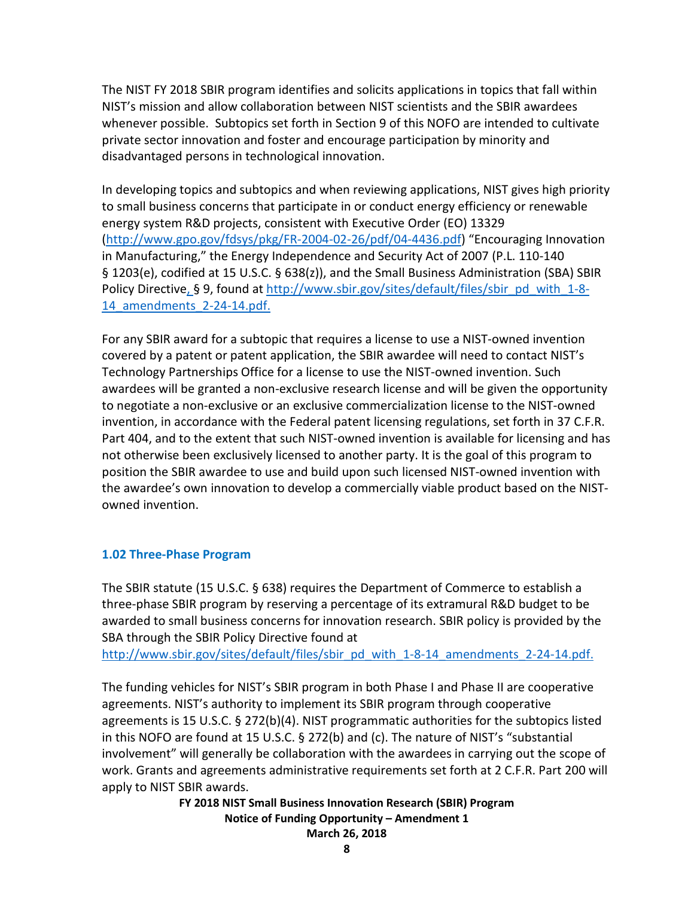The NIST FY 2018 SBIR program identifies and solicits applications in topics that fall within NIST's mission and allow collaboration between NIST scientists and the SBIR awardees whenever possible. Subtopics set forth in Section 9 of this NOFO are intended to cultivate private sector innovation and foster and encourage participation by minority and disadvantaged persons in technological innovation.

In developing topics and subtopics and when reviewing applications, NIST gives high priority to small business concerns that participate in or conduct energy efficiency or renewable energy system R&D projects, consistent with Executive Order (EO) 13329 [\(http://www.gpo.gov/fdsys/pkg/FR-2004-02-26/pdf/04-4436.pdf\)](http://www.gpo.gov/fdsys/pkg/FR-2004-02-26/pdf/04-4436.pdf) "Encouraging Innovation in Manufacturing," the Energy Independence and Security Act of 2007 (P.L. 110-140 § 1203(e), codified at 15 U.S.C. § 638(z)), and the Small Business Administration (SBA) SBIR Policy Directive, § 9, found at [http://www.sbir.gov/sites/default/files/sbir\\_pd\\_with\\_1-8-](http://www.sbir.gov/sites/default/files/sbir_pd_with_1-8-14_amendments_2-24-14.pdf) 14 amendments 2-24-14.pdf.

For any SBIR award for a subtopic that requires a license to use a NIST-owned invention covered by a patent or patent application, the SBIR awardee will need to contact NIST's Technology Partnerships Office for a license to use the NIST-owned invention. Such awardees will be granted a non-exclusive research license and will be given the opportunity to negotiate a non-exclusive or an exclusive commercialization license to the NIST-owned invention, in accordance with the Federal patent licensing regulations, set forth in 37 C.F.R. Part 404, and to the extent that such NIST-owned invention is available for licensing and has not otherwise been exclusively licensed to another party. It is the goal of this program to position the SBIR awardee to use and build upon such licensed NIST-owned invention with the awardee's own innovation to develop a commercially viable product based on the NISTowned invention.

#### <span id="page-7-0"></span>**1.02 Three-Phase Program**

The SBIR statute (15 U.S.C. § 638) requires the Department of Commerce to establish a three-phase SBIR program by reserving a percentage of its extramural R&D budget to be awarded to small business concerns for innovation research. SBIR policy is provided by the SBA through the SBIR Policy Directive found at [http://www.sbir.gov/sites/default/files/sbir\\_pd\\_with\\_1-8-14\\_amendments\\_2-24-14.pdf.](http://www.sbir.gov/sites/default/files/sbir_pd_with_1-8-14_amendments_2-24-14.pdf)

The funding vehicles for NIST's SBIR program in both Phase I and Phase II are cooperative agreements. NIST's authority to implement its SBIR program through cooperative agreements is 15 U.S.C. § 272(b)(4). NIST programmatic authorities for the subtopics listed in this NOFO are found at 15 U.S.C. § 272(b) and (c). The nature of NIST's "substantial involvement" will generally be collaboration with the awardees in carrying out the scope of work. Grants and agreements administrative requirements set forth at 2 C.F.R. Part 200 will apply to NIST SBIR awards.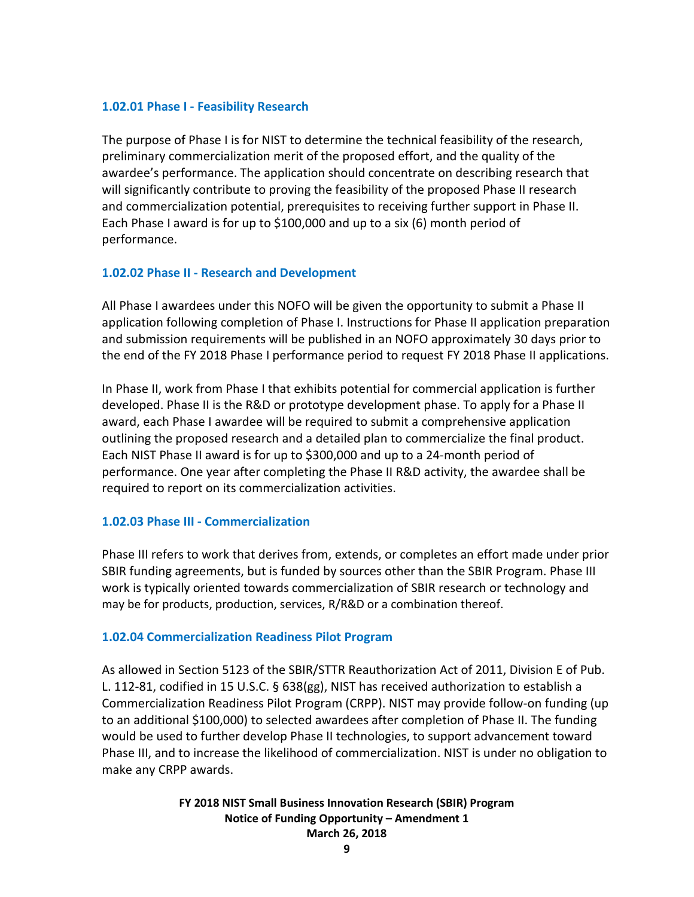#### **1.02.01 Phase I - Feasibility Research**

The purpose of Phase I is for NIST to determine the technical feasibility of the research, preliminary commercialization merit of the proposed effort, and the quality of the awardee's performance. The application should concentrate on describing research that will significantly contribute to proving the feasibility of the proposed Phase II research and commercialization potential, prerequisites to receiving further support in Phase II. Each Phase I award is for up to \$100,000 and up to a six (6) month period of performance.

#### **1.02.02 Phase II - Research and Development**

All Phase I awardees under this NOFO will be given the opportunity to submit a Phase II application following completion of Phase I. Instructions for Phase II application preparation and submission requirements will be published in an NOFO approximately 30 days prior to the end of the FY 2018 Phase I performance period to request FY 2018 Phase II applications.

In Phase II, work from Phase I that exhibits potential for commercial application is further developed. Phase II is the R&D or prototype development phase. To apply for a Phase II award, each Phase I awardee will be required to submit a comprehensive application outlining the proposed research and a detailed plan to commercialize the final product. Each NIST Phase II award is for up to \$300,000 and up to a 24-month period of performance. One year after completing the Phase II R&D activity, the awardee shall be required to report on its commercialization activities.

## **1.02.03 Phase III - Commercialization**

Phase III refers to work that derives from, extends, or completes an effort made under prior SBIR funding agreements, but is funded by sources other than the SBIR Program. Phase III work is typically oriented towards commercialization of SBIR research or technology and may be for products, production, services, R/R&D or a combination thereof.

#### **1.02.04 Commercialization Readiness Pilot Program**

As allowed in Section 5123 of the SBIR/STTR Reauthorization Act of 2011, Division E of Pub. L. 112-81, codified in 15 U.S.C. § 638(gg), NIST has received authorization to establish a Commercialization Readiness Pilot Program (CRPP). NIST may provide follow-on funding (up to an additional \$100,000) to selected awardees after completion of Phase II. The funding would be used to further develop Phase II technologies, to support advancement toward Phase III, and to increase the likelihood of commercialization. NIST is under no obligation to make any CRPP awards.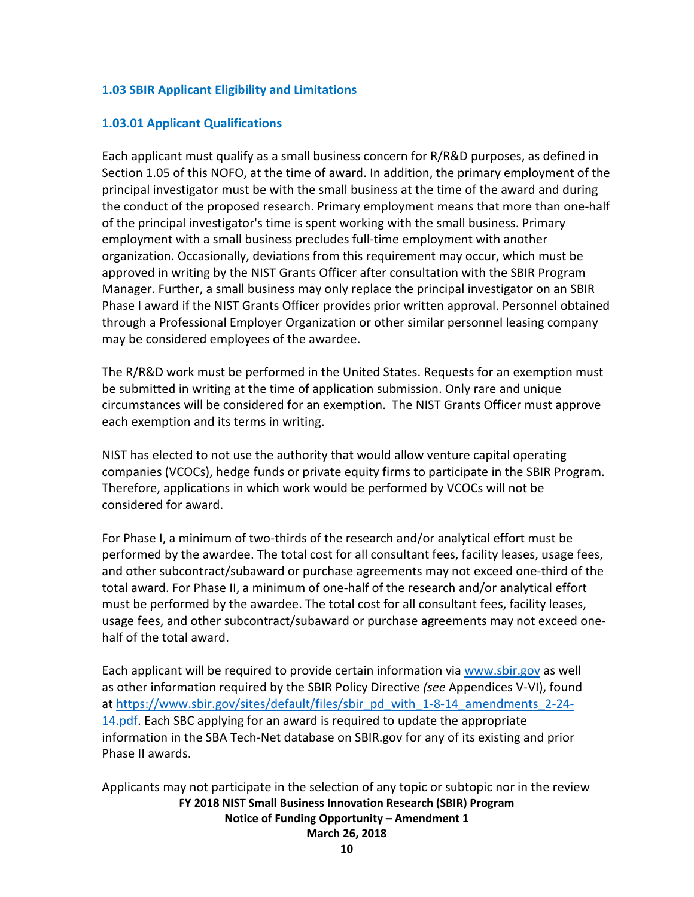## <span id="page-9-0"></span>**1.03 SBIR Applicant Eligibility and Limitations**

### **1.03.01 Applicant Qualifications**

Each applicant must qualify as a small business concern for R/R&D purposes, as defined in Section 1.05 of this NOFO, at the time of award. In addition, the primary employment of the principal investigator must be with the small business at the time of the award and during the conduct of the proposed research. Primary employment means that more than one-half of the principal investigator's time is spent working with the small business. Primary employment with a small business precludes full-time employment with another organization. Occasionally, deviations from this requirement may occur, which must be approved in writing by the NIST Grants Officer after consultation with the SBIR Program Manager. Further, a small business may only replace the principal investigator on an SBIR Phase I award if the NIST Grants Officer provides prior written approval. Personnel obtained through a Professional Employer Organization or other similar personnel leasing company may be considered employees of the awardee.

The R/R&D work must be performed in the United States. Requests for an exemption must be submitted in writing at the time of application submission. Only rare and unique circumstances will be considered for an exemption. The NIST Grants Officer must approve each exemption and its terms in writing.

NIST has elected to not use the authority that would allow venture capital operating companies (VCOCs), hedge funds or private equity firms to participate in the SBIR Program. Therefore, applications in which work would be performed by VCOCs will not be considered for award.

For Phase I, a minimum of two-thirds of the research and/or analytical effort must be performed by the awardee. The total cost for all consultant fees, facility leases, usage fees, and other subcontract/subaward or purchase agreements may not exceed one-third of the total award. For Phase II, a minimum of one-half of the research and/or analytical effort must be performed by the awardee. The total cost for all consultant fees, facility leases, usage fees, and other subcontract/subaward or purchase agreements may not exceed onehalf of the total award.

Each applicant will be required to provide certain information via [www.sbir.gov](http://www.sbir.gov/) as well as other information required by the SBIR Policy Directive *(see* Appendices V-VI), found at [https://www.sbir.gov/sites/default/files/sbir\\_pd\\_with\\_1-8-14\\_amendments\\_2-24-](https://www.sbir.gov/sites/default/files/sbir_pd_with_1-8-14_amendments_2-24-14.pdf) [14.pdf.](https://www.sbir.gov/sites/default/files/sbir_pd_with_1-8-14_amendments_2-24-14.pdf) Each SBC applying for an award is required to update the appropriate information in the SBA Tech-Net database on SBIR.gov for any of its existing and prior Phase II awards.

**FY 2018 NIST Small Business Innovation Research (SBIR) Program Notice of Funding Opportunity – Amendment 1 March 26, 2018** Applicants may not participate in the selection of any topic or subtopic nor in the review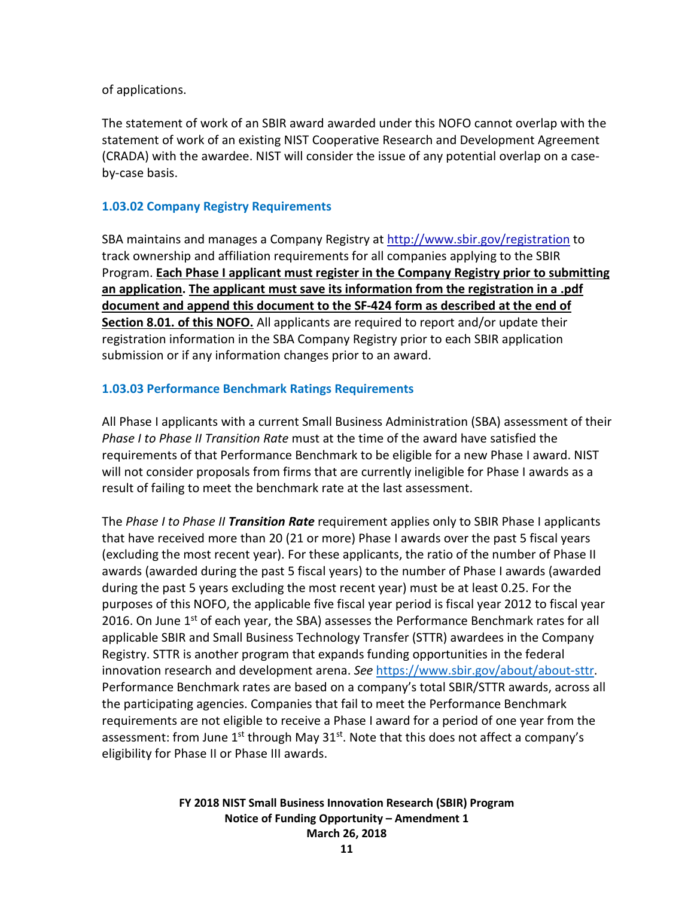of applications.

The statement of work of an SBIR award awarded under this NOFO cannot overlap with the statement of work of an existing NIST Cooperative Research and Development Agreement (CRADA) with the awardee. NIST will consider the issue of any potential overlap on a caseby-case basis.

### **1.03.02 Company Registry Requirements**

SBA maintains and manages a Company Registry at<http://www.sbir.gov/registration> to track ownership and affiliation requirements for all companies applying to the SBIR Program. **Each Phase I applicant must register in the Company Registry prior to submitting an application. The applicant must save its information from the registration in a .pdf document and append this document to the SF-424 form as described at the end of Section 8.01. of this NOFO.** All applicants are required to report and/or update their registration information in the SBA Company Registry prior to each SBIR application submission or if any information changes prior to an award.

## **1.03.03 Performance Benchmark Ratings Requirements**

All Phase I applicants with a current Small Business Administration (SBA) assessment of their *Phase I to Phase II Transition Rate* must at the time of the award have satisfied the requirements of that Performance Benchmark to be eligible for a new Phase I award. NIST will not consider proposals from firms that are currently ineligible for Phase I awards as a result of failing to meet the benchmark rate at the last assessment.

The *Phase I to Phase II Transition Rate* requirement applies only to SBIR Phase I applicants that have received more than 20 (21 or more) Phase I awards over the past 5 fiscal years (excluding the most recent year). For these applicants, the ratio of the number of Phase II awards (awarded during the past 5 fiscal years) to the number of Phase I awards (awarded during the past 5 years excluding the most recent year) must be at least 0.25. For the purposes of this NOFO, the applicable five fiscal year period is fiscal year 2012 to fiscal year 2016. On June  $1<sup>st</sup>$  of each year, the SBA) assesses the Performance Benchmark rates for all applicable SBIR and Small Business Technology Transfer (STTR) awardees in the Company Registry. STTR is another program that expands funding opportunities in the federal innovation research and development arena. *See* [https://www.sbir.gov/about/about-sttr.](https://www.sbir.gov/about/about-sttr) Performance Benchmark rates are based on a company's total SBIR/STTR awards, across all the participating agencies. Companies that fail to meet the Performance Benchmark requirements are not eligible to receive a Phase I award for a period of one year from the assessment: from June  $1^{st}$  through May  $31^{st}$ . Note that this does not affect a company's eligibility for Phase II or Phase III awards.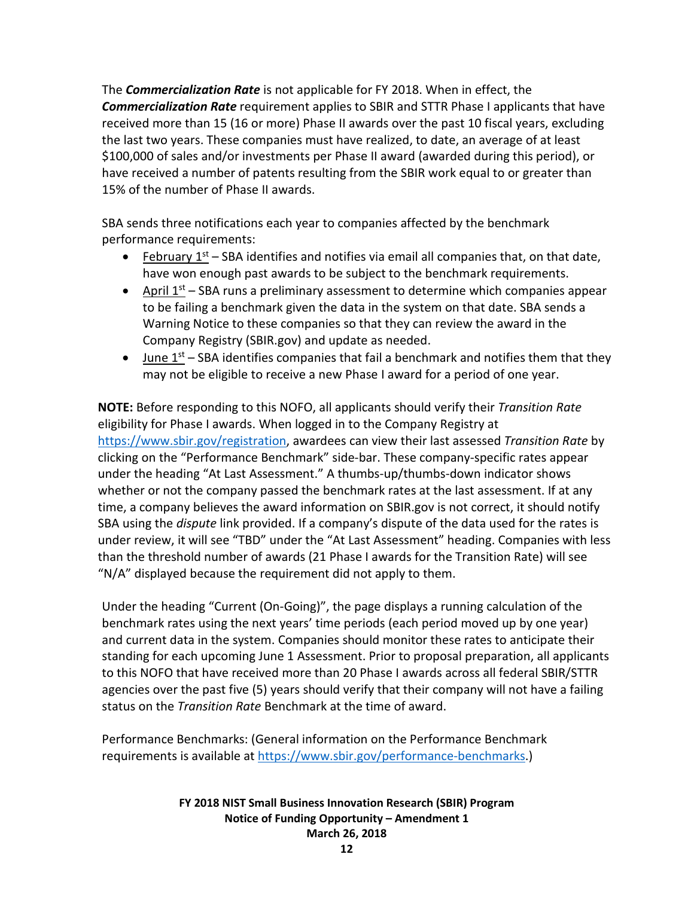The *Commercialization Rate* is not applicable for FY 2018. When in effect, the *Commercialization Rate* requirement applies to SBIR and STTR Phase I applicants that have received more than 15 (16 or more) Phase II awards over the past 10 fiscal years, excluding the last two years. These companies must have realized, to date, an average of at least \$100,000 of sales and/or investments per Phase II award (awarded during this period), or have received a number of patents resulting from the SBIR work equal to or greater than 15% of the number of Phase II awards.

SBA sends three notifications each year to companies affected by the benchmark performance requirements:

- February  $1^{st}$  SBA identifies and notifies via email all companies that, on that date, have won enough past awards to be subject to the benchmark requirements.
- April  $1<sup>st</sup>$  SBA runs a preliminary assessment to determine which companies appear to be failing a benchmark given the data in the system on that date. SBA sends a Warning Notice to these companies so that they can review the award in the Company Registry (SBIR.gov) and update as needed.
- June  $1<sup>st</sup>$  SBA identifies companies that fail a benchmark and notifies them that they may not be eligible to receive a new Phase I award for a period of one year.

**NOTE:** Before responding to this NOFO, all applicants should verify their *Transition Rate*  eligibility for Phase I awards. When logged in to the Company Registry at [https://www.sbir.gov/registration,](https://www.sbir.gov/registration) awardees can view their last assessed *Transition Rate* by clicking on the "Performance Benchmark" side-bar. These company-specific rates appear under the heading "At Last Assessment." A thumbs-up/thumbs-down indicator shows whether or not the company passed the benchmark rates at the last assessment. If at any time, a company believes the award information on SBIR.gov is not correct, it should notify SBA using the *dispute* link provided. If a company's dispute of the data used for the rates is under review, it will see "TBD" under the "At Last Assessment" heading. Companies with less than the threshold number of awards (21 Phase I awards for the Transition Rate) will see "N/A" displayed because the requirement did not apply to them.

Under the heading "Current (On-Going)", the page displays a running calculation of the benchmark rates using the next years' time periods (each period moved up by one year) and current data in the system. Companies should monitor these rates to anticipate their standing for each upcoming June 1 Assessment. Prior to proposal preparation, all applicants to this NOFO that have received more than 20 Phase I awards across all federal SBIR/STTR agencies over the past five (5) years should verify that their company will not have a failing status on the *Transition Rate* Benchmark at the time of award.

Performance Benchmarks: (General information on the Performance Benchmark requirements is available at [https://www.sbir.gov/performance-benchmarks.](https://www.sbir.gov/performance-benchmarks))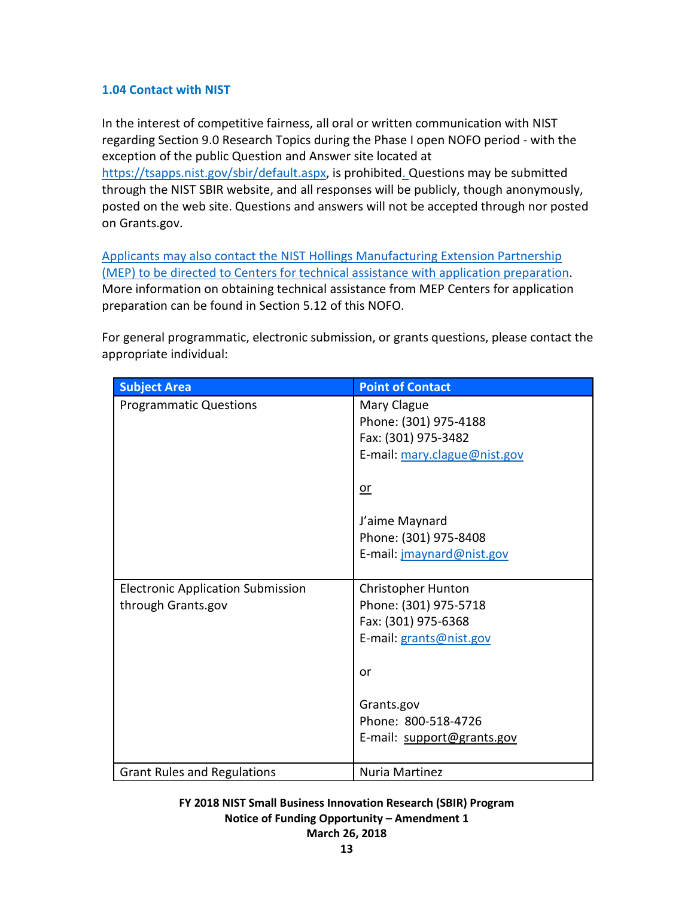## <span id="page-12-0"></span>**1.04 Contact with NIST**

In the interest of competitive fairness, all oral or written communication with NIST regarding Section 9.0 Research Topics during the Phase I open NOFO period - with the exception of the public Question and Answer site located at [https://tsapps.nist.gov/sbir/default.aspx,](https://tsapps.nist.gov/sbir/default.aspx) is prohibited. Questions may be submitted through the NIST SBIR website, and all responses will be publicly, though anonymously, posted on the web site. Questions and answers will not be accepted through nor posted on Grants.gov.

Applicants may also contact the NIST Hollings Manufacturing Extension Partnership (MEP) to be directed to Centers for technical assistance with application preparation. More information on obtaining technical assistance from MEP Centers for application preparation can be found in Section 5.12 of this NOFO.

For general programmatic, electronic submission, or grants questions, please contact the appropriate individual:

| <b>Subject Area</b>                      | <b>Point of Contact</b>      |
|------------------------------------------|------------------------------|
| <b>Programmatic Questions</b>            | Mary Clague                  |
|                                          | Phone: (301) 975-4188        |
|                                          | Fax: (301) 975-3482          |
|                                          | E-mail: mary.clague@nist.gov |
|                                          |                              |
|                                          | $or$                         |
|                                          | J'aime Maynard               |
|                                          | Phone: (301) 975-8408        |
|                                          | E-mail: jmaynard@nist.gov    |
|                                          |                              |
| <b>Electronic Application Submission</b> | <b>Christopher Hunton</b>    |
| through Grants.gov                       | Phone: (301) 975-5718        |
|                                          | Fax: (301) 975-6368          |
|                                          | E-mail: grants@nist.gov      |
|                                          |                              |
|                                          | or                           |
|                                          |                              |
|                                          | Grants.gov                   |
|                                          | Phone: 800-518-4726          |
|                                          | E-mail: support@grants.gov   |
| <b>Grant Rules and Regulations</b>       | Nuria Martinez               |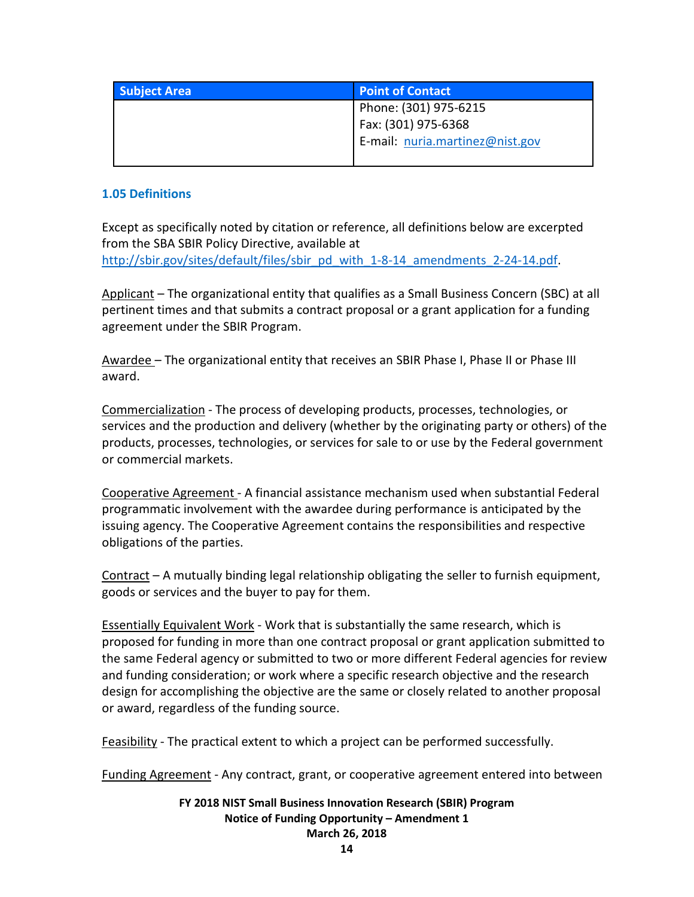| <b>Subject Area</b> | <b>Point of Contact</b>         |
|---------------------|---------------------------------|
|                     | Phone: (301) 975-6215           |
|                     | Fax: (301) 975-6368             |
|                     | E-mail: nuria.martinez@nist.gov |
|                     |                                 |

## <span id="page-13-0"></span>**1.05 Definitions**

Except as specifically noted by citation or reference, all definitions below are excerpted from the SBA SBIR Policy Directive, available at [http://sbir.gov/sites/default/files/sbir\\_pd\\_with\\_1-8-14\\_amendments\\_2-24-14.pdf.](http://sbir.gov/sites/default/files/sbir_pd_with_1-8-14_amendments_2-24-14.pdf)

Applicant – The organizational entity that qualifies as a Small Business Concern (SBC) at all pertinent times and that submits a contract proposal or a grant application for a funding agreement under the SBIR Program.

Awardee – The organizational entity that receives an SBIR Phase I, Phase II or Phase III award.

Commercialization - The process of developing products, processes, technologies, or services and the production and delivery (whether by the originating party or others) of the products, processes, technologies, or services for sale to or use by the Federal government or commercial markets.

Cooperative Agreement - A financial assistance mechanism used when substantial Federal programmatic involvement with the awardee during performance is anticipated by the issuing agency. The Cooperative Agreement contains the responsibilities and respective obligations of the parties.

Contract – A mutually binding legal relationship obligating the seller to furnish equipment, goods or services and the buyer to pay for them.

Essentially Equivalent Work - Work that is substantially the same research, which is proposed for funding in more than one contract proposal or grant application submitted to the same Federal agency or submitted to two or more different Federal agencies for review and funding consideration; or work where a specific research objective and the research design for accomplishing the objective are the same or closely related to another proposal or award, regardless of the funding source.

Feasibility - The practical extent to which a project can be performed successfully.

Funding Agreement - Any contract, grant, or cooperative agreement entered into between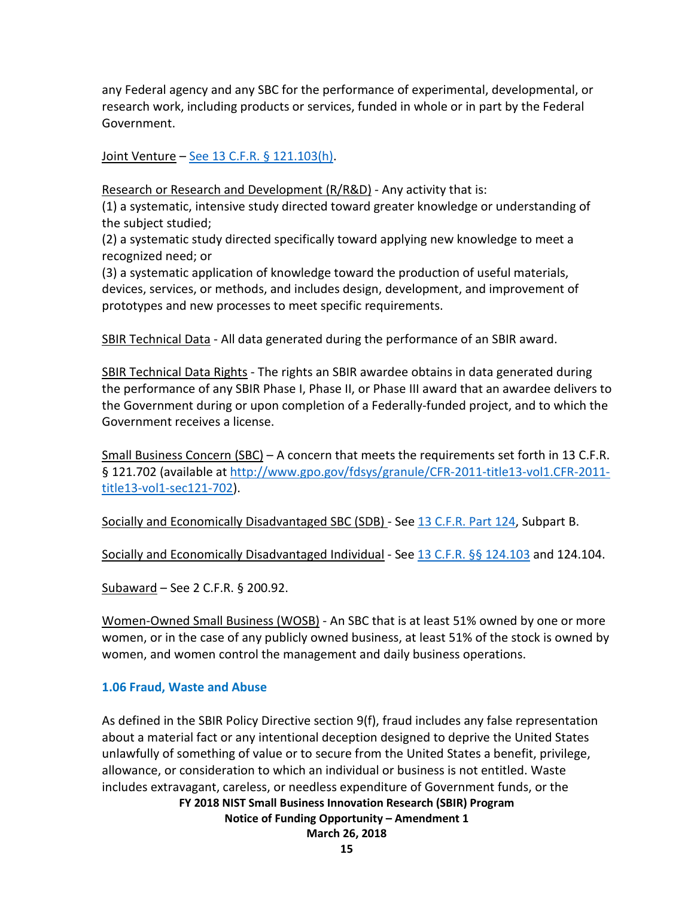any Federal agency and any SBC for the performance of experimental, developmental, or research work, including products or services, funded in whole or in part by the Federal Government.

Joint Venture – See 13 C.F.R. [§ 121.103\(h\).](http://www.law.cornell.edu/cfr/text/13/121.103)

Research or Research and Development (R/R&D) - Any activity that is:

(1) a systematic, intensive study directed toward greater knowledge or understanding of the subject studied;

(2) a systematic study directed specifically toward applying new knowledge to meet a recognized need; or

(3) a systematic application of knowledge toward the production of useful materials, devices, services, or methods, and includes design, development, and improvement of prototypes and new processes to meet specific requirements.

SBIR Technical Data - All data generated during the performance of an SBIR award.

SBIR Technical Data Rights - The rights an SBIR awardee obtains in data generated during the performance of any SBIR Phase I, Phase II, or Phase III award that an awardee delivers to the Government during or upon completion of a Federally-funded project, and to which the Government receives a license.

Small Business Concern (SBC) – A concern that meets the requirements set forth in 13 C.F.R. § 121.702 (available at [http://www.gpo.gov/fdsys/granule/CFR-2011-title13-vol1.CFR-2011](http://www.gpo.gov/fdsys/pkg/CFR-2011-title13-vol1/pdf/CFR-2011-title13-vol1-sec121-801.pdf) [title13-vol1-sec121-702\)](http://www.gpo.gov/fdsys/pkg/CFR-2011-title13-vol1/pdf/CFR-2011-title13-vol1-sec121-801.pdf).

Socially and Economically Disadvantaged SBC (SDB) - Se[e 13 C.F.R.](https://www.federalregister.gov/select-citation/2012/08/06/13-CFR-124) Part 124, Subpart B.

Socially and Economically Disadvantaged Individual - See 13 C.F.R. [§§ 124.103](https://www.federalregister.gov/select-citation/2012/08/06/13-CFR-124.103) and 124.104.

Subaward – See 2 C.F.R. § 200.92.

Women-Owned Small Business (WOSB) - An SBC that is at least 51% owned by one or more women, or in the case of any publicly owned business, at least 51% of the stock is owned by women, and women control the management and daily business operations.

## <span id="page-14-0"></span>**1.06 Fraud, Waste and Abuse**

**FY 2018 NIST Small Business Innovation Research (SBIR) Program** As defined in the SBIR Policy Directive section 9(f), fraud includes any false representation about a material fact or any intentional deception designed to deprive the United States unlawfully of something of value or to secure from the United States a benefit, privilege, allowance, or consideration to which an individual or business is not entitled. Waste includes extravagant, careless, or needless expenditure of Government funds, or the

**Notice of Funding Opportunity – Amendment 1**

**March 26, 2018**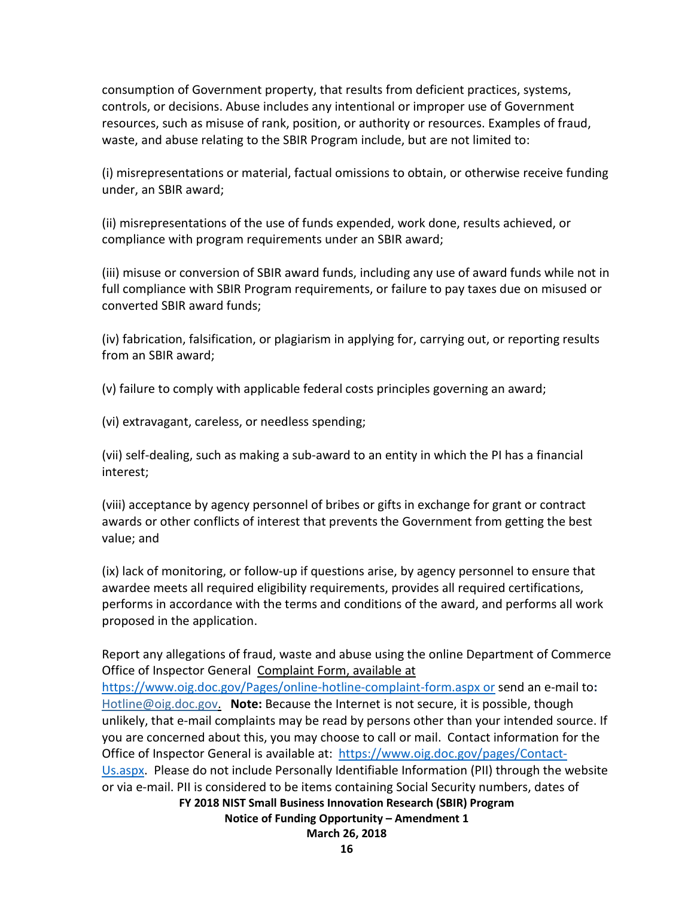consumption of Government property, that results from deficient practices, systems, controls, or decisions. Abuse includes any intentional or improper use of Government resources, such as misuse of rank, position, or authority or resources. Examples of fraud, waste, and abuse relating to the SBIR Program include, but are not limited to:

(i) misrepresentations or material, factual omissions to obtain, or otherwise receive funding under, an SBIR award;

(ii) misrepresentations of the use of funds expended, work done, results achieved, or compliance with program requirements under an SBIR award;

(iii) misuse or conversion of SBIR award funds, including any use of award funds while not in full compliance with SBIR Program requirements, or failure to pay taxes due on misused or converted SBIR award funds;

(iv) fabrication, falsification, or plagiarism in applying for, carrying out, or reporting results from an SBIR award;

(v) failure to comply with applicable federal costs principles governing an award;

(vi) extravagant, careless, or needless spending;

(vii) self-dealing, such as making a sub-award to an entity in which the PI has a financial interest;

(viii) acceptance by agency personnel of bribes or gifts in exchange for grant or contract awards or other conflicts of interest that prevents the Government from getting the best value; and

(ix) lack of monitoring, or follow-up if questions arise, by agency personnel to ensure that awardee meets all required eligibility requirements, provides all required certifications, performs in accordance with the terms and conditions of the award, and performs all work proposed in the application.

Report any allegations of fraud, waste and abuse using the online Department of Commerce Office of Inspector General [Complaint Form,](https://www.oig.doc.gov/Pages/online-hotline-complaint-form.aspx) available at

<https://www.oig.doc.gov/Pages/online-hotline-complaint-form.aspx> or send an e-mail to**:**  [Hotline@oig.doc.gov.](mailto:Hotline@oig.doc.gov) **Note:** Because the Internet is not secure, it is possible, though unlikely, that e-mail complaints may be read by persons other than your intended source. If you are concerned about this, you may choose to call or mail. Contact information for the Office of Inspector General is available at: [https://www.oig.doc.gov/pages/Contact-](https://www.oig.doc.gov/pages/Contact-Us.aspx)[Us.aspx.](https://www.oig.doc.gov/pages/Contact-Us.aspx) Please do not include Personally Identifiable Information (PII) through the website or via e-mail. PII is considered to be items containing Social Security numbers, dates of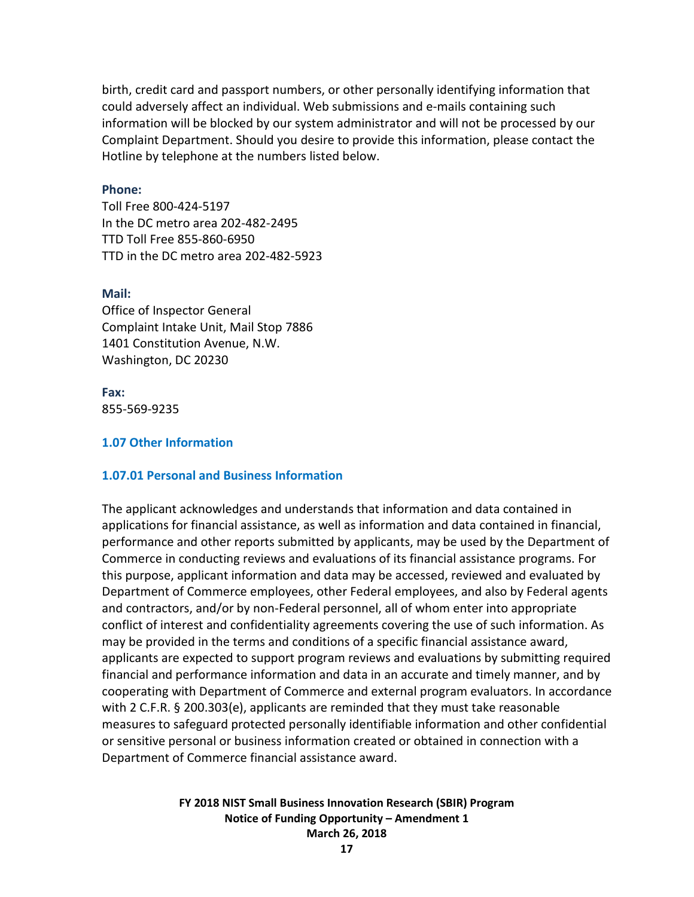birth, credit card and passport numbers, or other personally identifying information that could adversely affect an individual. Web submissions and e-mails containing such information will be blocked by our system administrator and will not be processed by our Complaint Department. Should you desire to provide this information, please contact the Hotline by telephone at the numbers listed below.

#### **Phone:**

Toll Free 800-424-5197 In the DC metro area 202-482-2495 TTD Toll Free 855-860-6950 TTD in the DC metro area 202-482-5923

#### **Mail:**

Office of Inspector General Complaint Intake Unit, Mail Stop 7886 1401 Constitution Avenue, N.W. Washington, DC 20230

**Fax:** 855-569-9235

#### <span id="page-16-0"></span>**1.07 Other Information**

#### **1.07.01 Personal and Business Information**

The applicant acknowledges and understands that information and data contained in applications for financial assistance, as well as information and data contained in financial, performance and other reports submitted by applicants, may be used by the Department of Commerce in conducting reviews and evaluations of its financial assistance programs. For this purpose, applicant information and data may be accessed, reviewed and evaluated by Department of Commerce employees, other Federal employees, and also by Federal agents and contractors, and/or by non-Federal personnel, all of whom enter into appropriate conflict of interest and confidentiality agreements covering the use of such information. As may be provided in the terms and conditions of a specific financial assistance award, applicants are expected to support program reviews and evaluations by submitting required financial and performance information and data in an accurate and timely manner, and by cooperating with Department of Commerce and external program evaluators. In accordance with 2 C.F.R. § 200.303(e), applicants are reminded that they must take reasonable measures to safeguard protected personally identifiable information and other confidential or sensitive personal or business information created or obtained in connection with a Department of Commerce financial assistance award.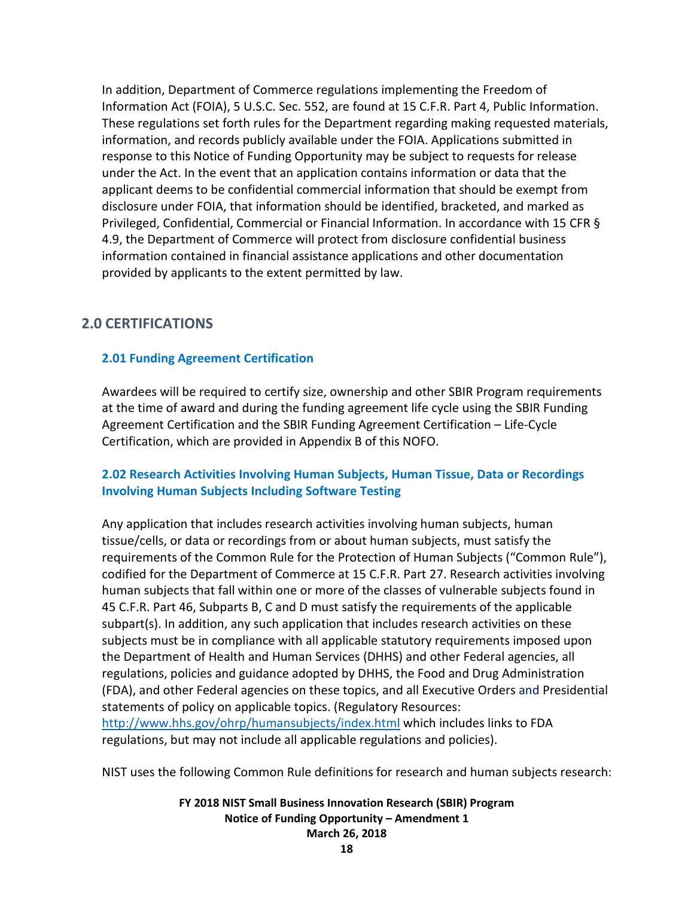In addition, Department of Commerce regulations implementing the Freedom of Information Act (FOIA), 5 U.S.C. Sec. 552, are found at 15 C.F.R. Part 4, Public Information. These regulations set forth rules for the Department regarding making requested materials, information, and records publicly available under the FOIA. Applications submitted in response to this Notice of Funding Opportunity may be subject to requests for release under the Act. In the event that an application contains information or data that the applicant deems to be confidential commercial information that should be exempt from disclosure under FOIA, that information should be identified, bracketed, and marked as Privileged, Confidential, Commercial or Financial Information. In accordance with 15 CFR § 4.9, the Department of Commerce will protect from disclosure confidential business information contained in financial assistance applications and other documentation provided by applicants to the extent permitted by law.

## <span id="page-17-0"></span>**2.0 CERTIFICATIONS**

#### <span id="page-17-1"></span>**2.01 Funding Agreement Certification**

Awardees will be required to certify size, ownership and other SBIR Program requirements at the time of award and during the funding agreement life cycle using the SBIR Funding Agreement Certification and the SBIR Funding Agreement Certification – Life-Cycle Certification, which are provided in Appendix B of this NOFO.

## <span id="page-17-2"></span>**2.02 Research Activities Involving Human Subjects, Human Tissue, Data or Recordings Involving Human Subjects Including Software Testing**

Any application that includes research activities involving human subjects, human tissue/cells, or data or recordings from or about human subjects, must satisfy the requirements of the Common Rule for the Protection of Human Subjects ("Common Rule"), codified for the Department of Commerce at 15 C.F.R. Part 27. Research activities involving human subjects that fall within one or more of the classes of vulnerable subjects found in 45 C.F.R. Part 46, Subparts B, C and D must satisfy the requirements of the applicable subpart(s). In addition, any such application that includes research activities on these subjects must be in compliance with all applicable statutory requirements imposed upon the Department of Health and Human Services (DHHS) and other Federal agencies, all regulations, policies and guidance adopted by DHHS, the Food and Drug Administration (FDA), and other Federal agencies on these topics, and all Executive Orders and Presidential statements of policy on applicable topics. (Regulatory Resources: <http://www.hhs.gov/ohrp/humansubjects/index.html> which includes links to FDA regulations, but may not include all applicable regulations and policies).

NIST uses the following Common Rule definitions for research and human subjects research: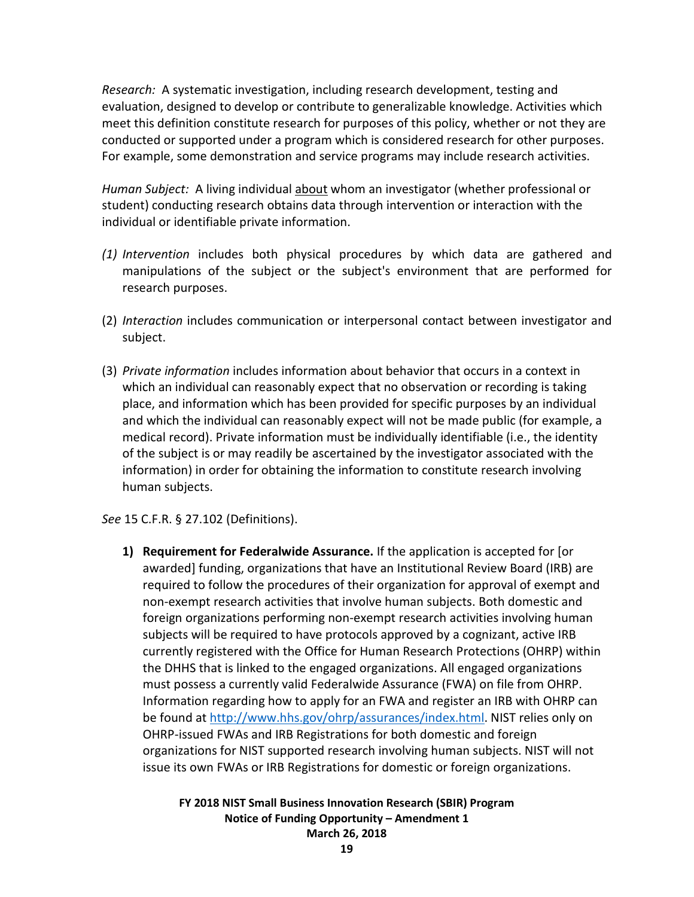*Research:* A systematic investigation, including research development, testing and evaluation, designed to develop or contribute to generalizable knowledge. Activities which meet this definition constitute research for purposes of this policy, whether or not they are conducted or supported under a program which is considered research for other purposes. For example, some demonstration and service programs may include research activities.

*Human Subject:* A living individual about whom an investigator (whether professional or student) conducting research obtains data through intervention or interaction with the individual or identifiable private information.

- *(1) Intervention* includes both physical procedures by which data are gathered and manipulations of the subject or the subject's environment that are performed for research purposes.
- (2) *Interaction* includes communication or interpersonal contact between investigator and subject.
- (3) *Private information* includes information about behavior that occurs in a context in which an individual can reasonably expect that no observation or recording is taking place, and information which has been provided for specific purposes by an individual and which the individual can reasonably expect will not be made public (for example, a medical record). Private information must be individually identifiable (i.e., the identity of the subject is or may readily be ascertained by the investigator associated with the information) in order for obtaining the information to constitute research involving human subjects.

*See* 15 C.F.R. § 27.102 (Definitions).

**1) Requirement for Federalwide Assurance.** If the application is accepted for [or awarded] funding, organizations that have an Institutional Review Board (IRB) are required to follow the procedures of their organization for approval of exempt and non-exempt research activities that involve human subjects. Both domestic and foreign organizations performing non-exempt research activities involving human subjects will be required to have protocols approved by a cognizant, active IRB currently registered with the Office for Human Research Protections (OHRP) within the DHHS that is linked to the engaged organizations. All engaged organizations must possess a currently valid Federalwide Assurance (FWA) on file from OHRP. Information regarding how to apply for an FWA and register an IRB with OHRP can be found at [http://www.hhs.gov/ohrp/assurances/index.html.](http://www.hhs.gov/ohrp/assurances/index.html) NIST relies only on OHRP-issued FWAs and IRB Registrations for both domestic and foreign organizations for NIST supported research involving human subjects. NIST will not issue its own FWAs or IRB Registrations for domestic or foreign organizations.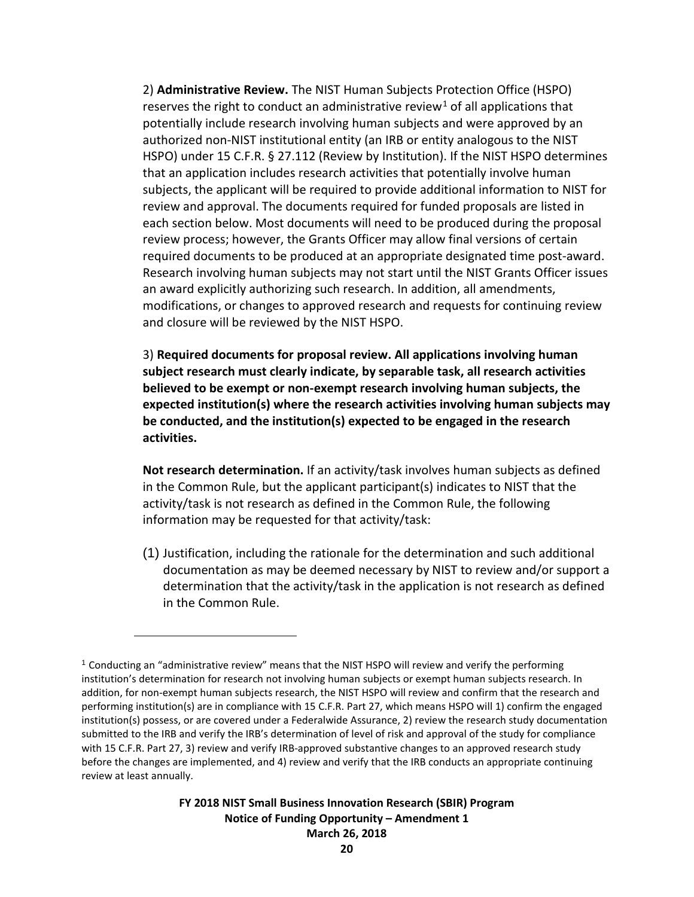2) **Administrative Review.** The NIST Human Subjects Protection Office (HSPO) reserves the right to conduct an administrative review<sup>[1](#page-19-0)</sup> of all applications that potentially include research involving human subjects and were approved by an authorized non-NIST institutional entity (an IRB or entity analogous to the NIST HSPO) under 15 C.F.R. § 27.112 (Review by Institution). If the NIST HSPO determines that an application includes research activities that potentially involve human subjects, the applicant will be required to provide additional information to NIST for review and approval. The documents required for funded proposals are listed in each section below. Most documents will need to be produced during the proposal review process; however, the Grants Officer may allow final versions of certain required documents to be produced at an appropriate designated time post-award. Research involving human subjects may not start until the NIST Grants Officer issues an award explicitly authorizing such research. In addition, all amendments, modifications, or changes to approved research and requests for continuing review and closure will be reviewed by the NIST HSPO.

3) **Required documents for proposal review. All applications involving human subject research must clearly indicate, by separable task, all research activities believed to be exempt or non-exempt research involving human subjects, the expected institution(s) where the research activities involving human subjects may be conducted, and the institution(s) expected to be engaged in the research activities.**

**Not research determination.** If an activity/task involves human subjects as defined in the Common Rule, but the applicant participant(s) indicates to NIST that the activity/task is not research as defined in the Common Rule, the following information may be requested for that activity/task:

(1) Justification, including the rationale for the determination and such additional documentation as may be deemed necessary by NIST to review and/or support a determination that the activity/task in the application is not research as defined in the Common Rule.

 $\overline{a}$ 

<span id="page-19-0"></span><sup>1</sup> Conducting an "administrative review" means that the NIST HSPO will review and verify the performing institution's determination for research not involving human subjects or exempt human subjects research. In addition, for non-exempt human subjects research, the NIST HSPO will review and confirm that the research and performing institution(s) are in compliance with 15 C.F.R. Part 27, which means HSPO will 1) confirm the engaged institution(s) possess, or are covered under a Federalwide Assurance, 2) review the research study documentation submitted to the IRB and verify the IRB's determination of level of risk and approval of the study for compliance with 15 C.F.R. Part 27, 3) review and verify IRB-approved substantive changes to an approved research study before the changes are implemented, and 4) review and verify that the IRB conducts an appropriate continuing review at least annually.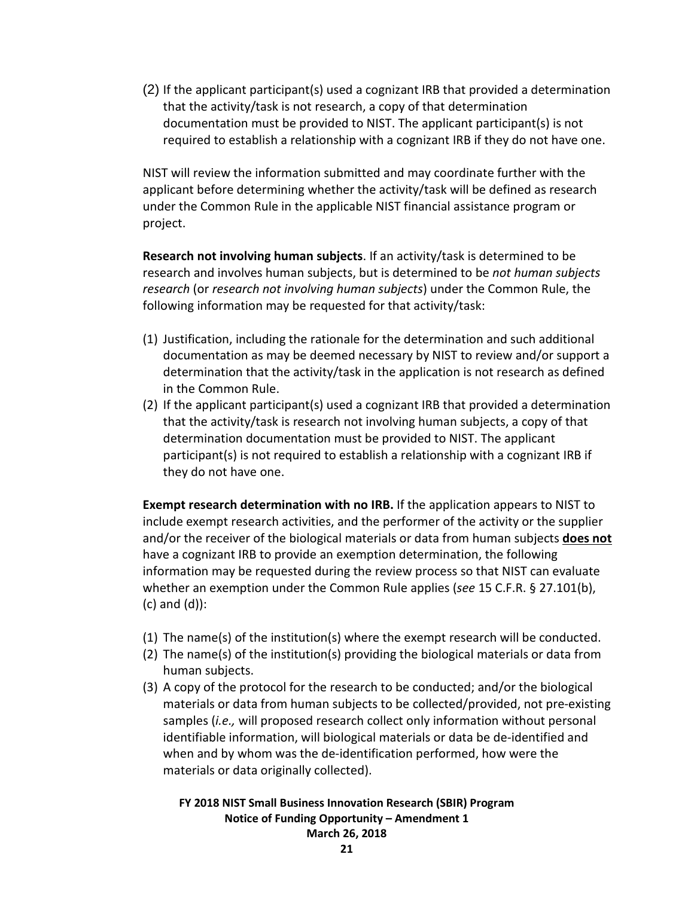(2) If the applicant participant(s) used a cognizant IRB that provided a determination that the activity/task is not research, a copy of that determination documentation must be provided to NIST. The applicant participant(s) is not required to establish a relationship with a cognizant IRB if they do not have one.

NIST will review the information submitted and may coordinate further with the applicant before determining whether the activity/task will be defined as research under the Common Rule in the applicable NIST financial assistance program or project.

**Research not involving human subjects**. If an activity/task is determined to be research and involves human subjects, but is determined to be *not human subjects research* (or *research not involving human subjects*) under the Common Rule, the following information may be requested for that activity/task:

- (1) Justification, including the rationale for the determination and such additional documentation as may be deemed necessary by NIST to review and/or support a determination that the activity/task in the application is not research as defined in the Common Rule.
- (2) If the applicant participant(s) used a cognizant IRB that provided a determination that the activity/task is research not involving human subjects, a copy of that determination documentation must be provided to NIST. The applicant participant(s) is not required to establish a relationship with a cognizant IRB if they do not have one.

**Exempt research determination with no IRB.** If the application appears to NIST to include exempt research activities, and the performer of the activity or the supplier and/or the receiver of the biological materials or data from human subjects **does not** have a cognizant IRB to provide an exemption determination, the following information may be requested during the review process so that NIST can evaluate whether an exemption under the Common Rule applies (*see* 15 C.F.R. § 27.101(b), (c) and (d)):

- (1) The name(s) of the institution(s) where the exempt research will be conducted.
- (2) The name(s) of the institution(s) providing the biological materials or data from human subjects.
- (3) A copy of the protocol for the research to be conducted; and/or the biological materials or data from human subjects to be collected/provided, not pre-existing samples (*i.e.,* will proposed research collect only information without personal identifiable information, will biological materials or data be de-identified and when and by whom was the de-identification performed, how were the materials or data originally collected).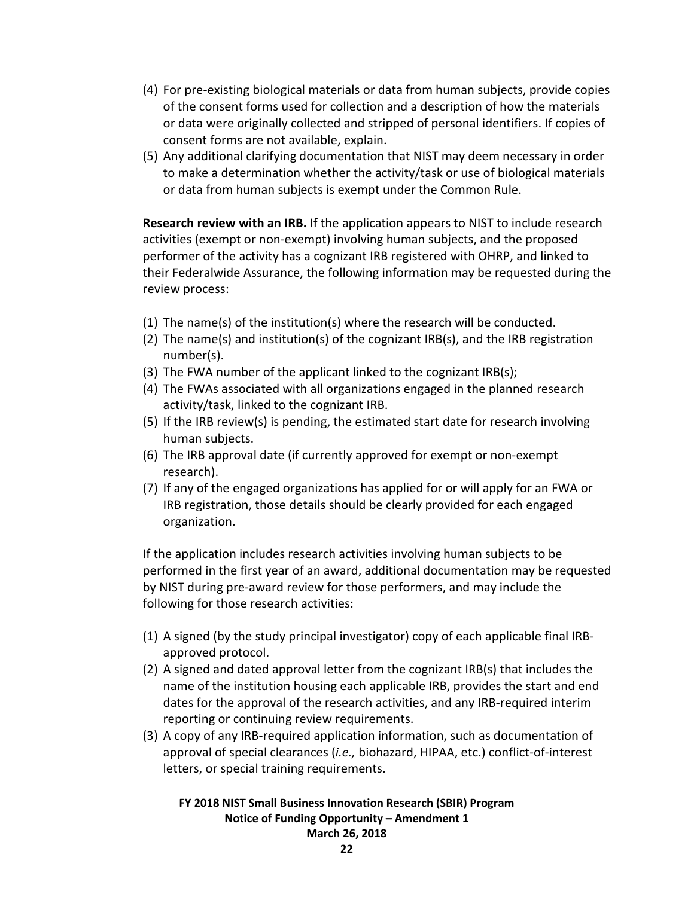- (4) For pre-existing biological materials or data from human subjects, provide copies of the consent forms used for collection and a description of how the materials or data were originally collected and stripped of personal identifiers. If copies of consent forms are not available, explain.
- (5) Any additional clarifying documentation that NIST may deem necessary in order to make a determination whether the activity/task or use of biological materials or data from human subjects is exempt under the Common Rule.

**Research review with an IRB.** If the application appears to NIST to include research activities (exempt or non-exempt) involving human subjects, and the proposed performer of the activity has a cognizant IRB registered with OHRP, and linked to their Federalwide Assurance, the following information may be requested during the review process:

- (1) The name(s) of the institution(s) where the research will be conducted.
- (2) The name(s) and institution(s) of the cognizant IRB(s), and the IRB registration number(s).
- (3) The FWA number of the applicant linked to the cognizant IRB(s);
- (4) The FWAs associated with all organizations engaged in the planned research activity/task, linked to the cognizant IRB.
- (5) If the IRB review(s) is pending, the estimated start date for research involving human subjects.
- (6) The IRB approval date (if currently approved for exempt or non-exempt research).
- (7) If any of the engaged organizations has applied for or will apply for an FWA or IRB registration, those details should be clearly provided for each engaged organization.

If the application includes research activities involving human subjects to be performed in the first year of an award, additional documentation may be requested by NIST during pre-award review for those performers, and may include the following for those research activities:

- (1) A signed (by the study principal investigator) copy of each applicable final IRBapproved protocol.
- (2) A signed and dated approval letter from the cognizant IRB(s) that includes the name of the institution housing each applicable IRB, provides the start and end dates for the approval of the research activities, and any IRB-required interim reporting or continuing review requirements.
- (3) A copy of any IRB-required application information, such as documentation of approval of special clearances (*i.e.,* biohazard, HIPAA, etc.) conflict-of-interest letters, or special training requirements.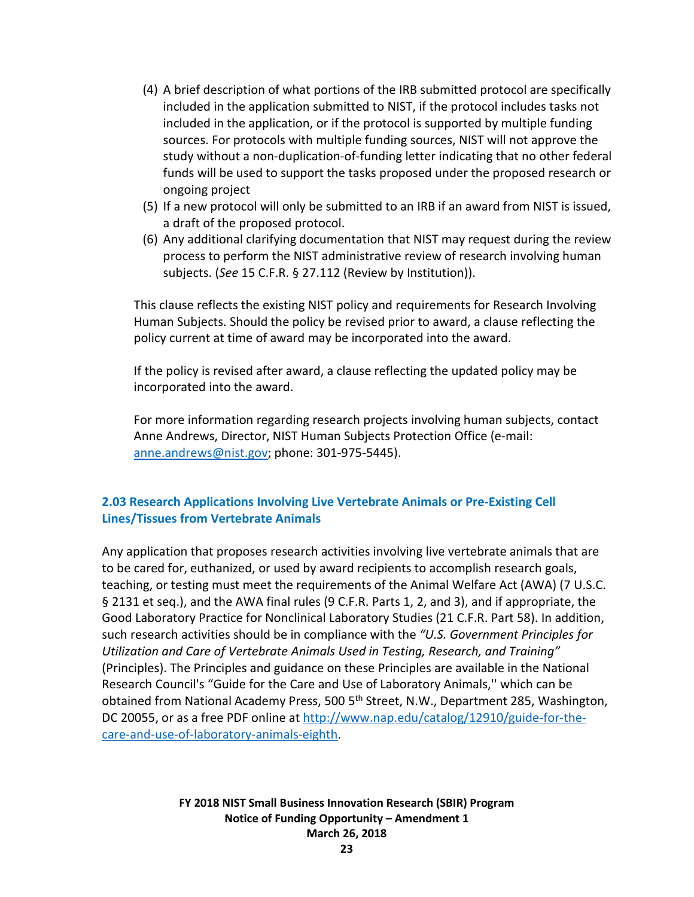- (4) A brief description of what portions of the IRB submitted protocol are specifically included in the application submitted to NIST, if the protocol includes tasks not included in the application, or if the protocol is supported by multiple funding sources. For protocols with multiple funding sources, NIST will not approve the study without a non-duplication-of-funding letter indicating that no other federal funds will be used to support the tasks proposed under the proposed research or ongoing project
- (5) If a new protocol will only be submitted to an IRB if an award from NIST is issued, a draft of the proposed protocol.
- (6) Any additional clarifying documentation that NIST may request during the review process to perform the NIST administrative review of research involving human subjects. (*See* 15 C.F.R. § 27.112 (Review by Institution)).

This clause reflects the existing NIST policy and requirements for Research Involving Human Subjects. Should the policy be revised prior to award, a clause reflecting the policy current at time of award may be incorporated into the award.

If the policy is revised after award, a clause reflecting the updated policy may be incorporated into the award.

For more information regarding research projects involving human subjects, contact Anne Andrews, Director, NIST Human Subjects Protection Office (e-mail: [anne.andrews@nist.gov;](mailto:anne.andrews@nist.gov) phone: 301-975-5445).

## <span id="page-22-0"></span>**2.03 Research Applications Involving Live Vertebrate Animals or Pre-Existing Cell Lines/Tissues from Vertebrate Animals**

Any application that proposes research activities involving live vertebrate animals that are to be cared for, euthanized, or used by award recipients to accomplish research goals, teaching, or testing must meet the requirements of the Animal Welfare Act (AWA) (7 U.S.C. § 2131 et seq.), and the AWA final rules (9 C.F.R. Parts 1, 2, and 3), and if appropriate, the Good Laboratory Practice for Nonclinical Laboratory Studies (21 C.F.R. Part 58). In addition, such research activities should be in compliance with the *"U.S. Government Principles for Utilization and Care of Vertebrate Animals Used in Testing, Research, and Training"*  (Principles). The Principles and guidance on these Principles are available in the National Research Council's "Guide for the Care and Use of Laboratory Animals,'' which can be obtained from National Academy Press, 500 5<sup>th</sup> Street, N.W., Department 285, Washington, DC 20055, or as a free PDF online at [http://www.nap.edu/catalog/12910/guide-for-the](http://www.nap.edu/catalog/12910/guide-for-the-care-and-use-of-laboratory-animals-eighth)[care-and-use-of-laboratory-animals-eighth.](http://www.nap.edu/catalog/12910/guide-for-the-care-and-use-of-laboratory-animals-eighth)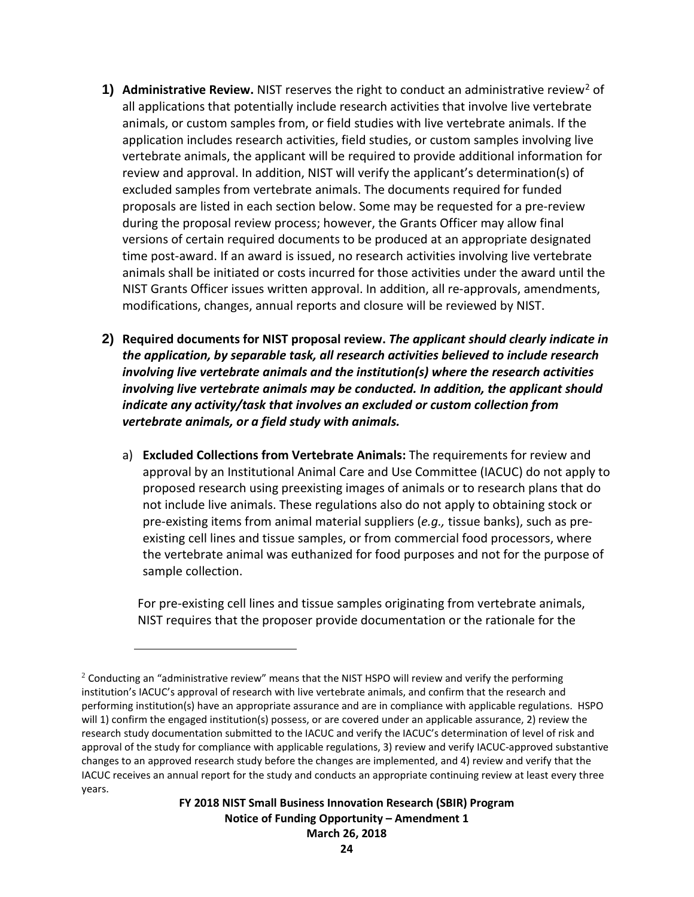- **1) Administrative Review.** NIST reserves the right to conduct an administrative review<sup>2</sup> of all applications that potentially include research activities that involve live vertebrate animals, or custom samples from, or field studies with live vertebrate animals. If the application includes research activities, field studies, or custom samples involving live vertebrate animals, the applicant will be required to provide additional information for review and approval. In addition, NIST will verify the applicant's determination(s) of excluded samples from vertebrate animals. The documents required for funded proposals are listed in each section below. Some may be requested for a pre-review during the proposal review process; however, the Grants Officer may allow final versions of certain required documents to be produced at an appropriate designated time post-award. If an award is issued, no research activities involving live vertebrate animals shall be initiated or costs incurred for those activities under the award until the NIST Grants Officer issues written approval. In addition, all re-approvals, amendments, modifications, changes, annual reports and closure will be reviewed by NIST.
- **2) Required documents for NIST proposal review.** *The applicant should clearly indicate in the application, by separable task, all research activities believed to include research involving live vertebrate animals and the institution(s) where the research activities involving live vertebrate animals may be conducted. In addition, the applicant should indicate any activity/task that involves an excluded or custom collection from vertebrate animals, or a field study with animals.*
	- a) **Excluded Collections from Vertebrate Animals:** The requirements for review and approval by an Institutional Animal Care and Use Committee (IACUC) do not apply to proposed research using preexisting images of animals or to research plans that do not include live animals. These regulations also do not apply to obtaining stock or pre-existing items from animal material suppliers (*e.g.,* tissue banks), such as preexisting cell lines and tissue samples, or from commercial food processors, where the vertebrate animal was euthanized for food purposes and not for the purpose of sample collection.

For pre-existing cell lines and tissue samples originating from vertebrate animals, NIST requires that the proposer provide documentation or the rationale for the

 $\overline{a}$ 

<span id="page-23-0"></span> $2$  Conducting an "administrative review" means that the NIST HSPO will review and verify the performing institution's IACUC's approval of research with live vertebrate animals, and confirm that the research and performing institution(s) have an appropriate assurance and are in compliance with applicable regulations. HSPO will 1) confirm the engaged institution(s) possess, or are covered under an applicable assurance, 2) review the research study documentation submitted to the IACUC and verify the IACUC's determination of level of risk and approval of the study for compliance with applicable regulations, 3) review and verify IACUC-approved substantive changes to an approved research study before the changes are implemented, and 4) review and verify that the IACUC receives an annual report for the study and conducts an appropriate continuing review at least every three years.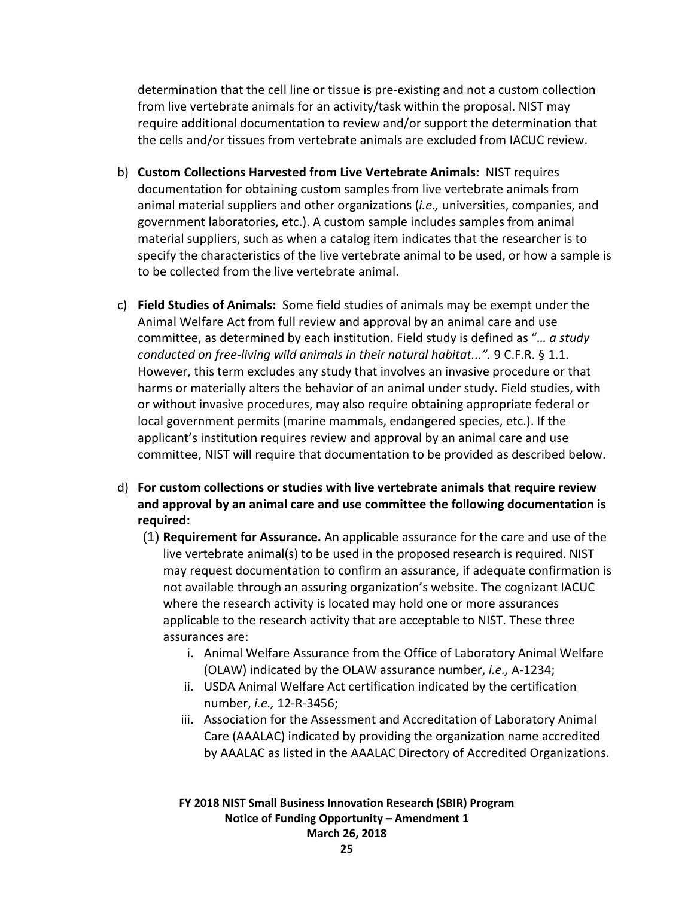determination that the cell line or tissue is pre-existing and not a custom collection from live vertebrate animals for an activity/task within the proposal. NIST may require additional documentation to review and/or support the determination that the cells and/or tissues from vertebrate animals are excluded from IACUC review.

- b) **Custom Collections Harvested from Live Vertebrate Animals:** NIST requires documentation for obtaining custom samples from live vertebrate animals from animal material suppliers and other organizations (*i.e.,* universities, companies, and government laboratories, etc.). A custom sample includes samples from animal material suppliers, such as when a catalog item indicates that the researcher is to specify the characteristics of the live vertebrate animal to be used, or how a sample is to be collected from the live vertebrate animal.
- c) **Field Studies of Animals:** Some field studies of animals may be exempt under the Animal Welfare Act from full review and approval by an animal care and use committee, as determined by each institution. Field study is defined as "*… a study conducted on free-living wild animals in their natural habitat...".* 9 C.F.R. § 1.1. However, this term excludes any study that involves an invasive procedure or that harms or materially alters the behavior of an animal under study. Field studies, with or without invasive procedures, may also require obtaining appropriate federal or local government permits (marine mammals, endangered species, etc.). If the applicant's institution requires review and approval by an animal care and use committee, NIST will require that documentation to be provided as described below.
- d) **For custom collections or studies with live vertebrate animals that require review and approval by an animal care and use committee the following documentation is required:**
	- (1) **Requirement for Assurance.** An applicable assurance for the care and use of the live vertebrate animal(s) to be used in the proposed research is required. NIST may request documentation to confirm an assurance, if adequate confirmation is not available through an assuring organization's website. The cognizant IACUC where the research activity is located may hold one or more assurances applicable to the research activity that are acceptable to NIST. These three assurances are:
		- i. Animal Welfare Assurance from the Office of Laboratory Animal Welfare (OLAW) indicated by the OLAW assurance number, *i.e.,* A-1234;
		- ii. USDA Animal Welfare Act certification indicated by the certification number, *i.e.,* 12-R-3456;
		- iii. Association for the Assessment and Accreditation of Laboratory Animal Care (AAALAC) indicated by providing the organization name accredited by AAALAC as listed in the AAALAC Directory of Accredited Organizations.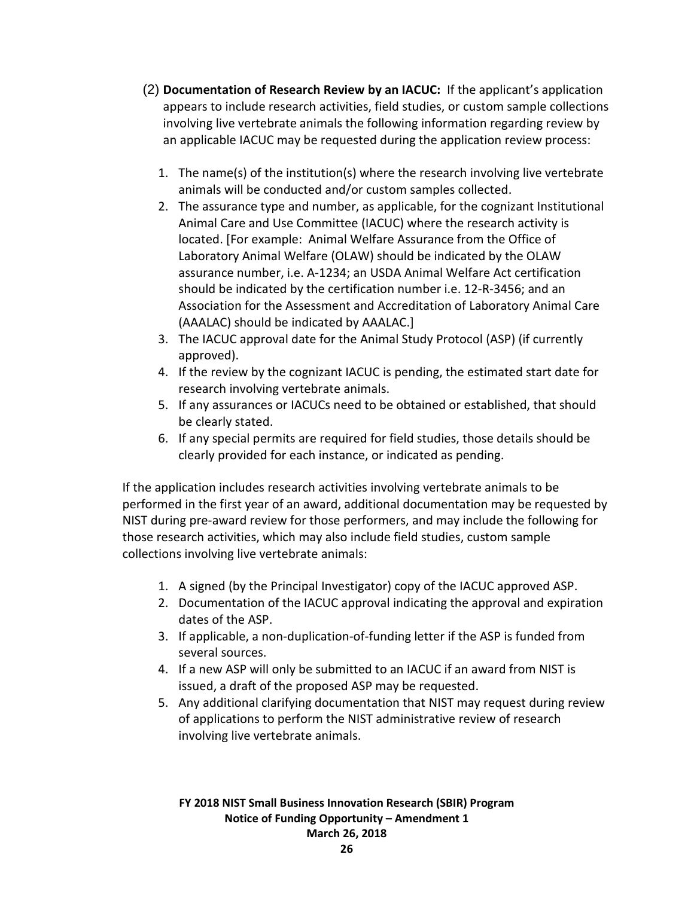- (2) **Documentation of Research Review by an IACUC:** If the applicant's application appears to include research activities, field studies, or custom sample collections involving live vertebrate animals the following information regarding review by an applicable IACUC may be requested during the application review process:
	- 1. The name(s) of the institution(s) where the research involving live vertebrate animals will be conducted and/or custom samples collected.
	- 2. The assurance type and number, as applicable, for the cognizant Institutional Animal Care and Use Committee (IACUC) where the research activity is located. [For example: Animal Welfare Assurance from the Office of Laboratory Animal Welfare (OLAW) should be indicated by the OLAW assurance number, i.e. A-1234; an USDA Animal Welfare Act certification should be indicated by the certification number i.e. 12-R-3456; and an Association for the Assessment and Accreditation of Laboratory Animal Care (AAALAC) should be indicated by AAALAC.]
	- 3. The IACUC approval date for the Animal Study Protocol (ASP) (if currently approved).
	- 4. If the review by the cognizant IACUC is pending, the estimated start date for research involving vertebrate animals.
	- 5. If any assurances or IACUCs need to be obtained or established, that should be clearly stated.
	- 6. If any special permits are required for field studies, those details should be clearly provided for each instance, or indicated as pending.

If the application includes research activities involving vertebrate animals to be performed in the first year of an award, additional documentation may be requested by NIST during pre-award review for those performers, and may include the following for those research activities, which may also include field studies, custom sample collections involving live vertebrate animals:

- 1. A signed (by the Principal Investigator) copy of the IACUC approved ASP.
- 2. Documentation of the IACUC approval indicating the approval and expiration dates of the ASP.
- 3. If applicable, a non-duplication-of-funding letter if the ASP is funded from several sources.
- 4. If a new ASP will only be submitted to an IACUC if an award from NIST is issued, a draft of the proposed ASP may be requested.
- 5. Any additional clarifying documentation that NIST may request during review of applications to perform the NIST administrative review of research involving live vertebrate animals.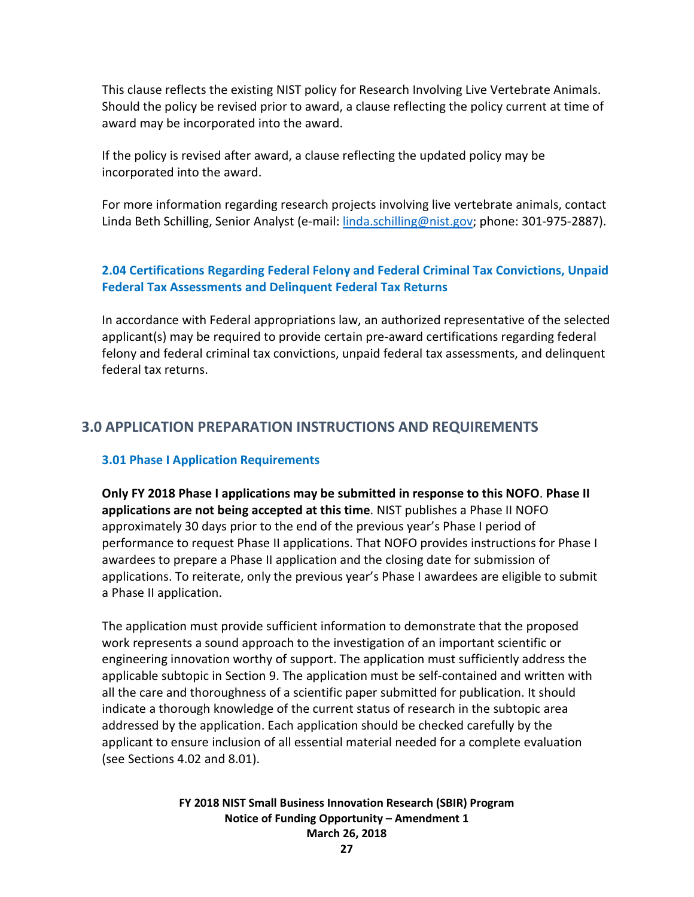This clause reflects the existing NIST policy for Research Involving Live Vertebrate Animals. Should the policy be revised prior to award, a clause reflecting the policy current at time of award may be incorporated into the award.

If the policy is revised after award, a clause reflecting the updated policy may be incorporated into the award.

For more information regarding research projects involving live vertebrate animals, contact Linda Beth Schilling, Senior Analyst (e-mail: [linda.schilling@nist.gov;](mailto:linda.schilling@nist.gov) phone: 301-975-2887).

## <span id="page-26-0"></span>**2.04 Certifications Regarding Federal Felony and Federal Criminal Tax Convictions, Unpaid Federal Tax Assessments and Delinquent Federal Tax Returns**

In accordance with Federal appropriations law, an authorized representative of the selected applicant(s) may be required to provide certain pre-award certifications regarding federal felony and federal criminal tax convictions, unpaid federal tax assessments, and delinquent federal tax returns.

## <span id="page-26-1"></span>**3.0 APPLICATION PREPARATION INSTRUCTIONS AND REQUIREMENTS**

## <span id="page-26-2"></span>**3.01 Phase I Application Requirements**

**Only FY 2018 Phase I applications may be submitted in response to this NOFO**. **Phase II applications are not being accepted at this time**. NIST publishes a Phase II NOFO approximately 30 days prior to the end of the previous year's Phase I period of performance to request Phase II applications. That NOFO provides instructions for Phase I awardees to prepare a Phase II application and the closing date for submission of applications. To reiterate, only the previous year's Phase I awardees are eligible to submit a Phase II application.

The application must provide sufficient information to demonstrate that the proposed work represents a sound approach to the investigation of an important scientific or engineering innovation worthy of support. The application must sufficiently address the applicable subtopic in Section 9. The application must be self-contained and written with all the care and thoroughness of a scientific paper submitted for publication. It should indicate a thorough knowledge of the current status of research in the subtopic area addressed by the application. Each application should be checked carefully by the applicant to ensure inclusion of all essential material needed for a complete evaluation (see Sections 4.02 and 8.01).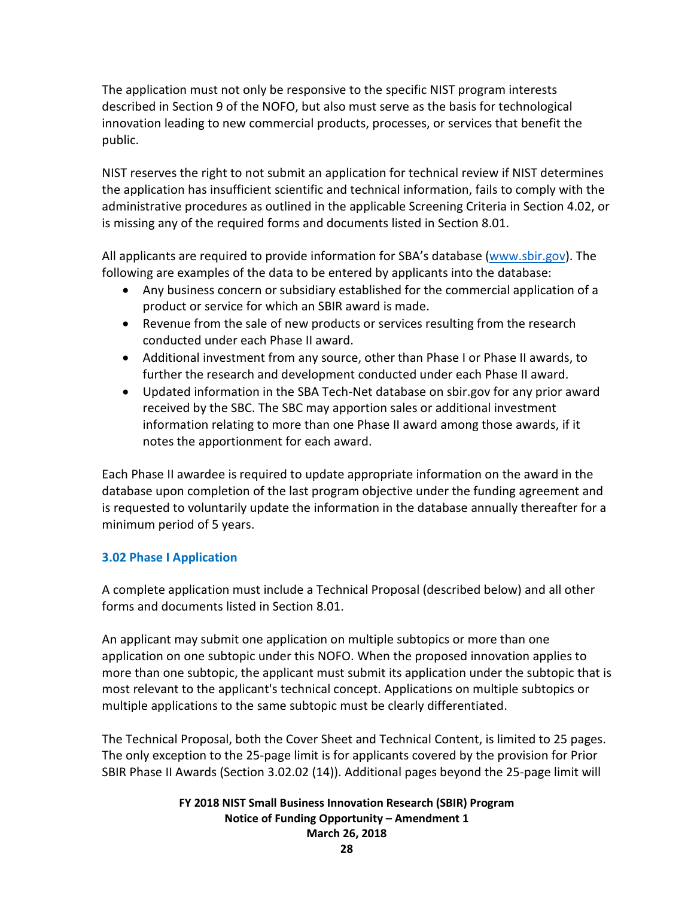The application must not only be responsive to the specific NIST program interests described in Section 9 of the NOFO, but also must serve as the basis for technological innovation leading to new commercial products, processes, or services that benefit the public.

NIST reserves the right to not submit an application for technical review if NIST determines the application has insufficient scientific and technical information, fails to comply with the administrative procedures as outlined in the applicable Screening Criteria in Section 4.02, or is missing any of the required forms and documents listed in Section 8.01.

All applicants are required to provide information for SBA's database [\(www.sbir.gov\)](http://www.sbir.gov/). The following are examples of the data to be entered by applicants into the database:

- Any business concern or subsidiary established for the commercial application of a product or service for which an SBIR award is made.
- Revenue from the sale of new products or services resulting from the research conducted under each Phase II award.
- Additional investment from any source, other than Phase I or Phase II awards, to further the research and development conducted under each Phase II award.
- Updated information in the SBA Tech-Net database on sbir.gov for any prior award received by the SBC. The SBC may apportion sales or additional investment information relating to more than one Phase II award among those awards, if it notes the apportionment for each award.

Each Phase II awardee is required to update appropriate information on the award in the database upon completion of the last program objective under the funding agreement and is requested to voluntarily update the information in the database annually thereafter for a minimum period of 5 years.

## <span id="page-27-0"></span>**3.02 Phase I Application**

A complete application must include a Technical Proposal (described below) and all other forms and documents listed in Section 8.01.

An applicant may submit one application on multiple subtopics or more than one application on one subtopic under this NOFO. When the proposed innovation applies to more than one subtopic, the applicant must submit its application under the subtopic that is most relevant to the applicant's technical concept. Applications on multiple subtopics or multiple applications to the same subtopic must be clearly differentiated.

The Technical Proposal, both the Cover Sheet and Technical Content, is limited to 25 pages. The only exception to the 25-page limit is for applicants covered by the provision for Prior SBIR Phase II Awards (Section 3.02.02 (14)). Additional pages beyond the 25-page limit will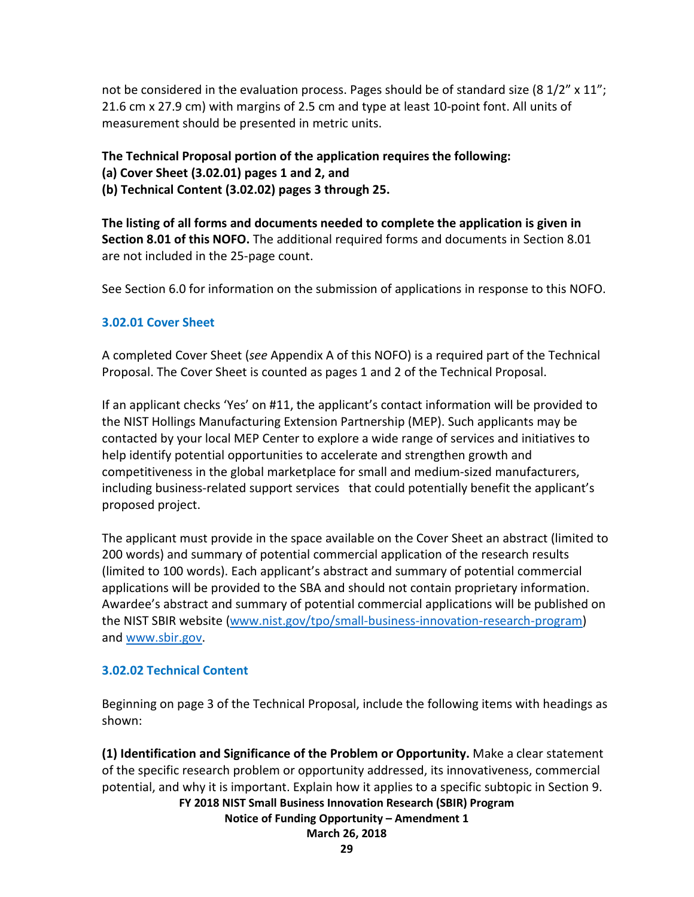not be considered in the evaluation process. Pages should be of standard size (8  $1/2$ " x  $11$ "; 21.6 cm x 27.9 cm) with margins of 2.5 cm and type at least 10-point font. All units of measurement should be presented in metric units.

**The Technical Proposal portion of the application requires the following: (a) Cover Sheet (3.02.01) pages 1 and 2, and**

**(b) Technical Content (3.02.02) pages 3 through 25.**

**The listing of all forms and documents needed to complete the application is given in Section 8.01 of this NOFO.** The additional required forms and documents in Section 8.01 are not included in the 25-page count.

See Section 6.0 for information on the submission of applications in response to this NOFO.

## **3.02.01 Cover Sheet**

A completed Cover Sheet (*see* Appendix A of this NOFO) is a required part of the Technical Proposal. The Cover Sheet is counted as pages 1 and 2 of the Technical Proposal.

If an applicant checks 'Yes' on #11, the applicant's contact information will be provided to the NIST Hollings Manufacturing Extension Partnership (MEP). Such applicants may be contacted by your local MEP Center to explore a wide range of services and initiatives to help identify potential opportunities to accelerate and strengthen growth and competitiveness in the global marketplace for small and medium-sized manufacturers, including business-related support services that could potentially benefit the applicant's proposed project.

The applicant must provide in the space available on the Cover Sheet an abstract (limited to 200 words) and summary of potential commercial application of the research results (limited to 100 words). Each applicant's abstract and summary of potential commercial applications will be provided to the SBA and should not contain proprietary information. Awardee's abstract and summary of potential commercial applications will be published on the NIST SBIR website [\(www.nist.gov/tpo/small-business-innovation-research-program\)](http://www.nist.gov/tpo/small-business-innovation-research-program) and [www.sbir.gov.](http://www.sbir.gov/)

## **3.02.02 Technical Content**

Beginning on page 3 of the Technical Proposal, include the following items with headings as shown:

**(1) Identification and Significance of the Problem or Opportunity.** Make a clear statement of the specific research problem or opportunity addressed, its innovativeness, commercial potential, and why it is important. Explain how it applies to a specific subtopic in Section 9.

## **FY 2018 NIST Small Business Innovation Research (SBIR) Program**

**Notice of Funding Opportunity – Amendment 1**

**March 26, 2018**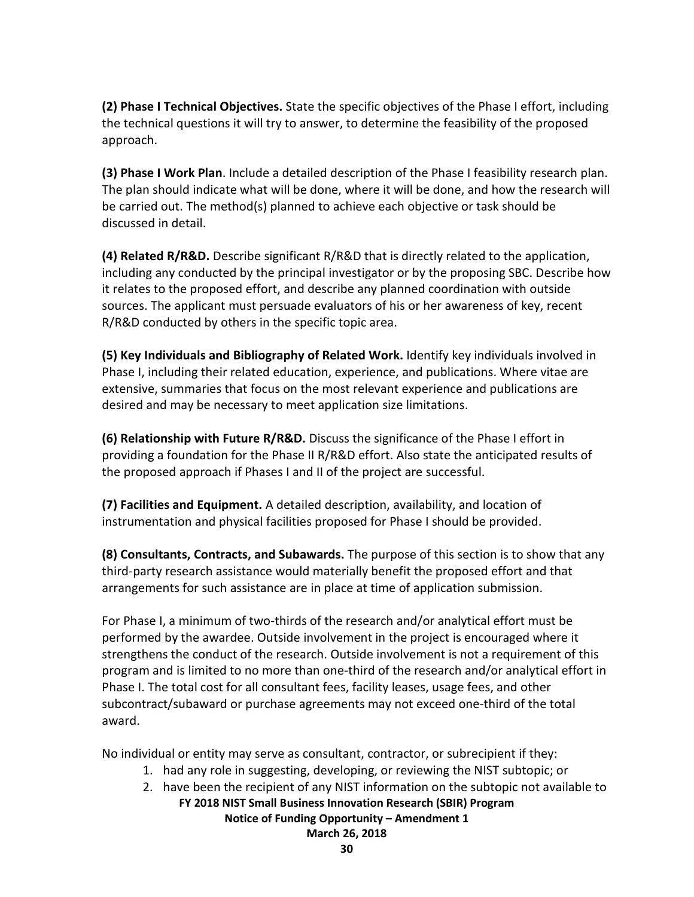**(2) Phase I Technical Objectives.** State the specific objectives of the Phase I effort, including the technical questions it will try to answer, to determine the feasibility of the proposed approach.

**(3) Phase I Work Plan**. Include a detailed description of the Phase I feasibility research plan. The plan should indicate what will be done, where it will be done, and how the research will be carried out. The method(s) planned to achieve each objective or task should be discussed in detail.

**(4) Related R/R&D.** Describe significant R/R&D that is directly related to the application, including any conducted by the principal investigator or by the proposing SBC. Describe how it relates to the proposed effort, and describe any planned coordination with outside sources. The applicant must persuade evaluators of his or her awareness of key, recent R/R&D conducted by others in the specific topic area.

**(5) Key Individuals and Bibliography of Related Work.** Identify key individuals involved in Phase I, including their related education, experience, and publications. Where vitae are extensive, summaries that focus on the most relevant experience and publications are desired and may be necessary to meet application size limitations.

**(6) Relationship with Future R/R&D.** Discuss the significance of the Phase I effort in providing a foundation for the Phase II R/R&D effort. Also state the anticipated results of the proposed approach if Phases I and II of the project are successful.

**(7) Facilities and Equipment.** A detailed description, availability, and location of instrumentation and physical facilities proposed for Phase I should be provided.

**(8) Consultants, Contracts, and Subawards.** The purpose of this section is to show that any third-party research assistance would materially benefit the proposed effort and that arrangements for such assistance are in place at time of application submission.

For Phase I, a minimum of two-thirds of the research and/or analytical effort must be performed by the awardee. Outside involvement in the project is encouraged where it strengthens the conduct of the research. Outside involvement is not a requirement of this program and is limited to no more than one-third of the research and/or analytical effort in Phase I. The total cost for all consultant fees, facility leases, usage fees, and other subcontract/subaward or purchase agreements may not exceed one-third of the total award.

No individual or entity may serve as consultant, contractor, or subrecipient if they:

- 1. had any role in suggesting, developing, or reviewing the NIST subtopic; or
- 2. have been the recipient of any NIST information on the subtopic not available to

# **FY 2018 NIST Small Business Innovation Research (SBIR) Program**

**Notice of Funding Opportunity – Amendment 1**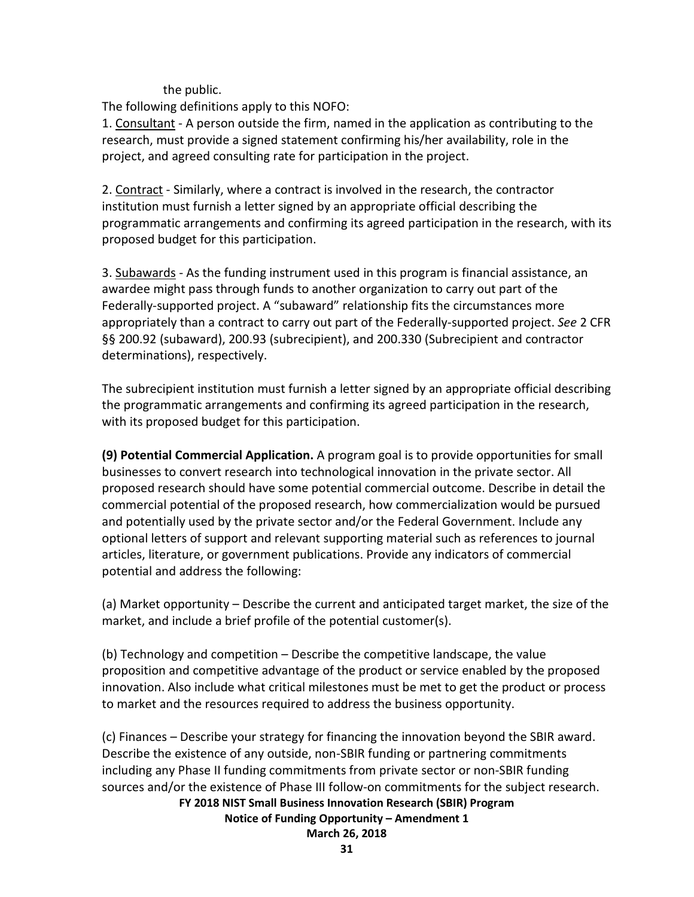the public.

The following definitions apply to this NOFO:

1. Consultant - A person outside the firm, named in the application as contributing to the research, must provide a signed statement confirming his/her availability, role in the project, and agreed consulting rate for participation in the project.

2. Contract - Similarly, where a contract is involved in the research, the contractor institution must furnish a letter signed by an appropriate official describing the programmatic arrangements and confirming its agreed participation in the research, with its proposed budget for this participation.

3. Subawards - As the funding instrument used in this program is financial assistance, an awardee might pass through funds to another organization to carry out part of the Federally-supported project. A "subaward" relationship fits the circumstances more appropriately than a contract to carry out part of the Federally-supported project. *See* 2 CFR §§ 200.92 (subaward), 200.93 (subrecipient), and 200.330 (Subrecipient and contractor determinations), respectively.

The subrecipient institution must furnish a letter signed by an appropriate official describing the programmatic arrangements and confirming its agreed participation in the research, with its proposed budget for this participation.

**(9) Potential Commercial Application.** A program goal is to provide opportunities for small businesses to convert research into technological innovation in the private sector. All proposed research should have some potential commercial outcome. Describe in detail the commercial potential of the proposed research, how commercialization would be pursued and potentially used by the private sector and/or the Federal Government. Include any optional letters of support and relevant supporting material such as references to journal articles, literature, or government publications. Provide any indicators of commercial potential and address the following:

(a) Market opportunity – Describe the current and anticipated target market, the size of the market, and include a brief profile of the potential customer(s).

(b) Technology and competition – Describe the competitive landscape, the value proposition and competitive advantage of the product or service enabled by the proposed innovation. Also include what critical milestones must be met to get the product or process to market and the resources required to address the business opportunity.

(c) Finances – Describe your strategy for financing the innovation beyond the SBIR award. Describe the existence of any outside, non-SBIR funding or partnering commitments including any Phase II funding commitments from private sector or non-SBIR funding sources and/or the existence of Phase III follow-on commitments for the subject research.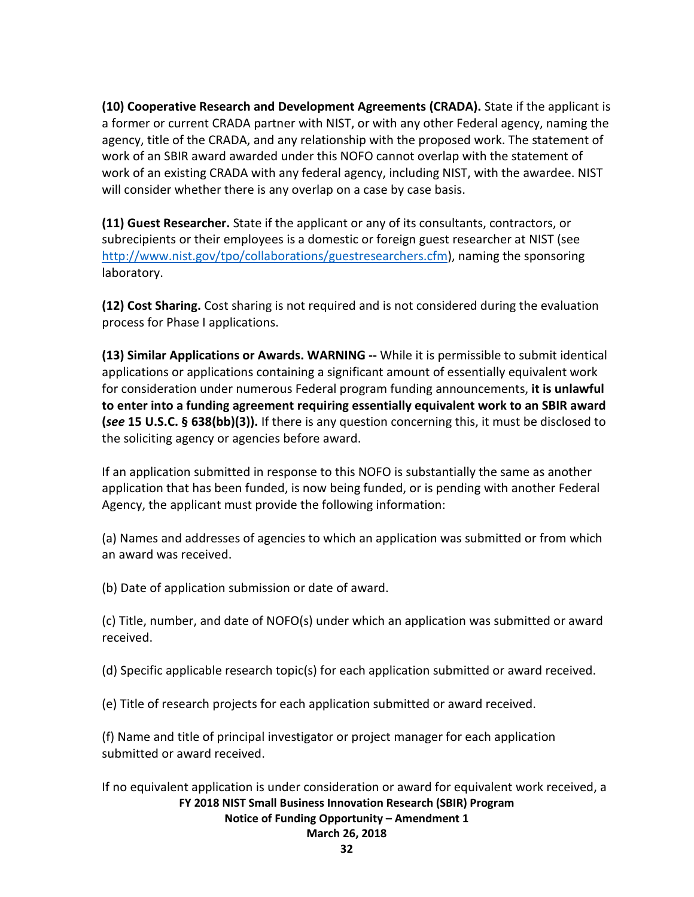**(10) Cooperative Research and Development Agreements (CRADA).** State if the applicant is a former or current CRADA partner with NIST, or with any other Federal agency, naming the agency, title of the CRADA, and any relationship with the proposed work. The statement of work of an SBIR award awarded under this NOFO cannot overlap with the statement of work of an existing CRADA with any federal agency, including NIST, with the awardee. NIST will consider whether there is any overlap on a case by case basis.

**(11) Guest Researcher.** State if the applicant or any of its consultants, contractors, or subrecipients or their employees is a domestic or foreign guest researcher at NIST (see [http://www.nist.gov/tpo/collaborations/guestresearchers.cfm\)](http://www.nist.gov/tpo/collaborations/guestresearchers.cfm), naming the sponsoring laboratory.

**(12) Cost Sharing.** Cost sharing is not required and is not considered during the evaluation process for Phase I applications.

**(13) Similar Applications or Awards. WARNING --** While it is permissible to submit identical applications or applications containing a significant amount of essentially equivalent work for consideration under numerous Federal program funding announcements, **it is unlawful to enter into a funding agreement requiring essentially equivalent work to an SBIR award (***see* **15 U.S.C. § 638(bb)(3)).** If there is any question concerning this, it must be disclosed to the soliciting agency or agencies before award.

If an application submitted in response to this NOFO is substantially the same as another application that has been funded, is now being funded, or is pending with another Federal Agency, the applicant must provide the following information:

(a) Names and addresses of agencies to which an application was submitted or from which an award was received.

(b) Date of application submission or date of award.

(c) Title, number, and date of NOFO(s) under which an application was submitted or award received.

(d) Specific applicable research topic(s) for each application submitted or award received.

(e) Title of research projects for each application submitted or award received.

(f) Name and title of principal investigator or project manager for each application submitted or award received.

**FY 2018 NIST Small Business Innovation Research (SBIR) Program** If no equivalent application is under consideration or award for equivalent work received, a

#### **Notice of Funding Opportunity – Amendment 1**

**March 26, 2018**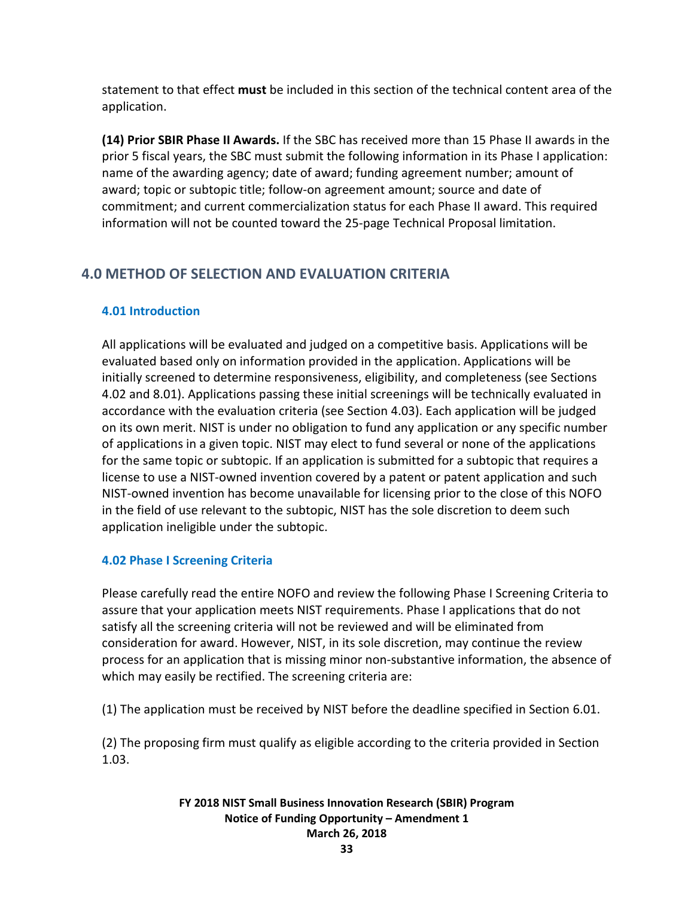statement to that effect **must** be included in this section of the technical content area of the application.

**(14) Prior SBIR Phase II Awards.** If the SBC has received more than 15 Phase II awards in the prior 5 fiscal years, the SBC must submit the following information in its Phase I application: name of the awarding agency; date of award; funding agreement number; amount of award; topic or subtopic title; follow-on agreement amount; source and date of commitment; and current commercialization status for each Phase II award. This required information will not be counted toward the 25-page Technical Proposal limitation.

## <span id="page-32-0"></span>**4.0 METHOD OF SELECTION AND EVALUATION CRITERIA**

## <span id="page-32-1"></span>**4.01 Introduction**

All applications will be evaluated and judged on a competitive basis. Applications will be evaluated based only on information provided in the application. Applications will be initially screened to determine responsiveness, eligibility, and completeness (see Sections 4.02 and 8.01). Applications passing these initial screenings will be technically evaluated in accordance with the evaluation criteria (see Section 4.03). Each application will be judged on its own merit. NIST is under no obligation to fund any application or any specific number of applications in a given topic. NIST may elect to fund several or none of the applications for the same topic or subtopic. If an application is submitted for a subtopic that requires a license to use a NIST-owned invention covered by a patent or patent application and such NIST-owned invention has become unavailable for licensing prior to the close of this NOFO in the field of use relevant to the subtopic, NIST has the sole discretion to deem such application ineligible under the subtopic.

## <span id="page-32-2"></span>**4.02 Phase I Screening Criteria**

Please carefully read the entire NOFO and review the following Phase I Screening Criteria to assure that your application meets NIST requirements. Phase I applications that do not satisfy all the screening criteria will not be reviewed and will be eliminated from consideration for award. However, NIST, in its sole discretion, may continue the review process for an application that is missing minor non-substantive information, the absence of which may easily be rectified. The screening criteria are:

(1) The application must be received by NIST before the deadline specified in Section 6.01.

(2) The proposing firm must qualify as eligible according to the criteria provided in Section 1.03.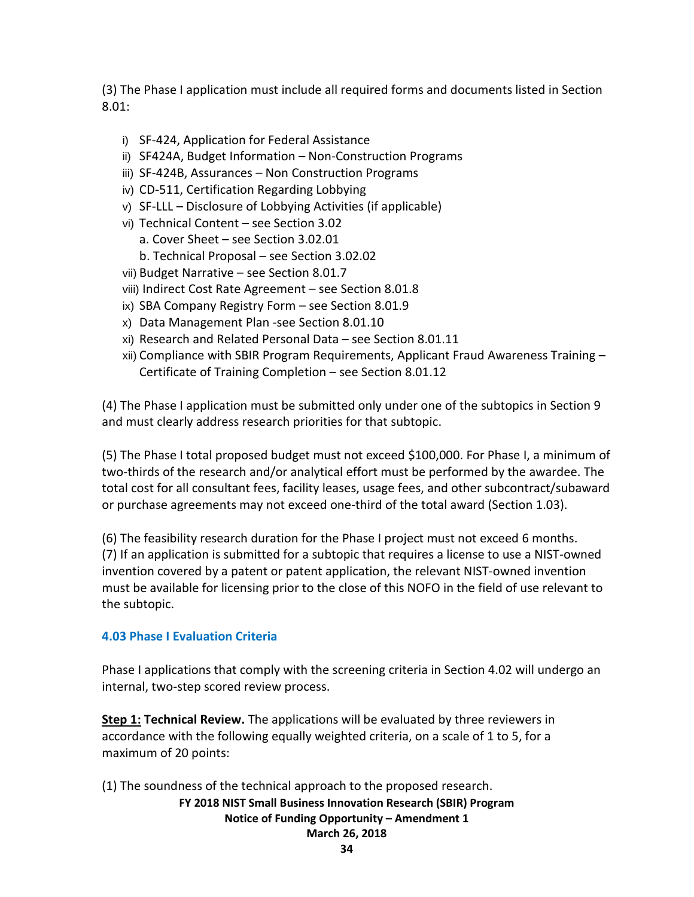(3) The Phase I application must include all required forms and documents listed in Section 8.01:

- i) SF-424, Application for Federal Assistance
- ii) SF424A, Budget Information Non-Construction Programs
- iii) SF-424B, Assurances Non Construction Programs
- iv) CD-511, Certification Regarding Lobbying
- v) SF-LLL Disclosure of Lobbying Activities (if applicable)
- vi) Technical Content see Section 3.02
	- a. Cover Sheet see Section 3.02.01
	- b. Technical Proposal see Section 3.02.02
- vii) Budget Narrative see Section 8.01.7
- viii) Indirect Cost Rate Agreement see Section 8.01.8
- ix) SBA Company Registry Form see Section 8.01.9
- x) Data Management Plan -see Section 8.01.10
- xi) Research and Related Personal Data see Section 8.01.11
- xii) Compliance with SBIR Program Requirements, Applicant Fraud Awareness Training Certificate of Training Completion – see Section 8.01.12

(4) The Phase I application must be submitted only under one of the subtopics in Section 9 and must clearly address research priorities for that subtopic.

(5) The Phase I total proposed budget must not exceed \$100,000. For Phase I, a minimum of two-thirds of the research and/or analytical effort must be performed by the awardee. The total cost for all consultant fees, facility leases, usage fees, and other subcontract/subaward or purchase agreements may not exceed one-third of the total award (Section 1.03).

(6) The feasibility research duration for the Phase I project must not exceed 6 months. (7) If an application is submitted for a subtopic that requires a license to use a NIST-owned invention covered by a patent or patent application, the relevant NIST-owned invention must be available for licensing prior to the close of this NOFO in the field of use relevant to the subtopic.

## <span id="page-33-0"></span>**4.03 Phase I Evaluation Criteria**

Phase I applications that comply with the screening criteria in Section 4.02 will undergo an internal, two-step scored review process.

**Step 1: Technical Review.** The applications will be evaluated by three reviewers in accordance with the following equally weighted criteria, on a scale of 1 to 5, for a maximum of 20 points:

(1) The soundness of the technical approach to the proposed research.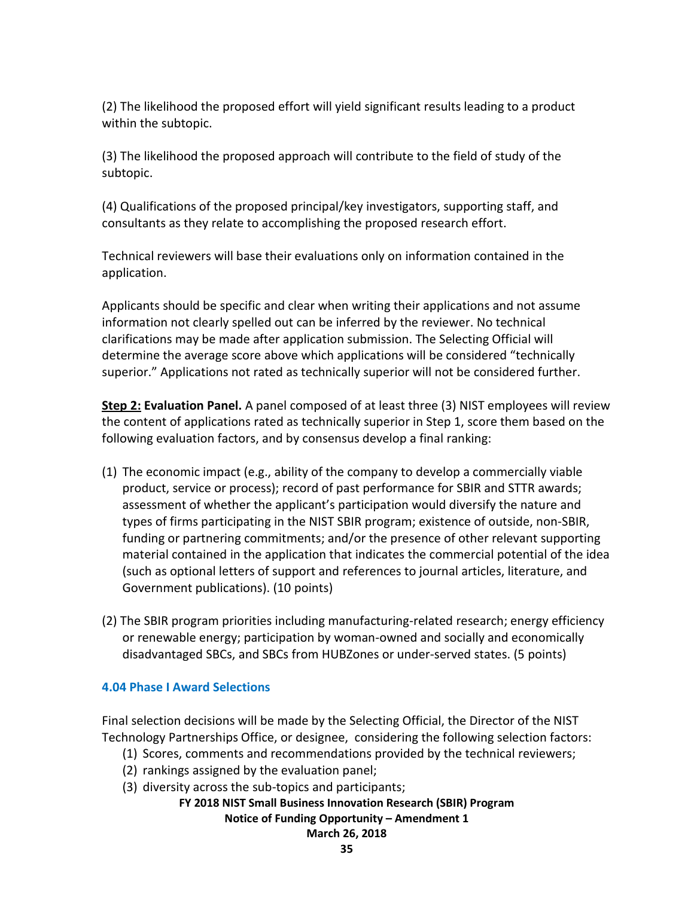(2) The likelihood the proposed effort will yield significant results leading to a product within the subtopic.

(3) The likelihood the proposed approach will contribute to the field of study of the subtopic.

(4) Qualifications of the proposed principal/key investigators, supporting staff, and consultants as they relate to accomplishing the proposed research effort.

Technical reviewers will base their evaluations only on information contained in the application.

Applicants should be specific and clear when writing their applications and not assume information not clearly spelled out can be inferred by the reviewer. No technical clarifications may be made after application submission. The Selecting Official will determine the average score above which applications will be considered "technically superior." Applications not rated as technically superior will not be considered further.

**Step 2: Evaluation Panel.** A panel composed of at least three (3) NIST employees will review the content of applications rated as technically superior in Step 1, score them based on the following evaluation factors, and by consensus develop a final ranking:

- (1) The economic impact (e.g., ability of the company to develop a commercially viable product, service or process); record of past performance for SBIR and STTR awards; assessment of whether the applicant's participation would diversify the nature and types of firms participating in the NIST SBIR program; existence of outside, non-SBIR, funding or partnering commitments; and/or the presence of other relevant supporting material contained in the application that indicates the commercial potential of the idea (such as optional letters of support and references to journal articles, literature, and Government publications). (10 points)
- (2) The SBIR program priorities including manufacturing-related research; energy efficiency or renewable energy; participation by woman-owned and socially and economically disadvantaged SBCs, and SBCs from HUBZones or under-served states. (5 points)

## <span id="page-34-0"></span>**4.04 Phase I Award Selections**

Final selection decisions will be made by the Selecting Official, the Director of the NIST Technology Partnerships Office, or designee, considering the following selection factors:

- (1) Scores, comments and recommendations provided by the technical reviewers;
- (2) rankings assigned by the evaluation panel;
- (3) diversity across the sub-topics and participants;

**FY 2018 NIST Small Business Innovation Research (SBIR) Program**

**Notice of Funding Opportunity – Amendment 1**

**March 26, 2018**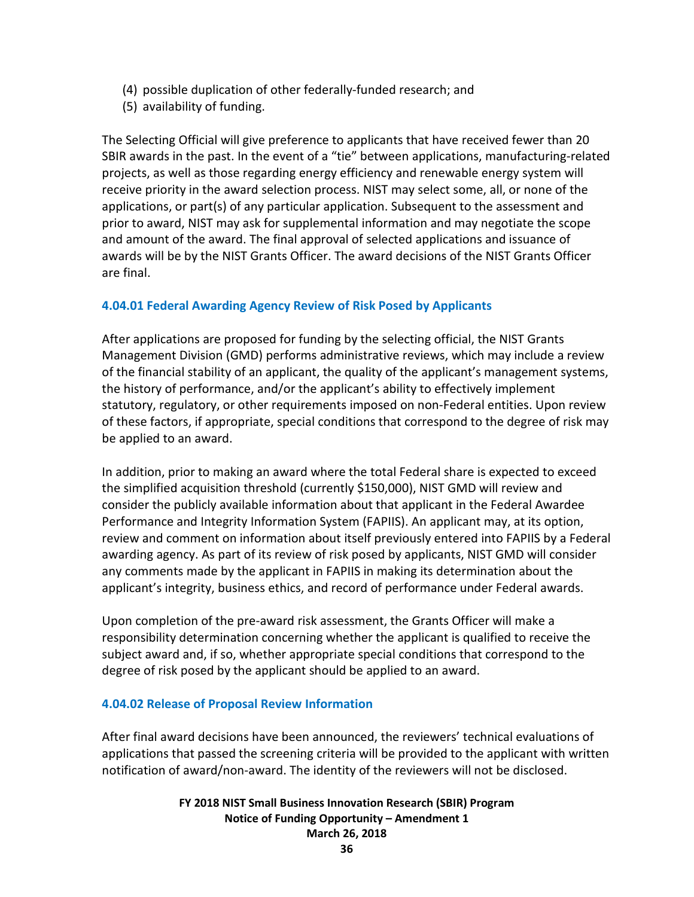- (4) possible duplication of other federally-funded research; and
- (5) availability of funding.

The Selecting Official will give preference to applicants that have received fewer than 20 SBIR awards in the past. In the event of a "tie" between applications, manufacturing-related projects, as well as those regarding energy efficiency and renewable energy system will receive priority in the award selection process. NIST may select some, all, or none of the applications, or part(s) of any particular application. Subsequent to the assessment and prior to award, NIST may ask for supplemental information and may negotiate the scope and amount of the award. The final approval of selected applications and issuance of awards will be by the NIST Grants Officer. The award decisions of the NIST Grants Officer are final.

## **4.04.01 Federal Awarding Agency Review of Risk Posed by Applicants**

After applications are proposed for funding by the selecting official, the NIST Grants Management Division (GMD) performs administrative reviews, which may include a review of the financial stability of an applicant, the quality of the applicant's management systems, the history of performance, and/or the applicant's ability to effectively implement statutory, regulatory, or other requirements imposed on non-Federal entities. Upon review of these factors, if appropriate, special conditions that correspond to the degree of risk may be applied to an award.

In addition, prior to making an award where the total Federal share is expected to exceed the simplified acquisition threshold (currently \$150,000), NIST GMD will review and consider the publicly available information about that applicant in the Federal Awardee Performance and Integrity Information System (FAPIIS). An applicant may, at its option, review and comment on information about itself previously entered into FAPIIS by a Federal awarding agency. As part of its review of risk posed by applicants, NIST GMD will consider any comments made by the applicant in FAPIIS in making its determination about the applicant's integrity, business ethics, and record of performance under Federal awards.

Upon completion of the pre-award risk assessment, the Grants Officer will make a responsibility determination concerning whether the applicant is qualified to receive the subject award and, if so, whether appropriate special conditions that correspond to the degree of risk posed by the applicant should be applied to an award.

## **4.04.02 Release of Proposal Review Information**

After final award decisions have been announced, the reviewers' technical evaluations of applications that passed the screening criteria will be provided to the applicant with written notification of award/non-award. The identity of the reviewers will not be disclosed.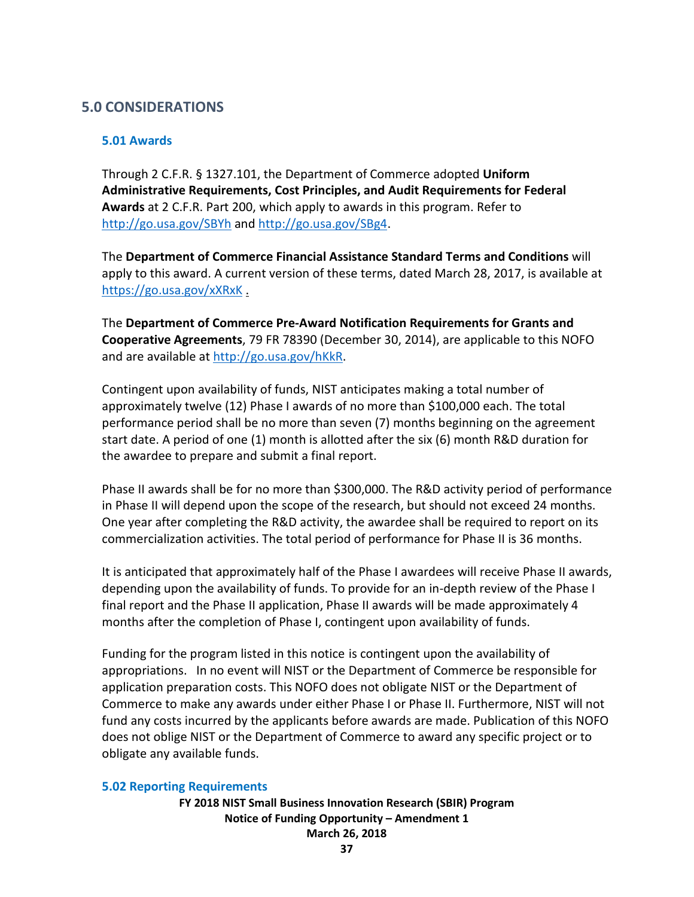# **5.0 CONSIDERATIONS**

### **5.01 Awards**

Through 2 C.F.R. § 1327.101, the Department of Commerce adopted **Uniform Administrative Requirements, Cost Principles, and Audit Requirements for Federal Awards** at 2 C.F.R. Part 200, which apply to awards in this program. Refer to <http://go.usa.gov/SBYh> and<http://go.usa.gov/SBg4>.

The **Department of Commerce Financial Assistance Standard Terms and Conditions** will apply to this award. A current version of these terms, dated March 28, 2017, is available at <https://go.usa.gov/xXRxK> .

The **Department of Commerce Pre-Award Notification Requirements for Grants and Cooperative Agreements**, 79 FR 78390 (December 30, 2014), are applicable to this NOFO and are available at [http://go.usa.gov/hKkR.](http://go.usa.gov/hKkR)

Contingent upon availability of funds, NIST anticipates making a total number of approximately twelve (12) Phase I awards of no more than \$100,000 each. The total performance period shall be no more than seven (7) months beginning on the agreement start date. A period of one (1) month is allotted after the six (6) month R&D duration for the awardee to prepare and submit a final report.

Phase II awards shall be for no more than \$300,000. The R&D activity period of performance in Phase II will depend upon the scope of the research, but should not exceed 24 months. One year after completing the R&D activity, the awardee shall be required to report on its commercialization activities. The total period of performance for Phase II is 36 months.

It is anticipated that approximately half of the Phase I awardees will receive Phase II awards, depending upon the availability of funds. To provide for an in-depth review of the Phase I final report and the Phase II application, Phase II awards will be made approximately 4 months after the completion of Phase I, contingent upon availability of funds.

Funding for the program listed in this notice is contingent upon the availability of appropriations. In no event will NIST or the Department of Commerce be responsible for application preparation costs. This NOFO does not obligate NIST or the Department of Commerce to make any awards under either Phase I or Phase II. Furthermore, NIST will not fund any costs incurred by the applicants before awards are made. Publication of this NOFO does not oblige NIST or the Department of Commerce to award any specific project or to obligate any available funds.

### **5.02 Reporting Requirements**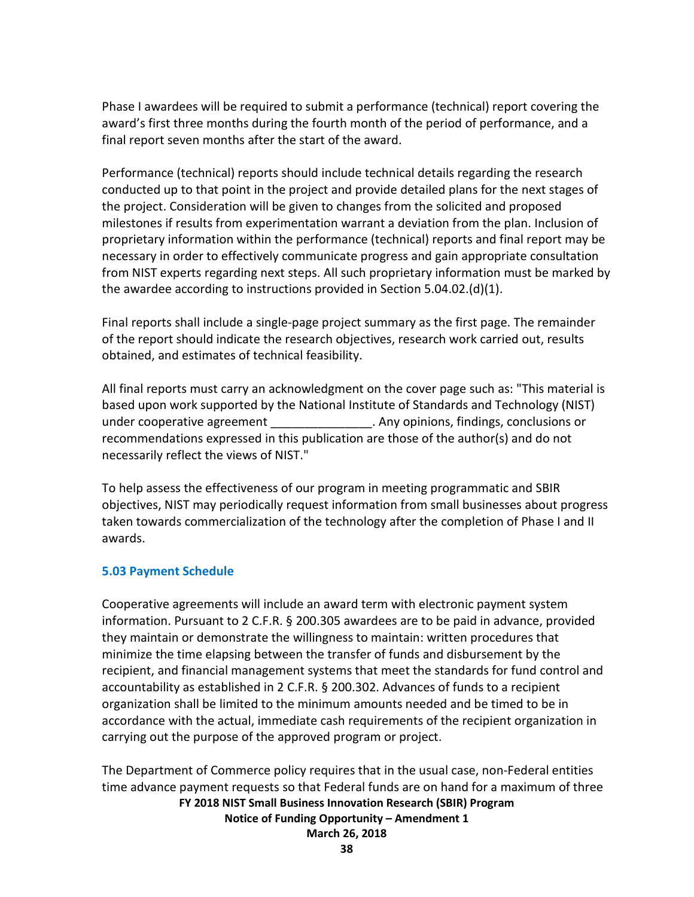Phase I awardees will be required to submit a performance (technical) report covering the award's first three months during the fourth month of the period of performance, and a final report seven months after the start of the award.

Performance (technical) reports should include technical details regarding the research conducted up to that point in the project and provide detailed plans for the next stages of the project. Consideration will be given to changes from the solicited and proposed milestones if results from experimentation warrant a deviation from the plan. Inclusion of proprietary information within the performance (technical) reports and final report may be necessary in order to effectively communicate progress and gain appropriate consultation from NIST experts regarding next steps. All such proprietary information must be marked by the awardee according to instructions provided in Section 5.04.02.(d)(1).

Final reports shall include a single-page project summary as the first page. The remainder of the report should indicate the research objectives, research work carried out, results obtained, and estimates of technical feasibility.

All final reports must carry an acknowledgment on the cover page such as: "This material is based upon work supported by the National Institute of Standards and Technology (NIST) under cooperative agreement entity and all the conclusions of the conclusions or  $\overline{\phantom{a}}$ . Any opinions, findings, conclusions or recommendations expressed in this publication are those of the author(s) and do not necessarily reflect the views of NIST."

To help assess the effectiveness of our program in meeting programmatic and SBIR objectives, NIST may periodically request information from small businesses about progress taken towards commercialization of the technology after the completion of Phase I and II awards.

### **5.03 Payment Schedule**

Cooperative agreements will include an award term with electronic payment system information. Pursuant to 2 C.F.R. § 200.305 awardees are to be paid in advance, provided they maintain or demonstrate the willingness to maintain: written procedures that minimize the time elapsing between the transfer of funds and disbursement by the recipient, and financial management systems that meet the standards for fund control and accountability as established in 2 C.F.R. § 200.302. Advances of funds to a recipient organization shall be limited to the minimum amounts needed and be timed to be in accordance with the actual, immediate cash requirements of the recipient organization in carrying out the purpose of the approved program or project.

**FY 2018 NIST Small Business Innovation Research (SBIR) Program Notice of Funding Opportunity – Amendment 1 March 26, 2018** The Department of Commerce policy requires that in the usual case, non-Federal entities time advance payment requests so that Federal funds are on hand for a maximum of three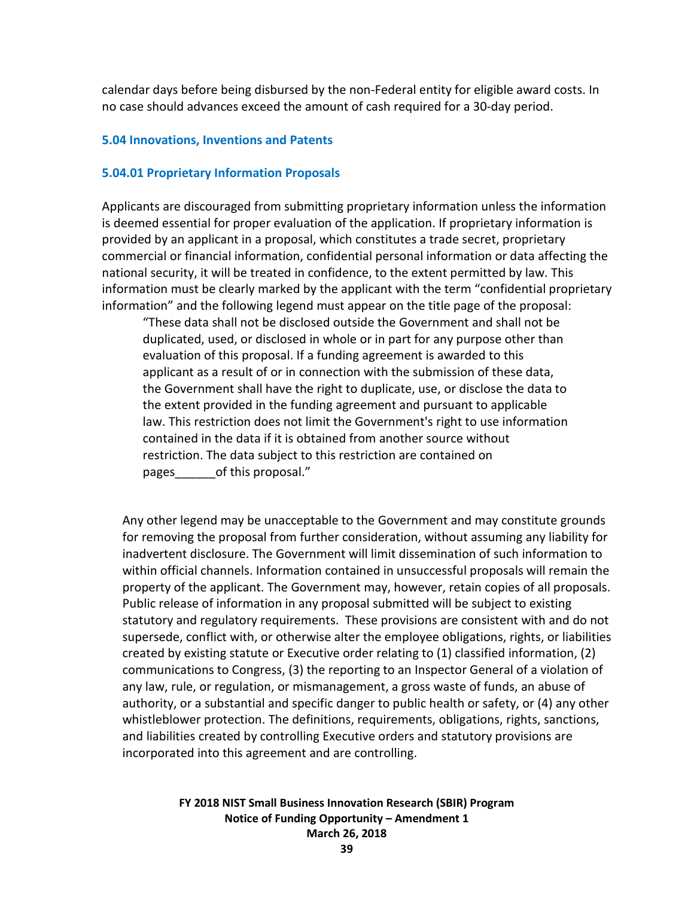calendar days before being disbursed by the non-Federal entity for eligible award costs. In no case should advances exceed the amount of cash required for a 30-day period.

#### **5.04 Innovations, Inventions and Patents**

#### **5.04.01 Proprietary Information Proposals**

Applicants are discouraged from submitting proprietary information unless the information is deemed essential for proper evaluation of the application. If proprietary information is provided by an applicant in a proposal, which constitutes a trade secret, proprietary commercial or financial information, confidential personal information or data affecting the national security, it will be treated in confidence, to the extent permitted by law. This information must be clearly marked by the applicant with the term "confidential proprietary information" and the following legend must appear on the title page of the proposal:

"These data shall not be disclosed outside the Government and shall not be duplicated, used, or disclosed in whole or in part for any purpose other than evaluation of this proposal. If a funding agreement is awarded to this applicant as a result of or in connection with the submission of these data, the Government shall have the right to duplicate, use, or disclose the data to the extent provided in the funding agreement and pursuant to applicable law. This restriction does not limit the Government's right to use information contained in the data if it is obtained from another source without restriction. The data subject to this restriction are contained on pages of this proposal."

Any other legend may be unacceptable to the Government and may constitute grounds for removing the proposal from further consideration, without assuming any liability for inadvertent disclosure. The Government will limit dissemination of such information to within official channels. Information contained in unsuccessful proposals will remain the property of the applicant. The Government may, however, retain copies of all proposals. Public release of information in any proposal submitted will be subject to existing statutory and regulatory requirements. These provisions are consistent with and do not supersede, conflict with, or otherwise alter the employee obligations, rights, or liabilities created by existing statute or Executive order relating to (1) classified information, (2) communications to Congress, (3) the reporting to an Inspector General of a violation of any law, rule, or regulation, or mismanagement, a gross waste of funds, an abuse of authority, or a substantial and specific danger to public health or safety, or (4) any other whistleblower protection. The definitions, requirements, obligations, rights, sanctions, and liabilities created by controlling Executive orders and statutory provisions are incorporated into this agreement and are controlling.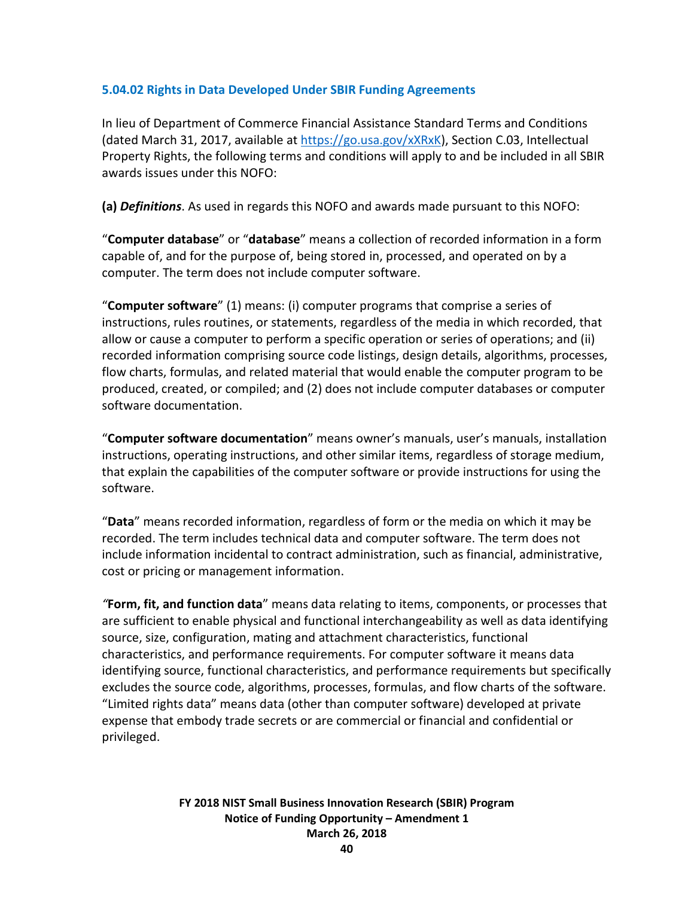## **5.04.02 Rights in Data Developed Under SBIR Funding Agreements**

In lieu of Department of Commerce Financial Assistance Standard Terms and Conditions (dated March 31, 2017, available at [https://go.usa.gov/xXRxK\)](https://go.usa.gov/xXRxK), Section C.03, Intellectual Property Rights, the following terms and conditions will apply to and be included in all SBIR awards issues under this NOFO:

**(a)** *Definitions*. As used in regards this NOFO and awards made pursuant to this NOFO:

"**Computer database**" or "**database**" means a collection of recorded information in a form capable of, and for the purpose of, being stored in, processed, and operated on by a computer. The term does not include computer software.

"**Computer software**" (1) means: (i) computer programs that comprise a series of instructions, rules routines, or statements, regardless of the media in which recorded, that allow or cause a computer to perform a specific operation or series of operations; and (ii) recorded information comprising source code listings, design details, algorithms, processes, flow charts, formulas, and related material that would enable the computer program to be produced, created, or compiled; and (2) does not include computer databases or computer software documentation.

"**Computer software documentation**" means owner's manuals, user's manuals, installation instructions, operating instructions, and other similar items, regardless of storage medium, that explain the capabilities of the computer software or provide instructions for using the software.

"**Data**" means recorded information, regardless of form or the media on which it may be recorded. The term includes technical data and computer software. The term does not include information incidental to contract administration, such as financial, administrative, cost or pricing or management information.

*"***Form, fit, and function data**" means data relating to items, components, or processes that are sufficient to enable physical and functional interchangeability as well as data identifying source, size, configuration, mating and attachment characteristics, functional characteristics, and performance requirements. For computer software it means data identifying source, functional characteristics, and performance requirements but specifically excludes the source code, algorithms, processes, formulas, and flow charts of the software. "Limited rights data" means data (other than computer software) developed at private expense that embody trade secrets or are commercial or financial and confidential or privileged.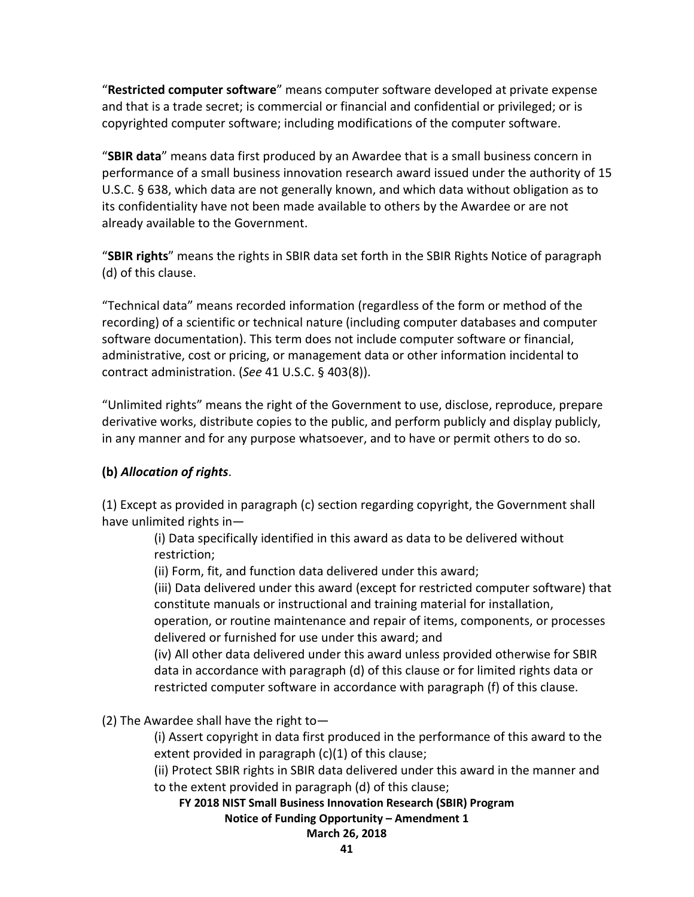"**Restricted computer software**" means computer software developed at private expense and that is a trade secret; is commercial or financial and confidential or privileged; or is copyrighted computer software; including modifications of the computer software.

"**SBIR data**" means data first produced by an Awardee that is a small business concern in performance of a small business innovation research award issued under the authority of 15 U.S.C. § 638, which data are not generally known, and which data without obligation as to its confidentiality have not been made available to others by the Awardee or are not already available to the Government.

"**SBIR rights**" means the rights in SBIR data set forth in the SBIR Rights Notice of paragraph (d) of this clause.

"Technical data" means recorded information (regardless of the form or method of the recording) of a scientific or technical nature (including computer databases and computer software documentation). This term does not include computer software or financial, administrative, cost or pricing, or management data or other information incidental to contract administration. (*See* 41 U.S.C. § 403(8)).

"Unlimited rights" means the right of the Government to use, disclose, reproduce, prepare derivative works, distribute copies to the public, and perform publicly and display publicly, in any manner and for any purpose whatsoever, and to have or permit others to do so.

# **(b)** *Allocation of rights*.

(1) Except as provided in paragraph (c) section regarding copyright, the Government shall have unlimited rights in—

(i) Data specifically identified in this award as data to be delivered without restriction;

(ii) Form, fit, and function data delivered under this award;

(iii) Data delivered under this award (except for restricted computer software) that constitute manuals or instructional and training material for installation,

operation, or routine maintenance and repair of items, components, or processes delivered or furnished for use under this award; and

(iv) All other data delivered under this award unless provided otherwise for SBIR data in accordance with paragraph (d) of this clause or for limited rights data or restricted computer software in accordance with paragraph (f) of this clause.

(2) The Awardee shall have the right to—

(i) Assert copyright in data first produced in the performance of this award to the extent provided in paragraph (c)(1) of this clause;

(ii) Protect SBIR rights in SBIR data delivered under this award in the manner and to the extent provided in paragraph (d) of this clause;

**FY 2018 NIST Small Business Innovation Research (SBIR) Program Notice of Funding Opportunity – Amendment 1**

## **March 26, 2018**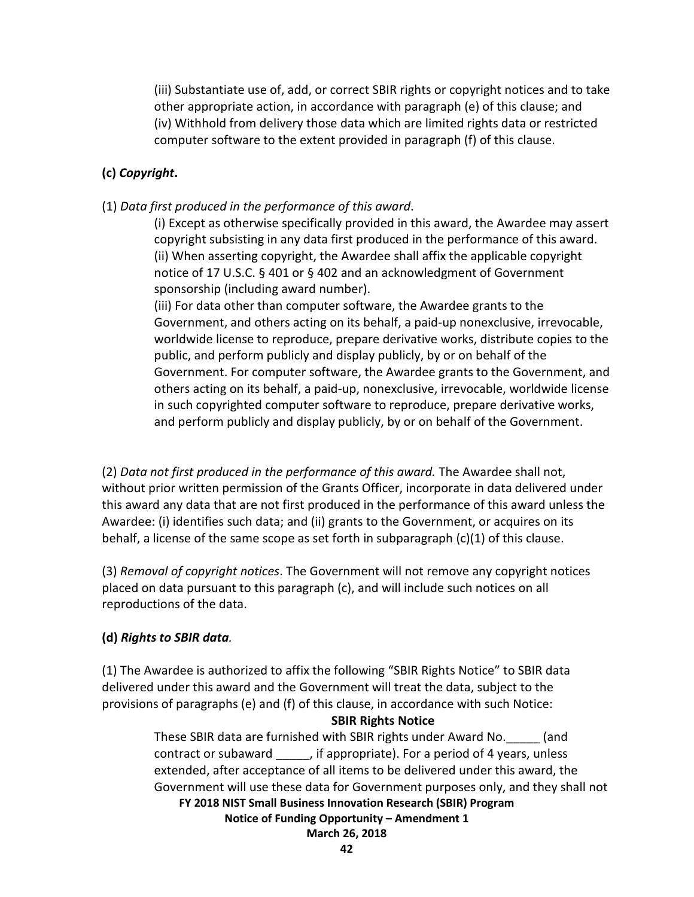(iii) Substantiate use of, add, or correct SBIR rights or copyright notices and to take other appropriate action, in accordance with paragraph (e) of this clause; and (iv) Withhold from delivery those data which are limited rights data or restricted computer software to the extent provided in paragraph (f) of this clause.

### **(c)** *Copyright***.**

(1) *Data first produced in the performance of this award*.

(i) Except as otherwise specifically provided in this award, the Awardee may assert copyright subsisting in any data first produced in the performance of this award. (ii) When asserting copyright, the Awardee shall affix the applicable copyright notice of 17 U.S.C. § 401 or § 402 and an acknowledgment of Government sponsorship (including award number).

(iii) For data other than computer software, the Awardee grants to the Government, and others acting on its behalf, a paid-up nonexclusive, irrevocable, worldwide license to reproduce, prepare derivative works, distribute copies to the public, and perform publicly and display publicly, by or on behalf of the Government. For computer software, the Awardee grants to the Government, and others acting on its behalf, a paid-up, nonexclusive, irrevocable, worldwide license in such copyrighted computer software to reproduce, prepare derivative works, and perform publicly and display publicly, by or on behalf of the Government.

(2) *Data not first produced in the performance of this award.* The Awardee shall not, without prior written permission of the Grants Officer, incorporate in data delivered under this award any data that are not first produced in the performance of this award unless the Awardee: (i) identifies such data; and (ii) grants to the Government, or acquires on its behalf, a license of the same scope as set forth in subparagraph  $(c)(1)$  of this clause.

(3) *Removal of copyright notices*. The Government will not remove any copyright notices placed on data pursuant to this paragraph (c), and will include such notices on all reproductions of the data.

### **(d)** *Rights to SBIR data.*

(1) The Awardee is authorized to affix the following "SBIR Rights Notice" to SBIR data delivered under this award and the Government will treat the data, subject to the provisions of paragraphs (e) and (f) of this clause, in accordance with such Notice:

#### **SBIR Rights Notice**

**FY 2018 NIST Small Business Innovation Research (SBIR) Program Notice of Funding Opportunity – Amendment 1 March 26, 2018** These SBIR data are furnished with SBIR rights under Award No.\_\_\_\_\_ (and contract or subaward \_\_\_\_\_, if appropriate). For a period of 4 years, unless extended, after acceptance of all items to be delivered under this award, the Government will use these data for Government purposes only, and they shall not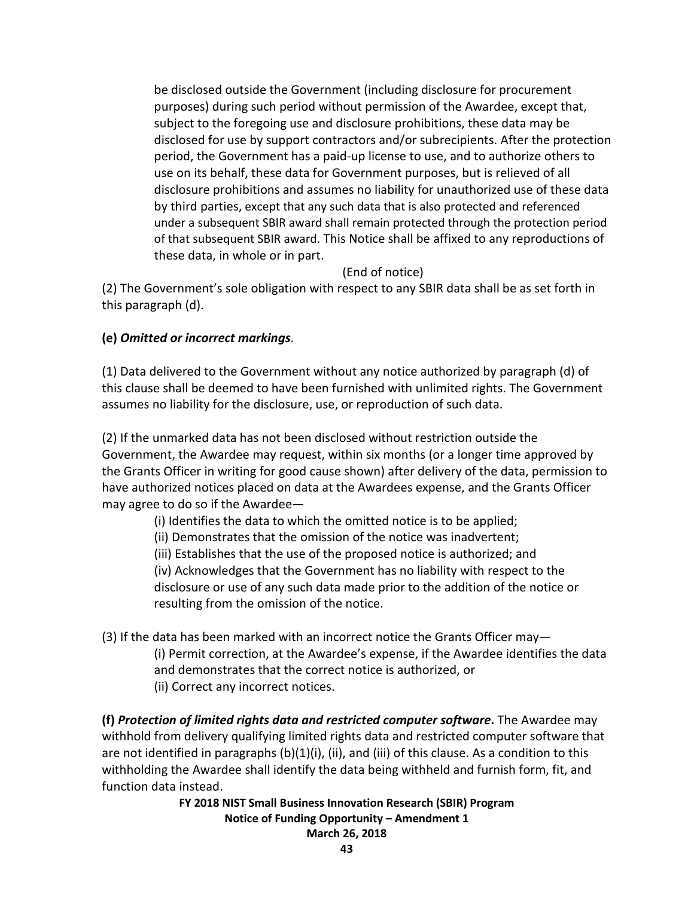be disclosed outside the Government (including disclosure for procurement purposes) during such period without permission of the Awardee, except that, subject to the foregoing use and disclosure prohibitions, these data may be disclosed for use by support contractors and/or subrecipients. After the protection period, the Government has a paid-up license to use, and to authorize others to use on its behalf, these data for Government purposes, but is relieved of all disclosure prohibitions and assumes no liability for unauthorized use of these data by third parties, except that any such data that is also protected and referenced under a subsequent SBIR award shall remain protected through the protection period of that subsequent SBIR award. This Notice shall be affixed to any reproductions of these data, in whole or in part.

(End of notice)

(2) The Government's sole obligation with respect to any SBIR data shall be as set forth in this paragraph (d).

## **(e)** *Omitted or incorrect markings*.

(1) Data delivered to the Government without any notice authorized by paragraph (d) of this clause shall be deemed to have been furnished with unlimited rights. The Government assumes no liability for the disclosure, use, or reproduction of such data.

(2) If the unmarked data has not been disclosed without restriction outside the Government, the Awardee may request, within six months (or a longer time approved by the Grants Officer in writing for good cause shown) after delivery of the data, permission to have authorized notices placed on data at the Awardees expense, and the Grants Officer may agree to do so if the Awardee—

(i) Identifies the data to which the omitted notice is to be applied;

- (ii) Demonstrates that the omission of the notice was inadvertent;
- (iii) Establishes that the use of the proposed notice is authorized; and

(iv) Acknowledges that the Government has no liability with respect to the disclosure or use of any such data made prior to the addition of the notice or resulting from the omission of the notice.

(3) If the data has been marked with an incorrect notice the Grants Officer may— (i) Permit correction, at the Awardee's expense, if the Awardee identifies the data and demonstrates that the correct notice is authorized, or (ii) Correct any incorrect notices.

**(f)** *Protection of limited rights data and restricted computer software***.** The Awardee may withhold from delivery qualifying limited rights data and restricted computer software that are not identified in paragraphs (b)(1)(i), (ii), and (iii) of this clause. As a condition to this withholding the Awardee shall identify the data being withheld and furnish form, fit, and function data instead.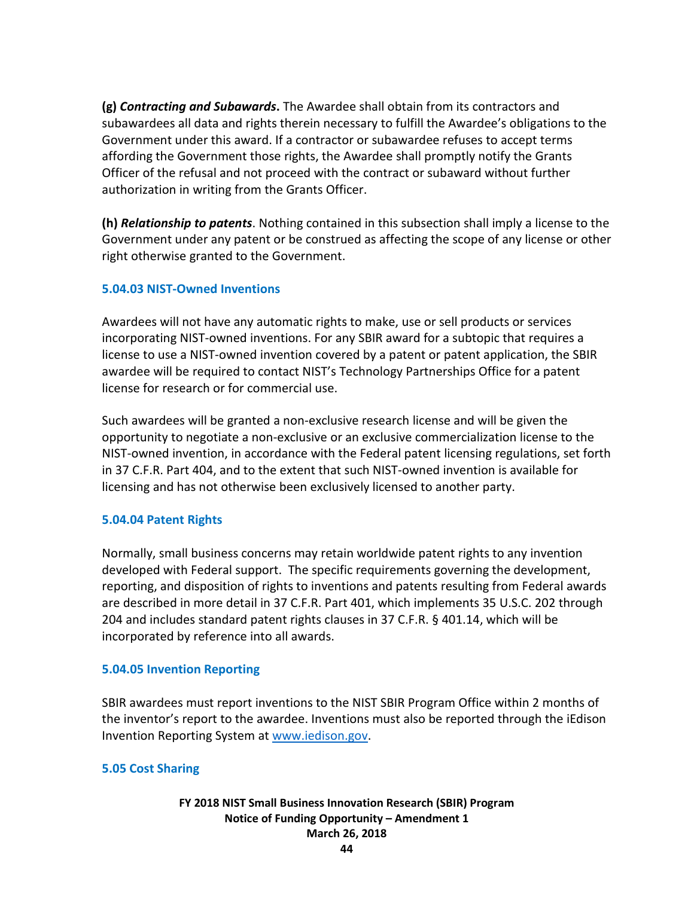**(g)** *Contracting and Subawards***.** The Awardee shall obtain from its contractors and subawardees all data and rights therein necessary to fulfill the Awardee's obligations to the Government under this award. If a contractor or subawardee refuses to accept terms affording the Government those rights, the Awardee shall promptly notify the Grants Officer of the refusal and not proceed with the contract or subaward without further authorization in writing from the Grants Officer.

**(h)** *Relationship to patents*. Nothing contained in this subsection shall imply a license to the Government under any patent or be construed as affecting the scope of any license or other right otherwise granted to the Government.

## **5.04.03 NIST-Owned Inventions**

Awardees will not have any automatic rights to make, use or sell products or services incorporating NIST-owned inventions. For any SBIR award for a subtopic that requires a license to use a NIST-owned invention covered by a patent or patent application, the SBIR awardee will be required to contact NIST's Technology Partnerships Office for a patent license for research or for commercial use.

Such awardees will be granted a non-exclusive research license and will be given the opportunity to negotiate a non-exclusive or an exclusive commercialization license to the NIST-owned invention, in accordance with the Federal patent licensing regulations, set forth in 37 C.F.R. Part 404, and to the extent that such NIST-owned invention is available for licensing and has not otherwise been exclusively licensed to another party.

### **5.04.04 Patent Rights**

Normally, small business concerns may retain worldwide patent rights to any invention developed with Federal support. The specific requirements governing the development, reporting, and disposition of rights to inventions and patents resulting from Federal awards are described in more detail in 37 C.F.R. Part 401, which implements 35 U.S.C. 202 through 204 and includes standard patent rights clauses in 37 C.F.R. § 401.14, which will be incorporated by reference into all awards.

### **5.04.05 Invention Reporting**

SBIR awardees must report inventions to the NIST SBIR Program Office within 2 months of the inventor's report to the awardee. Inventions must also be reported through the iEdison Invention Reporting System at [www.iedison.gov.](http://www.iedison.gov/)

### **5.05 Cost Sharing**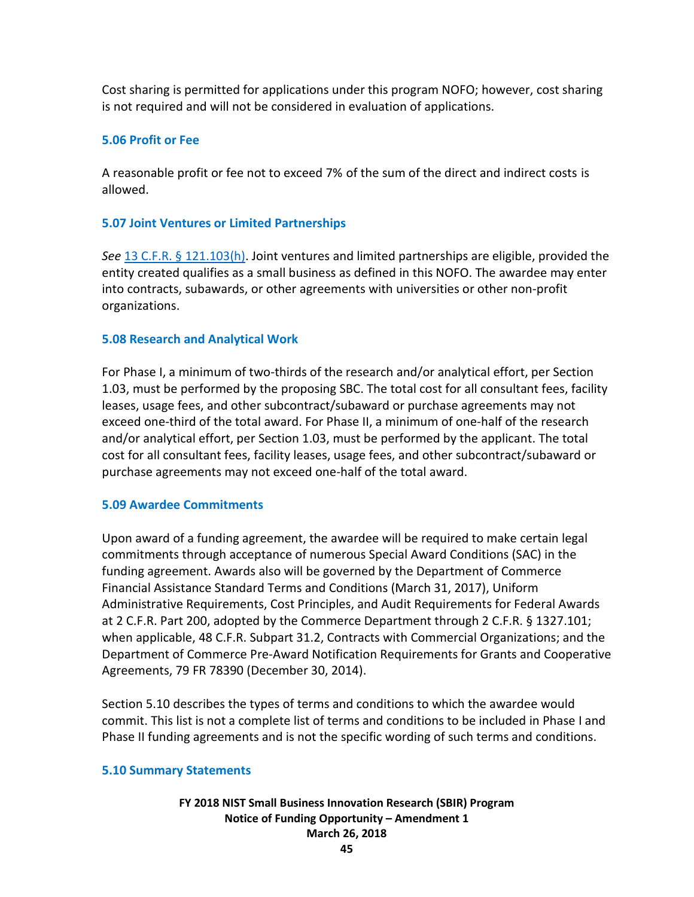Cost sharing is permitted for applications under this program NOFO; however, cost sharing is not required and will not be considered in evaluation of applications.

## **5.06 Profit or Fee**

A reasonable profit or fee not to exceed 7% of the sum of the direct and indirect costs is allowed.

#### **5.07 Joint Ventures or Limited Partnerships**

*See* [13 C.F.R. § 121.103\(h\).](http://www.ecfr.gov/cgi-bin/text-idx?SID=e26c2e0b9f32468dbb0cedb609a8d238&mc=true&node=se13.1.121_1103&rgn=div8) Joint ventures and limited partnerships are eligible, provided the entity created qualifies as a small business as defined in this NOFO. The awardee may enter into contracts, subawards, or other agreements with universities or other non-profit organizations.

#### **5.08 Research and Analytical Work**

For Phase I, a minimum of two-thirds of the research and/or analytical effort, per Section 1.03, must be performed by the proposing SBC. The total cost for all consultant fees, facility leases, usage fees, and other subcontract/subaward or purchase agreements may not exceed one-third of the total award. For Phase II, a minimum of one-half of the research and/or analytical effort, per Section 1.03, must be performed by the applicant. The total cost for all consultant fees, facility leases, usage fees, and other subcontract/subaward or purchase agreements may not exceed one-half of the total award.

### **5.09 Awardee Commitments**

Upon award of a funding agreement, the awardee will be required to make certain legal commitments through acceptance of numerous Special Award Conditions (SAC) in the funding agreement. Awards also will be governed by the Department of Commerce Financial Assistance Standard Terms and Conditions (March 31, 2017), Uniform Administrative Requirements, Cost Principles, and Audit Requirements for Federal Awards at 2 C.F.R. Part 200, adopted by the Commerce Department through 2 C.F.R. § 1327.101; when applicable, 48 C.F.R. Subpart 31.2, Contracts with Commercial Organizations; and the Department of Commerce Pre-Award Notification Requirements for Grants and Cooperative Agreements, 79 FR 78390 (December 30, 2014).

Section 5.10 describes the types of terms and conditions to which the awardee would commit. This list is not a complete list of terms and conditions to be included in Phase I and Phase II funding agreements and is not the specific wording of such terms and conditions.

#### **5.10 Summary Statements**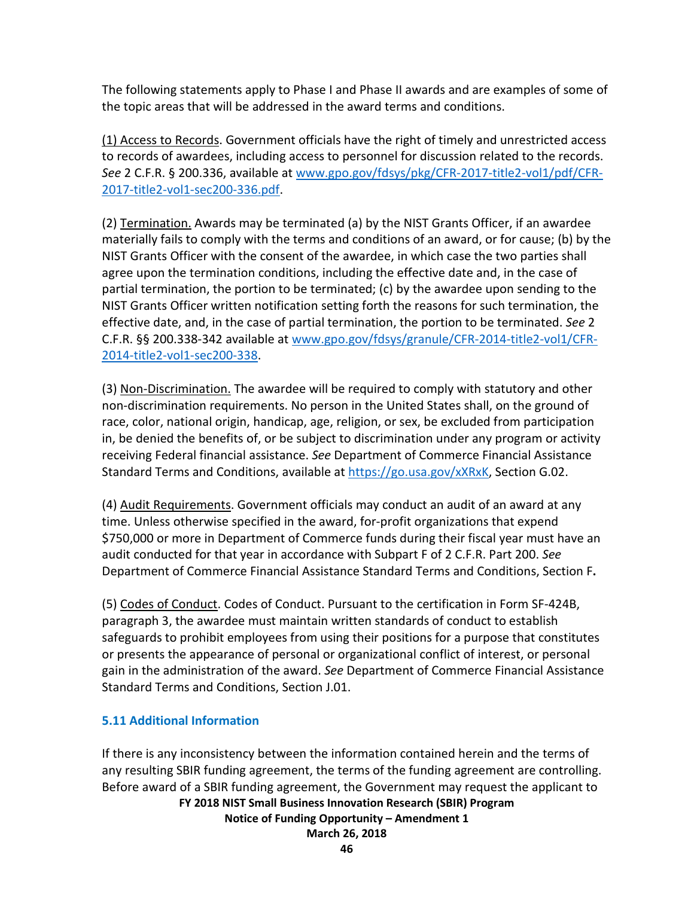The following statements apply to Phase I and Phase II awards and are examples of some of the topic areas that will be addressed in the award terms and conditions.

(1) Access to Records. Government officials have the right of timely and unrestricted access to records of awardees, including access to personnel for discussion related to the records. *See* 2 C.F.R. § 200.336, available at [www.gpo.gov/fdsys/pkg/CFR-2017-title2-vol1/pdf/CFR-](http://www.gpo.gov/fdsys/pkg/CFR-2017-title2-vol1/pdf/CFR-2017-title2-vol1-sec200-336.pdf)[2017-title2-vol1-sec200-336.pdf.](http://www.gpo.gov/fdsys/pkg/CFR-2017-title2-vol1/pdf/CFR-2017-title2-vol1-sec200-336.pdf)

(2) Termination. Awards may be terminated (a) by the NIST Grants Officer, if an awardee materially fails to comply with the terms and conditions of an award, or for cause; (b) by the NIST Grants Officer with the consent of the awardee, in which case the two parties shall agree upon the termination conditions, including the effective date and, in the case of partial termination, the portion to be terminated; (c) by the awardee upon sending to the NIST Grants Officer written notification setting forth the reasons for such termination, the effective date, and, in the case of partial termination, the portion to be terminated. *See* 2 C.F.R. §§ 200.338-342 available at [www.gpo.gov/fdsys/granule/CFR-2014-title2-vol1/CFR-](http://www.gpo.gov/fdsys/granule/CFR-2014-title2-vol1/CFR-2014-title2-vol1-sec200-338)[2014-title2-vol1-sec200-338.](http://www.gpo.gov/fdsys/granule/CFR-2014-title2-vol1/CFR-2014-title2-vol1-sec200-338)

(3) Non-Discrimination. The awardee will be required to comply with statutory and other non-discrimination requirements. No person in the United States shall, on the ground of race, color, national origin, handicap, age, religion, or sex, be excluded from participation in, be denied the benefits of, or be subject to discrimination under any program or activity receiving Federal financial assistance. *See* Department of Commerce Financial Assistance Standard Terms and Conditions, available at [https://go.usa.gov/xXRxK,](https://go.usa.gov/xXRxK) Section G.02.

(4) Audit Requirements. Government officials may conduct an audit of an award at any time. Unless otherwise specified in the award, for-profit organizations that expend \$750,000 or more in Department of Commerce funds during their fiscal year must have an audit conducted for that year in accordance with Subpart F of 2 C.F.R. Part 200. *See*  Department of Commerce Financial Assistance Standard Terms and Conditions, Section F**.** 

(5) Codes of Conduct. Codes of Conduct. Pursuant to the certification in Form SF-424B, paragraph 3, the awardee must maintain written standards of conduct to establish safeguards to prohibit employees from using their positions for a purpose that constitutes or presents the appearance of personal or organizational conflict of interest, or personal gain in the administration of the award. *See* Department of Commerce Financial Assistance Standard Terms and Conditions, Section J.01.

## **5.11 Additional Information**

**FY 2018 NIST Small Business Innovation Research (SBIR) Program Notice of Funding Opportunity – Amendment 1 March 26, 2018** If there is any inconsistency between the information contained herein and the terms of any resulting SBIR funding agreement, the terms of the funding agreement are controlling. Before award of a SBIR funding agreement, the Government may request the applicant to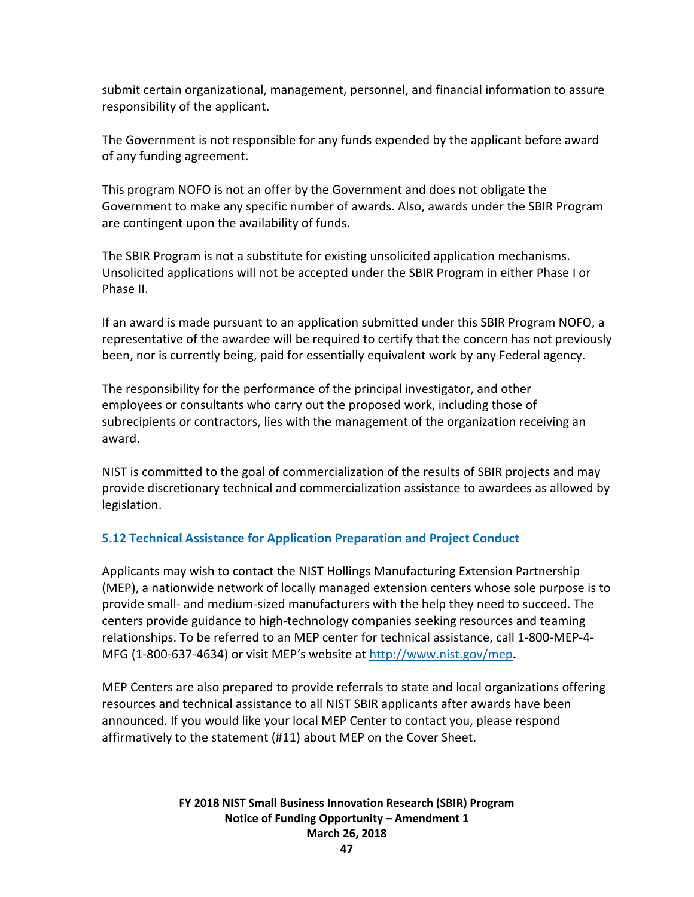submit certain organizational, management, personnel, and financial information to assure responsibility of the applicant.

The Government is not responsible for any funds expended by the applicant before award of any funding agreement.

This program NOFO is not an offer by the Government and does not obligate the Government to make any specific number of awards. Also, awards under the SBIR Program are contingent upon the availability of funds.

The SBIR Program is not a substitute for existing unsolicited application mechanisms. Unsolicited applications will not be accepted under the SBIR Program in either Phase I or Phase II.

If an award is made pursuant to an application submitted under this SBIR Program NOFO, a representative of the awardee will be required to certify that the concern has not previously been, nor is currently being, paid for essentially equivalent work by any Federal agency.

The responsibility for the performance of the principal investigator, and other employees or consultants who carry out the proposed work, including those of subrecipients or contractors, lies with the management of the organization receiving an award.

NIST is committed to the goal of commercialization of the results of SBIR projects and may provide discretionary technical and commercialization assistance to awardees as allowed by legislation.

## **5.12 Technical Assistance for Application Preparation and Project Conduct**

Applicants may wish to contact the NIST Hollings Manufacturing Extension Partnership (MEP), a nationwide network of locally managed extension centers whose sole purpose is to provide small- and medium-sized manufacturers with the help they need to succeed. The centers provide guidance to high-technology companies seeking resources and teaming relationships. To be referred to an MEP center for technical assistance, call 1-800-MEP-4- MFG (1-800-637-4634) or visit MEP's website at<http://www.nist.gov/mep>**.** 

MEP Centers are also prepared to provide referrals to state and local organizations offering resources and technical assistance to all NIST SBIR applicants after awards have been announced. If you would like your local MEP Center to contact you, please respond affirmatively to the statement (#11) about MEP on the Cover Sheet.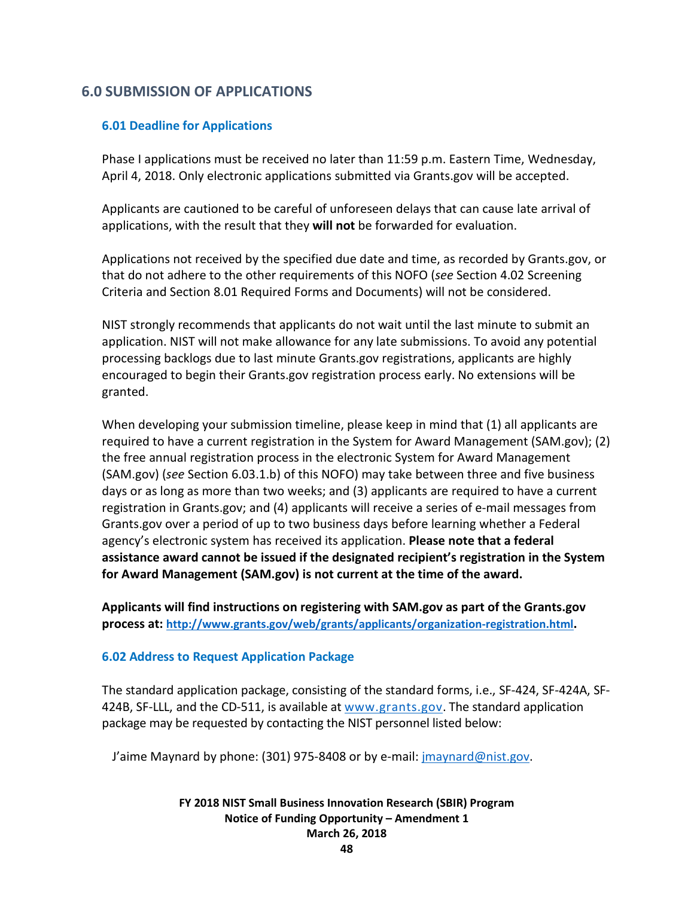# **6.0 SUBMISSION OF APPLICATIONS**

## **6.01 Deadline for Applications**

Phase I applications must be received no later than 11:59 p.m. Eastern Time, Wednesday, April 4, 2018. Only electronic applications submitted via Grants.gov will be accepted.

Applicants are cautioned to be careful of unforeseen delays that can cause late arrival of applications, with the result that they **will not** be forwarded for evaluation.

Applications not received by the specified due date and time, as recorded by Grants.gov, or that do not adhere to the other requirements of this NOFO (*see* Section 4.02 Screening Criteria and Section 8.01 Required Forms and Documents) will not be considered.

NIST strongly recommends that applicants do not wait until the last minute to submit an application. NIST will not make allowance for any late submissions. To avoid any potential processing backlogs due to last minute Grants.gov registrations, applicants are highly encouraged to begin their Grants.gov registration process early. No extensions will be granted.

When developing your submission timeline, please keep in mind that (1) all applicants are required to have a current registration in the System for Award Management (SAM.gov); (2) the free annual registration process in the electronic System for Award Management (SAM.gov) (*see* Section 6.03.1.b) of this NOFO) may take between three and five business days or as long as more than two weeks; and (3) applicants are required to have a current registration in Grants.gov; and (4) applicants will receive a series of e-mail messages from Grants.gov over a period of up to two business days before learning whether a Federal agency's electronic system has received its application. **Please note that a federal assistance award cannot be issued if the designated recipient's registration in the System for Award Management (SAM.gov) is not current at the time of the award.**

**Applicants will find instructions on registering with SAM.gov as part of the Grants.gov process at: [http://www.grants.gov/web/grants/applicants/organization-registration.html.](http://www.grants.gov/web/grants/applicants/organization-registration.html)**

### **6.02 Address to Request Application Package**

The standard application package, consisting of the standard forms, i.e., SF-424, SF-424A, SF-424B, SF-LLL, and the CD-511, is available at  $www.grants.gov$ . The standard application package may be requested by contacting the NIST personnel listed below:

J'aime Maynard by phone: (301) 975-8408 or by e-mail: [jmaynard@nist.gov.](mailto:jmaynard@nist.gov)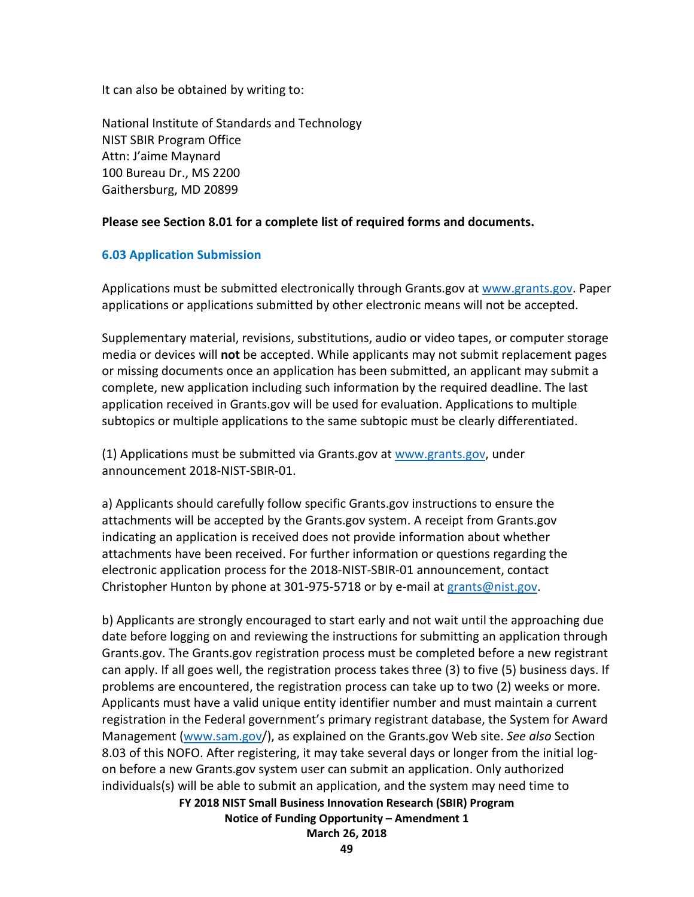It can also be obtained by writing to:

National Institute of Standards and Technology NIST SBIR Program Office Attn: J'aime Maynard 100 Bureau Dr., MS 2200 Gaithersburg, MD 20899

## **Please see Section 8.01 for a complete list of required forms and documents.**

## **6.03 Application Submission**

Applications must be submitted electronically through Grants.gov at [www.grants.gov.](http://www.grants.gov/) Paper applications or applications submitted by other electronic means will not be accepted.

Supplementary material, revisions, substitutions, audio or video tapes, or computer storage media or devices will **not** be accepted. While applicants may not submit replacement pages or missing documents once an application has been submitted, an applicant may submit a complete, new application including such information by the required deadline. The last application received in Grants.gov will be used for evaluation. Applications to multiple subtopics or multiple applications to the same subtopic must be clearly differentiated.

(1) Applications must be submitted via Grants.gov at [www.grants.gov,](http://www.grants.gov/) under announcement 2018-NIST-SBIR-01.

a) Applicants should carefully follow specific Grants.gov instructions to ensure the attachments will be accepted by the Grants.gov system. A receipt from Grants.gov indicating an application is received does not provide information about whether attachments have been received. For further information or questions regarding the electronic application process for the 2018-NIST-SBIR-01 announcement, contact Christopher Hunton by phone at 301-975-5718 or by e-mail at [grants@nist.gov.](mailto:grants@nist.gov)

b) Applicants are strongly encouraged to start early and not wait until the approaching due date before logging on and reviewing the instructions for submitting an application through Grants.gov. The Grants.gov registration process must be completed before a new registrant can apply. If all goes well, the registration process takes three (3) to five (5) business days. If problems are encountered, the registration process can take up to two (2) weeks or more. Applicants must have a valid unique entity identifier number and must maintain a current registration in the Federal government's primary registrant database, the System for Award Management [\(www.sam.gov/](http://www.sam.gov/)), as explained on the Grants.gov Web site. *See also* Section 8.03 of this NOFO. After registering, it may take several days or longer from the initial logon before a new Grants.gov system user can submit an application. Only authorized individuals(s) will be able to submit an application, and the system may need time to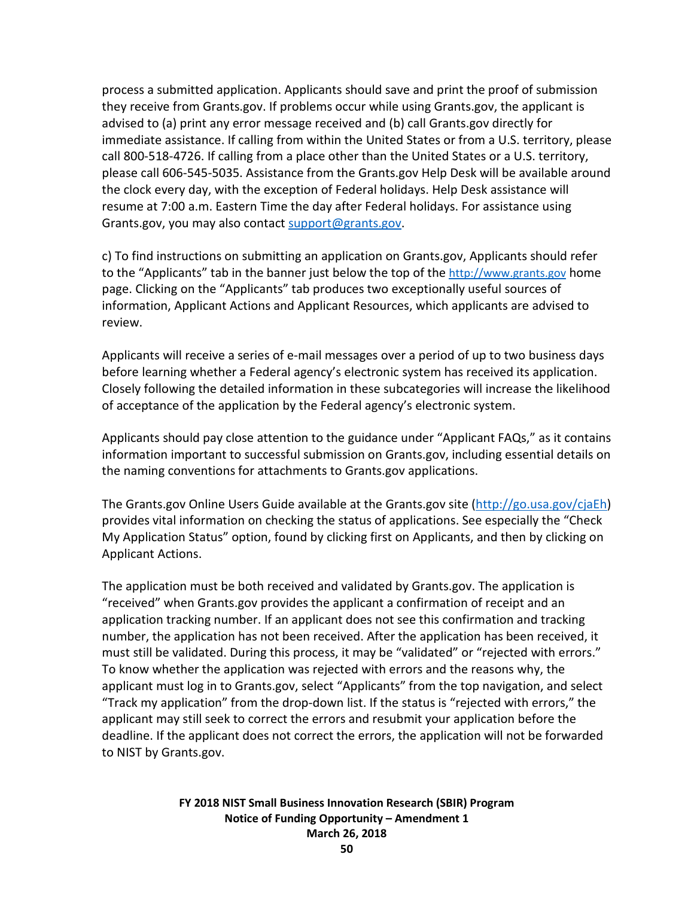process a submitted application. Applicants should save and print the proof of submission they receive from Grants.gov. If problems occur while using Grants.gov, the applicant is advised to (a) print any error message received and (b) call Grants.gov directly for immediate assistance. If calling from within the United States or from a U.S. territory, please call 800-518-4726. If calling from a place other than the United States or a U.S. territory, please call 606-545-5035. Assistance from the Grants.gov Help Desk will be available around the clock every day, with the exception of Federal holidays. Help Desk assistance will resume at 7:00 a.m. Eastern Time the day after Federal holidays. For assistance using Grants.gov, you may also contact [support@grants.gov.](mailto:support@grants.gov)

c) To find instructions on submitting an application on Grants.gov, Applicants should refer to the "Applicants" tab in the banner just below the top of the [http://www.grants.gov](http://www.grants.gov/) home page. Clicking on the "Applicants" tab produces two exceptionally useful sources of information, Applicant Actions and Applicant Resources, which applicants are advised to review.

Applicants will receive a series of e-mail messages over a period of up to two business days before learning whether a Federal agency's electronic system has received its application. Closely following the detailed information in these subcategories will increase the likelihood of acceptance of the application by the Federal agency's electronic system.

Applicants should pay close attention to the guidance under "Applicant FAQs," as it contains information important to successful submission on Grants.gov, including essential details on the naming conventions for attachments to Grants.gov applications.

The Grants.gov Online Users Guide available at the Grants.gov site [\(http://go.usa.gov/cjaEh\)](http://go.usa.gov/cjaEh) provides vital information on checking the status of applications. See especially the "Check My Application Status" option, found by clicking first on Applicants, and then by clicking on Applicant Actions.

The application must be both received and validated by Grants.gov. The application is "received" when Grants.gov provides the applicant a confirmation of receipt and an application tracking number. If an applicant does not see this confirmation and tracking number, the application has not been received. After the application has been received, it must still be validated. During this process, it may be "validated" or "rejected with errors." To know whether the application was rejected with errors and the reasons why, the applicant must log in to Grants.gov, select "Applicants" from the top navigation, and select "Track my application" from the drop-down list. If the status is "rejected with errors," the applicant may still seek to correct the errors and resubmit your application before the deadline. If the applicant does not correct the errors, the application will not be forwarded to NIST by Grants.gov.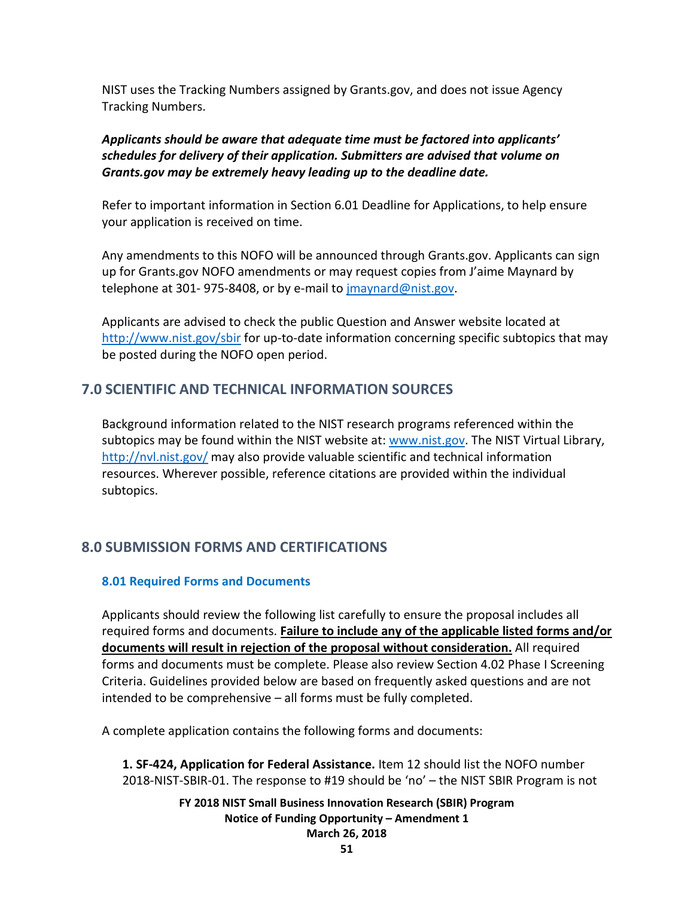NIST uses the Tracking Numbers assigned by Grants.gov, and does not issue Agency Tracking Numbers.

## *Applicants should be aware that adequate time must be factored into applicants' schedules for delivery of their application. Submitters are advised that volume on Grants.gov may be extremely heavy leading up to the deadline date.*

Refer to important information in Section 6.01 Deadline for Applications, to help ensure your application is received on time.

Any amendments to this NOFO will be announced through Grants.gov. Applicants can sign up for Grants.gov NOFO amendments or may request copies from J'aime Maynard by telephone at 301-975-8408, or by e-mail to [jmaynard@nist.gov.](mailto:jmaynard@nist.gov)

Applicants are advised to check the public Question and Answer website located at <http://www.nist.gov/sbir> for up-to-date information concerning specific subtopics that may be posted during the NOFO open period.

# **7.0 SCIENTIFIC AND TECHNICAL INFORMATION SOURCES**

Background information related to the NIST research programs referenced within the subtopics may be found within the NIST website at: [www.nist.gov.](http://www.nist.gov/) The NIST Virtual Library, <http://nvl.nist.gov/> may also provide valuable scientific and technical information resources. Wherever possible, reference citations are provided within the individual subtopics.

# **8.0 SUBMISSION FORMS AND CERTIFICATIONS**

# **8.01 Required Forms and Documents**

Applicants should review the following list carefully to ensure the proposal includes all required forms and documents. **Failure to include any of the applicable listed forms and/or documents will result in rejection of the proposal without consideration.** All required forms and documents must be complete. Please also review Section 4.02 Phase I Screening Criteria. Guidelines provided below are based on frequently asked questions and are not intended to be comprehensive – all forms must be fully completed.

A complete application contains the following forms and documents:

**1. SF-424, Application for Federal Assistance.** Item 12 should list the NOFO number 2018-NIST-SBIR-01. The response to #19 should be 'no' – the NIST SBIR Program is not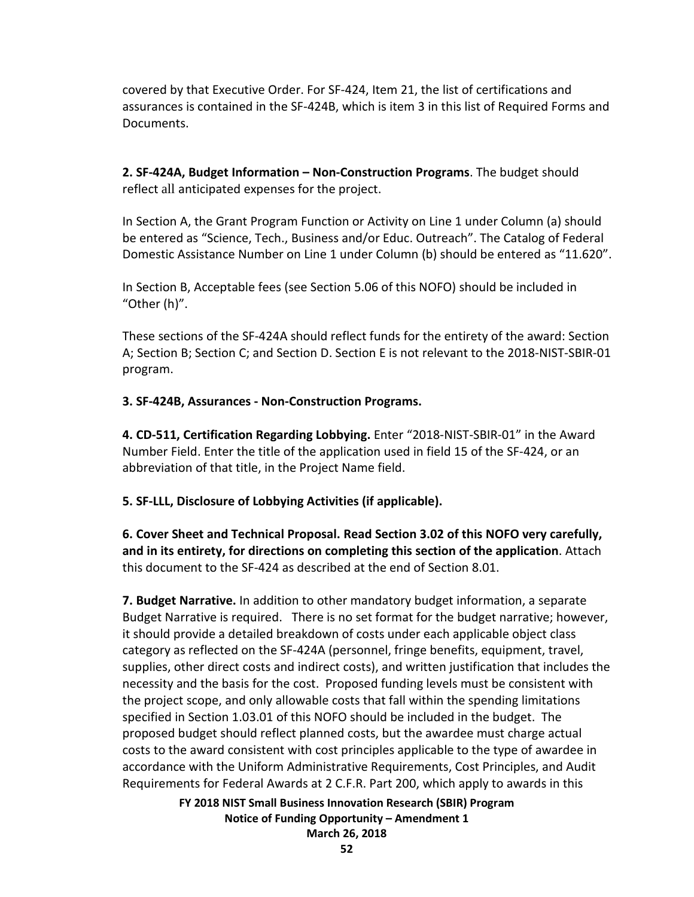covered by that Executive Order. For SF-424, Item 21, the list of certifications and assurances is contained in the SF-424B, which is item 3 in this list of Required Forms and Documents.

**2. SF-424A, Budget Information – Non-Construction Programs**. The budget should reflect all anticipated expenses for the project.

In Section A, the Grant Program Function or Activity on Line 1 under Column (a) should be entered as "Science, Tech., Business and/or Educ. Outreach". The Catalog of Federal Domestic Assistance Number on Line 1 under Column (b) should be entered as "11.620".

In Section B, Acceptable fees (see Section 5.06 of this NOFO) should be included in "Other (h)".

These sections of the SF-424A should reflect funds for the entirety of the award: Section A; Section B; Section C; and Section D. Section E is not relevant to the 2018-NIST-SBIR-01 program.

## **3. SF-424B, Assurances - Non-Construction Programs.**

**4. CD-511, Certification Regarding Lobbying.** Enter "2018-NIST-SBIR-01" in the Award Number Field. Enter the title of the application used in field 15 of the SF-424, or an abbreviation of that title, in the Project Name field.

**5. SF-LLL, Disclosure of Lobbying Activities (if applicable).**

**6. Cover Sheet and Technical Proposal. Read Section 3.02 of this NOFO very carefully, and in its entirety, for directions on completing this section of the application**. Attach this document to the SF-424 as described at the end of Section 8.01.

**7. Budget Narrative.** In addition to other mandatory budget information, a separate Budget Narrative is required. There is no set format for the budget narrative; however, it should provide a detailed breakdown of costs under each applicable object class category as reflected on the SF-424A (personnel, fringe benefits, equipment, travel, supplies, other direct costs and indirect costs), and written justification that includes the necessity and the basis for the cost. Proposed funding levels must be consistent with the project scope, and only allowable costs that fall within the spending limitations specified in Section 1.03.01 of this NOFO should be included in the budget. The proposed budget should reflect planned costs, but the awardee must charge actual costs to the award consistent with cost principles applicable to the type of awardee in accordance with the Uniform Administrative Requirements, Cost Principles, and Audit Requirements for Federal Awards at 2 C.F.R. Part 200, which apply to awards in this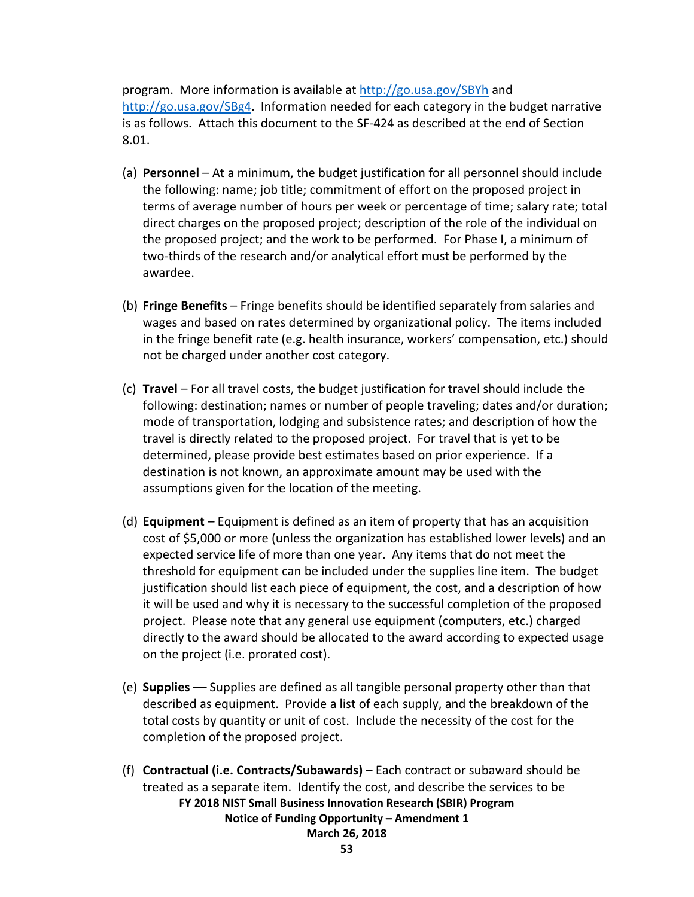program. More information is available at<http://go.usa.gov/SBYh> and [http://go.usa.gov/SBg4.](http://go.usa.gov/SBg4) Information needed for each category in the budget narrative is as follows. Attach this document to the SF-424 as described at the end of Section 8.01.

- (a) **Personnel** At a minimum, the budget justification for all personnel should include the following: name; job title; commitment of effort on the proposed project in terms of average number of hours per week or percentage of time; salary rate; total direct charges on the proposed project; description of the role of the individual on the proposed project; and the work to be performed. For Phase I, a minimum of two-thirds of the research and/or analytical effort must be performed by the awardee.
- (b) **Fringe Benefits** Fringe benefits should be identified separately from salaries and wages and based on rates determined by organizational policy. The items included in the fringe benefit rate (e.g. health insurance, workers' compensation, etc.) should not be charged under another cost category.
- (c) **Travel**  For all travel costs, the budget justification for travel should include the following: destination; names or number of people traveling; dates and/or duration; mode of transportation, lodging and subsistence rates; and description of how the travel is directly related to the proposed project. For travel that is yet to be determined, please provide best estimates based on prior experience. If a destination is not known, an approximate amount may be used with the assumptions given for the location of the meeting.
- (d) **Equipment**  Equipment is defined as an item of property that has an acquisition cost of \$5,000 or more (unless the organization has established lower levels) and an expected service life of more than one year. Any items that do not meet the threshold for equipment can be included under the supplies line item. The budget justification should list each piece of equipment, the cost, and a description of how it will be used and why it is necessary to the successful completion of the proposed project. Please note that any general use equipment (computers, etc.) charged directly to the award should be allocated to the award according to expected usage on the project (i.e. prorated cost).
- (e) **Supplies** –– Supplies are defined as all tangible personal property other than that described as equipment. Provide a list of each supply, and the breakdown of the total costs by quantity or unit of cost. Include the necessity of the cost for the completion of the proposed project.
- **FY 2018 NIST Small Business Innovation Research (SBIR) Program Notice of Funding Opportunity – Amendment 1 March 26, 2018** (f) **Contractual (i.e. Contracts/Subawards)** – Each contract or subaward should be treated as a separate item. Identify the cost, and describe the services to be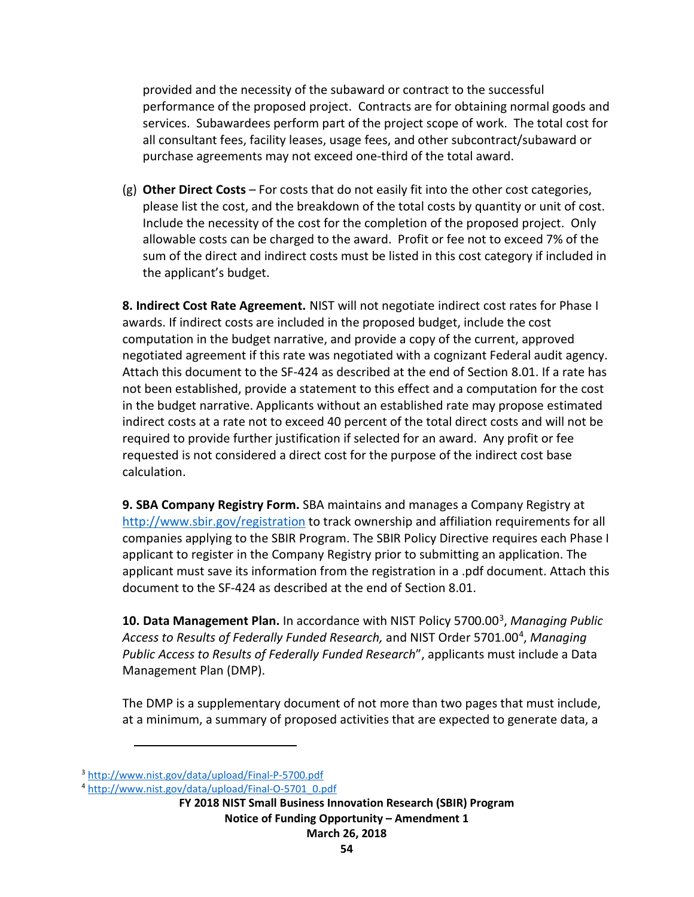provided and the necessity of the subaward or contract to the successful performance of the proposed project. Contracts are for obtaining normal goods and services. Subawardees perform part of the project scope of work. The total cost for all consultant fees, facility leases, usage fees, and other subcontract/subaward or purchase agreements may not exceed one-third of the total award.

(g) **Other Direct Costs** – For costs that do not easily fit into the other cost categories, please list the cost, and the breakdown of the total costs by quantity or unit of cost. Include the necessity of the cost for the completion of the proposed project. Only allowable costs can be charged to the award. Profit or fee not to exceed 7% of the sum of the direct and indirect costs must be listed in this cost category if included in the applicant's budget.

**8. Indirect Cost Rate Agreement.** NIST will not negotiate indirect cost rates for Phase I awards. If indirect costs are included in the proposed budget, include the cost computation in the budget narrative, and provide a copy of the current, approved negotiated agreement if this rate was negotiated with a cognizant Federal audit agency. Attach this document to the SF-424 as described at the end of Section 8.01. If a rate has not been established, provide a statement to this effect and a computation for the cost in the budget narrative. Applicants without an established rate may propose estimated indirect costs at a rate not to exceed 40 percent of the total direct costs and will not be required to provide further justification if selected for an award. Any profit or fee requested is not considered a direct cost for the purpose of the indirect cost base calculation.

**9. SBA Company Registry Form.** SBA maintains and manages a Company Registry at <http://www.sbir.gov/registration> to track ownership and affiliation requirements for all companies applying to the SBIR Program. The SBIR Policy Directive requires each Phase I applicant to register in the Company Registry prior to submitting an application. The applicant must save its information from the registration in a .pdf document. Attach this document to the SF-424 as described at the end of Section 8.01.

**10. Data Management Plan.** In accordance with NIST Policy 5700.00[3,](#page-53-0) *Managing Public Access to Results of Federally Funded Research,* and NIST Order 5701.00[4](#page-53-1), *Managing Public Access to Results of Federally Funded Research*", applicants must include a Data Management Plan (DMP).

The DMP is a supplementary document of not more than two pages that must include, at a minimum, a summary of proposed activities that are expected to generate data, a

 $\overline{a}$ 

<span id="page-53-0"></span><sup>&</sup>lt;sup>3</sup> http://www.nist.gov/data/upload/Final-P-5700.pdf<br><sup>4</sup> [http://www.nist.gov/data/upload/Final-O-5701\\_0.pdf](http://www.nist.gov/data/upload/Final-O-5701_0.pdf)

<span id="page-53-1"></span>

**FY 2018 NIST Small Business Innovation Research (SBIR) Program Notice of Funding Opportunity – Amendment 1 March 26, 2018**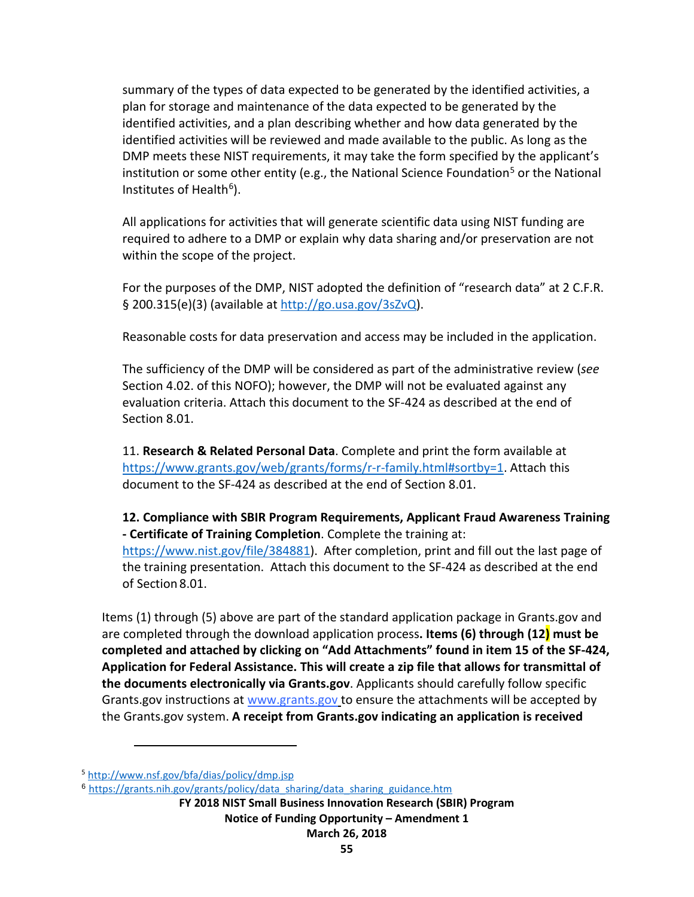summary of the types of data expected to be generated by the identified activities, a plan for storage and maintenance of the data expected to be generated by the identified activities, and a plan describing whether and how data generated by the identified activities will be reviewed and made available to the public. As long as the DMP meets these NIST requirements, it may take the form specified by the applicant's institution or some other entity (e.g., the National Science Foundation<sup>[5](#page-54-0)</sup> or the National Institutes of Health $6$ ).

All applications for activities that will generate scientific data using NIST funding are required to adhere to a DMP or explain why data sharing and/or preservation are not within the scope of the project.

For the purposes of the DMP, NIST adopted the definition of "research data" at 2 C.F.R. § 200.315(e)(3) (available at [http://go.usa.gov/3sZvQ\)](http://go.usa.gov/3sZvQ).

Reasonable costs for data preservation and access may be included in the application.

The sufficiency of the DMP will be considered as part of the administrative review (*see* Section 4.02. of this NOFO); however, the DMP will not be evaluated against any evaluation criteria. Attach this document to the SF-424 as described at the end of Section 8.01.

11. **Research & Related Personal Data**. Complete and print the form available at [https://www.grants.gov/web/grants/forms/r-r-family.html#sortby=1.](https://www.grants.gov/web/grants/forms/r-r-family.html#sortby=1) Attach this document to the SF-424 as described at the end of Section 8.01.

**12. Compliance with SBIR Program Requirements, Applicant Fraud Awareness Training - Certificate of Training Completion**. Complete the training at:

[https://www.nist.gov/file/384881\)](https://www.nist.gov/file/384881). After completion, print and fill out the last page of the training presentation. Attach this document to the SF-424 as described at the end of Section 8.01.

Items (1) through (5) above are part of the standard application package in Grants.gov and are completed through the download application process**. Items (6) through (12) must be completed and attached by clicking on "Add Attachments" found in item 15 of the SF-424, Application for Federal Assistance. This will create a zip file that allows for transmittal of the documents electronically via Grants.gov**. Applicants should carefully follow specific Grants.gov instructions at [www.grants.gov](http://www.grants.gov/) to ensure the attachments will be accepted by the Grants.gov system. **A receipt from Grants.gov indicating an application is received** 

 $\overline{a}$ 

<span id="page-54-0"></span><sup>5</sup> <http://www.nsf.gov/bfa/dias/policy/dmp.jsp>

<span id="page-54-1"></span><sup>6</sup> [https://grants.nih.gov/grants/policy/data\\_sharing/data\\_sharing\\_guidance.htm](https://grants.nih.gov/grants/policy/data_sharing/data_sharing_guidance.htm)

**FY 2018 NIST Small Business Innovation Research (SBIR) Program Notice of Funding Opportunity – Amendment 1 March 26, 2018**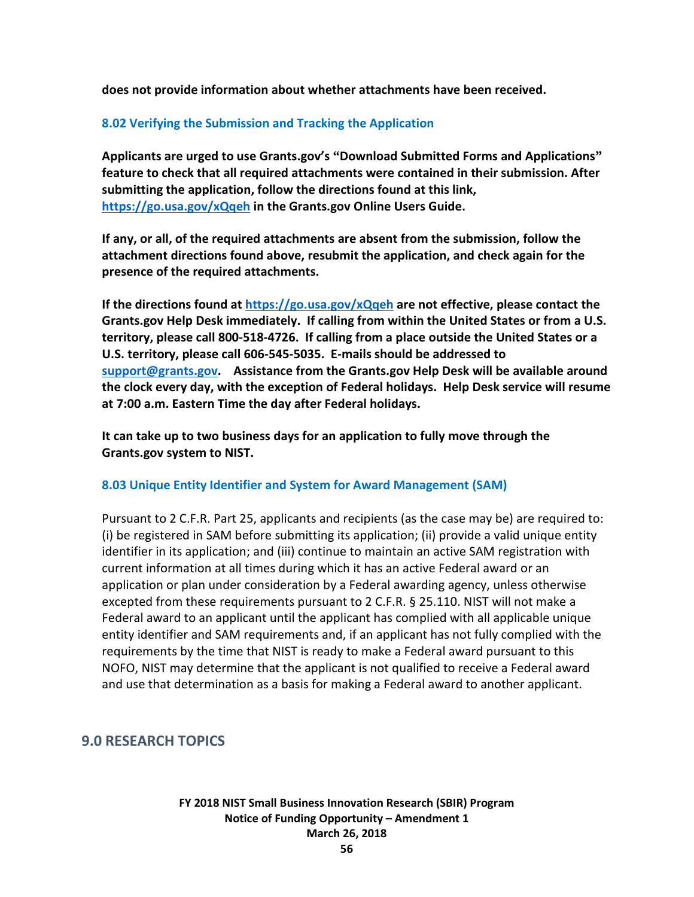**does not provide information about whether attachments have been received.**

## **8.02 Verifying the Submission and Tracking the Application**

**Applicants are urged to use Grants.gov's "Download Submitted Forms and Applications" feature to check that all required attachments were contained in their submission. After submitting the application, follow the directions found at this link, <https://go.usa.gov/xQqeh> in the Grants.gov Online Users Guide.**

**If any, or all, of the required attachments are absent from the submission, follow the attachment directions found above, resubmit the application, and check again for the presence of the required attachments.** 

**If the directions found at<https://go.usa.gov/xQqeh> are not effective, please contact the Grants.gov Help Desk immediately. If calling from within the United States or from a U.S. territory, please call 800-518-4726. If calling from a place outside the United States or a U.S. territory, please call 606-545-5035. E-mails should be addressed to [support@grants.gov.](mailto:support@grants.gov) Assistance from the Grants.gov Help Desk will be available around the clock every day, with the exception of Federal holidays. Help Desk service will resume at 7:00 a.m. Eastern Time the day after Federal holidays.**

**It can take up to two business days for an application to fully move through the Grants.gov system to NIST.**

### **8.03 Unique Entity Identifier and System for Award Management (SAM)**

Pursuant to 2 C.F.R. Part 25, applicants and recipients (as the case may be) are required to: (i) be registered in SAM before submitting its application; (ii) provide a valid unique entity identifier in its application; and (iii) continue to maintain an active SAM registration with current information at all times during which it has an active Federal award or an application or plan under consideration by a Federal awarding agency, unless otherwise excepted from these requirements pursuant to 2 C.F.R. § 25.110. NIST will not make a Federal award to an applicant until the applicant has complied with all applicable unique entity identifier and SAM requirements and, if an applicant has not fully complied with the requirements by the time that NIST is ready to make a Federal award pursuant to this NOFO, NIST may determine that the applicant is not qualified to receive a Federal award and use that determination as a basis for making a Federal award to another applicant.

## **9.0 RESEARCH TOPICS**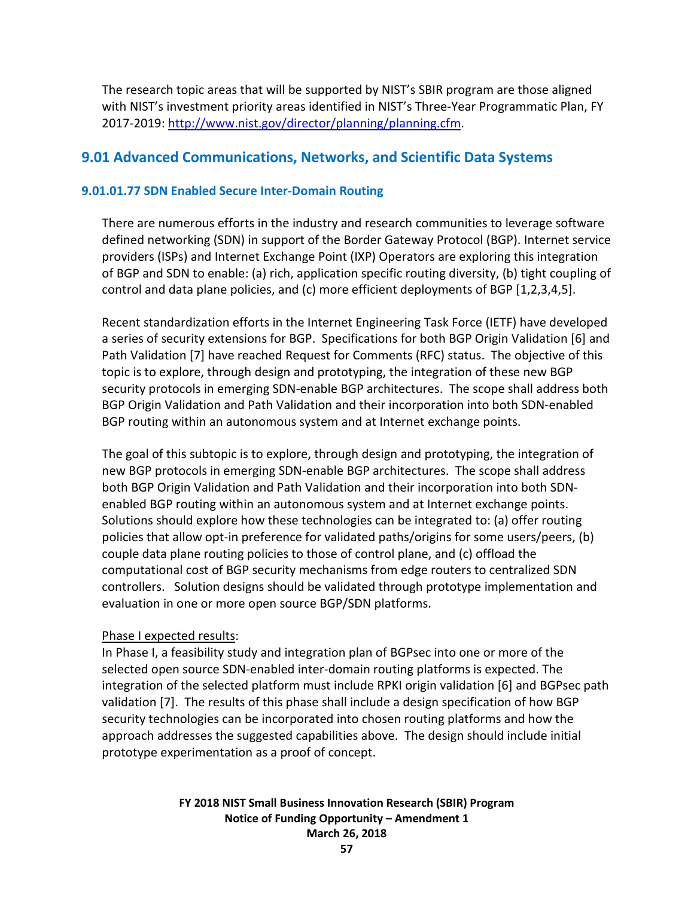The research topic areas that will be supported by NIST's SBIR program are those aligned with NIST's investment priority areas identified in NIST's Three-Year Programmatic Plan, FY 2017-2019: [http://www.nist.gov/director/planning/planning.cfm.](http://www.nist.gov/director/planning/planning.cfm)

## **9.01 Advanced Communications, Networks, and Scientific Data Systems**

### **9.01.01.77 SDN Enabled Secure Inter-Domain Routing**

There are numerous efforts in the industry and research communities to leverage software defined networking (SDN) in support of the Border Gateway Protocol (BGP). Internet service providers (ISPs) and Internet Exchange Point (IXP) Operators are exploring this integration of BGP and SDN to enable: (a) rich, application specific routing diversity, (b) tight coupling of control and data plane policies, and (c) more efficient deployments of BGP [1,2,3,4,5].

Recent standardization efforts in the Internet Engineering Task Force (IETF) have developed a series of security extensions for BGP. Specifications for both BGP Origin Validation [6] and Path Validation [7] have reached Request for Comments (RFC) status. The objective of this topic is to explore, through design and prototyping, the integration of these new BGP security protocols in emerging SDN-enable BGP architectures. The scope shall address both BGP Origin Validation and Path Validation and their incorporation into both SDN-enabled BGP routing within an autonomous system and at Internet exchange points.

The goal of this subtopic is to explore, through design and prototyping, the integration of new BGP protocols in emerging SDN-enable BGP architectures. The scope shall address both BGP Origin Validation and Path Validation and their incorporation into both SDNenabled BGP routing within an autonomous system and at Internet exchange points. Solutions should explore how these technologies can be integrated to: (a) offer routing policies that allow opt-in preference for validated paths/origins for some users/peers, (b) couple data plane routing policies to those of control plane, and (c) offload the computational cost of BGP security mechanisms from edge routers to centralized SDN controllers. Solution designs should be validated through prototype implementation and evaluation in one or more open source BGP/SDN platforms.

### Phase I expected results:

In Phase I, a feasibility study and integration plan of BGPsec into one or more of the selected open source SDN-enabled inter-domain routing platforms is expected. The integration of the selected platform must include RPKI origin validation [6] and BGPsec path validation [7]. The results of this phase shall include a design specification of how BGP security technologies can be incorporated into chosen routing platforms and how the approach addresses the suggested capabilities above. The design should include initial prototype experimentation as a proof of concept.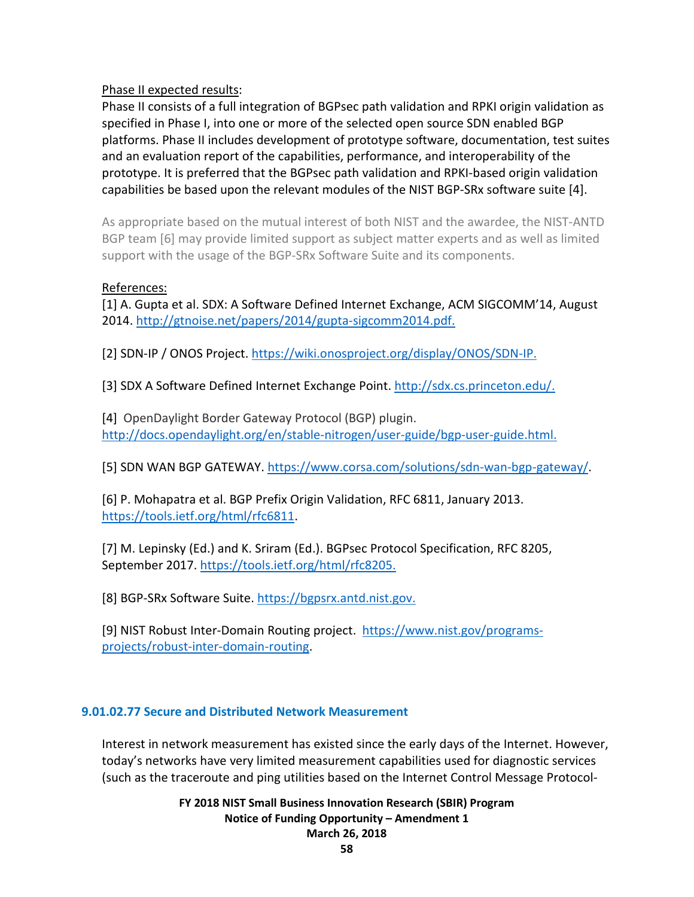Phase II expected results:

Phase II consists of a full integration of BGPsec path validation and RPKI origin validation as specified in Phase I, into one or more of the selected open source SDN enabled BGP platforms. Phase II includes development of prototype software, documentation, test suites and an evaluation report of the capabilities, performance, and interoperability of the prototype. It is preferred that the BGPsec path validation and RPKI-based origin validation capabilities be based upon the relevant modules of the NIST BGP-SRx software suite [4].

As appropriate based on the mutual interest of both NIST and the awardee, the NIST-ANTD BGP team [6] may provide limited support as subject matter experts and as well as limited support with the usage of the BGP-SRx Software Suite and its components.

## References:

[1] A. Gupta et al. SDX: A Software Defined Internet Exchange, ACM SIGCOMM'14, August 2014. [http://gtnoise.net/papers/2014/gupta-sigcomm2014.pdf.](http://gtnoise.net/papers/2014/gupta-sigcomm2014.pdf)

[2] SDN-IP / ONOS Project. [https://wiki.onosproject.org/display/ONOS/SDN-IP.](https://wiki.onosproject.org/display/ONOS/SDN-IP)

[3] SDX A Software Defined Internet Exchange Point. [http://sdx.cs.princeton.edu/.](http://sdx.cs.princeton.edu/)

[4] OpenDaylight Border Gateway Protocol (BGP) plugin. [http://docs.opendaylight.org/en/stable-nitrogen/user-guide/bgp-user-guide.html.](http://docs.opendaylight.org/en/stable-nitrogen/user-guide/bgp-user-guide.html)

[5] SDN WAN BGP GATEWAY. [https://www.corsa.com/solutions/sdn-wan-bgp-gateway/.](https://www.corsa.com/solutions/sdn-wan-bgp-gateway/)

[6] P. Mohapatra et al. BGP Prefix Origin Validation, RFC 6811, January 2013. [https://tools.ietf.org/html/rfc6811.](https://tools.ietf.org/html/rfc6811)

[7] M. Lepinsky (Ed.) and K. Sriram (Ed.). BGPsec Protocol Specification, RFC 8205, September 2017[. https://tools.ietf.org/html/rfc8205.](https://tools.ietf.org/html/rfc8205)

[8] BGP-SRx Software Suite. [https://bgpsrx.antd.nist.gov.](https://bgpsrx.antd.nist.gov/)

[9] NIST Robust Inter-Domain Routing project. [https://www.nist.gov/programs](https://www.nist.gov/programs-projects/robust-inter-domain-routing)[projects/robust-inter-domain-routing.](https://www.nist.gov/programs-projects/robust-inter-domain-routing)

## **9.01.02.77 Secure and Distributed Network Measurement**

Interest in network measurement has existed since the early days of the Internet. However, today's networks have very limited measurement capabilities used for diagnostic services (such as the traceroute and ping utilities based on the Internet Control Message Protocol-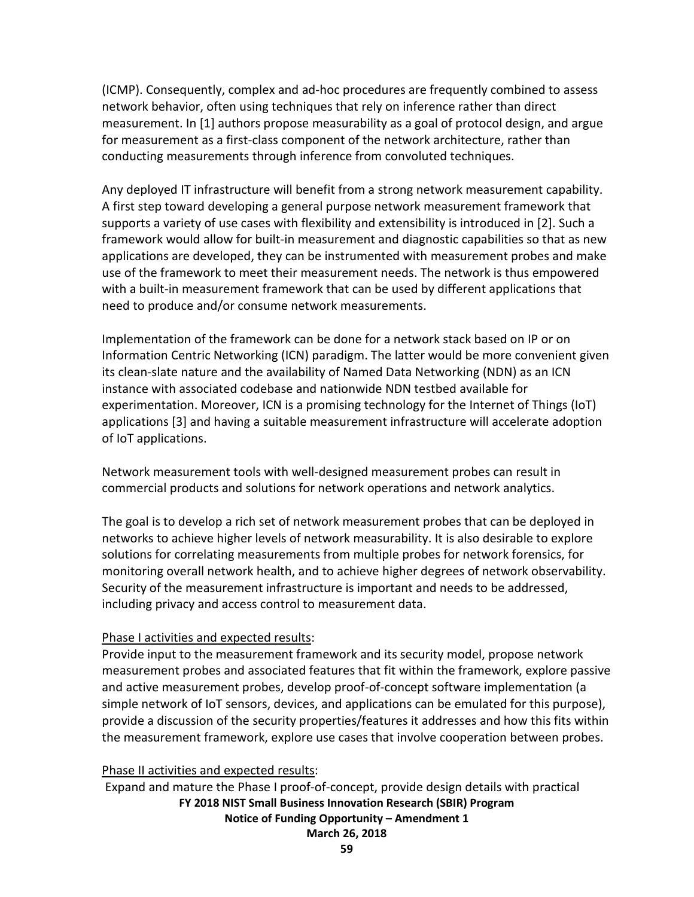(ICMP). Consequently, complex and ad-hoc procedures are frequently combined to assess network behavior, often using techniques that rely on inference rather than direct measurement. In [1] authors propose measurability as a goal of protocol design, and argue for measurement as a first-class component of the network architecture, rather than conducting measurements through inference from convoluted techniques.

Any deployed IT infrastructure will benefit from a strong network measurement capability. A first step toward developing a general purpose network measurement framework that supports a variety of use cases with flexibility and extensibility is introduced in [2]. Such a framework would allow for built-in measurement and diagnostic capabilities so that as new applications are developed, they can be instrumented with measurement probes and make use of the framework to meet their measurement needs. The network is thus empowered with a built-in measurement framework that can be used by different applications that need to produce and/or consume network measurements.

Implementation of the framework can be done for a network stack based on IP or on Information Centric Networking (ICN) paradigm. The latter would be more convenient given its clean-slate nature and the availability of Named Data Networking (NDN) as an ICN instance with associated codebase and nationwide NDN testbed available for experimentation. Moreover, ICN is a promising technology for the Internet of Things (IoT) applications [3] and having a suitable measurement infrastructure will accelerate adoption of IoT applications.

Network measurement tools with well-designed measurement probes can result in commercial products and solutions for network operations and network analytics.

The goal is to develop a rich set of network measurement probes that can be deployed in networks to achieve higher levels of network measurability. It is also desirable to explore solutions for correlating measurements from multiple probes for network forensics, for monitoring overall network health, and to achieve higher degrees of network observability. Security of the measurement infrastructure is important and needs to be addressed, including privacy and access control to measurement data.

## Phase I activities and expected results:

Provide input to the measurement framework and its security model, propose network measurement probes and associated features that fit within the framework, explore passive and active measurement probes, develop proof-of-concept software implementation (a simple network of IoT sensors, devices, and applications can be emulated for this purpose), provide a discussion of the security properties/features it addresses and how this fits within the measurement framework, explore use cases that involve cooperation between probes.

## Phase II activities and expected results:

**FY 2018 NIST Small Business Innovation Research (SBIR) Program Notice of Funding Opportunity – Amendment 1 March 26, 2018** Expand and mature the Phase I proof-of-concept, provide design details with practical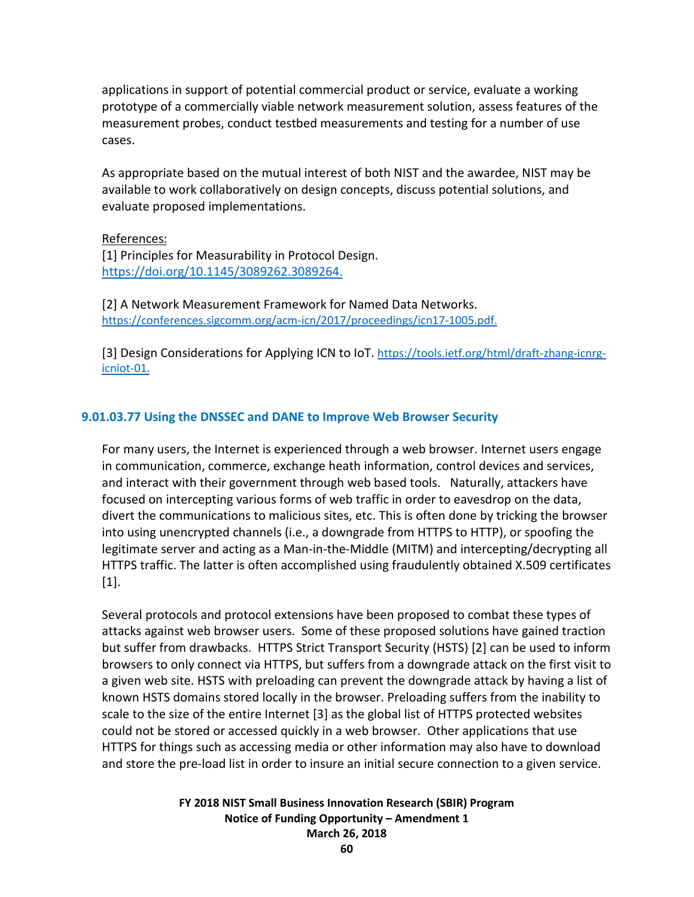applications in support of potential commercial product or service, evaluate a working prototype of a commercially viable network measurement solution, assess features of the measurement probes, conduct testbed measurements and testing for a number of use cases.

As appropriate based on the mutual interest of both NIST and the awardee, NIST may be available to work collaboratively on design concepts, discuss potential solutions, and evaluate proposed implementations.

#### References:

[1] Principles for Measurability in Protocol Design. [https://doi.org/10.1145/3089262.3089264.](https://doi.org/10.1145/3089262.3089264)

[2] A Network Measurement Framework for Named Data Networks. [https://conferences.sigcomm.org/acm-icn/2017/proceedings/icn17-1005.pdf.](https://conferences.sigcomm.org/acm-icn/2017/proceedings/icn17-1005.pdf)

[3] Design Considerations for Applying ICN to IoT. [https://tools.ietf.org/html/draft-zhang-icnrg](https://tools.ietf.org/html/draft-zhang-icnrg-icniot-01)[icniot-01.](https://tools.ietf.org/html/draft-zhang-icnrg-icniot-01)

### **9.01.03.77 Using the DNSSEC and DANE to Improve Web Browser Security**

For many users, the Internet is experienced through a web browser. Internet users engage in communication, commerce, exchange heath information, control devices and services, and interact with their government through web based tools. Naturally, attackers have focused on intercepting various forms of web traffic in order to eavesdrop on the data, divert the communications to malicious sites, etc. This is often done by tricking the browser into using unencrypted channels (i.e., a downgrade from HTTPS to HTTP), or spoofing the legitimate server and acting as a Man-in-the-Middle (MITM) and intercepting/decrypting all HTTPS traffic. The latter is often accomplished using fraudulently obtained X.509 certificates [1].

Several protocols and protocol extensions have been proposed to combat these types of attacks against web browser users. Some of these proposed solutions have gained traction but suffer from drawbacks. HTTPS Strict Transport Security (HSTS) [2] can be used to inform browsers to only connect via HTTPS, but suffers from a downgrade attack on the first visit to a given web site. HSTS with preloading can prevent the downgrade attack by having a list of known HSTS domains stored locally in the browser. Preloading suffers from the inability to scale to the size of the entire Internet [3] as the global list of HTTPS protected websites could not be stored or accessed quickly in a web browser. Other applications that use HTTPS for things such as accessing media or other information may also have to download and store the pre-load list in order to insure an initial secure connection to a given service.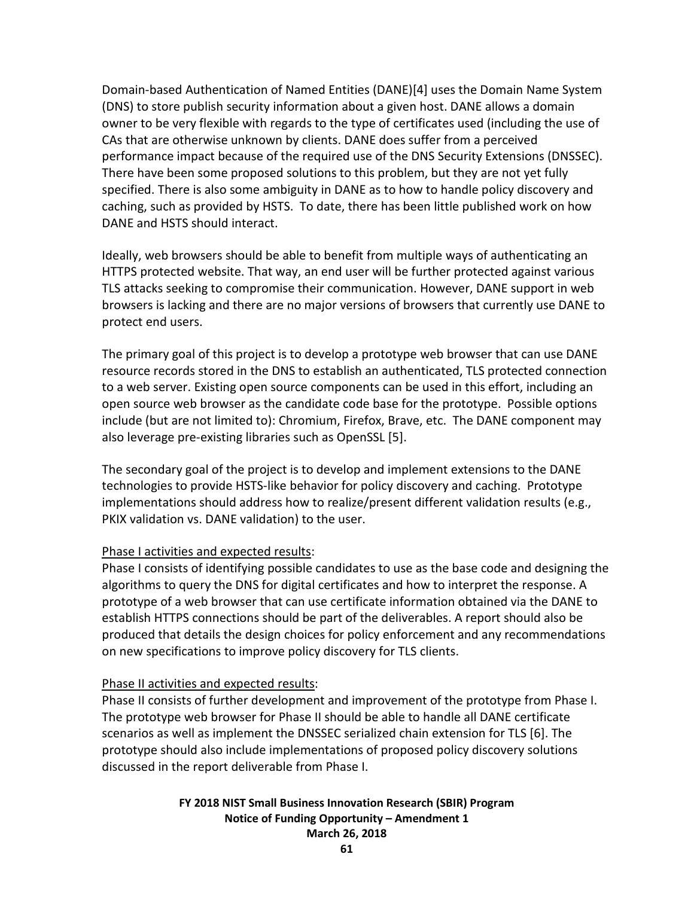Domain-based Authentication of Named Entities (DANE)[4] uses the Domain Name System (DNS) to store publish security information about a given host. DANE allows a domain owner to be very flexible with regards to the type of certificates used (including the use of CAs that are otherwise unknown by clients. DANE does suffer from a perceived performance impact because of the required use of the DNS Security Extensions (DNSSEC). There have been some proposed solutions to this problem, but they are not yet fully specified. There is also some ambiguity in DANE as to how to handle policy discovery and caching, such as provided by HSTS. To date, there has been little published work on how DANE and HSTS should interact.

Ideally, web browsers should be able to benefit from multiple ways of authenticating an HTTPS protected website. That way, an end user will be further protected against various TLS attacks seeking to compromise their communication. However, DANE support in web browsers is lacking and there are no major versions of browsers that currently use DANE to protect end users.

The primary goal of this project is to develop a prototype web browser that can use DANE resource records stored in the DNS to establish an authenticated, TLS protected connection to a web server. Existing open source components can be used in this effort, including an open source web browser as the candidate code base for the prototype. Possible options include (but are not limited to): Chromium, Firefox, Brave, etc. The DANE component may also leverage pre-existing libraries such as OpenSSL [5].

The secondary goal of the project is to develop and implement extensions to the DANE technologies to provide HSTS-like behavior for policy discovery and caching. Prototype implementations should address how to realize/present different validation results (e.g., PKIX validation vs. DANE validation) to the user.

### Phase I activities and expected results:

Phase I consists of identifying possible candidates to use as the base code and designing the algorithms to query the DNS for digital certificates and how to interpret the response. A prototype of a web browser that can use certificate information obtained via the DANE to establish HTTPS connections should be part of the deliverables. A report should also be produced that details the design choices for policy enforcement and any recommendations on new specifications to improve policy discovery for TLS clients.

### Phase II activities and expected results:

Phase II consists of further development and improvement of the prototype from Phase I. The prototype web browser for Phase II should be able to handle all DANE certificate scenarios as well as implement the DNSSEC serialized chain extension for TLS [6]. The prototype should also include implementations of proposed policy discovery solutions discussed in the report deliverable from Phase I.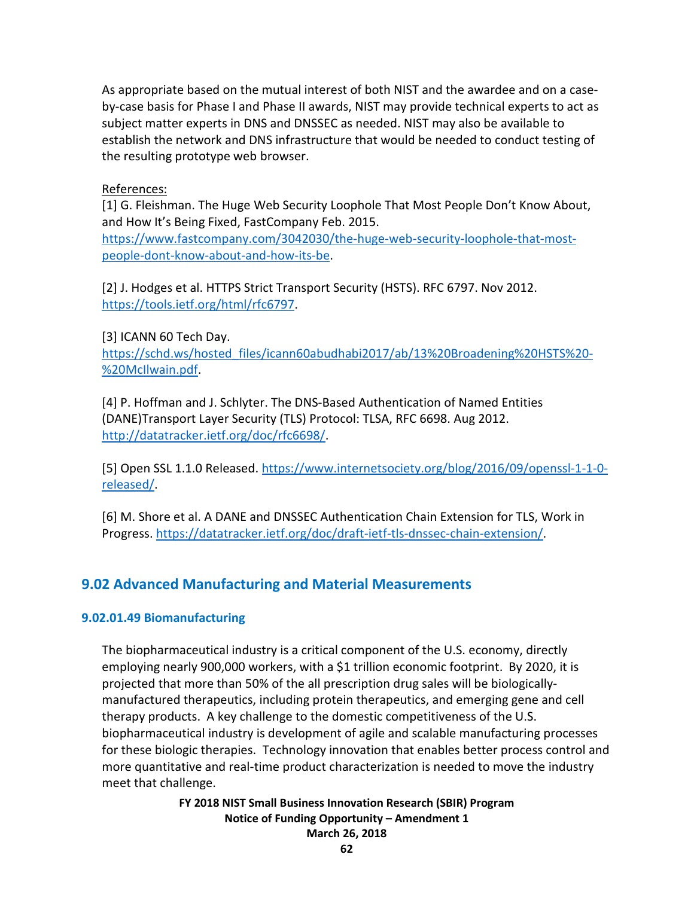As appropriate based on the mutual interest of both NIST and the awardee and on a caseby-case basis for Phase I and Phase II awards, NIST may provide technical experts to act as subject matter experts in DNS and DNSSEC as needed. NIST may also be available to establish the network and DNS infrastructure that would be needed to conduct testing of the resulting prototype web browser.

References:

[1] G. Fleishman. The Huge Web Security Loophole That Most People Don't Know About, and How It's Being Fixed, FastCompany Feb. 2015. [https://www.fastcompany.com/3042030/the-huge-web-security-loophole-that-most](https://www.fastcompany.com/3042030/the-huge-web-security-loophole-that-most-people-dont-know-about-and-how-its-be)[people-dont-know-about-and-how-its-be.](https://www.fastcompany.com/3042030/the-huge-web-security-loophole-that-most-people-dont-know-about-and-how-its-be)

[2] J. Hodges et al. HTTPS Strict Transport Security (HSTS). RFC 6797. Nov 2012.

[https://tools.ietf.org/html/rfc6797.](https://tools.ietf.org/html/rfc6797)

[3] ICANN 60 Tech Day.

[https://schd.ws/hosted\\_files/icann60abudhabi2017/ab/13%20Broadening%20HSTS%20-](https://schd.ws/hosted_files/icann60abudhabi2017/ab/13%20Broadening%20HSTS%20-%20McIlwain.pdf) [%20McIlwain.pdf.](https://schd.ws/hosted_files/icann60abudhabi2017/ab/13%20Broadening%20HSTS%20-%20McIlwain.pdf)

[4] P. Hoffman and J. Schlyter. The DNS-Based Authentication of Named Entities (DANE)Transport Layer Security (TLS) Protocol: TLSA, RFC 6698. Aug 2012. [http://datatracker.ietf.org/doc/rfc6698/.](http://datatracker.ietf.org/doc/rfc6698/)

[5] Open SSL 1.1.0 Released. [https://www.internetsociety.org/blog/2016/09/openssl-1-1-0](https://www.internetsociety.org/blog/2016/09/openssl-1-1-0-released/) [released/.](https://www.internetsociety.org/blog/2016/09/openssl-1-1-0-released/)

[6] M. Shore et al. A DANE and DNSSEC Authentication Chain Extension for TLS, Work in Progress[. https://datatracker.ietf.org/doc/draft-ietf-tls-dnssec-chain-extension/.](https://datatracker.ietf.org/doc/draft-ietf-tls-dnssec-chain-extension/)

# **9.02 Advanced Manufacturing and Material Measurements**

## **9.02.01.49 Biomanufacturing**

The biopharmaceutical industry is a critical component of the U.S. economy, directly employing nearly 900,000 workers, with a \$1 trillion economic footprint. By 2020, it is projected that more than 50% of the all prescription drug sales will be biologicallymanufactured therapeutics, including protein therapeutics, and emerging gene and cell therapy products. A key challenge to the domestic competitiveness of the U.S. biopharmaceutical industry is development of agile and scalable manufacturing processes for these biologic therapies. Technology innovation that enables better process control and more quantitative and real-time product characterization is needed to move the industry meet that challenge.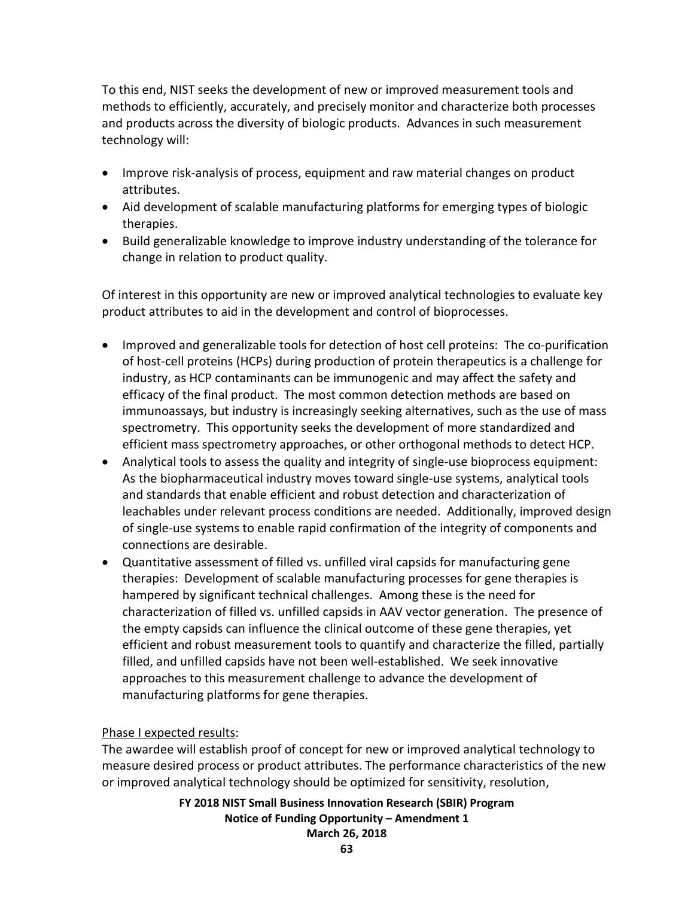To this end, NIST seeks the development of new or improved measurement tools and methods to efficiently, accurately, and precisely monitor and characterize both processes and products across the diversity of biologic products. Advances in such measurement technology will:

- Improve risk-analysis of process, equipment and raw material changes on product attributes.
- Aid development of scalable manufacturing platforms for emerging types of biologic therapies.
- Build generalizable knowledge to improve industry understanding of the tolerance for change in relation to product quality.

Of interest in this opportunity are new or improved analytical technologies to evaluate key product attributes to aid in the development and control of bioprocesses.

- Improved and generalizable tools for detection of host cell proteins: The co-purification of host-cell proteins (HCPs) during production of protein therapeutics is a challenge for industry, as HCP contaminants can be immunogenic and may affect the safety and efficacy of the final product. The most common detection methods are based on immunoassays, but industry is increasingly seeking alternatives, such as the use of mass spectrometry. This opportunity seeks the development of more standardized and efficient mass spectrometry approaches, or other orthogonal methods to detect HCP.
- Analytical tools to assess the quality and integrity of single-use bioprocess equipment: As the biopharmaceutical industry moves toward single-use systems, analytical tools and standards that enable efficient and robust detection and characterization of leachables under relevant process conditions are needed. Additionally, improved design of single-use systems to enable rapid confirmation of the integrity of components and connections are desirable.
- Quantitative assessment of filled vs. unfilled viral capsids for manufacturing gene therapies: Development of scalable manufacturing processes for gene therapies is hampered by significant technical challenges. Among these is the need for characterization of filled vs. unfilled capsids in AAV vector generation. The presence of the empty capsids can influence the clinical outcome of these gene therapies, yet efficient and robust measurement tools to quantify and characterize the filled, partially filled, and unfilled capsids have not been well-established. We seek innovative approaches to this measurement challenge to advance the development of manufacturing platforms for gene therapies.

## Phase I expected results:

The awardee will establish proof of concept for new or improved analytical technology to measure desired process or product attributes. The performance characteristics of the new or improved analytical technology should be optimized for sensitivity, resolution,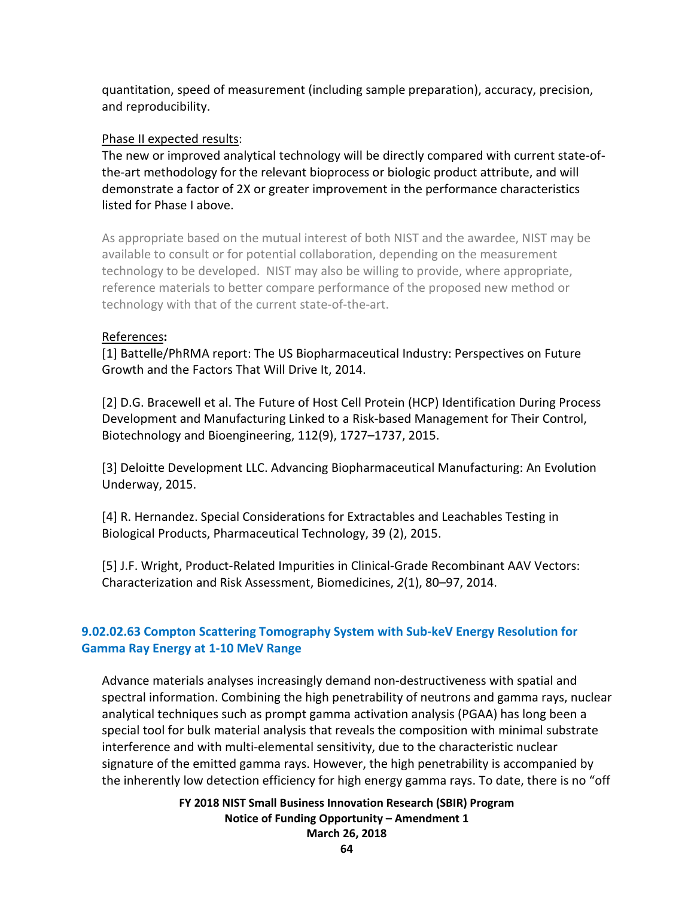quantitation, speed of measurement (including sample preparation), accuracy, precision, and reproducibility.

## Phase II expected results:

The new or improved analytical technology will be directly compared with current state-ofthe-art methodology for the relevant bioprocess or biologic product attribute, and will demonstrate a factor of 2X or greater improvement in the performance characteristics listed for Phase I above.

As appropriate based on the mutual interest of both NIST and the awardee, NIST may be available to consult or for potential collaboration, depending on the measurement technology to be developed. NIST may also be willing to provide, where appropriate, reference materials to better compare performance of the proposed new method or technology with that of the current state-of-the-art.

## References**:**

[1] Battelle/PhRMA report: The US Biopharmaceutical Industry: Perspectives on Future Growth and the Factors That Will Drive It, 2014.

[2] D.G. Bracewell et al. The Future of Host Cell Protein (HCP) Identification During Process Development and Manufacturing Linked to a Risk-based Management for Their Control, Biotechnology and Bioengineering, 112(9), 1727–1737, 2015.

[3] Deloitte Development LLC. Advancing Biopharmaceutical Manufacturing: An Evolution Underway, 2015.

[4] R. Hernandez. Special Considerations for Extractables and Leachables Testing in Biological Products, Pharmaceutical Technology, 39 (2), 2015.

[5] J.F. Wright, Product-Related Impurities in Clinical-Grade Recombinant AAV Vectors: Characterization and Risk Assessment, Biomedicines, *2*(1), 80–97, 2014.

# **9.02.02.63 Compton Scattering Tomography System with Sub-keV Energy Resolution for Gamma Ray Energy at 1-10 MeV Range**

Advance materials analyses increasingly demand non-destructiveness with spatial and spectral information. Combining the high penetrability of neutrons and gamma rays, nuclear analytical techniques such as prompt gamma activation analysis (PGAA) has long been a special tool for bulk material analysis that reveals the composition with minimal substrate interference and with multi-elemental sensitivity, due to the characteristic nuclear signature of the emitted gamma rays. However, the high penetrability is accompanied by the inherently low detection efficiency for high energy gamma rays. To date, there is no "off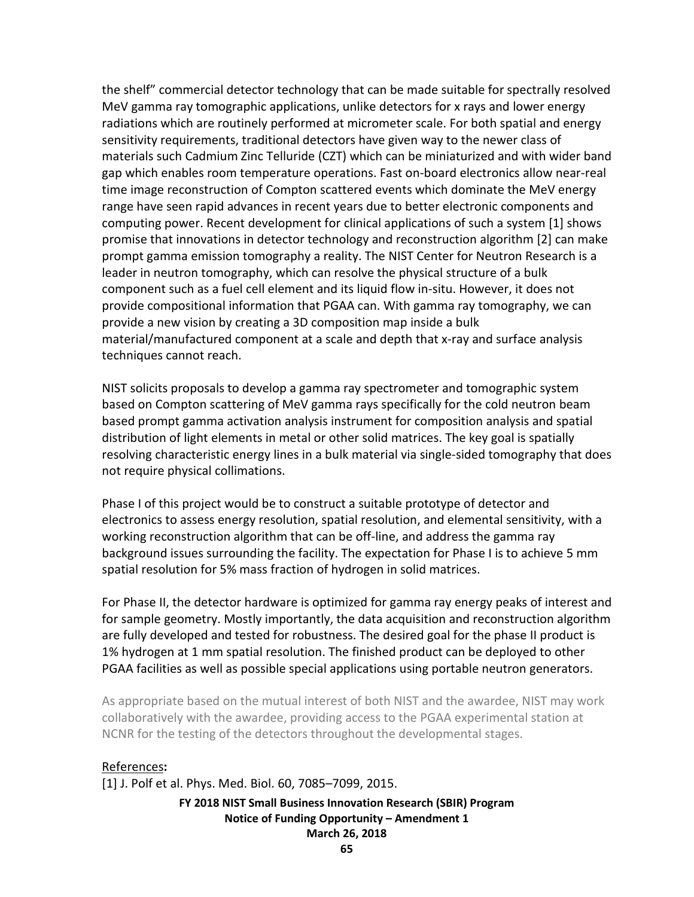the shelf" commercial detector technology that can be made suitable for spectrally resolved MeV gamma ray tomographic applications, unlike detectors for x rays and lower energy radiations which are routinely performed at micrometer scale. For both spatial and energy sensitivity requirements, traditional detectors have given way to the newer class of materials such Cadmium Zinc Telluride (CZT) which can be miniaturized and with wider band gap which enables room temperature operations. Fast on-board electronics allow near-real time image reconstruction of Compton scattered events which dominate the MeV energy range have seen rapid advances in recent years due to better electronic components and computing power. Recent development for clinical applications of such a system [1] shows promise that innovations in detector technology and reconstruction algorithm [2] can make prompt gamma emission tomography a reality. The NIST Center for Neutron Research is a leader in neutron tomography, which can resolve the physical structure of a bulk component such as a fuel cell element and its liquid flow in-situ. However, it does not provide compositional information that PGAA can. With gamma ray tomography, we can provide a new vision by creating a 3D composition map inside a bulk material/manufactured component at a scale and depth that x-ray and surface analysis techniques cannot reach.

NIST solicits proposals to develop a gamma ray spectrometer and tomographic system based on Compton scattering of MeV gamma rays specifically for the cold neutron beam based prompt gamma activation analysis instrument for composition analysis and spatial distribution of light elements in metal or other solid matrices. The key goal is spatially resolving characteristic energy lines in a bulk material via single-sided tomography that does not require physical collimations.

Phase I of this project would be to construct a suitable prototype of detector and electronics to assess energy resolution, spatial resolution, and elemental sensitivity, with a working reconstruction algorithm that can be off-line, and address the gamma ray background issues surrounding the facility. The expectation for Phase I is to achieve 5 mm spatial resolution for 5% mass fraction of hydrogen in solid matrices.

For Phase II, the detector hardware is optimized for gamma ray energy peaks of interest and for sample geometry. Mostly importantly, the data acquisition and reconstruction algorithm are fully developed and tested for robustness. The desired goal for the phase II product is 1% hydrogen at 1 mm spatial resolution. The finished product can be deployed to other PGAA facilities as well as possible special applications using portable neutron generators.

As appropriate based on the mutual interest of both NIST and the awardee, NIST may work collaboratively with the awardee, providing access to the PGAA experimental station at NCNR for the testing of the detectors throughout the developmental stages.

### References**:**

[1] J. Polf et al. Phys. Med. Biol. 60, 7085–7099, 2015.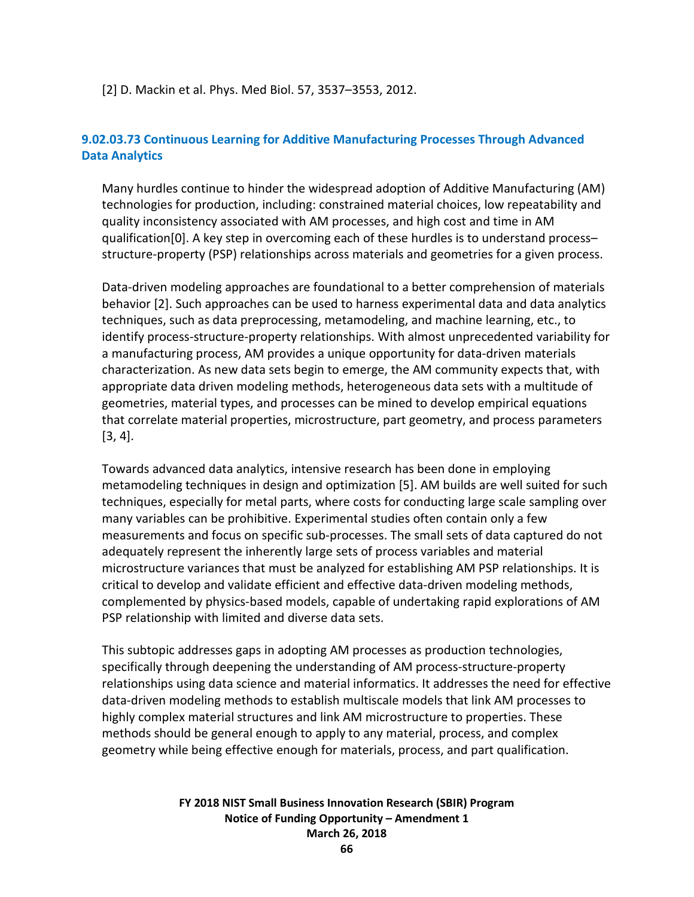[2] D. Mackin et al. Phys. Med Biol. 57, 3537–3553, 2012.

## **9.02.03.73 Continuous Learning for Additive Manufacturing Processes Through Advanced Data Analytics**

Many hurdles continue to hinder the widespread adoption of Additive Manufacturing (AM) technologies for production, including: constrained material choices, low repeatability and quality inconsistency associated with AM processes, and high cost and time in AM qualification[\[0\]](#page-67-0). A key step in overcoming each of these hurdles is to understand process– structure-property (PSP) relationships across materials and geometries for a given process.

Data-driven modeling approaches are foundational to a better comprehension of materials behavior [2]. Such approaches can be used to harness experimental data and data analytics techniques, such as data preprocessing, metamodeling, and machine learning, etc., to identify process-structure-property relationships. With almost unprecedented variability for a manufacturing process, AM provides a unique opportunity for data-driven materials characterization. As new data sets begin to emerge, the AM community expects that, with appropriate data driven modeling methods, heterogeneous data sets with a multitude of geometries, material types, and processes can be mined to develop empirical equations that correlate material properties, microstructure, part geometry, and process parameters [3, 4].

Towards advanced data analytics, intensive research has been done in employing metamodeling techniques in design and optimization [5]. AM builds are well suited for such techniques, especially for metal parts, where costs for conducting large scale sampling over many variables can be prohibitive. Experimental studies often contain only a few measurements and focus on specific sub-processes. The small sets of data captured do not adequately represent the inherently large sets of process variables and material microstructure variances that must be analyzed for establishing AM PSP relationships. It is critical to develop and validate efficient and effective data-driven modeling methods, complemented by physics-based models, capable of undertaking rapid explorations of AM PSP relationship with limited and diverse data sets.

This subtopic addresses gaps in adopting AM processes as production technologies, specifically through deepening the understanding of AM process-structure-property relationships using data science and material informatics. It addresses the need for effective data-driven modeling methods to establish multiscale models that link AM processes to highly complex material structures and link AM microstructure to properties. These methods should be general enough to apply to any material, process, and complex geometry while being effective enough for materials, process, and part qualification.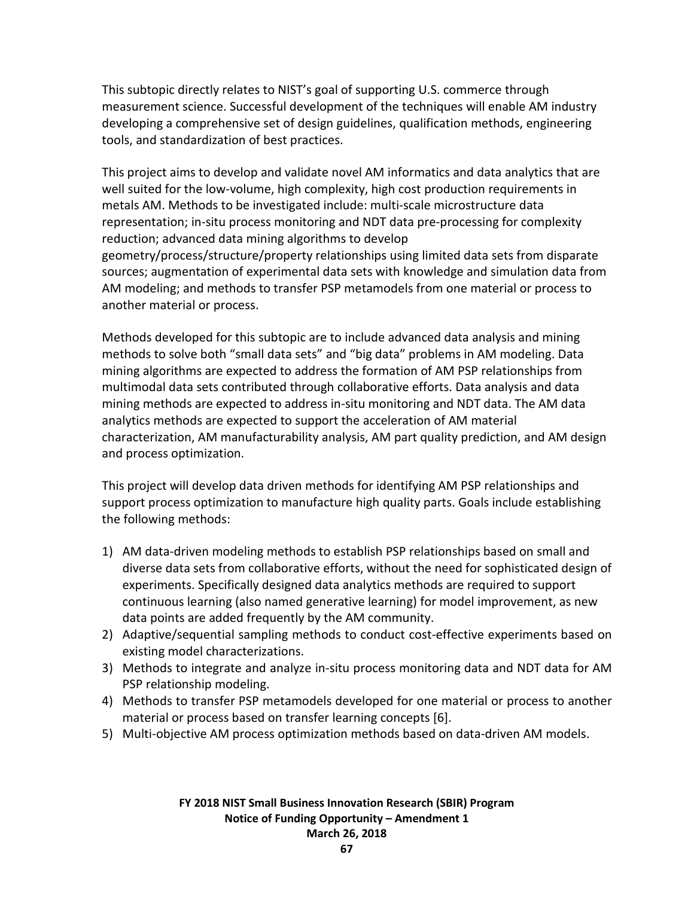This subtopic directly relates to NIST's goal of supporting U.S. commerce through measurement science. Successful development of the techniques will enable AM industry developing a comprehensive set of design guidelines, qualification methods, engineering tools, and standardization of best practices.

This project aims to develop and validate novel AM informatics and data analytics that are well suited for the low-volume, high complexity, high cost production requirements in metals AM. Methods to be investigated include: multi-scale microstructure data representation; in-situ process monitoring and NDT data pre-processing for complexity reduction; advanced data mining algorithms to develop geometry/process/structure/property relationships using limited data sets from disparate sources; augmentation of experimental data sets with knowledge and simulation data from AM modeling; and methods to transfer PSP metamodels from one material or process to another material or process.

Methods developed for this subtopic are to include advanced data analysis and mining methods to solve both "small data sets" and "big data" problems in AM modeling. Data mining algorithms are expected to address the formation of AM PSP relationships from multimodal data sets contributed through collaborative efforts. Data analysis and data mining methods are expected to address in-situ monitoring and NDT data. The AM data analytics methods are expected to support the acceleration of AM material characterization, AM manufacturability analysis, AM part quality prediction, and AM design and process optimization.

This project will develop data driven methods for identifying AM PSP relationships and support process optimization to manufacture high quality parts. Goals include establishing the following methods:

- 1) AM data-driven modeling methods to establish PSP relationships based on small and diverse data sets from collaborative efforts, without the need for sophisticated design of experiments. Specifically designed data analytics methods are required to support continuous learning (also named generative learning) for model improvement, as new data points are added frequently by the AM community.
- 2) Adaptive/sequential sampling methods to conduct cost-effective experiments based on existing model characterizations.
- 3) Methods to integrate and analyze in-situ process monitoring data and NDT data for AM PSP relationship modeling.
- 4) Methods to transfer PSP metamodels developed for one material or process to another material or process based on transfer learning concepts [6].
- 5) Multi-objective AM process optimization methods based on data-driven AM models.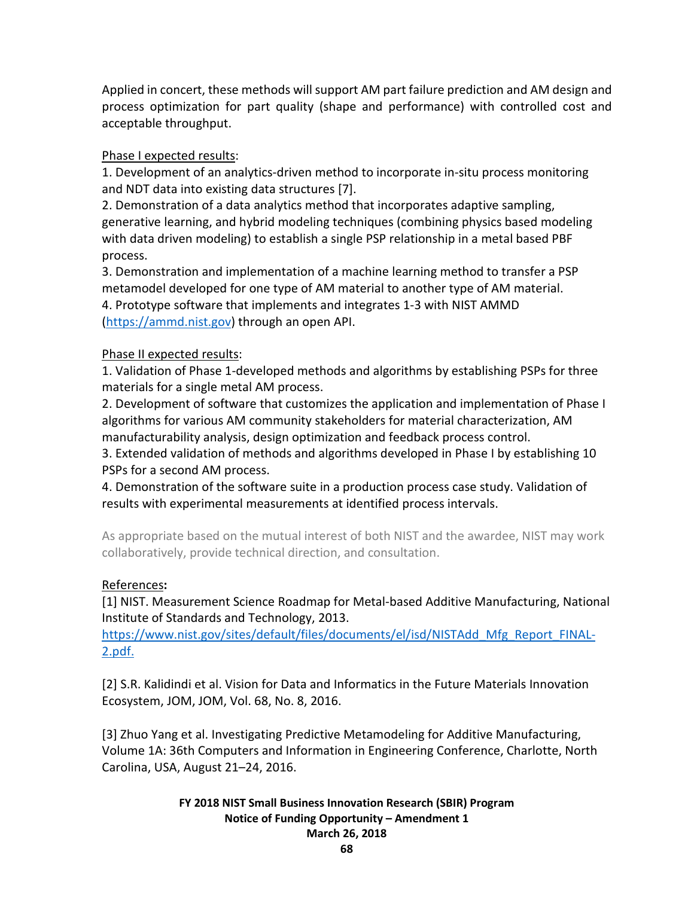Applied in concert, these methods will support AM part failure prediction and AM design and process optimization for part quality (shape and performance) with controlled cost and acceptable throughput.

## Phase I expected results:

1. Development of an analytics-driven method to incorporate in-situ process monitoring and NDT data into existing data structures [7].

2. Demonstration of a data analytics method that incorporates adaptive sampling, generative learning, and hybrid modeling techniques (combining physics based modeling with data driven modeling) to establish a single PSP relationship in a metal based PBF process.

3. Demonstration and implementation of a machine learning method to transfer a PSP metamodel developed for one type of AM material to another type of AM material. 4. Prototype software that implements and integrates 1-3 with NIST AMMD [\(https://ammd.nist.gov\)](https://ammd.nist.gov/) through an open API.

## Phase II expected results:

1. Validation of Phase 1-developed methods and algorithms by establishing PSPs for three materials for a single metal AM process.

2. Development of software that customizes the application and implementation of Phase I algorithms for various AM community stakeholders for material characterization, AM manufacturability analysis, design optimization and feedback process control.

3. Extended validation of methods and algorithms developed in Phase I by establishing 10 PSPs for a second AM process.

4. Demonstration of the software suite in a production process case study. Validation of results with experimental measurements at identified process intervals.

As appropriate based on the mutual interest of both NIST and the awardee, NIST may work collaboratively, provide technical direction, and consultation.

## <span id="page-67-0"></span>References**:**

[1] NIST. Measurement Science Roadmap for Metal-based Additive Manufacturing, National Institute of Standards and Technology, 2013.

[https://www.nist.gov/sites/default/files/documents/el/isd/NISTAdd\\_Mfg\\_Report\\_FINAL-](http://www.nist.gov/el/isd/upload/NISTAdd_Mfg_Report_FINAL-2.pdf)[2.pdf.](http://www.nist.gov/el/isd/upload/NISTAdd_Mfg_Report_FINAL-2.pdf)

[2] S.R. Kalidindi et al. Vision for Data and Informatics in the Future Materials Innovation Ecosystem, JOM, JOM, Vol. 68, No. 8, 2016.

[3] Zhuo Yang et al. Investigating Predictive Metamodeling for Additive Manufacturing, Volume 1A: 36th Computers and Information in Engineering Conference, Charlotte, North Carolina, USA, August 21–24, 2016.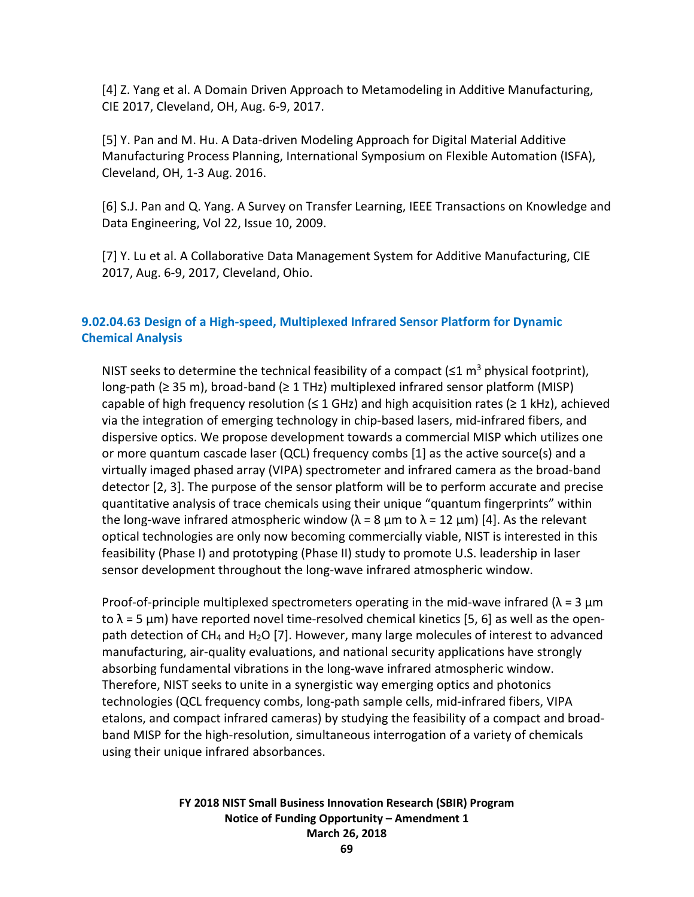[4] Z. Yang et al. A Domain Driven Approach to Metamodeling in Additive Manufacturing, CIE 2017, Cleveland, OH, Aug. 6-9, 2017.

[5] Y. Pan and M. Hu. A Data-driven Modeling Approach for Digital Material Additive Manufacturing Process Planning, International Symposium on Flexible Automation (ISFA), Cleveland, OH, 1-3 Aug. 2016.

[6] S.J. Pan and Q. Yang. A Survey on Transfer Learning, IEEE Transactions on Knowledge and Data Engineering, Vol 22, Issue 10, 2009.

[7] Y. Lu et al. A Collaborative Data Management System for Additive Manufacturing, CIE 2017, Aug. 6-9, 2017, Cleveland, Ohio.

## **9.02.04.63 Design of a High-speed, Multiplexed Infrared Sensor Platform for Dynamic Chemical Analysis**

NIST seeks to determine the technical feasibility of a compact ( $\leq 1$  m<sup>3</sup> physical footprint), long-path (≥ 35 m), broad-band (≥ 1 THz) multiplexed infrared sensor platform (MISP) capable of high frequency resolution ( $\leq 1$  GHz) and high acquisition rates ( $\geq 1$  kHz), achieved via the integration of emerging technology in chip-based lasers, mid-infrared fibers, and dispersive optics. We propose development towards a commercial MISP which utilizes one or more quantum cascade laser (QCL) frequency combs [1] as the active source(s) and a virtually imaged phased array (VIPA) spectrometer and infrared camera as the broad-band detector [2, 3]. The purpose of the sensor platform will be to perform accurate and precise quantitative analysis of trace chemicals using their unique "quantum fingerprints" within the long-wave infrared atmospheric window ( $\lambda = 8$  µm to  $\lambda = 12$  µm) [4]. As the relevant optical technologies are only now becoming commercially viable, NIST is interested in this feasibility (Phase I) and prototyping (Phase II) study to promote U.S. leadership in laser sensor development throughout the long-wave infrared atmospheric window.

Proof-of-principle multiplexed spectrometers operating in the mid-wave infrared ( $\lambda = 3 \mu m$ to  $\lambda$  = 5 µm) have reported novel time-resolved chemical kinetics [5, 6] as well as the openpath detection of  $CH_4$  and  $H_2O$  [7]. However, many large molecules of interest to advanced manufacturing, air-quality evaluations, and national security applications have strongly absorbing fundamental vibrations in the long-wave infrared atmospheric window. Therefore, NIST seeks to unite in a synergistic way emerging optics and photonics technologies (QCL frequency combs, long-path sample cells, mid-infrared fibers, VIPA etalons, and compact infrared cameras) by studying the feasibility of a compact and broadband MISP for the high-resolution, simultaneous interrogation of a variety of chemicals using their unique infrared absorbances.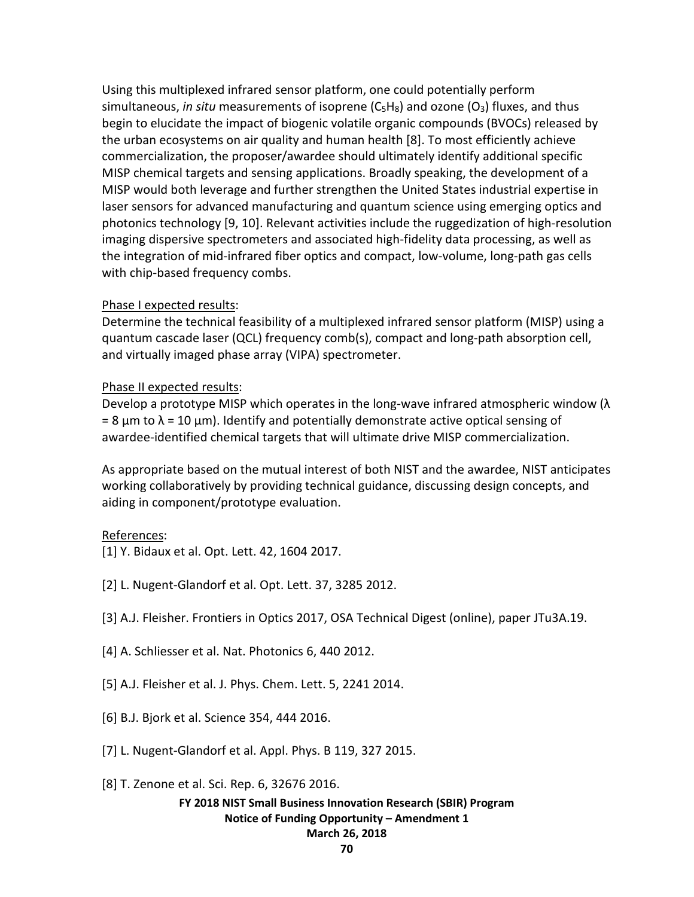Using this multiplexed infrared sensor platform, one could potentially perform simultaneous, *in situ* measurements of isoprene (C<sub>5</sub>H<sub>8</sub>) and ozone (O<sub>3</sub>) fluxes, and thus begin to elucidate the impact of biogenic volatile organic compounds (BVOCs) released by the urban ecosystems on air quality and human health [8]. To most efficiently achieve commercialization, the proposer/awardee should ultimately identify additional specific MISP chemical targets and sensing applications. Broadly speaking, the development of a MISP would both leverage and further strengthen the United States industrial expertise in laser sensors for advanced manufacturing and quantum science using emerging optics and photonics technology [9, 10]. Relevant activities include the ruggedization of high-resolution imaging dispersive spectrometers and associated high-fidelity data processing, as well as the integration of mid-infrared fiber optics and compact, low-volume, long-path gas cells with chip-based frequency combs.

## Phase I expected results:

Determine the technical feasibility of a multiplexed infrared sensor platform (MISP) using a quantum cascade laser (QCL) frequency comb(s), compact and long-path absorption cell, and virtually imaged phase array (VIPA) spectrometer.

## Phase II expected results:

Develop a prototype MISP which operates in the long-wave infrared atmospheric window  $(\lambda)$ = 8 μm to  $\lambda$  = 10 μm). Identify and potentially demonstrate active optical sensing of awardee-identified chemical targets that will ultimate drive MISP commercialization.

As appropriate based on the mutual interest of both NIST and the awardee, NIST anticipates working collaboratively by providing technical guidance, discussing design concepts, and aiding in component/prototype evaluation.

## References:

- [1] Y. Bidaux et al. Opt. Lett. 42, 1604 2017.
- [2] L. Nugent-Glandorf et al. Opt. Lett. 37, 3285 2012.
- [3] A.J. Fleisher. Frontiers in Optics 2017, OSA Technical Digest (online), paper JTu3A.19.
- [4] A. Schliesser et al. Nat. Photonics 6, 440 2012.
- [5] A.J. Fleisher et al. J. Phys. Chem. Lett. 5, 2241 2014.
- [6] B.J. Bjork et al. Science 354, 444 2016.
- [7] L. Nugent-Glandorf et al. Appl. Phys. B 119, 327 2015.
- [8] T. Zenone et al. Sci. Rep. 6, 32676 2016.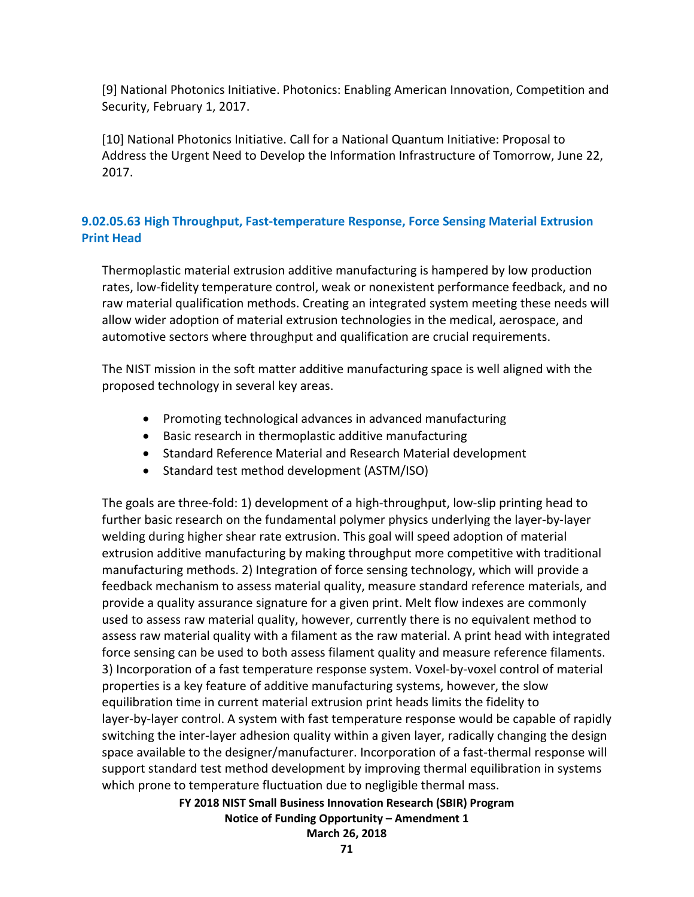[9] National Photonics Initiative. Photonics: Enabling American Innovation, Competition and Security, February 1, 2017.

[10] National Photonics Initiative. Call for a National Quantum Initiative: Proposal to Address the Urgent Need to Develop the Information Infrastructure of Tomorrow, June 22, 2017.

## **9.02.05.63 High Throughput, Fast-temperature Response, Force Sensing Material Extrusion Print Head**

Thermoplastic material extrusion additive manufacturing is hampered by low production rates, low-fidelity temperature control, weak or nonexistent performance feedback, and no raw material qualification methods. Creating an integrated system meeting these needs will allow wider adoption of material extrusion technologies in the medical, aerospace, and automotive sectors where throughput and qualification are crucial requirements.

The NIST mission in the soft matter additive manufacturing space is well aligned with the proposed technology in several key areas.

- Promoting technological advances in advanced manufacturing
- Basic research in thermoplastic additive manufacturing
- Standard Reference Material and Research Material development
- Standard test method development (ASTM/ISO)

The goals are three-fold: 1) development of a high-throughput, low-slip printing head to further basic research on the fundamental polymer physics underlying the layer-by-layer welding during higher shear rate extrusion. This goal will speed adoption of material extrusion additive manufacturing by making throughput more competitive with traditional manufacturing methods. 2) Integration of force sensing technology, which will provide a feedback mechanism to assess material quality, measure standard reference materials, and provide a quality assurance signature for a given print. Melt flow indexes are commonly used to assess raw material quality, however, currently there is no equivalent method to assess raw material quality with a filament as the raw material. A print head with integrated force sensing can be used to both assess filament quality and measure reference filaments. 3) Incorporation of a fast temperature response system. Voxel-by-voxel control of material properties is a key feature of additive manufacturing systems, however, the slow equilibration time in current material extrusion print heads limits the fidelity to layer-by-layer control. A system with fast temperature response would be capable of rapidly switching the inter-layer adhesion quality within a given layer, radically changing the design space available to the designer/manufacturer. Incorporation of a fast-thermal response will support standard test method development by improving thermal equilibration in systems which prone to temperature fluctuation due to negligible thermal mass.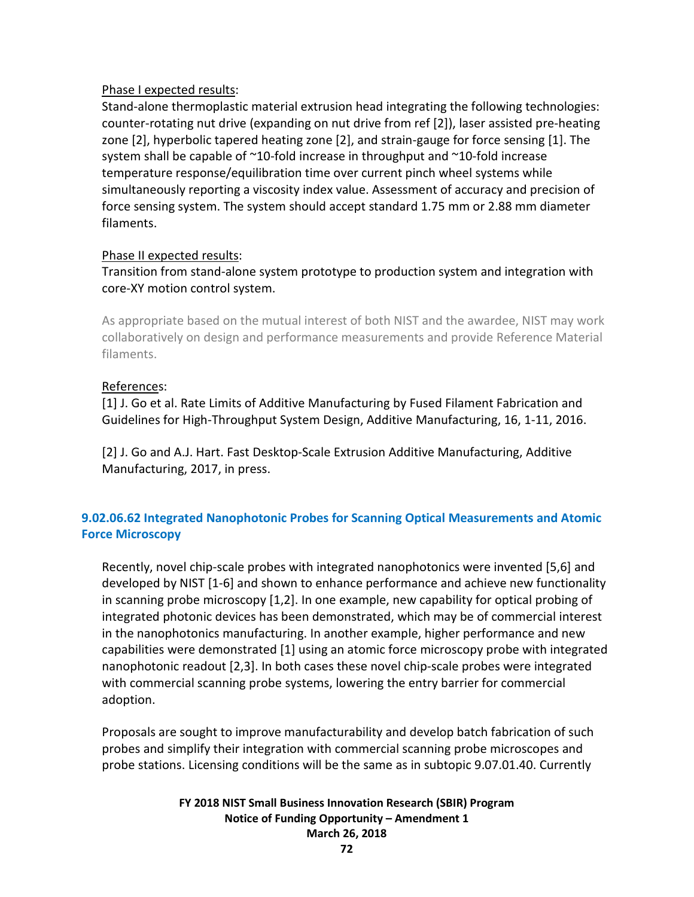## Phase I expected results:

Stand-alone thermoplastic material extrusion head integrating the following technologies: counter-rotating nut drive (expanding on nut drive from ref [2]), laser assisted pre-heating zone [2], hyperbolic tapered heating zone [2], and strain-gauge for force sensing [1]. The system shall be capable of ~10-fold increase in throughput and ~10-fold increase temperature response/equilibration time over current pinch wheel systems while simultaneously reporting a viscosity index value. Assessment of accuracy and precision of force sensing system. The system should accept standard 1.75 mm or 2.88 mm diameter filaments.

## Phase II expected results:

## Transition from stand-alone system prototype to production system and integration with core-XY motion control system.

As appropriate based on the mutual interest of both NIST and the awardee, NIST may work collaboratively on design and performance measurements and provide Reference Material filaments.

## References:

[1] J. Go et al. Rate Limits of Additive Manufacturing by Fused Filament Fabrication and Guidelines for High-Throughput System Design, Additive Manufacturing, 16, 1-11, 2016.

[2] J. Go and A.J. Hart. Fast Desktop-Scale Extrusion Additive Manufacturing, Additive Manufacturing, 2017, in press.

## **9.02.06.62 Integrated Nanophotonic Probes for Scanning Optical Measurements and Atomic Force Microscopy**

Recently, novel chip-scale probes with integrated nanophotonics were invented [5,6] and developed by NIST [1-6] and shown to enhance performance and achieve new functionality in scanning probe microscopy [1,2]. In one example, new capability for optical probing of integrated photonic devices has been demonstrated, which may be of commercial interest in the nanophotonics manufacturing. In another example, higher performance and new capabilities were demonstrated [1] using an atomic force microscopy probe with integrated nanophotonic readout [2,3]. In both cases these novel chip-scale probes were integrated with commercial scanning probe systems, lowering the entry barrier for commercial adoption.

Proposals are sought to improve manufacturability and develop batch fabrication of such probes and simplify their integration with commercial scanning probe microscopes and probe stations. Licensing conditions will be the same as in subtopic 9.07.01.40. Currently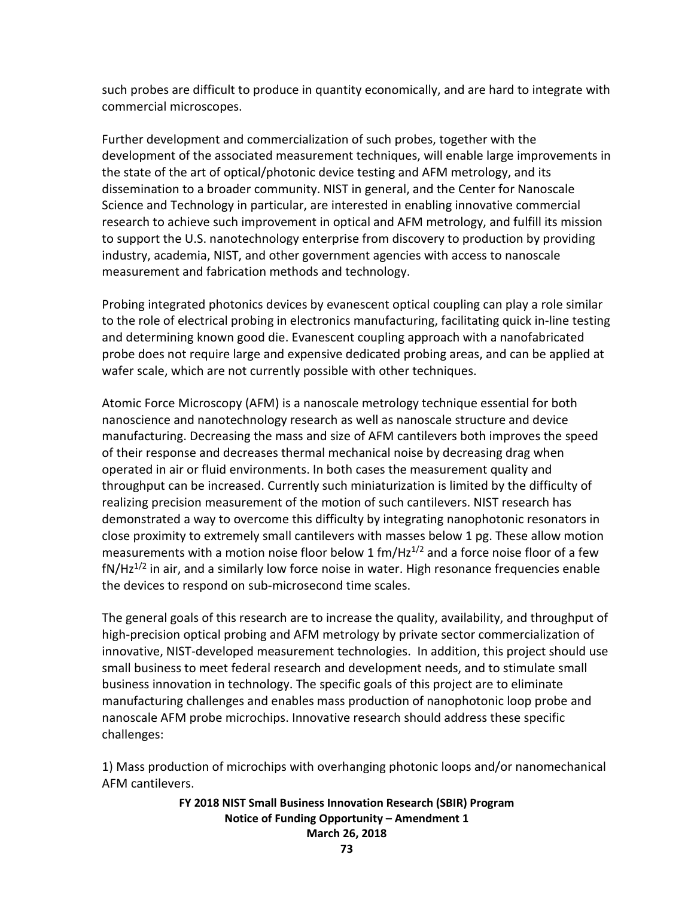such probes are difficult to produce in quantity economically, and are hard to integrate with commercial microscopes.

Further development and commercialization of such probes, together with the development of the associated measurement techniques, will enable large improvements in the state of the art of optical/photonic device testing and AFM metrology, and its dissemination to a broader community. NIST in general, and the Center for Nanoscale Science and Technology in particular, are interested in enabling innovative commercial research to achieve such improvement in optical and AFM metrology, and fulfill its mission to support the U.S. nanotechnology enterprise from discovery to production by providing industry, academia, NIST, and other government agencies with access to nanoscale measurement and fabrication methods and technology.

Probing integrated photonics devices by evanescent optical coupling can play a role similar to the role of electrical probing in electronics manufacturing, facilitating quick in-line testing and determining known good die. Evanescent coupling approach with a nanofabricated probe does not require large and expensive dedicated probing areas, and can be applied at wafer scale, which are not currently possible with other techniques.

Atomic Force Microscopy (AFM) is a nanoscale metrology technique essential for both nanoscience and nanotechnology research as well as nanoscale structure and device manufacturing. Decreasing the mass and size of AFM cantilevers both improves the speed of their response and decreases thermal mechanical noise by decreasing drag when operated in air or fluid environments. In both cases the measurement quality and throughput can be increased. Currently such miniaturization is limited by the difficulty of realizing precision measurement of the motion of such cantilevers. NIST research has demonstrated a way to overcome this difficulty by integrating nanophotonic resonators in close proximity to extremely small cantilevers with masses below 1 pg. These allow motion measurements with a motion noise floor below 1 fm/Hz<sup>1/2</sup> and a force noise floor of a few  $fN/Hz^{1/2}$  in air, and a similarly low force noise in water. High resonance frequencies enable the devices to respond on sub-microsecond time scales.

The general goals of this research are to increase the quality, availability, and throughput of high-precision optical probing and AFM metrology by private sector commercialization of innovative, NIST-developed measurement technologies. In addition, this project should use small business to meet federal research and development needs, and to stimulate small business innovation in technology. The specific goals of this project are to eliminate manufacturing challenges and enables mass production of nanophotonic loop probe and nanoscale AFM probe microchips. Innovative research should address these specific challenges:

1) Mass production of microchips with overhanging photonic loops and/or nanomechanical AFM cantilevers.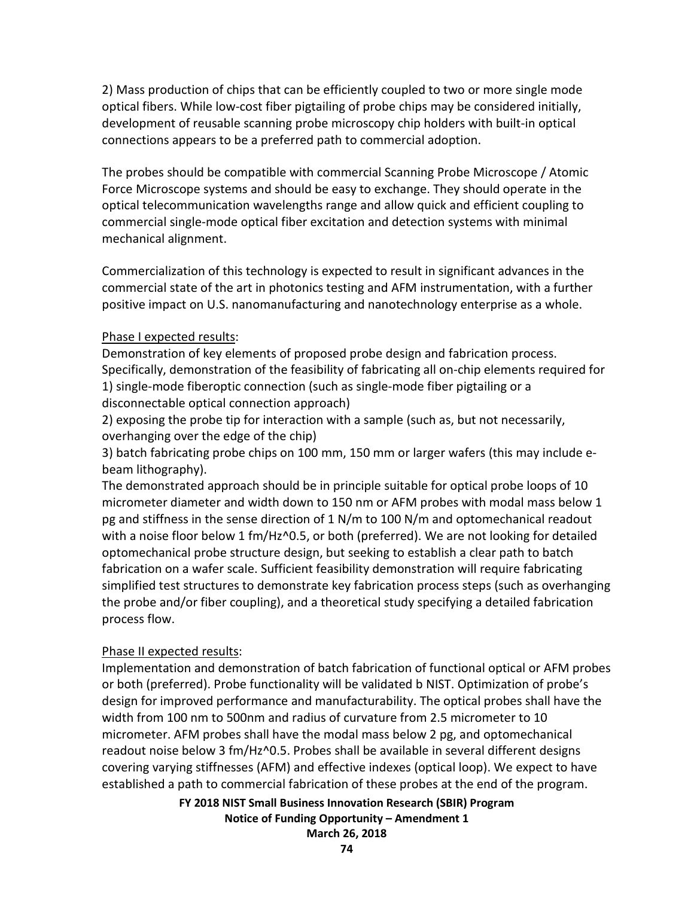2) Mass production of chips that can be efficiently coupled to two or more single mode optical fibers. While low-cost fiber pigtailing of probe chips may be considered initially, development of reusable scanning probe microscopy chip holders with built-in optical connections appears to be a preferred path to commercial adoption.

The probes should be compatible with commercial Scanning Probe Microscope / Atomic Force Microscope systems and should be easy to exchange. They should operate in the optical telecommunication wavelengths range and allow quick and efficient coupling to commercial single-mode optical fiber excitation and detection systems with minimal mechanical alignment.

Commercialization of this technology is expected to result in significant advances in the commercial state of the art in photonics testing and AFM instrumentation, with a further positive impact on U.S. nanomanufacturing and nanotechnology enterprise as a whole.

#### Phase I expected results:

Demonstration of key elements of proposed probe design and fabrication process. Specifically, demonstration of the feasibility of fabricating all on-chip elements required for 1) single-mode fiberoptic connection (such as single-mode fiber pigtailing or a disconnectable optical connection approach)

2) exposing the probe tip for interaction with a sample (such as, but not necessarily, overhanging over the edge of the chip)

3) batch fabricating probe chips on 100 mm, 150 mm or larger wafers (this may include ebeam lithography).

The demonstrated approach should be in principle suitable for optical probe loops of 10 micrometer diameter and width down to 150 nm or AFM probes with modal mass below 1 pg and stiffness in the sense direction of 1 N/m to 100 N/m and optomechanical readout with a noise floor below 1 fm/Hz^0.5, or both (preferred). We are not looking for detailed optomechanical probe structure design, but seeking to establish a clear path to batch fabrication on a wafer scale. Sufficient feasibility demonstration will require fabricating simplified test structures to demonstrate key fabrication process steps (such as overhanging the probe and/or fiber coupling), and a theoretical study specifying a detailed fabrication process flow.

#### Phase II expected results:

Implementation and demonstration of batch fabrication of functional optical or AFM probes or both (preferred). Probe functionality will be validated b NIST. Optimization of probe's design for improved performance and manufacturability. The optical probes shall have the width from 100 nm to 500nm and radius of curvature from 2.5 micrometer to 10 micrometer. AFM probes shall have the modal mass below 2 pg, and optomechanical readout noise below 3 fm/Hz^0.5. Probes shall be available in several different designs covering varying stiffnesses (AFM) and effective indexes (optical loop). We expect to have established a path to commercial fabrication of these probes at the end of the program.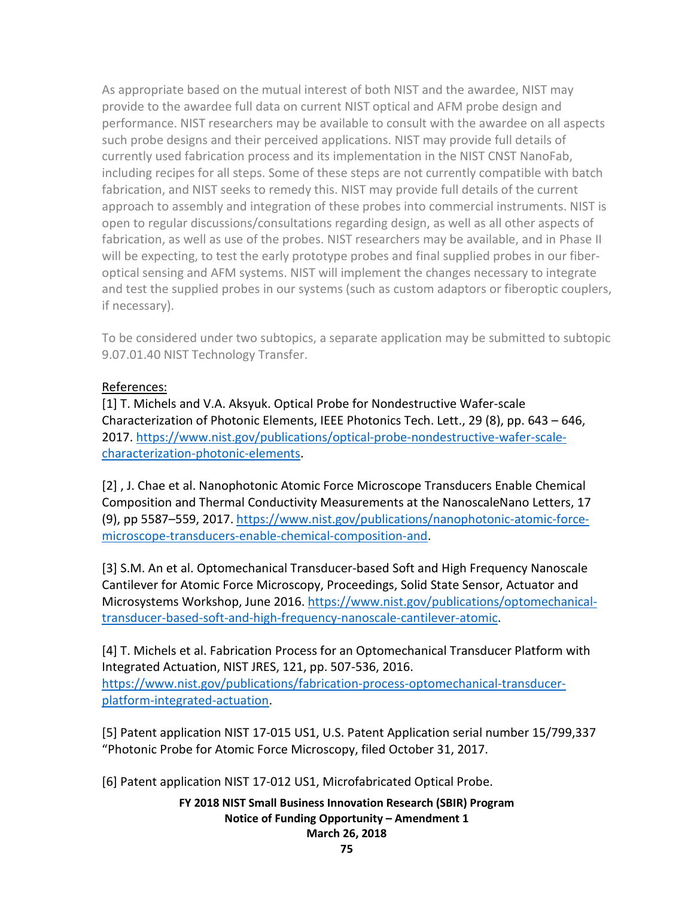As appropriate based on the mutual interest of both NIST and the awardee, NIST may provide to the awardee full data on current NIST optical and AFM probe design and performance. NIST researchers may be available to consult with the awardee on all aspects such probe designs and their perceived applications. NIST may provide full details of currently used fabrication process and its implementation in the NIST CNST NanoFab, including recipes for all steps. Some of these steps are not currently compatible with batch fabrication, and NIST seeks to remedy this. NIST may provide full details of the current approach to assembly and integration of these probes into commercial instruments. NIST is open to regular discussions/consultations regarding design, as well as all other aspects of fabrication, as well as use of the probes. NIST researchers may be available, and in Phase II will be expecting, to test the early prototype probes and final supplied probes in our fiberoptical sensing and AFM systems. NIST will implement the changes necessary to integrate and test the supplied probes in our systems (such as custom adaptors or fiberoptic couplers, if necessary).

To be considered under two subtopics, a separate application may be submitted to subtopic 9.07.01.40 NIST Technology Transfer.

# References:

[1] T. Michels and V.A. Aksyuk. Optical Probe for Nondestructive Wafer-scale Characterization of Photonic Elements, IEEE Photonics Tech. Lett., 29 (8), pp. 643 – 646, 2017. [https://www.nist.gov/publications/optical-probe-nondestructive-wafer-scale](https://www.nist.gov/publications/optical-probe-nondestructive-wafer-scale-characterization-photonic-elements)[characterization-photonic-elements.](https://www.nist.gov/publications/optical-probe-nondestructive-wafer-scale-characterization-photonic-elements)

[2] , J. Chae et al. Nanophotonic Atomic Force Microscope Transducers Enable Chemical Composition and Thermal Conductivity Measurements at the NanoscaleNano Letters, 17 (9), pp 5587–559, 2017[. https://www.nist.gov/publications/nanophotonic-atomic-force](https://www.nist.gov/publications/nanophotonic-atomic-force-microscope-transducers-enable-chemical-composition-and)[microscope-transducers-enable-chemical-composition-and.](https://www.nist.gov/publications/nanophotonic-atomic-force-microscope-transducers-enable-chemical-composition-and)

[3] S.M. An et al. Optomechanical Transducer-based Soft and High Frequency Nanoscale Cantilever for Atomic Force Microscopy, Proceedings, Solid State Sensor, Actuator and Microsystems Workshop, June 2016[. https://www.nist.gov/publications/optomechanical](https://www.nist.gov/publications/optomechanical-transducer-based-soft-and-high-frequency-nanoscale-cantilever-atomic)[transducer-based-soft-and-high-frequency-nanoscale-cantilever-atomic.](https://www.nist.gov/publications/optomechanical-transducer-based-soft-and-high-frequency-nanoscale-cantilever-atomic)

[4] T. Michels et al. Fabrication Process for an Optomechanical Transducer Platform with Integrated Actuation, NIST JRES, 121, pp. 507-536, 2016. [https://www.nist.gov/publications/fabrication-process-optomechanical-transducer](https://www.nist.gov/publications/fabrication-process-optomechanical-transducer-platform-integrated-actuation)[platform-integrated-actuation.](https://www.nist.gov/publications/fabrication-process-optomechanical-transducer-platform-integrated-actuation)

[5] Patent application NIST 17-015 US1, U.S. Patent Application serial number 15/799,337 "Photonic Probe for Atomic Force Microscopy, filed October 31, 2017.

[6] Patent application NIST 17-012 US1, Microfabricated Optical Probe.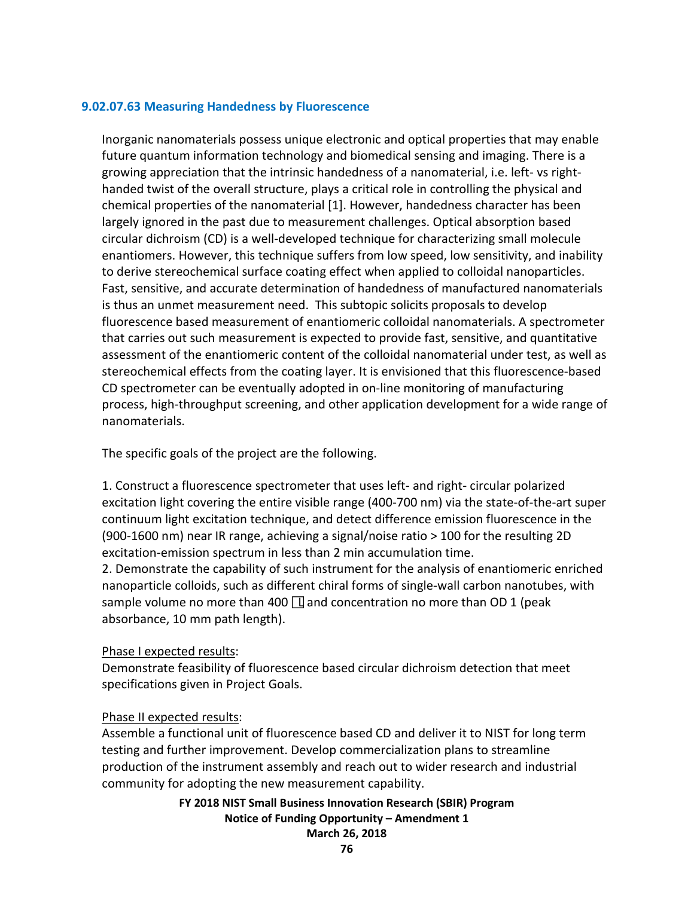#### **9.02.07.63 Measuring Handedness by Fluorescence**

Inorganic nanomaterials possess unique electronic and optical properties that may enable future quantum information technology and biomedical sensing and imaging. There is a growing appreciation that the intrinsic handedness of a nanomaterial, i.e. left- vs righthanded twist of the overall structure, plays a critical role in controlling the physical and chemical properties of the nanomaterial [1]. However, handedness character has been largely ignored in the past due to measurement challenges. Optical absorption based circular dichroism (CD) is a well-developed technique for characterizing small molecule enantiomers. However, this technique suffers from low speed, low sensitivity, and inability to derive stereochemical surface coating effect when applied to colloidal nanoparticles. Fast, sensitive, and accurate determination of handedness of manufactured nanomaterials is thus an unmet measurement need. This subtopic solicits proposals to develop fluorescence based measurement of enantiomeric colloidal nanomaterials. A spectrometer that carries out such measurement is expected to provide fast, sensitive, and quantitative assessment of the enantiomeric content of the colloidal nanomaterial under test, as well as stereochemical effects from the coating layer. It is envisioned that this fluorescence-based CD spectrometer can be eventually adopted in on-line monitoring of manufacturing process, high-throughput screening, and other application development for a wide range of nanomaterials.

The specific goals of the project are the following.

1. Construct a fluorescence spectrometer that uses left- and right- circular polarized excitation light covering the entire visible range (400-700 nm) via the state-of-the-art super continuum light excitation technique, and detect difference emission fluorescence in the (900-1600 nm) near IR range, achieving a signal/noise ratio > 100 for the resulting 2D excitation-emission spectrum in less than 2 min accumulation time.

2. Demonstrate the capability of such instrument for the analysis of enantiomeric enriched nanoparticle colloids, such as different chiral forms of single-wall carbon nanotubes, with sample volume no more than 400  $\Box$  and concentration no more than OD 1 (peak absorbance, 10 mm path length).

#### Phase I expected results:

Demonstrate feasibility of fluorescence based circular dichroism detection that meet specifications given in Project Goals.

#### Phase II expected results:

Assemble a functional unit of fluorescence based CD and deliver it to NIST for long term testing and further improvement. Develop commercialization plans to streamline production of the instrument assembly and reach out to wider research and industrial community for adopting the new measurement capability.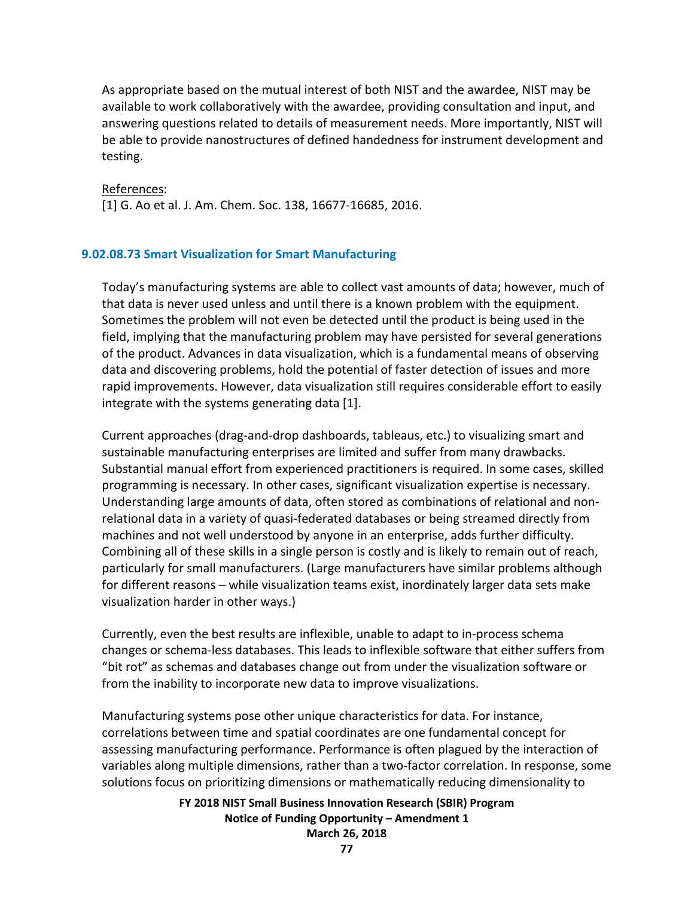As appropriate based on the mutual interest of both NIST and the awardee, NIST may be available to work collaboratively with the awardee, providing consultation and input, and answering questions related to details of measurement needs. More importantly, NIST will be able to provide nanostructures of defined handedness for instrument development and testing.

#### References:

[1] G. Ao et al. J. Am. Chem. Soc. 138, 16677-16685, 2016.

#### **9.02.08.73 Smart Visualization for Smart Manufacturing**

Today's manufacturing systems are able to collect vast amounts of data; however, much of that data is never used unless and until there is a known problem with the equipment. Sometimes the problem will not even be detected until the product is being used in the field, implying that the manufacturing problem may have persisted for several generations of the product. Advances in data visualization, which is a fundamental means of observing data and discovering problems, hold the potential of faster detection of issues and more rapid improvements. However, data visualization still requires considerable effort to easily integrate with the systems generating data [1].

Current approaches (drag-and-drop dashboards, tableaus, etc.) to visualizing smart and sustainable manufacturing enterprises are limited and suffer from many drawbacks. Substantial manual effort from experienced practitioners is required. In some cases, skilled programming is necessary. In other cases, significant visualization expertise is necessary. Understanding large amounts of data, often stored as combinations of relational and nonrelational data in a variety of quasi-federated databases or being streamed directly from machines and not well understood by anyone in an enterprise, adds further difficulty. Combining all of these skills in a single person is costly and is likely to remain out of reach, particularly for small manufacturers. (Large manufacturers have similar problems although for different reasons – while visualization teams exist, inordinately larger data sets make visualization harder in other ways.)

Currently, even the best results are inflexible, unable to adapt to in-process schema changes or schema-less databases. This leads to inflexible software that either suffers from "bit rot" as schemas and databases change out from under the visualization software or from the inability to incorporate new data to improve visualizations.

Manufacturing systems pose other unique characteristics for data. For instance, correlations between time and spatial coordinates are one fundamental concept for assessing manufacturing performance. Performance is often plagued by the interaction of variables along multiple dimensions, rather than a two-factor correlation. In response, some solutions focus on prioritizing dimensions or mathematically reducing dimensionality to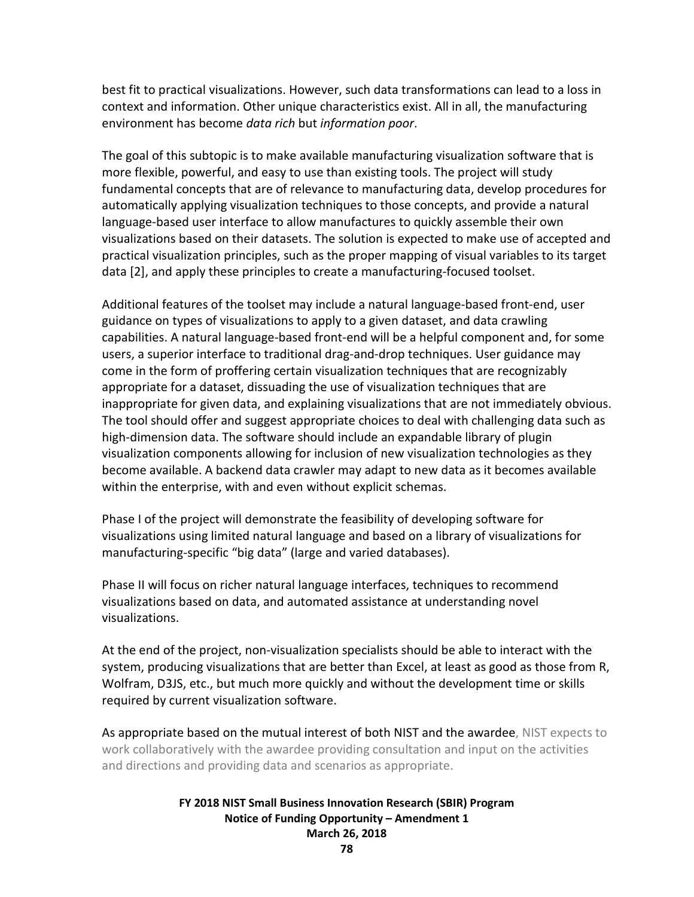best fit to practical visualizations. However, such data transformations can lead to a loss in context and information. Other unique characteristics exist. All in all, the manufacturing environment has become *data rich* but *information poor*.

The goal of this subtopic is to make available manufacturing visualization software that is more flexible, powerful, and easy to use than existing tools. The project will study fundamental concepts that are of relevance to manufacturing data, develop procedures for automatically applying visualization techniques to those concepts, and provide a natural language-based user interface to allow manufactures to quickly assemble their own visualizations based on their datasets. The solution is expected to make use of accepted and practical visualization principles, such as the proper mapping of visual variables to its target data [2], and apply these principles to create a manufacturing-focused toolset.

Additional features of the toolset may include a natural language-based front-end, user guidance on types of visualizations to apply to a given dataset, and data crawling capabilities. A natural language-based front-end will be a helpful component and, for some users, a superior interface to traditional drag-and-drop techniques. User guidance may come in the form of proffering certain visualization techniques that are recognizably appropriate for a dataset, dissuading the use of visualization techniques that are inappropriate for given data, and explaining visualizations that are not immediately obvious. The tool should offer and suggest appropriate choices to deal with challenging data such as high-dimension data. The software should include an expandable library of plugin visualization components allowing for inclusion of new visualization technologies as they become available. A backend data crawler may adapt to new data as it becomes available within the enterprise, with and even without explicit schemas.

Phase I of the project will demonstrate the feasibility of developing software for visualizations using limited natural language and based on a library of visualizations for manufacturing-specific "big data" (large and varied databases).

Phase II will focus on richer natural language interfaces, techniques to recommend visualizations based on data, and automated assistance at understanding novel visualizations.

At the end of the project, non-visualization specialists should be able to interact with the system, producing visualizations that are better than Excel, at least as good as those from R, Wolfram, D3JS, etc., but much more quickly and without the development time or skills required by current visualization software.

As appropriate based on the mutual interest of both NIST and the awardee, NIST expects to work collaboratively with the awardee providing consultation and input on the activities and directions and providing data and scenarios as appropriate.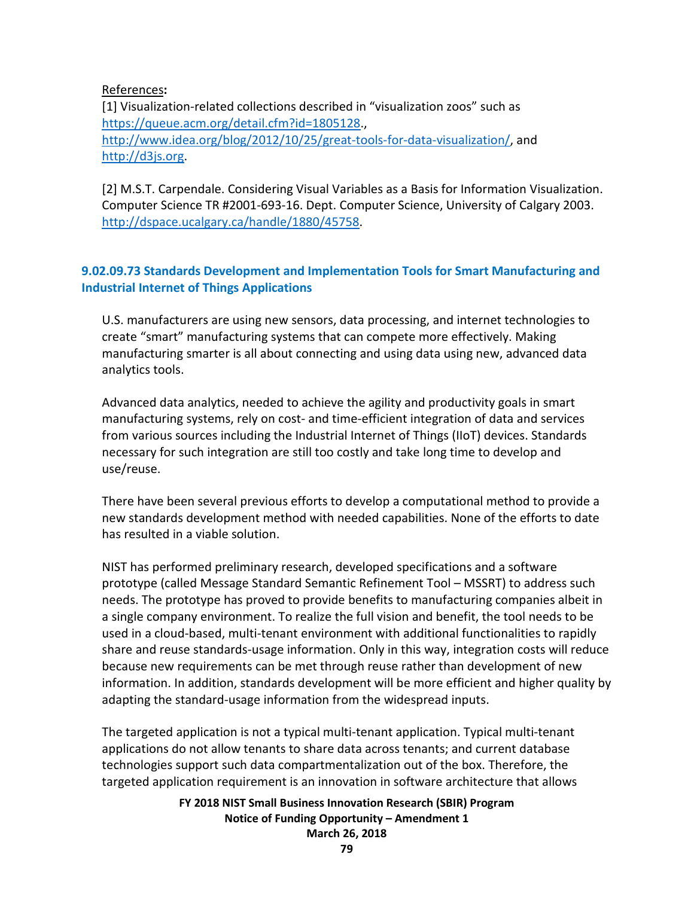### References**:**

[1] Visualization-related collections described in "visualization zoos" such as [https://queue.acm.org/detail.cfm?id=1805128.](https://queue.acm.org/detail.cfm?id=1805128), [http://www.idea.org/blog/2012/10/25/great-tools-for-data-visualization/,](http://www.idea.org/blog/2012/10/25/great-tools-for-data-visualization/) and [http://d3js.org.](http://d3js.org/)

[2] M.S.T. Carpendale. Considering Visual Variables as a Basis for Information Visualization. Computer Science TR #2001-693-16. Dept. Computer Science, University of Calgary 2003. [http://dspace.ucalgary.ca/handle/1880/45758.](http://dspace.ucalgary.ca/handle/1880/45758)

# **9.02.09.73 Standards Development and Implementation Tools for Smart Manufacturing and Industrial Internet of Things Applications**

U.S. manufacturers are using new sensors, data processing, and internet technologies to create "smart" manufacturing systems that can compete more effectively. Making manufacturing smarter is all about connecting and using data using new, advanced data analytics tools.

Advanced data analytics, needed to achieve the agility and productivity goals in smart manufacturing systems, rely on cost- and time-efficient integration of data and services from various sources including the Industrial Internet of Things (IIoT) devices. Standards necessary for such integration are still too costly and take long time to develop and use/reuse.

There have been several previous efforts to develop a computational method to provide a new standards development method with needed capabilities. None of the efforts to date has resulted in a viable solution.

NIST has performed preliminary research, developed specifications and a software prototype (called Message Standard Semantic Refinement Tool – MSSRT) to address such needs. The prototype has proved to provide benefits to manufacturing companies albeit in a single company environment. To realize the full vision and benefit, the tool needs to be used in a cloud-based, multi-tenant environment with additional functionalities to rapidly share and reuse standards-usage information. Only in this way, integration costs will reduce because new requirements can be met through reuse rather than development of new information. In addition, standards development will be more efficient and higher quality by adapting the standard-usage information from the widespread inputs.

The targeted application is not a typical multi-tenant application. Typical multi-tenant applications do not allow tenants to share data across tenants; and current database technologies support such data compartmentalization out of the box. Therefore, the targeted application requirement is an innovation in software architecture that allows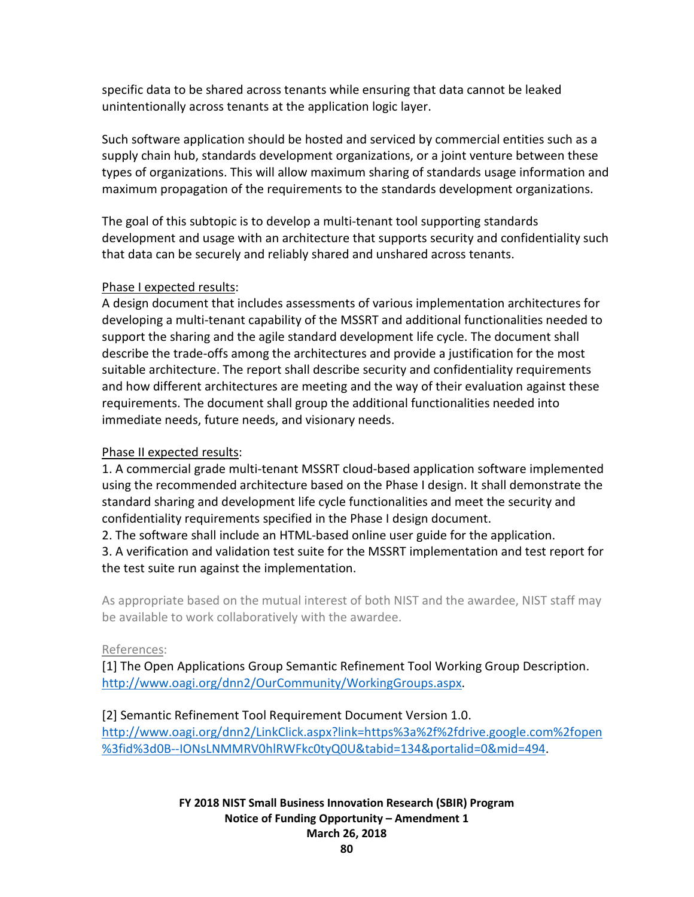specific data to be shared across tenants while ensuring that data cannot be leaked unintentionally across tenants at the application logic layer.

Such software application should be hosted and serviced by commercial entities such as a supply chain hub, standards development organizations, or a joint venture between these types of organizations. This will allow maximum sharing of standards usage information and maximum propagation of the requirements to the standards development organizations.

The goal of this subtopic is to develop a multi-tenant tool supporting standards development and usage with an architecture that supports security and confidentiality such that data can be securely and reliably shared and unshared across tenants.

### Phase I expected results:

A design document that includes assessments of various implementation architectures for developing a multi-tenant capability of the MSSRT and additional functionalities needed to support the sharing and the agile standard development life cycle. The document shall describe the trade-offs among the architectures and provide a justification for the most suitable architecture. The report shall describe security and confidentiality requirements and how different architectures are meeting and the way of their evaluation against these requirements. The document shall group the additional functionalities needed into immediate needs, future needs, and visionary needs.

# Phase II expected results:

1. A commercial grade multi-tenant MSSRT cloud-based application software implemented using the recommended architecture based on the Phase I design. It shall demonstrate the standard sharing and development life cycle functionalities and meet the security and confidentiality requirements specified in the Phase I design document.

2. The software shall include an HTML-based online user guide for the application.

3. A verification and validation test suite for the MSSRT implementation and test report for the test suite run against the implementation.

As appropriate based on the mutual interest of both NIST and the awardee, NIST staff may be available to work collaboratively with the awardee.

# References:

[1] The Open Applications Group Semantic Refinement Tool Working Group Description. [http://www.oagi.org/dnn2/OurCommunity/WorkingGroups.aspx.](http://www.oagi.org/dnn2/OurCommunity/WorkingGroups.aspx)

# [2] Semantic Refinement Tool Requirement Document Version 1.0.

[http://www.oagi.org/dnn2/LinkClick.aspx?link=https%3a%2f%2fdrive.google.com%2fopen](http://www.oagi.org/dnn2/LinkClick.aspx?link=https%3a%2f%2fdrive.google.com%2fopen%3fid%3d0B--IONsLNMMRV0hlRWFkc0tyQ0U&tabid=134&portalid=0&mid=494) [%3fid%3d0B--IONsLNMMRV0hlRWFkc0tyQ0U&tabid=134&portalid=0&mid=494.](http://www.oagi.org/dnn2/LinkClick.aspx?link=https%3a%2f%2fdrive.google.com%2fopen%3fid%3d0B--IONsLNMMRV0hlRWFkc0tyQ0U&tabid=134&portalid=0&mid=494)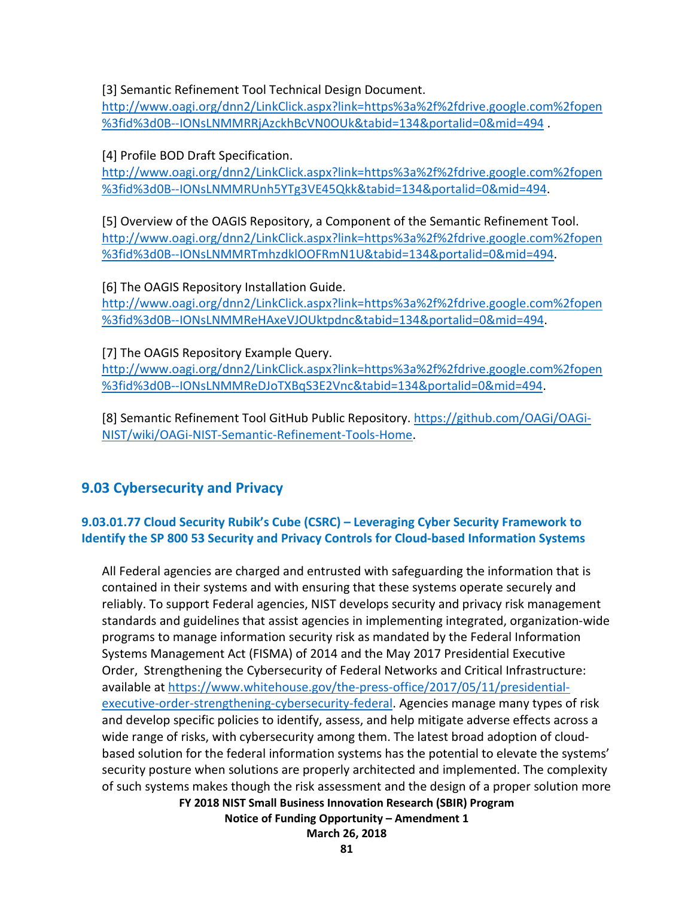[3] Semantic Refinement Tool Technical Design Document.

[http://www.oagi.org/dnn2/LinkClick.aspx?link=https%3a%2f%2fdrive.google.com%2fopen](http://www.oagi.org/dnn2/LinkClick.aspx?link=https%3a%2f%2fdrive.google.com%2fopen%3fid%3d0B--IONsLNMMRRjAzckhBcVN0OUk&tabid=134&portalid=0&mid=494) [%3fid%3d0B--IONsLNMMRRjAzckhBcVN0OUk&tabid=134&portalid=0&mid=494](http://www.oagi.org/dnn2/LinkClick.aspx?link=https%3a%2f%2fdrive.google.com%2fopen%3fid%3d0B--IONsLNMMRRjAzckhBcVN0OUk&tabid=134&portalid=0&mid=494) .

[4] Profile BOD Draft Specification.

[http://www.oagi.org/dnn2/LinkClick.aspx?link=https%3a%2f%2fdrive.google.com%2fopen](http://www.oagi.org/dnn2/LinkClick.aspx?link=https%3a%2f%2fdrive.google.com%2fopen%3fid%3d0B--IONsLNMMRUnh5YTg3VE45Qkk&tabid=134&portalid=0&mid=494) [%3fid%3d0B--IONsLNMMRUnh5YTg3VE45Qkk&tabid=134&portalid=0&mid=494.](http://www.oagi.org/dnn2/LinkClick.aspx?link=https%3a%2f%2fdrive.google.com%2fopen%3fid%3d0B--IONsLNMMRUnh5YTg3VE45Qkk&tabid=134&portalid=0&mid=494)

[5] Overview of the OAGIS Repository, a Component of the Semantic Refinement Tool. [http://www.oagi.org/dnn2/LinkClick.aspx?link=https%3a%2f%2fdrive.google.com%2fopen](http://www.oagi.org/dnn2/LinkClick.aspx?link=https%3a%2f%2fdrive.google.com%2fopen%3fid%3d0B--IONsLNMMRTmhzdklOOFRmN1U&tabid=134&portalid=0&mid=494) [%3fid%3d0B--IONsLNMMRTmhzdklOOFRmN1U&tabid=134&portalid=0&mid=494.](http://www.oagi.org/dnn2/LinkClick.aspx?link=https%3a%2f%2fdrive.google.com%2fopen%3fid%3d0B--IONsLNMMRTmhzdklOOFRmN1U&tabid=134&portalid=0&mid=494)

[6] The OAGIS Repository Installation Guide. [http://www.oagi.org/dnn2/LinkClick.aspx?link=https%3a%2f%2fdrive.google.com%2fopen](http://www.oagi.org/dnn2/LinkClick.aspx?link=https%3a%2f%2fdrive.google.com%2fopen%3fid%3d0B--IONsLNMMReHAxeVJOUktpdnc&tabid=134&portalid=0&mid=494) [%3fid%3d0B--IONsLNMMReHAxeVJOUktpdnc&tabid=134&portalid=0&mid=494.](http://www.oagi.org/dnn2/LinkClick.aspx?link=https%3a%2f%2fdrive.google.com%2fopen%3fid%3d0B--IONsLNMMReHAxeVJOUktpdnc&tabid=134&portalid=0&mid=494)

[7] The OAGIS Repository Example Query.

[http://www.oagi.org/dnn2/LinkClick.aspx?link=https%3a%2f%2fdrive.google.com%2fopen](http://www.oagi.org/dnn2/LinkClick.aspx?link=https%3a%2f%2fdrive.google.com%2fopen%3fid%3d0B--IONsLNMMReDJoTXBqS3E2Vnc&tabid=134&portalid=0&mid=494) [%3fid%3d0B--IONsLNMMReDJoTXBqS3E2Vnc&tabid=134&portalid=0&mid=494.](http://www.oagi.org/dnn2/LinkClick.aspx?link=https%3a%2f%2fdrive.google.com%2fopen%3fid%3d0B--IONsLNMMReDJoTXBqS3E2Vnc&tabid=134&portalid=0&mid=494)

[8] Semantic Refinement Tool GitHub Public Repository. [https://github.com/OAGi/OAGi-](https://github.com/OAGi/OAGi-NIST/wiki/OAGi-NIST-Semantic-Refinement-Tools-Home)[NIST/wiki/OAGi-NIST-Semantic-Refinement-Tools-Home.](https://github.com/OAGi/OAGi-NIST/wiki/OAGi-NIST-Semantic-Refinement-Tools-Home)

# **9.03 Cybersecurity and Privacy**

# **9.03.01.77 Cloud Security Rubik's Cube (CSRC) – Leveraging Cyber Security Framework to Identify the SP 800 53 Security and Privacy Controls for Cloud-based Information Systems**

**FY 2018 NIST Small Business Innovation Research (SBIR) Program** All Federal agencies are charged and entrusted with safeguarding the information that is contained in their systems and with ensuring that these systems operate securely and reliably. To support Federal agencies, NIST develops security and privacy risk management standards and guidelines that assist agencies in implementing integrated, organization-wide programs to manage information security risk as mandated by the Federal Information Systems Management Act (FISMA) of 2014 and the May 2017 Presidential Executive Order, Strengthening the Cybersecurity of Federal Networks and Critical Infrastructure: available at [https://www.whitehouse.gov/the-press-office/2017/05/11/presidential](https://www.whitehouse.gov/the-press-office/2017/05/11/presidential-executive-order-strengthening-cybersecurity-federal)[executive-order-strengthening-cybersecurity-federal.](https://www.whitehouse.gov/the-press-office/2017/05/11/presidential-executive-order-strengthening-cybersecurity-federal) Agencies manage many types of risk and develop specific policies to identify, assess, and help mitigate adverse effects across a wide range of risks, with cybersecurity among them. The latest broad adoption of cloudbased solution for the federal information systems has the potential to elevate the systems' security posture when solutions are properly architected and implemented. The complexity of such systems makes though the risk assessment and the design of a proper solution more

**Notice of Funding Opportunity – Amendment 1**

**March 26, 2018**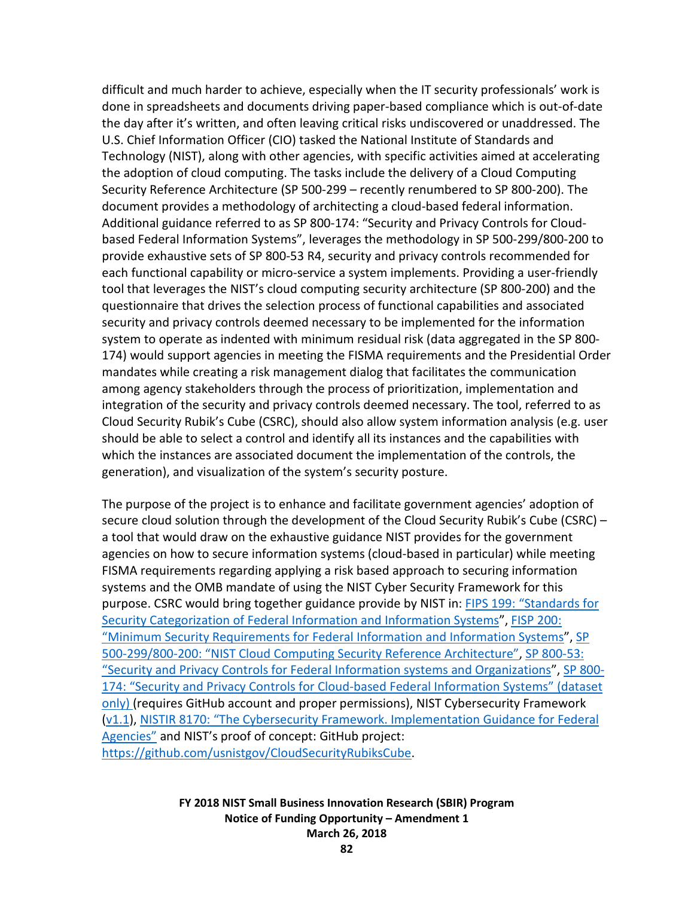difficult and much harder to achieve, especially when the IT security professionals' work is done in spreadsheets and documents driving paper-based compliance which is out-of-date the day after it's written, and often leaving critical risks undiscovered or unaddressed. The U.S. Chief Information Officer (CIO) tasked the National Institute of Standards and Technology (NIST), along with other agencies, with specific activities aimed at accelerating the adoption of cloud computing. The tasks include the delivery of a Cloud Computing Security Reference Architecture (SP 500-299 – recently renumbered to SP 800-200). The document provides a methodology of architecting a cloud-based federal information. Additional guidance referred to as SP 800-174: "Security and Privacy Controls for Cloudbased Federal Information Systems", leverages the methodology in SP 500-299/800-200 to provide exhaustive sets of SP 800-53 R4, security and privacy controls recommended for each functional capability or micro-service a system implements. Providing a user-friendly tool that leverages the NIST's cloud computing security architecture (SP 800-200) and the questionnaire that drives the selection process of functional capabilities and associated security and privacy controls deemed necessary to be implemented for the information system to operate as indented with minimum residual risk (data aggregated in the SP 800- 174) would support agencies in meeting the FISMA requirements and the Presidential Order mandates while creating a risk management dialog that facilitates the communication among agency stakeholders through the process of prioritization, implementation and integration of the security and privacy controls deemed necessary. The tool, referred to as Cloud Security Rubik's Cube (CSRC), should also allow system information analysis (e.g. user should be able to select a control and identify all its instances and the capabilities with which the instances are associated document the implementation of the controls, the generation), and visualization of the system's security posture.

The purpose of the project is to enhance and facilitate government agencies' adoption of secure cloud solution through the development of the Cloud Security Rubik's Cube (CSRC) – a tool that would draw on the exhaustive guidance NIST provides for the government agencies on how to secure information systems (cloud-based in particular) while meeting FISMA requirements regarding applying a risk based approach to securing information systems and the OMB mandate of using the NIST Cyber Security Framework for this purpose. CSRC would bring together guidance provide by NIST in: FIPS 199: "Standards for [Security Categorization of Federal Information and Information Systems"](http://nvlpubs.nist.gov/nistpubs/FIPS/NIST.FIPS.199.pdf), [FISP 200:](http://nvlpubs.nist.gov/nistpubs/FIPS/NIST.FIPS.200.pdf)  ["Minimum Security Requirements for Federal Information and Information Systems"](http://nvlpubs.nist.gov/nistpubs/FIPS/NIST.FIPS.200.pdf), [SP](http://collaborate.nist.gov/twiki-cloud-computing/pub/CloudComputing/CloudSecurity/NIST_Security_Reference_Architecture_2013.05.15_v1.0.pdf)  [500-299/800-200: "NIST Cloud Computing Security Reference Architecture",](http://collaborate.nist.gov/twiki-cloud-computing/pub/CloudComputing/CloudSecurity/NIST_Security_Reference_Architecture_2013.05.15_v1.0.pdf) [SP 800-53:](http://nvlpubs.nist.gov/nistpubs/SpecialPublications/NIST.SP.800-53r4.pdf)  ["Security and Privacy Controls for Federal Information systems and Organizations"](http://nvlpubs.nist.gov/nistpubs/SpecialPublications/NIST.SP.800-53r4.pdf), [SP 800-](https://github.com/usnistgov/CloudSecurityRubiksCube/blob/master/Documents/CC_Overlay-SRA-RubiksCube_2017.08.17.xlsx) [174: "Security and Privacy Controls for Cloud-based Federal Information Systems" \(dataset](https://github.com/usnistgov/CloudSecurityRubiksCube/blob/master/Documents/CC_Overlay-SRA-RubiksCube_2017.08.17.xlsx)  [only\) \(](https://github.com/usnistgov/CloudSecurityRubiksCube/blob/master/Documents/CC_Overlay-SRA-RubiksCube_2017.08.17.xlsx)requires GitHub account and proper permissions), NIST Cybersecurity Framework [\(v1.1\)](https://www.nist.gov/sites/default/files/documents/draft-cybersecurity-framework-v1.11.pdf), [NISTIR 8170: "The Cybersecurity Framework. Implementation Guidance for Federal](https://csrc.nist.gov/CSRC/media/Publications/nistir/8170/draft/documents/nistir8170-draft.pdf)  [Agencies"](https://csrc.nist.gov/CSRC/media/Publications/nistir/8170/draft/documents/nistir8170-draft.pdf) and NIST's proof of concept: GitHub project: [https://github.com/usnistgov/CloudSecurityRubiksCube.](https://github.com/usnistgov/CloudSecurityRubiksCube)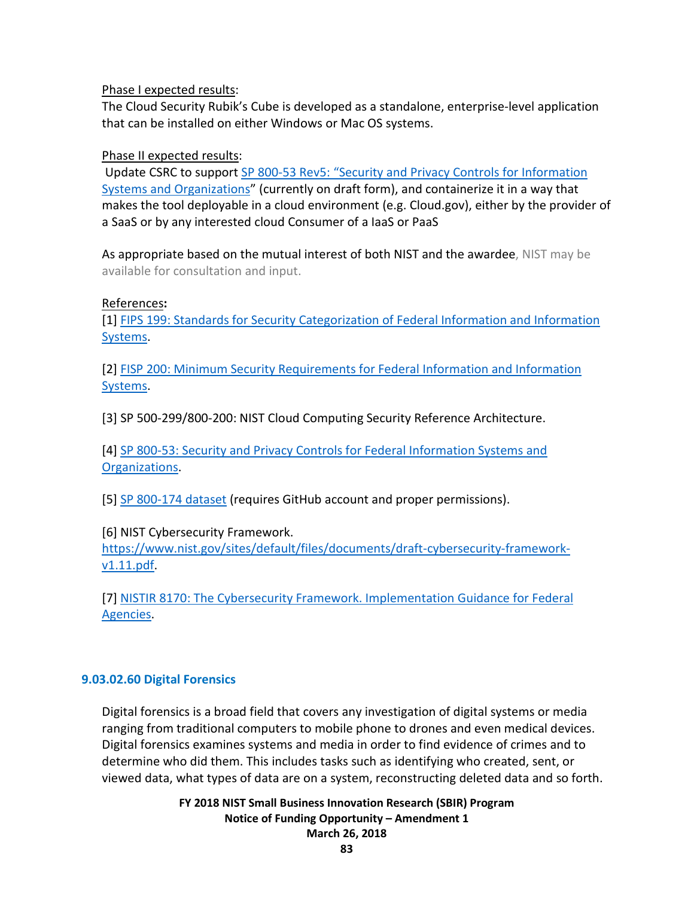### Phase I expected results:

The Cloud Security Rubik's Cube is developed as a standalone, enterprise-level application that can be installed on either Windows or Mac OS systems.

### Phase II expected results:

Update CSRC to support [SP 800-53 Rev5: "Security and Privacy Controls for Information](https://csrc.nist.gov/CSRC/media/Publications/sp/800-53/rev-5/draft/documents/sp800-53r5-draft.pdf)  [Systems and Organizations"](https://csrc.nist.gov/CSRC/media/Publications/sp/800-53/rev-5/draft/documents/sp800-53r5-draft.pdf) (currently on draft form), and containerize it in a way that makes the tool deployable in a cloud environment (e.g. Cloud.gov), either by the provider of a SaaS or by any interested cloud Consumer of a IaaS or PaaS

As appropriate based on the mutual interest of both NIST and the awardee, NIST may be available for consultation and input.

### References**:**

[1] [FIPS 199: Standards for Security Categorization of Federal Information and Information](http://nvlpubs.nist.gov/nistpubs/FIPS/NIST.FIPS.199.pdf)  [Systems.](http://nvlpubs.nist.gov/nistpubs/FIPS/NIST.FIPS.199.pdf)

[2] [FISP 200: Minimum Security Requirements for Federal Information and Information](http://nvlpubs.nist.gov/nistpubs/FIPS/NIST.FIPS.200.pdf)  [Systems.](http://nvlpubs.nist.gov/nistpubs/FIPS/NIST.FIPS.200.pdf)

[3] SP 500-299/800-200: NIST Cloud Computing Security Reference Architecture.

[4] [SP 800-53: Security and Privacy Controls for Federal Information Systems and](http://nvlpubs.nist.gov/nistpubs/SpecialPublications/NIST.SP.800-53r4.pdf)  [Organizations.](http://nvlpubs.nist.gov/nistpubs/SpecialPublications/NIST.SP.800-53r4.pdf)

[5] [SP 800-174 dataset](https://github.com/usnistgov/CloudSecurityRubiksCube/blob/master/Documents/CC_Overlay-SRA-RubiksCube_2017.08.17.xlsx) (requires GitHub account and proper permissions).

[6] NIST Cybersecurity Framework.

[https://www.nist.gov/sites/default/files/documents/draft-cybersecurity-framework](https://www.nist.gov/sites/default/files/documents/draft-cybersecurity-framework-v1.11.pdf)[v1.11.pdf.](https://www.nist.gov/sites/default/files/documents/draft-cybersecurity-framework-v1.11.pdf)

[7] [NISTIR 8170: The Cybersecurity Framework. Implementation Guidance for Federal](https://csrc.nist.gov/CSRC/media/Publications/nistir/8170/draft/documents/nistir8170-draft.pdf)  [Agencies.](https://csrc.nist.gov/CSRC/media/Publications/nistir/8170/draft/documents/nistir8170-draft.pdf)

# **9.03.02.60 Digital Forensics**

Digital forensics is a broad field that covers any investigation of digital systems or media ranging from traditional computers to mobile phone to drones and even medical devices. Digital forensics examines systems and media in order to find evidence of crimes and to determine who did them. This includes tasks such as identifying who created, sent, or viewed data, what types of data are on a system, reconstructing deleted data and so forth.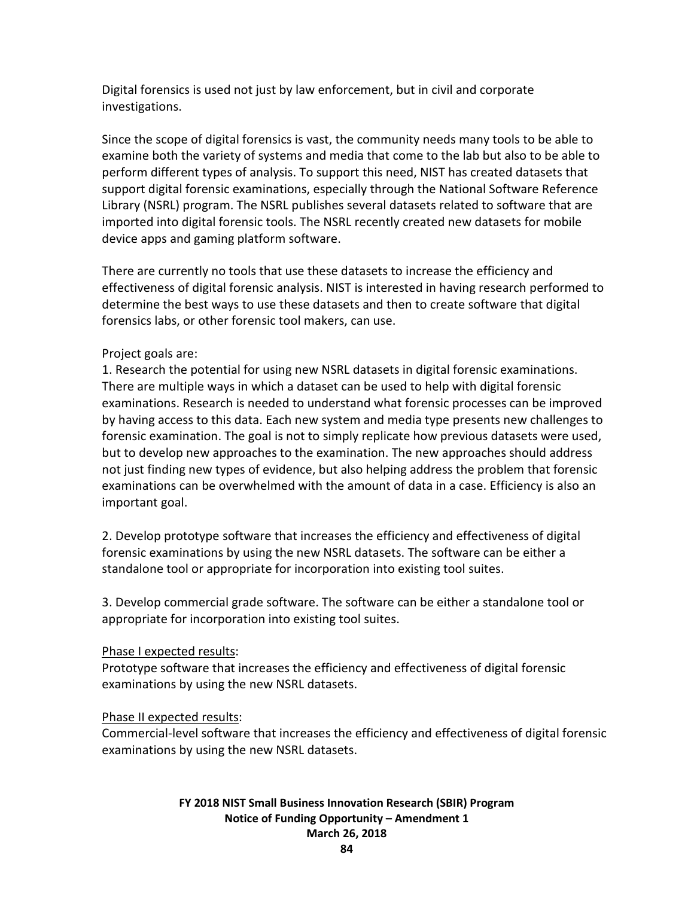Digital forensics is used not just by law enforcement, but in civil and corporate investigations.

Since the scope of digital forensics is vast, the community needs many tools to be able to examine both the variety of systems and media that come to the lab but also to be able to perform different types of analysis. To support this need, NIST has created datasets that support digital forensic examinations, especially through the National Software Reference Library (NSRL) program. The NSRL publishes several datasets related to software that are imported into digital forensic tools. The NSRL recently created new datasets for mobile device apps and gaming platform software.

There are currently no tools that use these datasets to increase the efficiency and effectiveness of digital forensic analysis. NIST is interested in having research performed to determine the best ways to use these datasets and then to create software that digital forensics labs, or other forensic tool makers, can use.

# Project goals are:

1. Research the potential for using new NSRL datasets in digital forensic examinations. There are multiple ways in which a dataset can be used to help with digital forensic examinations. Research is needed to understand what forensic processes can be improved by having access to this data. Each new system and media type presents new challenges to forensic examination. The goal is not to simply replicate how previous datasets were used, but to develop new approaches to the examination. The new approaches should address not just finding new types of evidence, but also helping address the problem that forensic examinations can be overwhelmed with the amount of data in a case. Efficiency is also an important goal.

2. Develop prototype software that increases the efficiency and effectiveness of digital forensic examinations by using the new NSRL datasets. The software can be either a standalone tool or appropriate for incorporation into existing tool suites.

3. Develop commercial grade software. The software can be either a standalone tool or appropriate for incorporation into existing tool suites.

# Phase I expected results:

Prototype software that increases the efficiency and effectiveness of digital forensic examinations by using the new NSRL datasets.

# Phase II expected results:

Commercial-level software that increases the efficiency and effectiveness of digital forensic examinations by using the new NSRL datasets.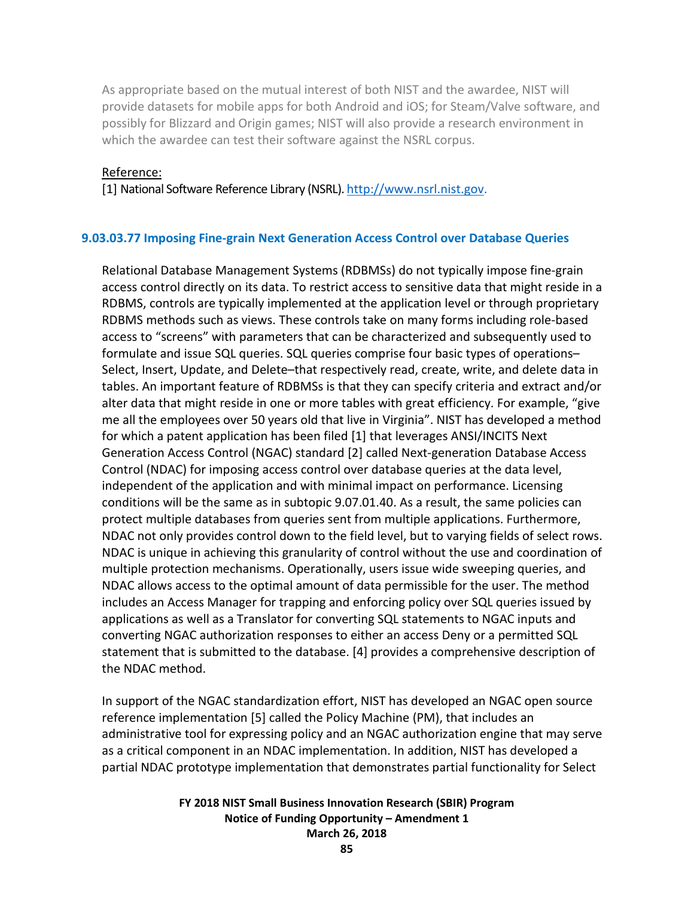As appropriate based on the mutual interest of both NIST and the awardee, NIST will provide datasets for mobile apps for both Android and iOS; for Steam/Valve software, and possibly for Blizzard and Origin games; NIST will also provide a research environment in which the awardee can test their software against the NSRL corpus.

#### Reference:

[1] National Software Reference Library (NSRL)[. http://www.nsrl.nist.gov.](http://www.nsrl.nist.gov/)

#### **9.03.03.77 Imposing Fine-grain Next Generation Access Control over Database Queries**

Relational Database Management Systems (RDBMSs) do not typically impose fine-grain access control directly on its data. To restrict access to sensitive data that might reside in a RDBMS, controls are typically implemented at the application level or through proprietary RDBMS methods such as views. These controls take on many forms including role-based access to "screens" with parameters that can be characterized and subsequently used to formulate and issue SQL queries. SQL queries comprise four basic types of operations– Select, Insert, Update, and Delete–that respectively read, create, write, and delete data in tables. An important feature of RDBMSs is that they can specify criteria and extract and/or alter data that might reside in one or more tables with great efficiency. For example, "give me all the employees over 50 years old that live in Virginia". NIST has developed a method for which a patent application has been filed [1] that leverages ANSI/INCITS Next Generation Access Control (NGAC) standard [2] called Next-generation Database Access Control (NDAC) for imposing access control over database queries at the data level, independent of the application and with minimal impact on performance. Licensing conditions will be the same as in subtopic 9.07.01.40. As a result, the same policies can protect multiple databases from queries sent from multiple applications. Furthermore, NDAC not only provides control down to the field level, but to varying fields of select rows. NDAC is unique in achieving this granularity of control without the use and coordination of multiple protection mechanisms. Operationally, users issue wide sweeping queries, and NDAC allows access to the optimal amount of data permissible for the user. The method includes an Access Manager for trapping and enforcing policy over SQL queries issued by applications as well as a Translator for converting SQL statements to NGAC inputs and converting NGAC authorization responses to either an access Deny or a permitted SQL statement that is submitted to the database. [4] provides a comprehensive description of the NDAC method.

In support of the NGAC standardization effort, NIST has developed an NGAC open source reference implementation [5] called the Policy Machine (PM), that includes an administrative tool for expressing policy and an NGAC authorization engine that may serve as a critical component in an NDAC implementation. In addition, NIST has developed a partial NDAC prototype implementation that demonstrates partial functionality for Select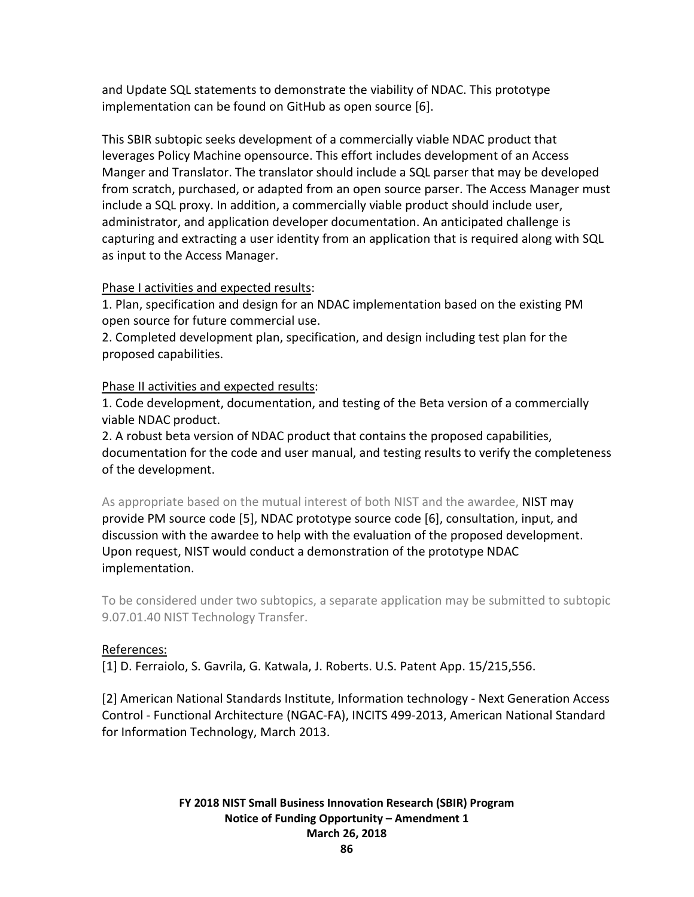and Update SQL statements to demonstrate the viability of NDAC. This prototype implementation can be found on GitHub as open source [6].

This SBIR subtopic seeks development of a commercially viable NDAC product that leverages Policy Machine opensource. This effort includes development of an Access Manger and Translator. The translator should include a SQL parser that may be developed from scratch, purchased, or adapted from an open source parser. The Access Manager must include a SQL proxy. In addition, a commercially viable product should include user, administrator, and application developer documentation. An anticipated challenge is capturing and extracting a user identity from an application that is required along with SQL as input to the Access Manager.

### Phase I activities and expected results:

1. Plan, specification and design for an NDAC implementation based on the existing PM open source for future commercial use.

2. Completed development plan, specification, and design including test plan for the proposed capabilities.

### Phase II activities and expected results:

1. Code development, documentation, and testing of the Beta version of a commercially viable NDAC product.

2. A robust beta version of NDAC product that contains the proposed capabilities, documentation for the code and user manual, and testing results to verify the completeness of the development.

As appropriate based on the mutual interest of both NIST and the awardee, NIST may provide PM source code [5], NDAC prototype source code [6], consultation, input, and discussion with the awardee to help with the evaluation of the proposed development. Upon request, NIST would conduct a demonstration of the prototype NDAC implementation.

To be considered under two subtopics, a separate application may be submitted to subtopic 9.07.01.40 NIST Technology Transfer.

# References:

[1] D. Ferraiolo, S. Gavrila, G. Katwala, J. Roberts. U.S. Patent App. 15/215,556.

[2] American National Standards Institute, Information technology - Next Generation Access Control - Functional Architecture (NGAC-FA), INCITS 499-2013, American National Standard for Information Technology, March 2013.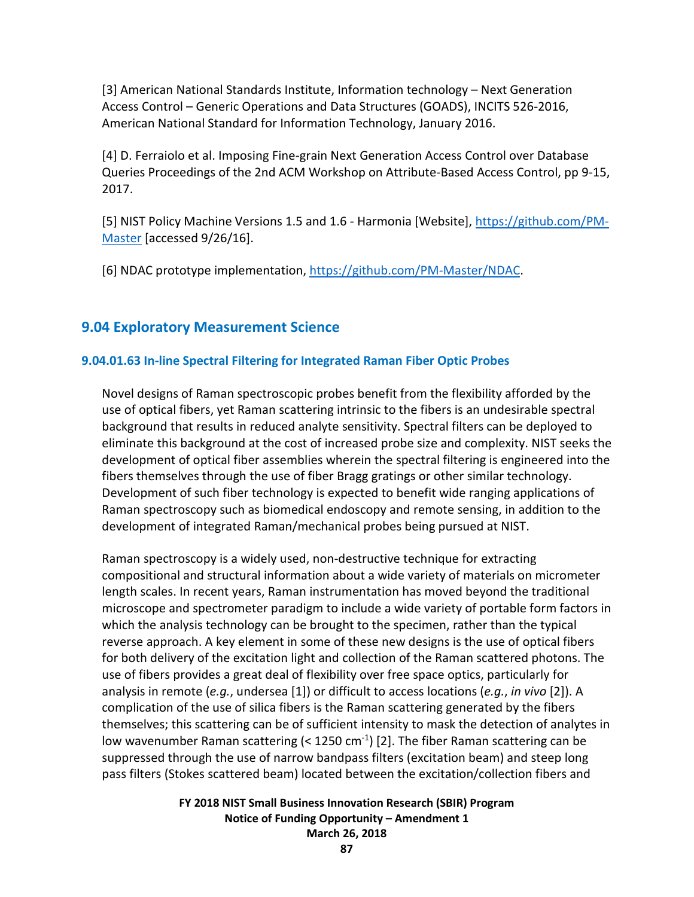[3] American National Standards Institute, Information technology – Next Generation Access Control – Generic Operations and Data Structures (GOADS), INCITS 526-2016, American National Standard for Information Technology, January 2016.

[4] D. Ferraiolo et al. Imposing Fine-grain Next Generation Access Control over Database Queries Proceedings of the 2nd ACM Workshop on Attribute-Based Access Control, pp 9-15, 2017.

[5] NIST Policy Machine Versions 1.5 and 1.6 - Harmonia [Website], [https://github.com/PM-](https://github.com/PM-Master)[Master](https://github.com/PM-Master) [accessed 9/26/16].

[6] NDAC prototype implementation, [https://github.com/PM-Master/NDAC.](https://github.com/PM-Master/NDAC)

# **9.04 Exploratory Measurement Science**

# **9.04.01.63 In-line Spectral Filtering for Integrated Raman Fiber Optic Probes**

Novel designs of Raman spectroscopic probes benefit from the flexibility afforded by the use of optical fibers, yet Raman scattering intrinsic to the fibers is an undesirable spectral background that results in reduced analyte sensitivity. Spectral filters can be deployed to eliminate this background at the cost of increased probe size and complexity. NIST seeks the development of optical fiber assemblies wherein the spectral filtering is engineered into the fibers themselves through the use of fiber Bragg gratings or other similar technology. Development of such fiber technology is expected to benefit wide ranging applications of Raman spectroscopy such as biomedical endoscopy and remote sensing, in addition to the development of integrated Raman/mechanical probes being pursued at NIST.

Raman spectroscopy is a widely used, non-destructive technique for extracting compositional and structural information about a wide variety of materials on micrometer length scales. In recent years, Raman instrumentation has moved beyond the traditional microscope and spectrometer paradigm to include a wide variety of portable form factors in which the analysis technology can be brought to the specimen, rather than the typical reverse approach. A key element in some of these new designs is the use of optical fibers for both delivery of the excitation light and collection of the Raman scattered photons. The use of fibers provides a great deal of flexibility over free space optics, particularly for analysis in remote (*e.g.*, undersea [1]) or difficult to access locations (*e.g.*, *in vivo* [2]). A complication of the use of silica fibers is the Raman scattering generated by the fibers themselves; this scattering can be of sufficient intensity to mask the detection of analytes in low wavenumber Raman scattering  $(< 1250 \text{ cm}^{-1})$  [2]. The fiber Raman scattering can be suppressed through the use of narrow bandpass filters (excitation beam) and steep long pass filters (Stokes scattered beam) located between the excitation/collection fibers and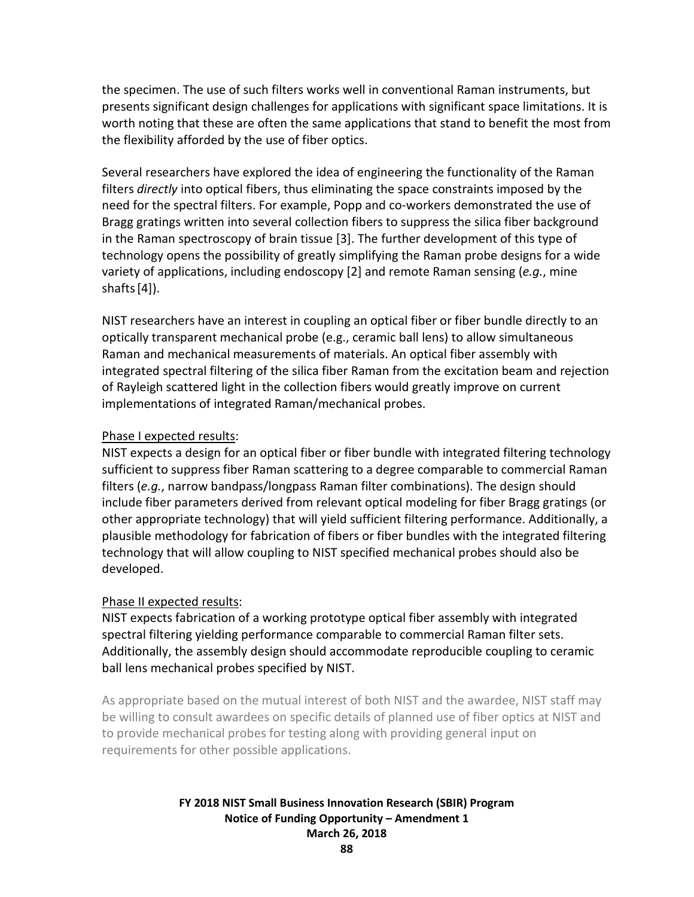the specimen. The use of such filters works well in conventional Raman instruments, but presents significant design challenges for applications with significant space limitations. It is worth noting that these are often the same applications that stand to benefit the most from the flexibility afforded by the use of fiber optics.

Several researchers have explored the idea of engineering the functionality of the Raman filters *directly* into optical fibers, thus eliminating the space constraints imposed by the need for the spectral filters. For example, Popp and co-workers demonstrated the use of Bragg gratings written into several collection fibers to suppress the silica fiber background in the Raman spectroscopy of brain tissue [3]. The further development of this type of technology opens the possibility of greatly simplifying the Raman probe designs for a wide variety of applications, including endoscopy [2] and remote Raman sensing (*e.g.*, mine shafts $[4]$ ).

NIST researchers have an interest in coupling an optical fiber or fiber bundle directly to an optically transparent mechanical probe (e.g., ceramic ball lens) to allow simultaneous Raman and mechanical measurements of materials. An optical fiber assembly with integrated spectral filtering of the silica fiber Raman from the excitation beam and rejection of Rayleigh scattered light in the collection fibers would greatly improve on current implementations of integrated Raman/mechanical probes.

#### Phase I expected results:

NIST expects a design for an optical fiber or fiber bundle with integrated filtering technology sufficient to suppress fiber Raman scattering to a degree comparable to commercial Raman filters (*e.g.*, narrow bandpass/longpass Raman filter combinations). The design should include fiber parameters derived from relevant optical modeling for fiber Bragg gratings (or other appropriate technology) that will yield sufficient filtering performance. Additionally, a plausible methodology for fabrication of fibers or fiber bundles with the integrated filtering technology that will allow coupling to NIST specified mechanical probes should also be developed.

# Phase II expected results:

NIST expects fabrication of a working prototype optical fiber assembly with integrated spectral filtering yielding performance comparable to commercial Raman filter sets. Additionally, the assembly design should accommodate reproducible coupling to ceramic ball lens mechanical probes specified by NIST.

As appropriate based on the mutual interest of both NIST and the awardee, NIST staff may be willing to consult awardees on specific details of planned use of fiber optics at NIST and to provide mechanical probes for testing along with providing general input on requirements for other possible applications.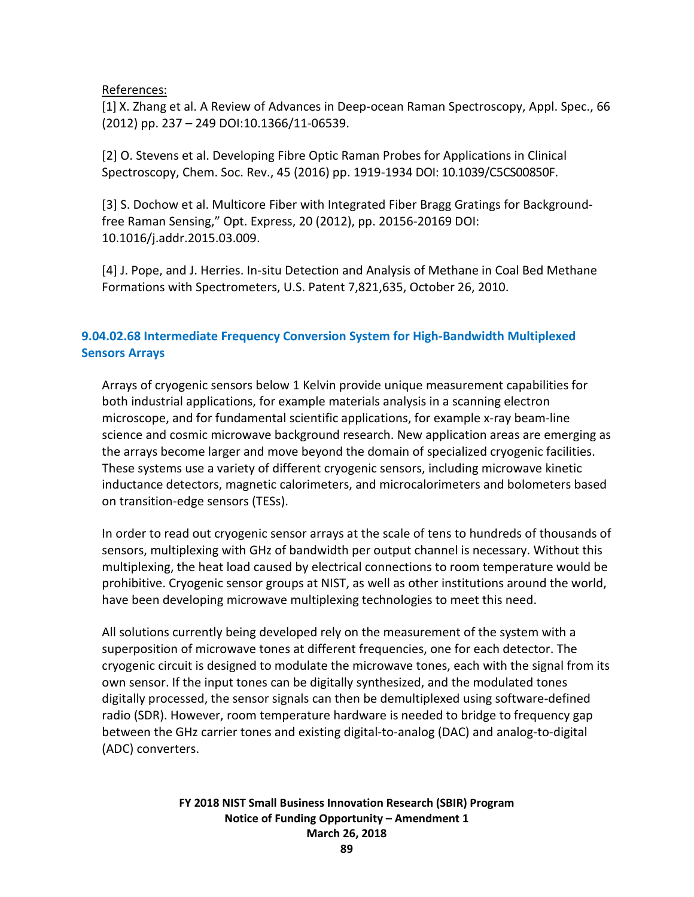#### References:

[1] X. Zhang et al. A Review of Advances in Deep-ocean Raman Spectroscopy, Appl. Spec., 66 (2012) pp. 237 – 249 DOI:10.1366/11-06539.

[2] O. Stevens et al. Developing Fibre Optic Raman Probes for Applications in Clinical Spectroscopy, Chem. Soc. Rev., 45 (2016) pp. 1919-1934 DOI: 10.1039/C5CS00850F.

[3] S. Dochow et al. Multicore Fiber with Integrated Fiber Bragg Gratings for Backgroundfree Raman Sensing," Opt. Express, 20 (2012), pp. 20156-20169 DOI: 10.1016/j.addr.2015.03.009.

[4] J. Pope, and J. Herries. In-situ Detection and Analysis of Methane in Coal Bed Methane Formations with Spectrometers, U.S. Patent 7,821,635, October 26, 2010.

# **9.04.02.68 Intermediate Frequency Conversion System for High-Bandwidth Multiplexed Sensors Arrays**

Arrays of cryogenic sensors below 1 Kelvin provide unique measurement capabilities for both industrial applications, for example materials analysis in a scanning electron microscope, and for fundamental scientific applications, for example x-ray beam-line science and cosmic microwave background research. New application areas are emerging as the arrays become larger and move beyond the domain of specialized cryogenic facilities. These systems use a variety of different cryogenic sensors, including microwave kinetic inductance detectors, magnetic calorimeters, and microcalorimeters and bolometers based on transition-edge sensors (TESs).

In order to read out cryogenic sensor arrays at the scale of tens to hundreds of thousands of sensors, multiplexing with GHz of bandwidth per output channel is necessary. Without this multiplexing, the heat load caused by electrical connections to room temperature would be prohibitive. Cryogenic sensor groups at NIST, as well as other institutions around the world, have been developing microwave multiplexing technologies to meet this need.

All solutions currently being developed rely on the measurement of the system with a superposition of microwave tones at different frequencies, one for each detector. The cryogenic circuit is designed to modulate the microwave tones, each with the signal from its own sensor. If the input tones can be digitally synthesized, and the modulated tones digitally processed, the sensor signals can then be demultiplexed using software-defined radio (SDR). However, room temperature hardware is needed to bridge to frequency gap between the GHz carrier tones and existing digital-to-analog (DAC) and analog-to-digital (ADC) converters.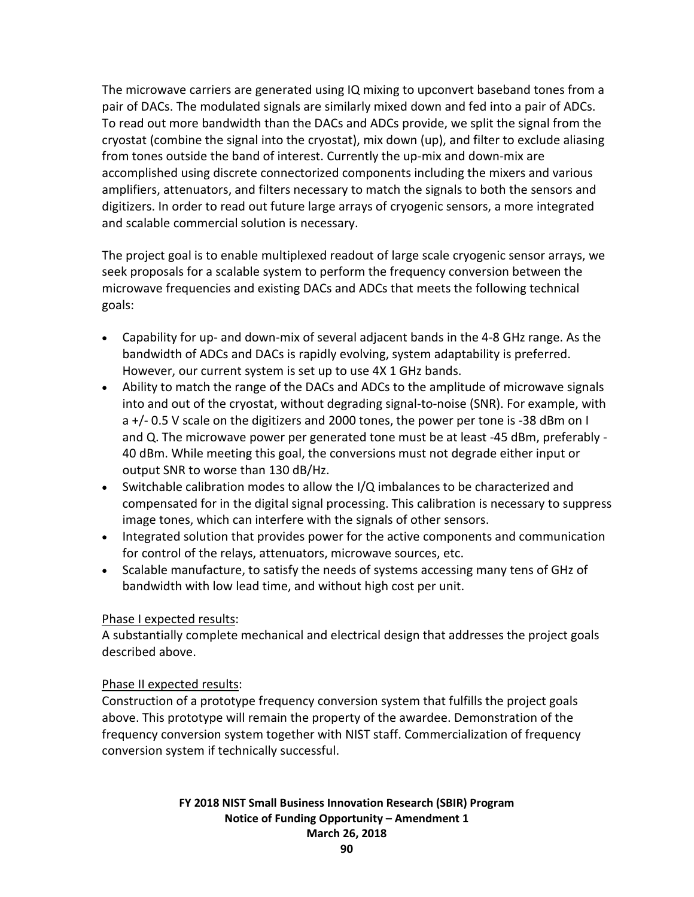The microwave carriers are generated using IQ mixing to upconvert baseband tones from a pair of DACs. The modulated signals are similarly mixed down and fed into a pair of ADCs. To read out more bandwidth than the DACs and ADCs provide, we split the signal from the cryostat (combine the signal into the cryostat), mix down (up), and filter to exclude aliasing from tones outside the band of interest. Currently the up-mix and down-mix are accomplished using discrete connectorized components including the mixers and various amplifiers, attenuators, and filters necessary to match the signals to both the sensors and digitizers. In order to read out future large arrays of cryogenic sensors, a more integrated and scalable commercial solution is necessary.

The project goal is to enable multiplexed readout of large scale cryogenic sensor arrays, we seek proposals for a scalable system to perform the frequency conversion between the microwave frequencies and existing DACs and ADCs that meets the following technical goals:

- Capability for up- and down-mix of several adjacent bands in the 4-8 GHz range. As the bandwidth of ADCs and DACs is rapidly evolving, system adaptability is preferred. However, our current system is set up to use 4X 1 GHz bands.
- Ability to match the range of the DACs and ADCs to the amplitude of microwave signals into and out of the cryostat, without degrading signal-to-noise (SNR). For example, with a +/- 0.5 V scale on the digitizers and 2000 tones, the power per tone is -38 dBm on I and Q. The microwave power per generated tone must be at least -45 dBm, preferably - 40 dBm. While meeting this goal, the conversions must not degrade either input or output SNR to worse than 130 dB/Hz.
- Switchable calibration modes to allow the I/Q imbalances to be characterized and compensated for in the digital signal processing. This calibration is necessary to suppress image tones, which can interfere with the signals of other sensors.
- Integrated solution that provides power for the active components and communication for control of the relays, attenuators, microwave sources, etc.
- Scalable manufacture, to satisfy the needs of systems accessing many tens of GHz of bandwidth with low lead time, and without high cost per unit.

# Phase I expected results:

A substantially complete mechanical and electrical design that addresses the project goals described above.

# Phase II expected results:

Construction of a prototype frequency conversion system that fulfills the project goals above. This prototype will remain the property of the awardee. Demonstration of the frequency conversion system together with NIST staff. Commercialization of frequency conversion system if technically successful.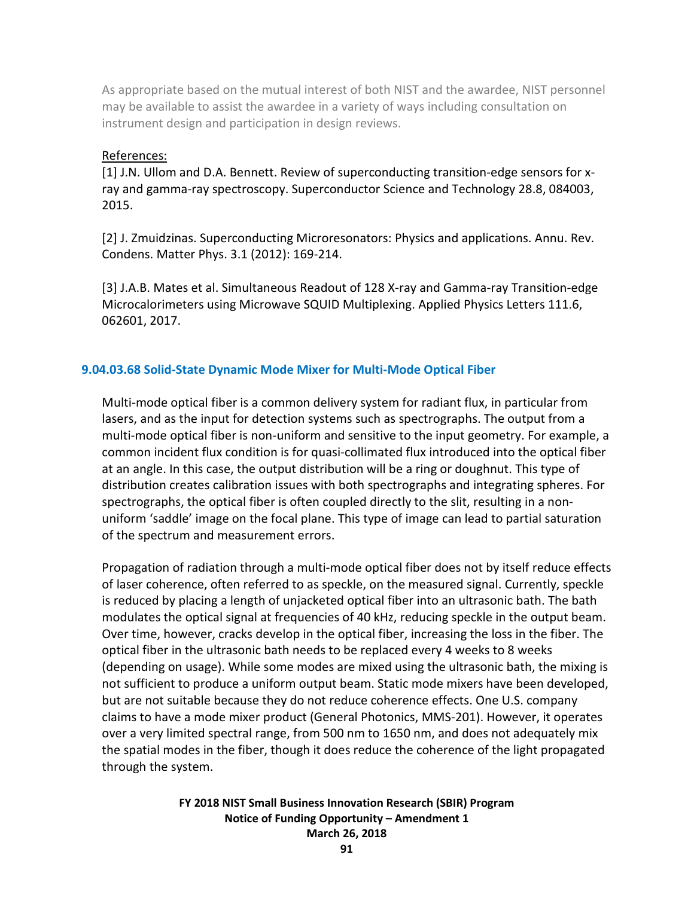As appropriate based on the mutual interest of both NIST and the awardee, NIST personnel may be available to assist the awardee in a variety of ways including consultation on instrument design and participation in design reviews.

#### References:

[1] J.N. Ullom and D.A. Bennett. Review of superconducting transition-edge sensors for xray and gamma-ray spectroscopy. Superconductor Science and Technology 28.8, 084003, 2015.

[2] J. Zmuidzinas. Superconducting Microresonators: Physics and applications. Annu. Rev. Condens. Matter Phys. 3.1 (2012): 169-214.

[3] J.A.B. Mates et al. Simultaneous Readout of 128 X-ray and Gamma-ray Transition-edge Microcalorimeters using Microwave SQUID Multiplexing. Applied Physics Letters 111.6, 062601, 2017.

### **9.04.03.68 Solid-State Dynamic Mode Mixer for Multi-Mode Optical Fiber**

Multi-mode optical fiber is a common delivery system for radiant flux, in particular from lasers, and as the input for detection systems such as spectrographs. The output from a multi-mode optical fiber is non-uniform and sensitive to the input geometry. For example, a common incident flux condition is for quasi-collimated flux introduced into the optical fiber at an angle. In this case, the output distribution will be a ring or doughnut. This type of distribution creates calibration issues with both spectrographs and integrating spheres. For spectrographs, the optical fiber is often coupled directly to the slit, resulting in a nonuniform 'saddle' image on the focal plane. This type of image can lead to partial saturation of the spectrum and measurement errors.

Propagation of radiation through a multi-mode optical fiber does not by itself reduce effects of laser coherence, often referred to as speckle, on the measured signal. Currently, speckle is reduced by placing a length of unjacketed optical fiber into an ultrasonic bath. The bath modulates the optical signal at frequencies of 40 kHz, reducing speckle in the output beam. Over time, however, cracks develop in the optical fiber, increasing the loss in the fiber. The optical fiber in the ultrasonic bath needs to be replaced every 4 weeks to 8 weeks (depending on usage). While some modes are mixed using the ultrasonic bath, the mixing is not sufficient to produce a uniform output beam. Static mode mixers have been developed, but are not suitable because they do not reduce coherence effects. One U.S. company claims to have a mode mixer product (General Photonics, MMS-201). However, it operates over a very limited spectral range, from 500 nm to 1650 nm, and does not adequately mix the spatial modes in the fiber, though it does reduce the coherence of the light propagated through the system.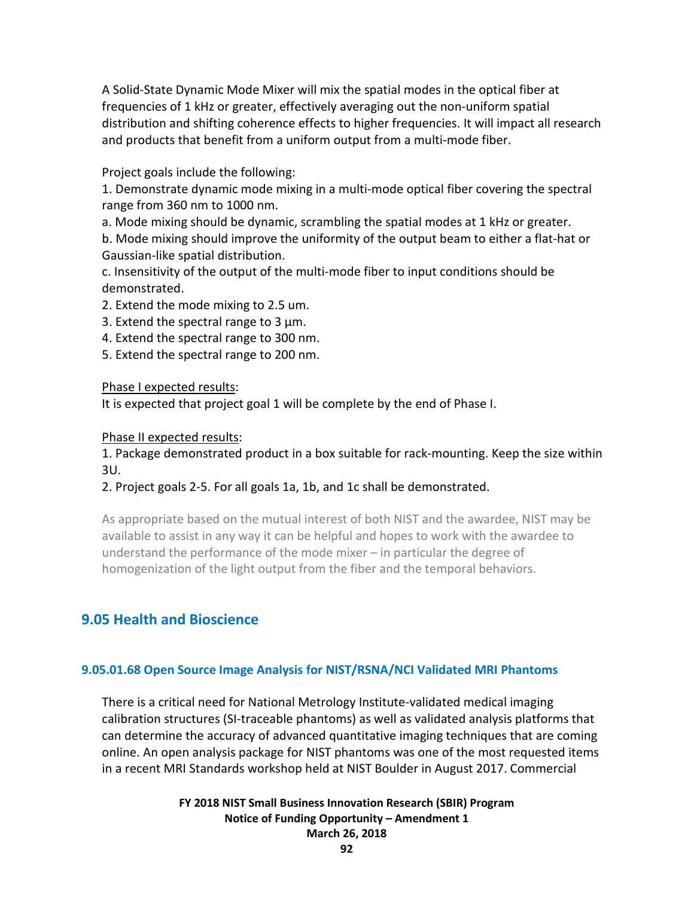A Solid-State Dynamic Mode Mixer will mix the spatial modes in the optical fiber at frequencies of 1 kHz or greater, effectively averaging out the non-uniform spatial distribution and shifting coherence effects to higher frequencies. It will impact all research and products that benefit from a uniform output from a multi-mode fiber.

Project goals include the following:

1. Demonstrate dynamic mode mixing in a multi-mode optical fiber covering the spectral range from 360 nm to 1000 nm.

a. Mode mixing should be dynamic, scrambling the spatial modes at 1 kHz or greater.

b. Mode mixing should improve the uniformity of the output beam to either a flat-hat or Gaussian-like spatial distribution.

c. Insensitivity of the output of the multi-mode fiber to input conditions should be demonstrated.

2. Extend the mode mixing to 2.5 um.

3. Extend the spectral range to 3 µm.

4. Extend the spectral range to 300 nm.

5. Extend the spectral range to 200 nm.

Phase I expected results:

It is expected that project goal 1 will be complete by the end of Phase I.

Phase II expected results:

1. Package demonstrated product in a box suitable for rack-mounting. Keep the size within 3U.

2. Project goals 2-5. For all goals 1a, 1b, and 1c shall be demonstrated.

As appropriate based on the mutual interest of both NIST and the awardee, NIST may be available to assist in any way it can be helpful and hopes to work with the awardee to understand the performance of the mode mixer – in particular the degree of homogenization of the light output from the fiber and the temporal behaviors.

# **9.05 Health and Bioscience**

#### **9.05.01.68 Open Source Image Analysis for NIST/RSNA/NCI Validated MRI Phantoms**

There is a critical need for National Metrology Institute-validated medical imaging calibration structures (SI-traceable phantoms) as well as validated analysis platforms that can determine the accuracy of advanced quantitative imaging techniques that are coming online. An open analysis package for NIST phantoms was one of the most requested items in a recent MRI Standards workshop held at NIST Boulder in August 2017. Commercial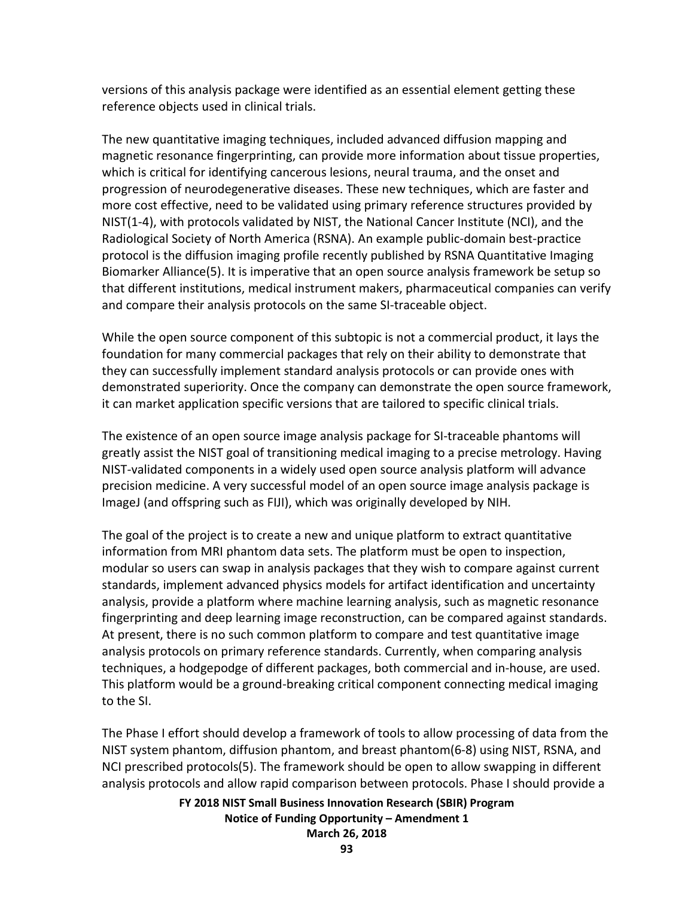versions of this analysis package were identified as an essential element getting these reference objects used in clinical trials.

The new quantitative imaging techniques, included advanced diffusion mapping and magnetic resonance fingerprinting, can provide more information about tissue properties, which is critical for identifying cancerous lesions, neural trauma, and the onset and progression of neurodegenerative diseases. These new techniques, which are faster and more cost effective, need to be validated using primary reference structures provided by NIST(1-4), with protocols validated by NIST, the National Cancer Institute (NCI), and the Radiological Society of North America (RSNA). An example public-domain best-practice protocol is the diffusion imaging profile recently published by RSNA Quantitative Imaging Biomarker Alliance(5). It is imperative that an open source analysis framework be setup so that different institutions, medical instrument makers, pharmaceutical companies can verify and compare their analysis protocols on the same SI-traceable object.

While the open source component of this subtopic is not a commercial product, it lays the foundation for many commercial packages that rely on their ability to demonstrate that they can successfully implement standard analysis protocols or can provide ones with demonstrated superiority. Once the company can demonstrate the open source framework, it can market application specific versions that are tailored to specific clinical trials.

The existence of an open source image analysis package for SI-traceable phantoms will greatly assist the NIST goal of transitioning medical imaging to a precise metrology. Having NIST-validated components in a widely used open source analysis platform will advance precision medicine. A very successful model of an open source image analysis package is ImageJ (and offspring such as FIJI), which was originally developed by NIH.

The goal of the project is to create a new and unique platform to extract quantitative information from MRI phantom data sets. The platform must be open to inspection, modular so users can swap in analysis packages that they wish to compare against current standards, implement advanced physics models for artifact identification and uncertainty analysis, provide a platform where machine learning analysis, such as magnetic resonance fingerprinting and deep learning image reconstruction, can be compared against standards. At present, there is no such common platform to compare and test quantitative image analysis protocols on primary reference standards. Currently, when comparing analysis techniques, a hodgepodge of different packages, both commercial and in-house, are used. This platform would be a ground-breaking critical component connecting medical imaging to the SI.

The Phase I effort should develop a framework of tools to allow processing of data from the NIST system phantom, diffusion phantom, and breast phantom(6-8) using NIST, RSNA, and NCI prescribed protocols(5). The framework should be open to allow swapping in different analysis protocols and allow rapid comparison between protocols. Phase I should provide a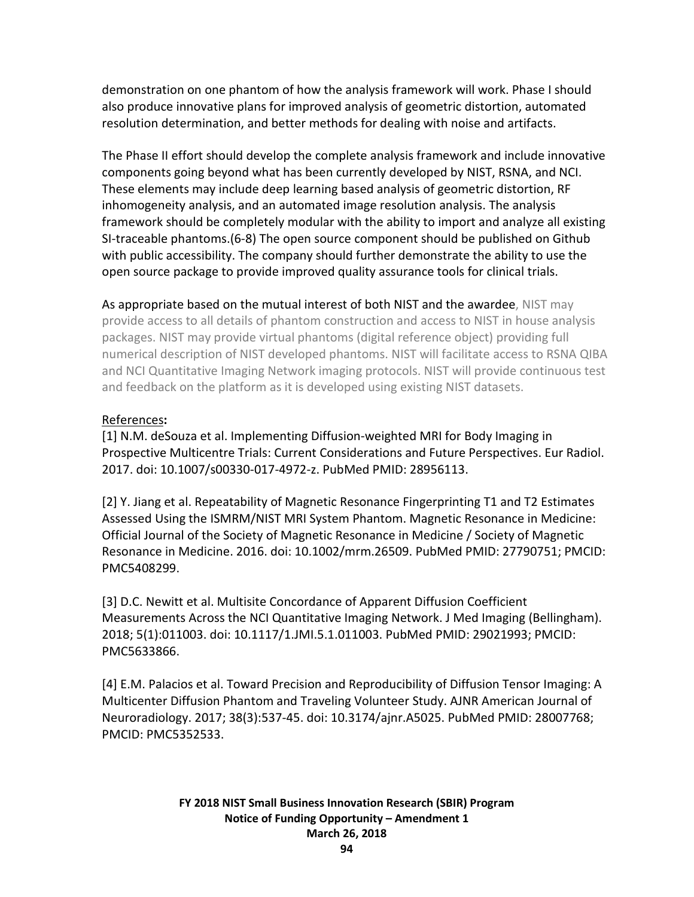demonstration on one phantom of how the analysis framework will work. Phase I should also produce innovative plans for improved analysis of geometric distortion, automated resolution determination, and better methods for dealing with noise and artifacts.

The Phase II effort should develop the complete analysis framework and include innovative components going beyond what has been currently developed by NIST, RSNA, and NCI. These elements may include deep learning based analysis of geometric distortion, RF inhomogeneity analysis, and an automated image resolution analysis. The analysis framework should be completely modular with the ability to import and analyze all existing SI-traceable phantoms.(6-8) The open source component should be published on Github with public accessibility. The company should further demonstrate the ability to use the open source package to provide improved quality assurance tools for clinical trials.

As appropriate based on the mutual interest of both NIST and the awardee, NIST may provide access to all details of phantom construction and access to NIST in house analysis packages. NIST may provide virtual phantoms (digital reference object) providing full numerical description of NIST developed phantoms. NIST will facilitate access to RSNA QIBA and NCI Quantitative Imaging Network imaging protocols. NIST will provide continuous test and feedback on the platform as it is developed using existing NIST datasets.

# References**:**

[1] N.M. deSouza et al. Implementing Diffusion-weighted MRI for Body Imaging in Prospective Multicentre Trials: Current Considerations and Future Perspectives. Eur Radiol. 2017. doi: 10.1007/s00330-017-4972-z. PubMed PMID: 28956113.

[2] Y. Jiang et al. Repeatability of Magnetic Resonance Fingerprinting T1 and T2 Estimates Assessed Using the ISMRM/NIST MRI System Phantom. Magnetic Resonance in Medicine: Official Journal of the Society of Magnetic Resonance in Medicine / Society of Magnetic Resonance in Medicine. 2016. doi: 10.1002/mrm.26509. PubMed PMID: 27790751; PMCID: PMC5408299.

[3] D.C. Newitt et al. Multisite Concordance of Apparent Diffusion Coefficient Measurements Across the NCI Quantitative Imaging Network. J Med Imaging (Bellingham). 2018; 5(1):011003. doi: 10.1117/1.JMI.5.1.011003. PubMed PMID: 29021993; PMCID: PMC5633866.

[4] E.M. Palacios et al. Toward Precision and Reproducibility of Diffusion Tensor Imaging: A Multicenter Diffusion Phantom and Traveling Volunteer Study. AJNR American Journal of Neuroradiology. 2017; 38(3):537-45. doi: 10.3174/ajnr.A5025. PubMed PMID: 28007768; PMCID: PMC5352533.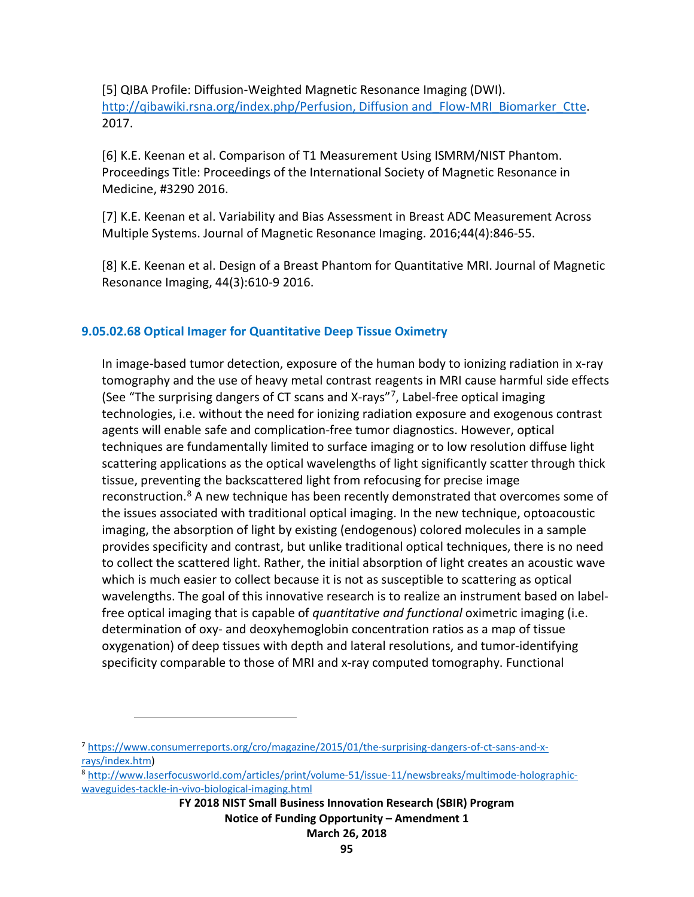[5] QIBA Profile: Diffusion-Weighted Magnetic Resonance Imaging (DWI). http://qibawiki.rsna.org/index.php/Perfusion, Diffusion and Flow-MRI Biomarker Ctte. 2017.

[6] K.E. Keenan et al. Comparison of T1 Measurement Using ISMRM/NIST Phantom. Proceedings Title: Proceedings of the International Society of Magnetic Resonance in Medicine, #3290 2016.

[7] K.E. Keenan et al. Variability and Bias Assessment in Breast ADC Measurement Across Multiple Systems. Journal of Magnetic Resonance Imaging. 2016;44(4):846-55.

[8] K.E. Keenan et al. Design of a Breast Phantom for Quantitative MRI. Journal of Magnetic Resonance Imaging, 44(3):610-9 2016.

# **9.05.02.68 Optical Imager for Quantitative Deep Tissue Oximetry**

In image-based tumor detection, exposure of the human body to ionizing radiation in x-ray tomography and the use of heavy metal contrast reagents in MRI cause harmful side effects (See "The surprising dangers of CT scans and X-rays"[7](#page-94-0), Label-free optical imaging technologies, i.e. without the need for ionizing radiation exposure and exogenous contrast agents will enable safe and complication-free tumor diagnostics. However, optical techniques are fundamentally limited to surface imaging or to low resolution diffuse light scattering applications as the optical wavelengths of light significantly scatter through thick tissue, preventing the backscattered light from refocusing for precise image reconstruction.<sup>[8](#page-94-1)</sup> A new technique has been recently demonstrated that overcomes some of the issues associated with traditional optical imaging. In the new technique, optoacoustic imaging, the absorption of light by existing (endogenous) colored molecules in a sample provides specificity and contrast, but unlike traditional optical techniques, there is no need to collect the scattered light. Rather, the initial absorption of light creates an acoustic wave which is much easier to collect because it is not as susceptible to scattering as optical wavelengths. The goal of this innovative research is to realize an instrument based on labelfree optical imaging that is capable of *quantitative and functional* oximetric imaging (i.e. determination of oxy- and deoxyhemoglobin concentration ratios as a map of tissue oxygenation) of deep tissues with depth and lateral resolutions, and tumor-identifying specificity comparable to those of MRI and x-ray computed tomography. Functional

 $\overline{a}$ 

<span id="page-94-0"></span><sup>7</sup> [https://www.consumerreports.org/cro/magazine/2015/01/the-surprising-dangers-of-ct-sans-and-x](https://www.consumerreports.org/cro/magazine/2015/01/the-surprising-dangers-of-ct-sans-and-x-rays/index.htm)[rays/index.htm\)](https://www.consumerreports.org/cro/magazine/2015/01/the-surprising-dangers-of-ct-sans-and-x-rays/index.htm)

<span id="page-94-1"></span><sup>8</sup> [http://www.laserfocusworld.com/articles/print/volume-51/issue-11/newsbreaks/multimode-holographic](http://www.laserfocusworld.com/articles/print/volume-51/issue-11/newsbreaks/multimode-holographic-waveguides-tackle-in-vivo-biological-imaging.html)[waveguides-tackle-in-vivo-biological-imaging.html](http://www.laserfocusworld.com/articles/print/volume-51/issue-11/newsbreaks/multimode-holographic-waveguides-tackle-in-vivo-biological-imaging.html)

**FY 2018 NIST Small Business Innovation Research (SBIR) Program Notice of Funding Opportunity – Amendment 1 March 26, 2018**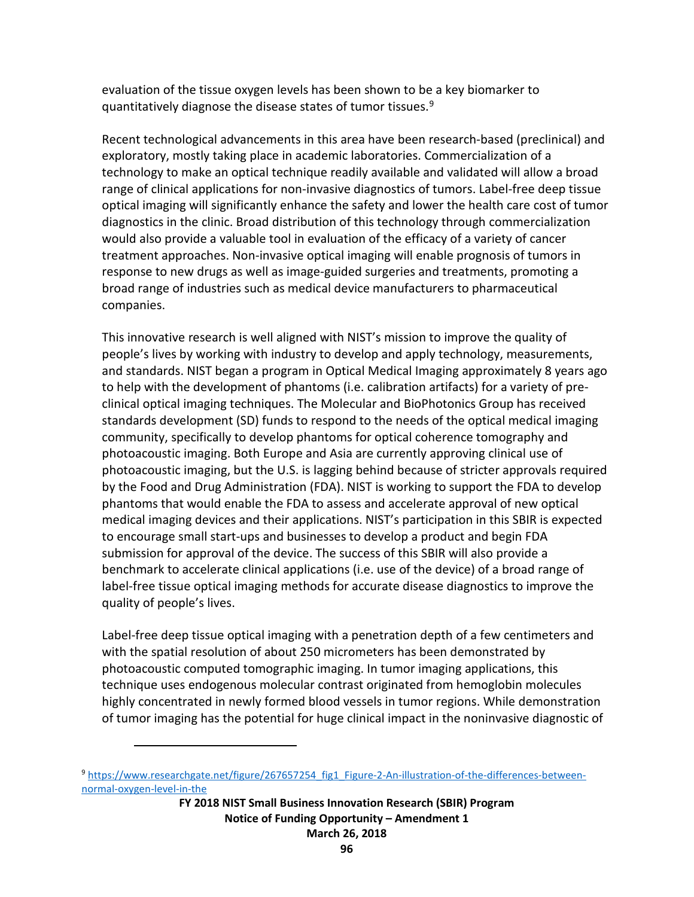evaluation of the tissue oxygen levels has been shown to be a key biomarker to quantitatively diagnose the disease states of tumor tissues.<sup>[9](#page-95-0)</sup>

Recent technological advancements in this area have been research-based (preclinical) and exploratory, mostly taking place in academic laboratories. Commercialization of a technology to make an optical technique readily available and validated will allow a broad range of clinical applications for non-invasive diagnostics of tumors. Label-free deep tissue optical imaging will significantly enhance the safety and lower the health care cost of tumor diagnostics in the clinic. Broad distribution of this technology through commercialization would also provide a valuable tool in evaluation of the efficacy of a variety of cancer treatment approaches. Non-invasive optical imaging will enable prognosis of tumors in response to new drugs as well as image-guided surgeries and treatments, promoting a broad range of industries such as medical device manufacturers to pharmaceutical companies.

This innovative research is well aligned with NIST's mission to improve the quality of people's lives by working with industry to develop and apply technology, measurements, and standards. NIST began a program in Optical Medical Imaging approximately 8 years ago to help with the development of phantoms (i.e. calibration artifacts) for a variety of preclinical optical imaging techniques. The Molecular and BioPhotonics Group has received standards development (SD) funds to respond to the needs of the optical medical imaging community, specifically to develop phantoms for optical coherence tomography and photoacoustic imaging. Both Europe and Asia are currently approving clinical use of photoacoustic imaging, but the U.S. is lagging behind because of stricter approvals required by the Food and Drug Administration (FDA). NIST is working to support the FDA to develop phantoms that would enable the FDA to assess and accelerate approval of new optical medical imaging devices and their applications. NIST's participation in this SBIR is expected to encourage small start-ups and businesses to develop a product and begin FDA submission for approval of the device. The success of this SBIR will also provide a benchmark to accelerate clinical applications (i.e. use of the device) of a broad range of label-free tissue optical imaging methods for accurate disease diagnostics to improve the quality of people's lives.

Label-free deep tissue optical imaging with a penetration depth of a few centimeters and with the spatial resolution of about 250 micrometers has been demonstrated by photoacoustic computed tomographic imaging. In tumor imaging applications, this technique uses endogenous molecular contrast originated from hemoglobin molecules highly concentrated in newly formed blood vessels in tumor regions. While demonstration of tumor imaging has the potential for huge clinical impact in the noninvasive diagnostic of

 $\overline{a}$ 

<span id="page-95-0"></span><sup>9</sup> [https://www.researchgate.net/figure/267657254\\_fig1\\_Figure-2-An-illustration-of-the-differences-between](https://www.researchgate.net/figure/267657254_fig1_Figure-2-An-illustration-of-the-differences-between-normal-oxygen-level-in-the)[normal-oxygen-level-in-the](https://www.researchgate.net/figure/267657254_fig1_Figure-2-An-illustration-of-the-differences-between-normal-oxygen-level-in-the)

**FY 2018 NIST Small Business Innovation Research (SBIR) Program Notice of Funding Opportunity – Amendment 1 March 26, 2018**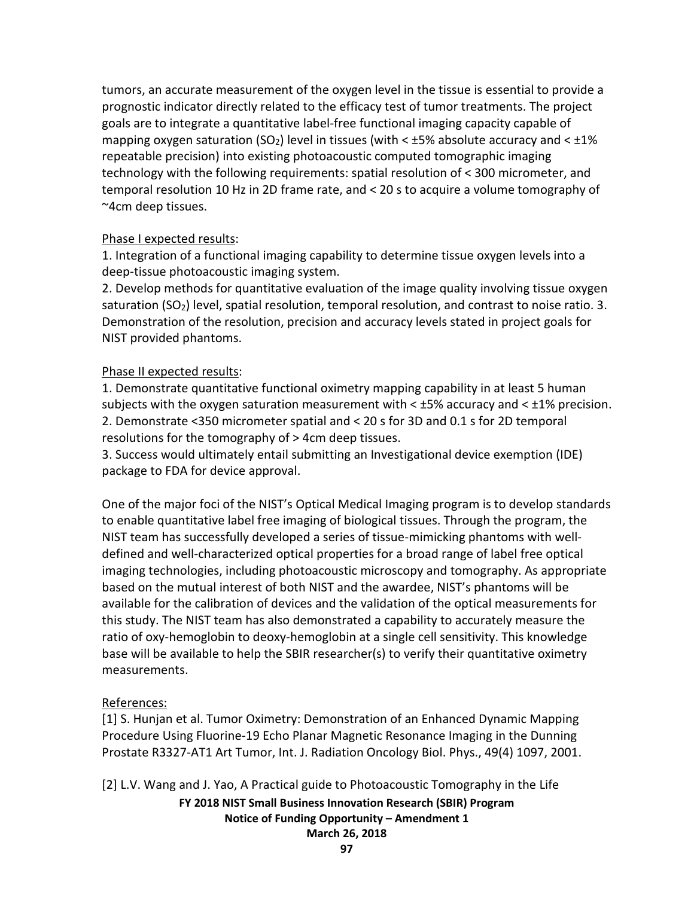tumors, an accurate measurement of the oxygen level in the tissue is essential to provide a prognostic indicator directly related to the efficacy test of tumor treatments. The project goals are to integrate a quantitative label-free functional imaging capacity capable of mapping oxygen saturation (SO<sub>2</sub>) level in tissues (with  $\lt$  ±5% absolute accuracy and  $\lt$  ±1% repeatable precision) into existing photoacoustic computed tomographic imaging technology with the following requirements: spatial resolution of < 300 micrometer, and temporal resolution 10 Hz in 2D frame rate, and < 20 s to acquire a volume tomography of ~4cm deep tissues.

# Phase I expected results:

1. Integration of a functional imaging capability to determine tissue oxygen levels into a deep-tissue photoacoustic imaging system.

2. Develop methods for quantitative evaluation of the image quality involving tissue oxygen saturation (SO<sub>2</sub>) level, spatial resolution, temporal resolution, and contrast to noise ratio. 3. Demonstration of the resolution, precision and accuracy levels stated in project goals for NIST provided phantoms.

# Phase II expected results:

1. Demonstrate quantitative functional oximetry mapping capability in at least 5 human subjects with the oxygen saturation measurement with  $\lt$  ±5% accuracy and  $\lt$  ±1% precision. 2. Demonstrate <350 micrometer spatial and < 20 s for 3D and 0.1 s for 2D temporal resolutions for the tomography of > 4cm deep tissues.

3. Success would ultimately entail submitting an Investigational device exemption (IDE) package to FDA for device approval.

One of the major foci of the NIST's Optical Medical Imaging program is to develop standards to enable quantitative label free imaging of biological tissues. Through the program, the NIST team has successfully developed a series of tissue-mimicking phantoms with welldefined and well-characterized optical properties for a broad range of label free optical imaging technologies, including photoacoustic microscopy and tomography. As appropriate based on the mutual interest of both NIST and the awardee, NIST's phantoms will be available for the calibration of devices and the validation of the optical measurements for this study. The NIST team has also demonstrated a capability to accurately measure the ratio of oxy-hemoglobin to deoxy-hemoglobin at a single cell sensitivity. This knowledge base will be available to help the SBIR researcher(s) to verify their quantitative oximetry measurements.

# References:

[1] S. Hunjan et al. Tumor Oximetry: Demonstration of an Enhanced Dynamic Mapping Procedure Using Fluorine-19 Echo Planar Magnetic Resonance Imaging in the Dunning Prostate R3327-AT1 Art Tumor, Int. J. Radiation Oncology Biol. Phys., 49(4) 1097, 2001.

[2] L.V. Wang and J. Yao, A Practical guide to Photoacoustic Tomography in the Life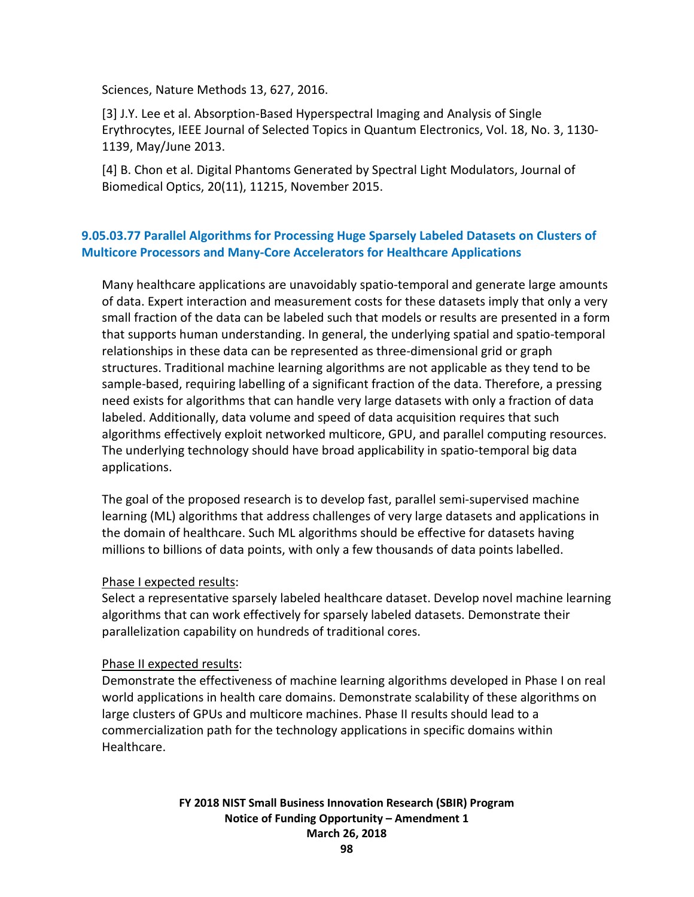Sciences, Nature Methods 13, 627, 2016.

[3] J.Y. Lee et al. Absorption-Based Hyperspectral Imaging and Analysis of Single Erythrocytes, IEEE Journal of Selected Topics in Quantum Electronics, Vol. 18, No. 3, 1130- 1139, May/June 2013.

[4] B. Chon et al. Digital Phantoms Generated by Spectral Light Modulators, Journal of Biomedical Optics, 20(11), 11215, November 2015.

# **9.05.03.77 Parallel Algorithms for Processing Huge Sparsely Labeled Datasets on Clusters of Multicore Processors and Many-Core Accelerators for Healthcare Applications**

Many healthcare applications are unavoidably spatio-temporal and generate large amounts of data. Expert interaction and measurement costs for these datasets imply that only a very small fraction of the data can be labeled such that models or results are presented in a form that supports human understanding. In general, the underlying spatial and spatio-temporal relationships in these data can be represented as three-dimensional grid or graph structures. Traditional machine learning algorithms are not applicable as they tend to be sample-based, requiring labelling of a significant fraction of the data. Therefore, a pressing need exists for algorithms that can handle very large datasets with only a fraction of data labeled. Additionally, data volume and speed of data acquisition requires that such algorithms effectively exploit networked multicore, GPU, and parallel computing resources. The underlying technology should have broad applicability in spatio-temporal big data applications.

The goal of the proposed research is to develop fast, parallel semi-supervised machine learning (ML) algorithms that address challenges of very large datasets and applications in the domain of healthcare. Such ML algorithms should be effective for datasets having millions to billions of data points, with only a few thousands of data points labelled.

#### Phase I expected results:

Select a representative sparsely labeled healthcare dataset. Develop novel machine learning algorithms that can work effectively for sparsely labeled datasets. Demonstrate their parallelization capability on hundreds of traditional cores.

#### Phase II expected results:

Demonstrate the effectiveness of machine learning algorithms developed in Phase I on real world applications in health care domains. Demonstrate scalability of these algorithms on large clusters of GPUs and multicore machines. Phase II results should lead to a commercialization path for the technology applications in specific domains within Healthcare.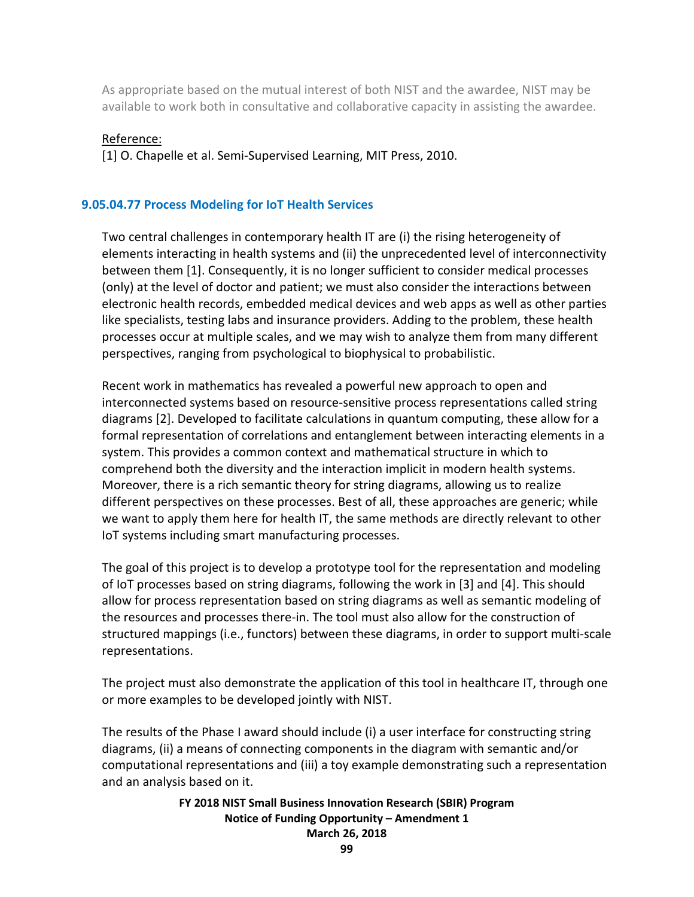As appropriate based on the mutual interest of both NIST and the awardee, NIST may be available to work both in consultative and collaborative capacity in assisting the awardee.

#### Reference:

[1] O. Chapelle et al. Semi-Supervised Learning, MIT Press, 2010.

### **9.05.04.77 Process Modeling for IoT Health Services**

Two central challenges in contemporary health IT are (i) the rising heterogeneity of elements interacting in health systems and (ii) the unprecedented level of interconnectivity between them [1]. Consequently, it is no longer sufficient to consider medical processes (only) at the level of doctor and patient; we must also consider the interactions between electronic health records, embedded medical devices and web apps as well as other parties like specialists, testing labs and insurance providers. Adding to the problem, these health processes occur at multiple scales, and we may wish to analyze them from many different perspectives, ranging from psychological to biophysical to probabilistic.

Recent work in mathematics has revealed a powerful new approach to open and interconnected systems based on resource-sensitive process representations called string diagrams [2]. Developed to facilitate calculations in quantum computing, these allow for a formal representation of correlations and entanglement between interacting elements in a system. This provides a common context and mathematical structure in which to comprehend both the diversity and the interaction implicit in modern health systems. Moreover, there is a rich semantic theory for string diagrams, allowing us to realize different perspectives on these processes. Best of all, these approaches are generic; while we want to apply them here for health IT, the same methods are directly relevant to other IoT systems including smart manufacturing processes.

The goal of this project is to develop a prototype tool for the representation and modeling of IoT processes based on string diagrams, following the work in [3] and [4]. This should allow for process representation based on string diagrams as well as semantic modeling of the resources and processes there-in. The tool must also allow for the construction of structured mappings (i.e., functors) between these diagrams, in order to support multi-scale representations.

The project must also demonstrate the application of this tool in healthcare IT, through one or more examples to be developed jointly with NIST.

The results of the Phase I award should include (i) a user interface for constructing string diagrams, (ii) a means of connecting components in the diagram with semantic and/or computational representations and (iii) a toy example demonstrating such a representation and an analysis based on it.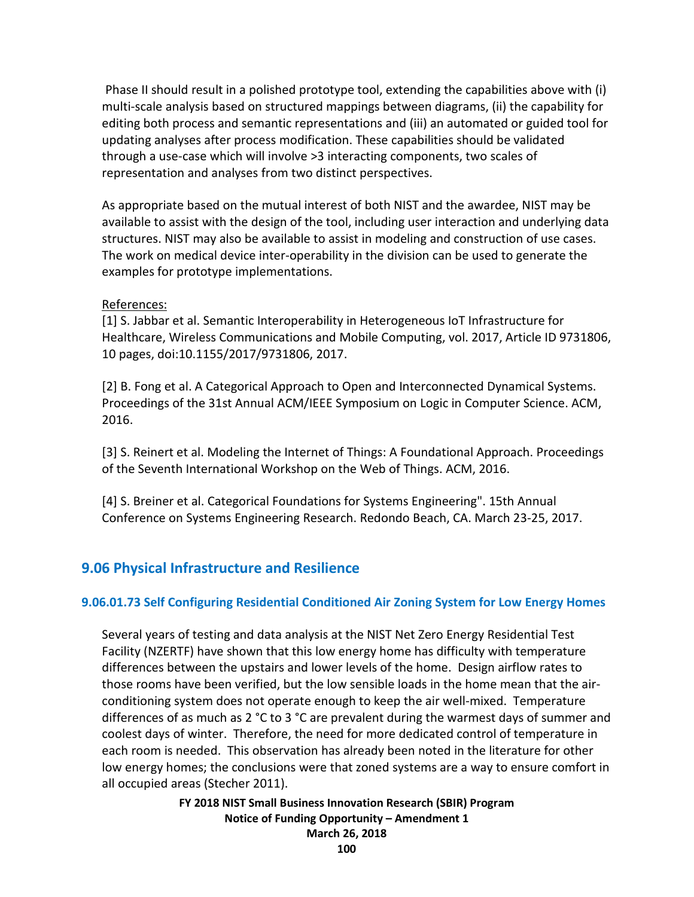Phase II should result in a polished prototype tool, extending the capabilities above with (i) multi-scale analysis based on structured mappings between diagrams, (ii) the capability for editing both process and semantic representations and (iii) an automated or guided tool for updating analyses after process modification. These capabilities should be validated through a use-case which will involve >3 interacting components, two scales of representation and analyses from two distinct perspectives.

As appropriate based on the mutual interest of both NIST and the awardee, NIST may be available to assist with the design of the tool, including user interaction and underlying data structures. NIST may also be available to assist in modeling and construction of use cases. The work on medical device inter-operability in the division can be used to generate the examples for prototype implementations.

#### References:

[1] S. Jabbar et al. Semantic Interoperability in Heterogeneous IoT Infrastructure for Healthcare, Wireless Communications and Mobile Computing, vol. 2017, Article ID 9731806, 10 pages, doi:10.1155/2017/9731806, 2017.

[2] B. Fong et al. A Categorical Approach to Open and Interconnected Dynamical Systems. Proceedings of the 31st Annual ACM/IEEE Symposium on Logic in Computer Science. ACM, 2016.

[3] S. Reinert et al. Modeling the Internet of Things: A Foundational Approach. Proceedings of the Seventh International Workshop on the Web of Things. ACM, 2016.

[4] S. Breiner et al. Categorical Foundations for Systems Engineering". 15th Annual Conference on Systems Engineering Research. Redondo Beach, CA. March 23-25, 2017.

# **9.06 Physical Infrastructure and Resilience**

#### **9.06.01.73 Self Configuring Residential Conditioned Air Zoning System for Low Energy Homes**

Several years of testing and data analysis at the NIST Net Zero Energy Residential Test Facility (NZERTF) have shown that this low energy home has difficulty with temperature differences between the upstairs and lower levels of the home. Design airflow rates to those rooms have been verified, but the low sensible loads in the home mean that the airconditioning system does not operate enough to keep the air well-mixed. Temperature differences of as much as 2 °C to 3 °C are prevalent during the warmest days of summer and coolest days of winter. Therefore, the need for more dedicated control of temperature in each room is needed. This observation has already been noted in the literature for other low energy homes; the conclusions were that zoned systems are a way to ensure comfort in all occupied areas (Stecher 2011).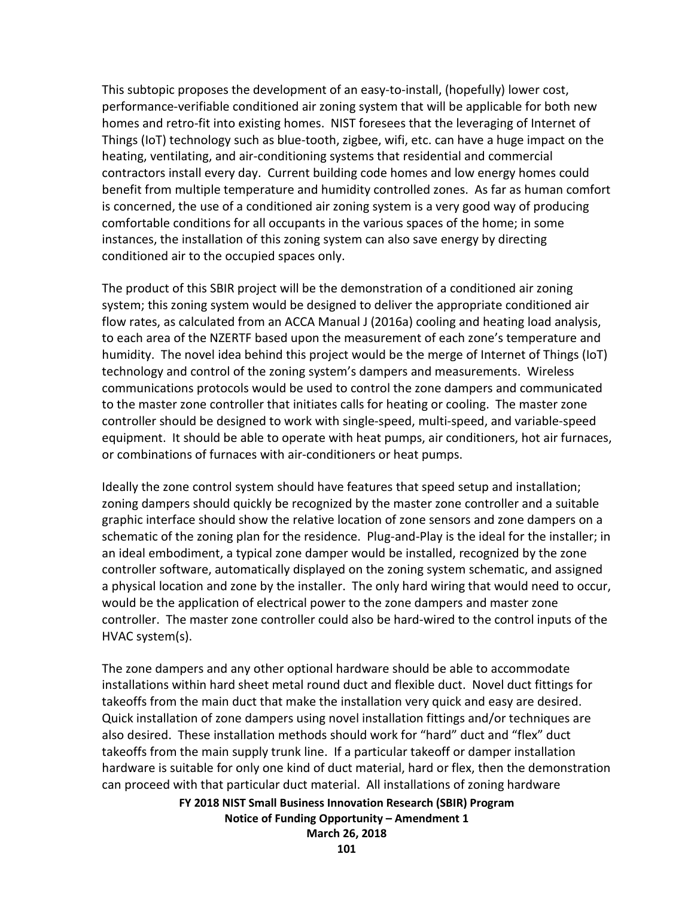This subtopic proposes the development of an easy-to-install, (hopefully) lower cost, performance-verifiable conditioned air zoning system that will be applicable for both new homes and retro-fit into existing homes. NIST foresees that the leveraging of Internet of Things (IoT) technology such as blue-tooth, zigbee, wifi, etc. can have a huge impact on the heating, ventilating, and air-conditioning systems that residential and commercial contractors install every day. Current building code homes and low energy homes could benefit from multiple temperature and humidity controlled zones. As far as human comfort is concerned, the use of a conditioned air zoning system is a very good way of producing comfortable conditions for all occupants in the various spaces of the home; in some instances, the installation of this zoning system can also save energy by directing conditioned air to the occupied spaces only.

The product of this SBIR project will be the demonstration of a conditioned air zoning system; this zoning system would be designed to deliver the appropriate conditioned air flow rates, as calculated from an ACCA Manual J (2016a) cooling and heating load analysis, to each area of the NZERTF based upon the measurement of each zone's temperature and humidity. The novel idea behind this project would be the merge of Internet of Things (IoT) technology and control of the zoning system's dampers and measurements. Wireless communications protocols would be used to control the zone dampers and communicated to the master zone controller that initiates calls for heating or cooling. The master zone controller should be designed to work with single-speed, multi-speed, and variable-speed equipment. It should be able to operate with heat pumps, air conditioners, hot air furnaces, or combinations of furnaces with air-conditioners or heat pumps.

Ideally the zone control system should have features that speed setup and installation; zoning dampers should quickly be recognized by the master zone controller and a suitable graphic interface should show the relative location of zone sensors and zone dampers on a schematic of the zoning plan for the residence. Plug-and-Play is the ideal for the installer; in an ideal embodiment, a typical zone damper would be installed, recognized by the zone controller software, automatically displayed on the zoning system schematic, and assigned a physical location and zone by the installer. The only hard wiring that would need to occur, would be the application of electrical power to the zone dampers and master zone controller. The master zone controller could also be hard-wired to the control inputs of the HVAC system(s).

The zone dampers and any other optional hardware should be able to accommodate installations within hard sheet metal round duct and flexible duct. Novel duct fittings for takeoffs from the main duct that make the installation very quick and easy are desired. Quick installation of zone dampers using novel installation fittings and/or techniques are also desired. These installation methods should work for "hard" duct and "flex" duct takeoffs from the main supply trunk line. If a particular takeoff or damper installation hardware is suitable for only one kind of duct material, hard or flex, then the demonstration can proceed with that particular duct material. All installations of zoning hardware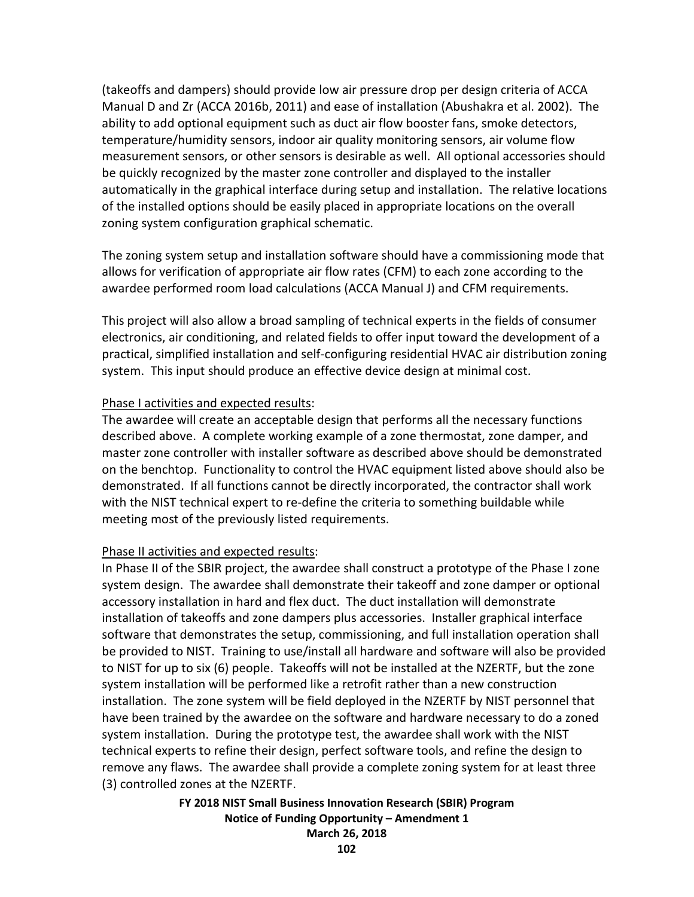(takeoffs and dampers) should provide low air pressure drop per design criteria of ACCA Manual D and Zr (ACCA 2016b, 2011) and ease of installation (Abushakra et al. 2002). The ability to add optional equipment such as duct air flow booster fans, smoke detectors, temperature/humidity sensors, indoor air quality monitoring sensors, air volume flow measurement sensors, or other sensors is desirable as well. All optional accessories should be quickly recognized by the master zone controller and displayed to the installer automatically in the graphical interface during setup and installation. The relative locations of the installed options should be easily placed in appropriate locations on the overall zoning system configuration graphical schematic.

The zoning system setup and installation software should have a commissioning mode that allows for verification of appropriate air flow rates (CFM) to each zone according to the awardee performed room load calculations (ACCA Manual J) and CFM requirements.

This project will also allow a broad sampling of technical experts in the fields of consumer electronics, air conditioning, and related fields to offer input toward the development of a practical, simplified installation and self-configuring residential HVAC air distribution zoning system. This input should produce an effective device design at minimal cost.

#### Phase I activities and expected results:

The awardee will create an acceptable design that performs all the necessary functions described above. A complete working example of a zone thermostat, zone damper, and master zone controller with installer software as described above should be demonstrated on the benchtop. Functionality to control the HVAC equipment listed above should also be demonstrated. If all functions cannot be directly incorporated, the contractor shall work with the NIST technical expert to re-define the criteria to something buildable while meeting most of the previously listed requirements.

#### Phase II activities and expected results:

In Phase II of the SBIR project, the awardee shall construct a prototype of the Phase I zone system design. The awardee shall demonstrate their takeoff and zone damper or optional accessory installation in hard and flex duct. The duct installation will demonstrate installation of takeoffs and zone dampers plus accessories. Installer graphical interface software that demonstrates the setup, commissioning, and full installation operation shall be provided to NIST. Training to use/install all hardware and software will also be provided to NIST for up to six (6) people. Takeoffs will not be installed at the NZERTF, but the zone system installation will be performed like a retrofit rather than a new construction installation. The zone system will be field deployed in the NZERTF by NIST personnel that have been trained by the awardee on the software and hardware necessary to do a zoned system installation. During the prototype test, the awardee shall work with the NIST technical experts to refine their design, perfect software tools, and refine the design to remove any flaws. The awardee shall provide a complete zoning system for at least three (3) controlled zones at the NZERTF.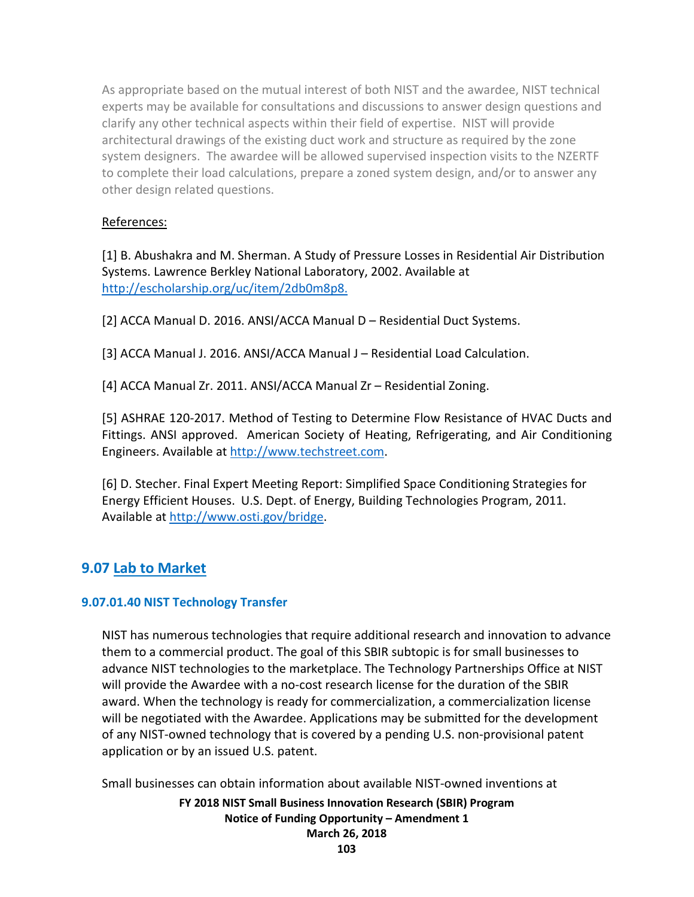As appropriate based on the mutual interest of both NIST and the awardee, NIST technical experts may be available for consultations and discussions to answer design questions and clarify any other technical aspects within their field of expertise. NIST will provide architectural drawings of the existing duct work and structure as required by the zone system designers. The awardee will be allowed supervised inspection visits to the NZERTF to complete their load calculations, prepare a zoned system design, and/or to answer any other design related questions.

## References:

[1] B. Abushakra and M. Sherman. A Study of Pressure Losses in Residential Air Distribution Systems. Lawrence Berkley National Laboratory, 2002. Available at [http://escholarship.org/uc/item/2db0m8p8.](http://escholarship.org/uc/item/2db0m8p8)

[2] ACCA Manual D. 2016. ANSI/ACCA Manual D – Residential Duct Systems.

[3] ACCA Manual J. 2016. ANSI/ACCA Manual J – Residential Load Calculation.

[4] ACCA Manual Zr. 2011. ANSI/ACCA Manual Zr – Residential Zoning.

[5] ASHRAE 120-2017. Method of Testing to Determine Flow Resistance of HVAC Ducts and Fittings. ANSI approved. American Society of Heating, Refrigerating, and Air Conditioning Engineers. Available at [http://www.techstreet.com.](http://www.techstreet.com/)

[6] D. Stecher. Final Expert Meeting Report: Simplified Space Conditioning Strategies for Energy Efficient Houses. U.S. Dept. of Energy, Building Technologies Program, 2011. Available at [http://www.osti.gov/bridge.](http://www.osti.gov/bridge)

# **9.07 Lab to Market**

# **9.07.01.40 NIST Technology Transfer**

NIST has numerous technologies that require additional research and innovation to advance them to a commercial product. The goal of this SBIR subtopic is for small businesses to advance NIST technologies to the marketplace. The Technology Partnerships Office at NIST will provide the Awardee with a no-cost research license for the duration of the SBIR award. When the technology is ready for commercialization, a commercialization license will be negotiated with the Awardee. Applications may be submitted for the development of any NIST-owned technology that is covered by a pending U.S. non-provisional patent application or by an issued U.S. patent.

Small businesses can obtain information about available NIST-owned inventions at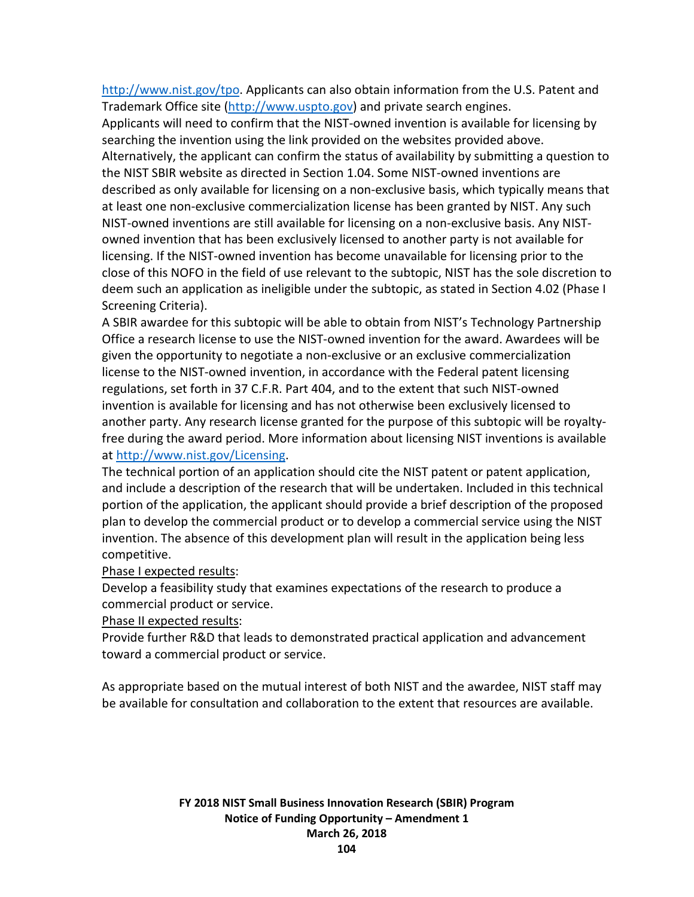[http://www.nist.gov/tpo.](http://www.nist.gov/tpo) Applicants can also obtain information from the U.S. Patent and Trademark Office site [\(http://www.uspto.gov\)](http://www.uspto.gov/) and private search engines.

Applicants will need to confirm that the NIST-owned invention is available for licensing by searching the invention using the link provided on the websites provided above. Alternatively, the applicant can confirm the status of availability by submitting a question to the NIST SBIR website as directed in Section 1.04. Some NIST-owned inventions are described as only available for licensing on a non-exclusive basis, which typically means that at least one non-exclusive commercialization license has been granted by NIST. Any such NIST-owned inventions are still available for licensing on a non-exclusive basis. Any NISTowned invention that has been exclusively licensed to another party is not available for licensing. If the NIST-owned invention has become unavailable for licensing prior to the close of this NOFO in the field of use relevant to the subtopic, NIST has the sole discretion to deem such an application as ineligible under the subtopic, as stated in Section 4.02 (Phase I Screening Criteria).

A SBIR awardee for this subtopic will be able to obtain from NIST's Technology Partnership Office a research license to use the NIST-owned invention for the award. Awardees will be given the opportunity to negotiate a non-exclusive or an exclusive commercialization license to the NIST-owned invention, in accordance with the Federal patent licensing regulations, set forth in 37 C.F.R. Part 404, and to the extent that such NIST-owned invention is available for licensing and has not otherwise been exclusively licensed to another party. Any research license granted for the purpose of this subtopic will be royaltyfree during the award period. More information about licensing NIST inventions is available at [http://www.nist.gov/Licensing.](http://www.nist.gov/Licensing)

The technical portion of an application should cite the NIST patent or patent application, and include a description of the research that will be undertaken. Included in this technical portion of the application, the applicant should provide a brief description of the proposed plan to develop the commercial product or to develop a commercial service using the NIST invention. The absence of this development plan will result in the application being less competitive.

#### Phase I expected results:

Develop a feasibility study that examines expectations of the research to produce a commercial product or service.

Phase II expected results:

Provide further R&D that leads to demonstrated practical application and advancement toward a commercial product or service.

As appropriate based on the mutual interest of both NIST and the awardee, NIST staff may be available for consultation and collaboration to the extent that resources are available.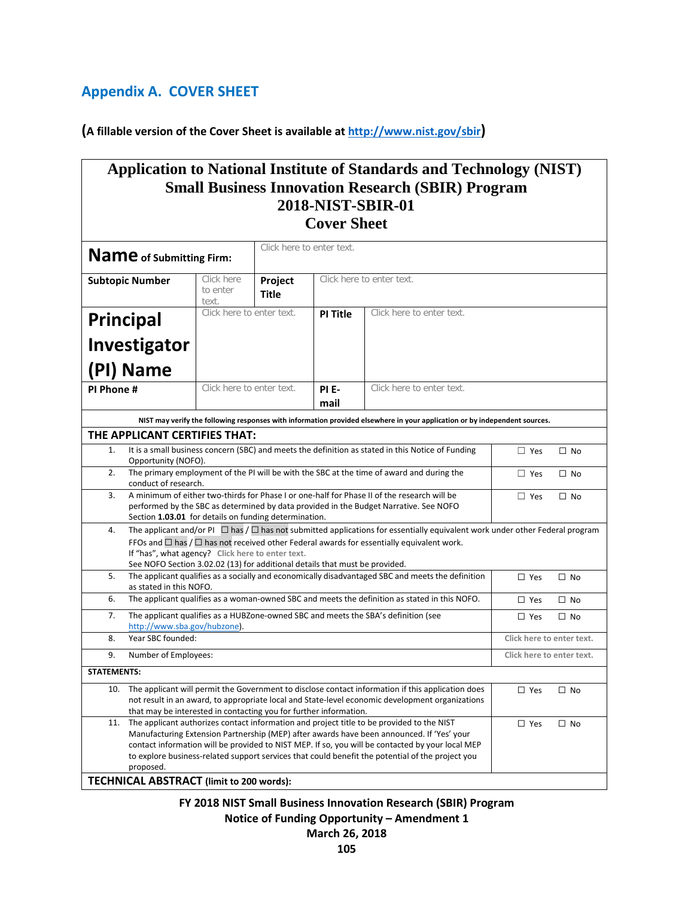# **Appendix A. COVER SHEET**

**(A fillable version of the Cover Sheet is available at [http://www.nist.gov/sbir\)](http://www.nist.gov/sbir)**

| <b>Application to National Institute of Standards and Technology (NIST)</b>                                                                                                                                           |                                                                                                                                                                                               |                                                      |              |                                                                                                                                                                                                                                               |            |           |  |
|-----------------------------------------------------------------------------------------------------------------------------------------------------------------------------------------------------------------------|-----------------------------------------------------------------------------------------------------------------------------------------------------------------------------------------------|------------------------------------------------------|--------------|-----------------------------------------------------------------------------------------------------------------------------------------------------------------------------------------------------------------------------------------------|------------|-----------|--|
| <b>Small Business Innovation Research (SBIR) Program</b>                                                                                                                                                              |                                                                                                                                                                                               |                                                      |              |                                                                                                                                                                                                                                               |            |           |  |
| 2018-NIST-SBIR-01<br><b>Cover Sheet</b>                                                                                                                                                                               |                                                                                                                                                                                               |                                                      |              |                                                                                                                                                                                                                                               |            |           |  |
|                                                                                                                                                                                                                       |                                                                                                                                                                                               |                                                      |              |                                                                                                                                                                                                                                               |            |           |  |
|                                                                                                                                                                                                                       |                                                                                                                                                                                               |                                                      |              |                                                                                                                                                                                                                                               |            |           |  |
| <b>Subtopic Number</b>                                                                                                                                                                                                | Click here<br>to enter<br>text.                                                                                                                                                               | Click here to enter text.<br>Project<br><b>Title</b> |              |                                                                                                                                                                                                                                               |            |           |  |
| <b>Principal</b>                                                                                                                                                                                                      | Click here to enter text.<br>Click here to enter text.<br><b>PI Title</b>                                                                                                                     |                                                      |              |                                                                                                                                                                                                                                               |            |           |  |
| Investigator                                                                                                                                                                                                          |                                                                                                                                                                                               |                                                      |              |                                                                                                                                                                                                                                               |            |           |  |
|                                                                                                                                                                                                                       |                                                                                                                                                                                               |                                                      |              |                                                                                                                                                                                                                                               |            |           |  |
| (PI) Name                                                                                                                                                                                                             | Click here to enter text.                                                                                                                                                                     |                                                      |              | Click here to enter text.                                                                                                                                                                                                                     |            |           |  |
| PI Phone #                                                                                                                                                                                                            |                                                                                                                                                                                               |                                                      | PIE-<br>mail |                                                                                                                                                                                                                                               |            |           |  |
|                                                                                                                                                                                                                       |                                                                                                                                                                                               |                                                      |              | NIST may verify the following responses with information provided elsewhere in your application or by independent sources.                                                                                                                    |            |           |  |
| THE APPLICANT CERTIFIES THAT:                                                                                                                                                                                         |                                                                                                                                                                                               |                                                      |              |                                                                                                                                                                                                                                               |            |           |  |
| 1.                                                                                                                                                                                                                    | It is a small business concern (SBC) and meets the definition as stated in this Notice of Funding<br>$\Box$ Yes<br>$\Box$ No                                                                  |                                                      |              |                                                                                                                                                                                                                                               |            |           |  |
| Opportunity (NOFO).<br>2.                                                                                                                                                                                             |                                                                                                                                                                                               |                                                      |              | The primary employment of the PI will be with the SBC at the time of award and during the                                                                                                                                                     | $\Box$ Yes | $\Box$ No |  |
|                                                                                                                                                                                                                       | conduct of research.                                                                                                                                                                          |                                                      |              |                                                                                                                                                                                                                                               |            |           |  |
| A minimum of either two-thirds for Phase I or one-half for Phase II of the research will be<br>3.<br>$\Box$ Yes<br>$\Box$ No<br>performed by the SBC as determined by data provided in the Budget Narrative. See NOFO |                                                                                                                                                                                               |                                                      |              |                                                                                                                                                                                                                                               |            |           |  |
|                                                                                                                                                                                                                       | Section 1.03.01 for details on funding determination.                                                                                                                                         |                                                      |              |                                                                                                                                                                                                                                               |            |           |  |
| 4.                                                                                                                                                                                                                    |                                                                                                                                                                                               |                                                      |              | The applicant and/or PI $\Box$ has $/ \Box$ has not submitted applications for essentially equivalent work under other Federal program<br>FFOs and $\Box$ has $/ \Box$ has not received other Federal awards for essentially equivalent work. |            |           |  |
|                                                                                                                                                                                                                       | If "has", what agency? Click here to enter text.                                                                                                                                              |                                                      |              |                                                                                                                                                                                                                                               |            |           |  |
| See NOFO Section 3.02.02 (13) for additional details that must be provided.<br>5.<br>The applicant qualifies as a socially and economically disadvantaged SBC and meets the definition<br>$\Box$ No                   |                                                                                                                                                                                               |                                                      |              |                                                                                                                                                                                                                                               |            |           |  |
|                                                                                                                                                                                                                       | $\Box$ Yes<br>as stated in this NOFO.                                                                                                                                                         |                                                      |              |                                                                                                                                                                                                                                               |            |           |  |
| 6.                                                                                                                                                                                                                    | The applicant qualifies as a woman-owned SBC and meets the definition as stated in this NOFO.<br>$\Box$ Yes<br>$\Box$ No                                                                      |                                                      |              |                                                                                                                                                                                                                                               |            |           |  |
| 7.<br>The applicant qualifies as a HUBZone-owned SBC and meets the SBA's definition (see<br>$\Box$ Yes<br>$\Box$ No<br>http://www.sba.gov/hubzone).                                                                   |                                                                                                                                                                                               |                                                      |              |                                                                                                                                                                                                                                               |            |           |  |
| 8.                                                                                                                                                                                                                    | Year SBC founded:<br>Click here to enter text.                                                                                                                                                |                                                      |              |                                                                                                                                                                                                                                               |            |           |  |
| 9.                                                                                                                                                                                                                    | Number of Employees:<br>Click here to enter text.                                                                                                                                             |                                                      |              |                                                                                                                                                                                                                                               |            |           |  |
| <b>STATEMENTS:</b>                                                                                                                                                                                                    |                                                                                                                                                                                               |                                                      |              |                                                                                                                                                                                                                                               |            |           |  |
| 10.                                                                                                                                                                                                                   | The applicant will permit the Government to disclose contact information if this application does<br>$\Box$ Yes<br>$\Box$ No                                                                  |                                                      |              |                                                                                                                                                                                                                                               |            |           |  |
|                                                                                                                                                                                                                       | not result in an award, to appropriate local and State-level economic development organizations<br>that may be interested in contacting you for further information.                          |                                                      |              |                                                                                                                                                                                                                                               |            |           |  |
| 11.                                                                                                                                                                                                                   | The applicant authorizes contact information and project title to be provided to the NIST<br>$\Box$ No<br>$\Box$ Yes                                                                          |                                                      |              |                                                                                                                                                                                                                                               |            |           |  |
|                                                                                                                                                                                                                       | Manufacturing Extension Partnership (MEP) after awards have been announced. If 'Yes' your<br>contact information will be provided to NIST MEP. If so, you will be contacted by your local MEP |                                                      |              |                                                                                                                                                                                                                                               |            |           |  |
| to explore business-related support services that could benefit the potential of the project you                                                                                                                      |                                                                                                                                                                                               |                                                      |              |                                                                                                                                                                                                                                               |            |           |  |
| proposed.                                                                                                                                                                                                             |                                                                                                                                                                                               |                                                      |              |                                                                                                                                                                                                                                               |            |           |  |
| TECHNICAL ABSTRACT (limit to 200 words):                                                                                                                                                                              |                                                                                                                                                                                               |                                                      |              |                                                                                                                                                                                                                                               |            |           |  |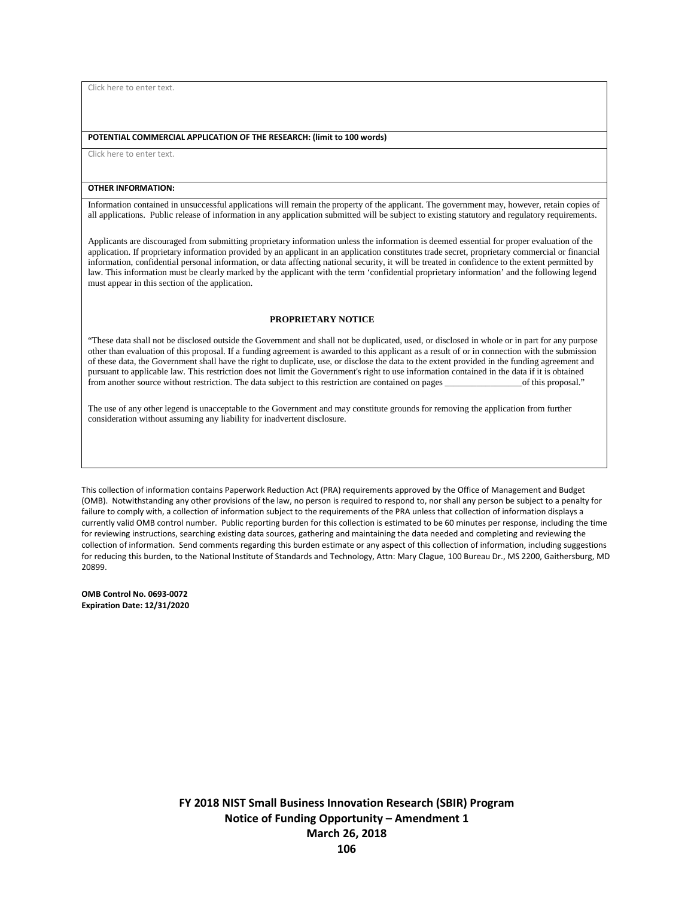Click here to enter text.

#### **POTENTIAL COMMERCIAL APPLICATION OF THE RESEARCH: (limit to 100 words)**

Click here to enter text.

#### **OTHER INFORMATION:**

Information contained in unsuccessful applications will remain the property of the applicant. The government may, however, retain copies of all applications. Public release of information in any application submitted will be subject to existing statutory and regulatory requirements.

Applicants are discouraged from submitting proprietary information unless the information is deemed essential for proper evaluation of the application. If proprietary information provided by an applicant in an application constitutes trade secret, proprietary commercial or financial information, confidential personal information, or data affecting national security, it will be treated in confidence to the extent permitted by law. This information must be clearly marked by the applicant with the term 'confidential proprietary information' and the following legend must appear in this section of the application.

#### **PROPRIETARY NOTICE**

"These data shall not be disclosed outside the Government and shall not be duplicated, used, or disclosed in whole or in part for any purpose other than evaluation of this proposal. If a funding agreement is awarded to this applicant as a result of or in connection with the submission of these data, the Government shall have the right to duplicate, use, or disclose the data to the extent provided in the funding agreement and pursuant to applicable law. This restriction does not limit the Government's right to use information contained in the data if it is obtained from another source without restriction. The data subject to this restriction are contained on pages \_\_\_\_\_\_\_\_\_\_\_\_\_\_\_\_\_of this proposal."

The use of any other legend is unacceptable to the Government and may constitute grounds for removing the application from further consideration without assuming any liability for inadvertent disclosure.

This collection of information contains Paperwork Reduction Act (PRA) requirements approved by the Office of Management and Budget (OMB). Notwithstanding any other provisions of the law, no person is required to respond to, nor shall any person be subject to a penalty for failure to comply with, a collection of information subject to the requirements of the PRA unless that collection of information displays a currently valid OMB control number. Public reporting burden for this collection is estimated to be 60 minutes per response, including the time for reviewing instructions, searching existing data sources, gathering and maintaining the data needed and completing and reviewing the collection of information. Send comments regarding this burden estimate or any aspect of this collection of information, including suggestions for reducing this burden, to the National Institute of Standards and Technology, Attn: Mary Clague, 100 Bureau Dr., MS 2200, Gaithersburg, MD 20899.

**OMB Control No. 0693-0072 Expiration Date: 12/31/2020**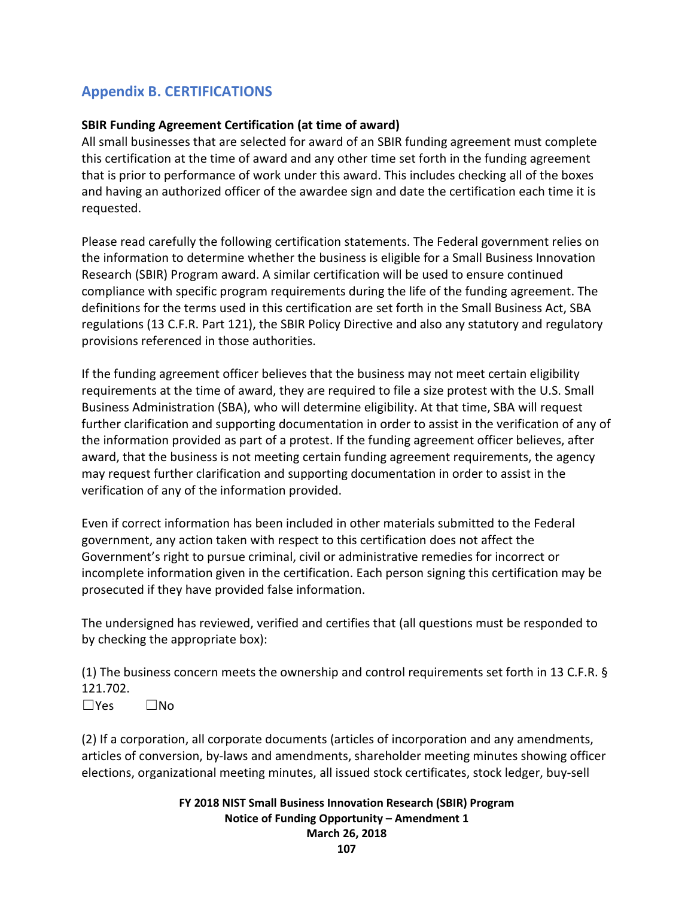# **Appendix B. CERTIFICATIONS**

## **SBIR Funding Agreement Certification (at time of award)**

All small businesses that are selected for award of an SBIR funding agreement must complete this certification at the time of award and any other time set forth in the funding agreement that is prior to performance of work under this award. This includes checking all of the boxes and having an authorized officer of the awardee sign and date the certification each time it is requested.

Please read carefully the following certification statements. The Federal government relies on the information to determine whether the business is eligible for a Small Business Innovation Research (SBIR) Program award. A similar certification will be used to ensure continued compliance with specific program requirements during the life of the funding agreement. The definitions for the terms used in this certification are set forth in the Small Business Act, SBA regulations (13 C.F.R. Part 121), the SBIR Policy Directive and also any statutory and regulatory provisions referenced in those authorities.

If the funding agreement officer believes that the business may not meet certain eligibility requirements at the time of award, they are required to file a size protest with the U.S. Small Business Administration (SBA), who will determine eligibility. At that time, SBA will request further clarification and supporting documentation in order to assist in the verification of any of the information provided as part of a protest. If the funding agreement officer believes, after award, that the business is not meeting certain funding agreement requirements, the agency may request further clarification and supporting documentation in order to assist in the verification of any of the information provided.

Even if correct information has been included in other materials submitted to the Federal government, any action taken with respect to this certification does not affect the Government's right to pursue criminal, civil or administrative remedies for incorrect or incomplete information given in the certification. Each person signing this certification may be prosecuted if they have provided false information.

The undersigned has reviewed, verified and certifies that (all questions must be responded to by checking the appropriate box):

(1) The business concern meets the ownership and control requirements set forth in 13 C.F.R. § 121.702.

☐Yes ☐No

(2) If a corporation, all corporate documents (articles of incorporation and any amendments, articles of conversion, by-laws and amendments, shareholder meeting minutes showing officer elections, organizational meeting minutes, all issued stock certificates, stock ledger, buy-sell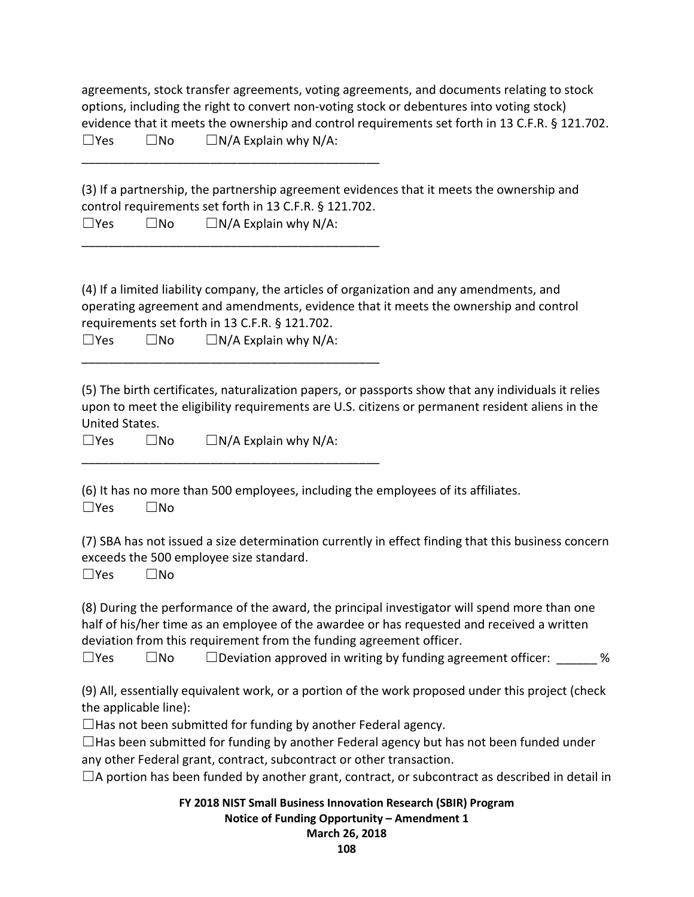|               |       | agreements, stock transfer agreements, voting agreements, and documents relating to stock       |
|---------------|-------|-------------------------------------------------------------------------------------------------|
|               |       | options, including the right to convert non-voting stock or debentures into voting stock)       |
|               |       | evidence that it meets the ownership and control requirements set forth in 13 C.F.R. § 121.702. |
| $\square$ Yes | ∣ IN∩ | $\Box$ N/A Explain why N/A:                                                                     |
|               |       |                                                                                                 |

(3) If a partnership, the partnership agreement evidences that it meets the ownership and control requirements set forth in 13 C.F.R. § 121.702.

 $\square$ Yes  $\square$ No  $\square$ N/A Explain why N/A:

\_\_\_\_\_\_\_\_\_\_\_\_\_\_\_\_\_\_\_\_\_\_\_\_\_\_\_\_\_\_\_\_\_\_\_\_\_\_\_\_\_\_\_\_

(4) If a limited liability company, the articles of organization and any amendments, and operating agreement and amendments, evidence that it meets the ownership and control requirements set forth in 13 C.F.R. § 121.702.

| $\Box$ Yes | $\square$ No | $\Box N/A$ Explain why N/A: |
|------------|--------------|-----------------------------|
|------------|--------------|-----------------------------|

\_\_\_\_\_\_\_\_\_\_\_\_\_\_\_\_\_\_\_\_\_\_\_\_\_\_\_\_\_\_\_\_\_\_\_\_\_\_\_\_\_\_\_\_

\_\_\_\_\_\_\_\_\_\_\_\_\_\_\_\_\_\_\_\_\_\_\_\_\_\_\_\_\_\_\_\_\_\_\_\_\_\_\_\_\_\_\_\_

(5) The birth certificates, naturalization papers, or passports show that any individuals it relies upon to meet the eligibility requirements are U.S. citizens or permanent resident aliens in the United States.

 $\square$ Yes  $\square$ No  $\square$  N/A Explain why N/A:

(6) It has no more than 500 employees, including the employees of its affiliates.

☐Yes ☐No

(7) SBA has not issued a size determination currently in effect finding that this business concern exceeds the 500 employee size standard.

☐Yes ☐No

(8) During the performance of the award, the principal investigator will spend more than one half of his/her time as an employee of the awardee or has requested and received a written deviation from this requirement from the funding agreement officer.

 $\square$ Yes  $\square$ No  $\square$  Deviation approved in writing by funding agreement officer:  $\%$ 

(9) All, essentially equivalent work, or a portion of the work proposed under this project (check the applicable line):

 $\Box$  Has not been submitted for funding by another Federal agency.

 $\Box$ Has been submitted for funding by another Federal agency but has not been funded under any other Federal grant, contract, subcontract or other transaction.

 $\Box$ A portion has been funded by another grant, contract, or subcontract as described in detail in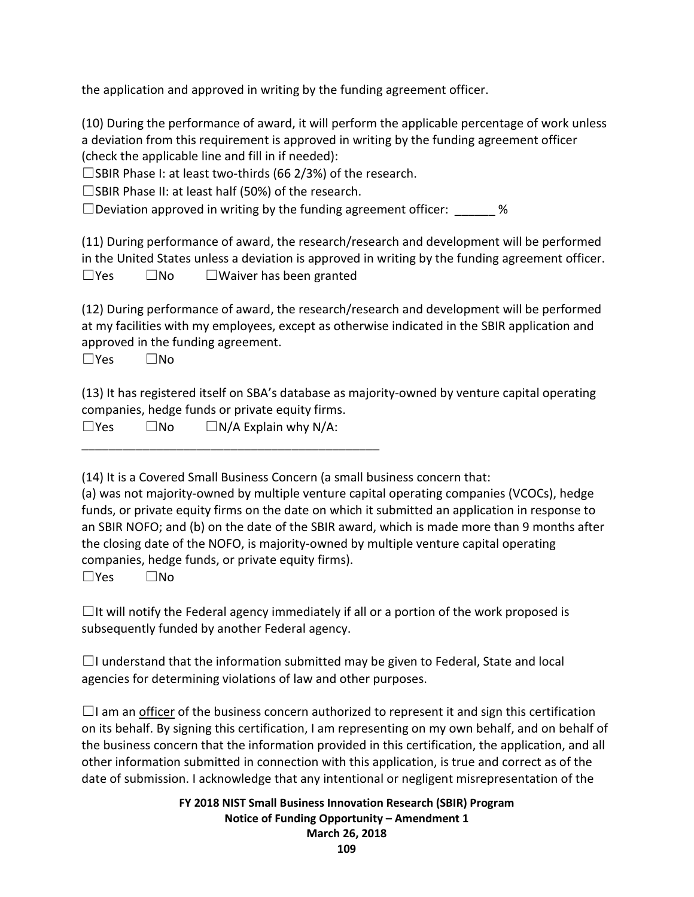the application and approved in writing by the funding agreement officer.

(10) During the performance of award, it will perform the applicable percentage of work unless a deviation from this requirement is approved in writing by the funding agreement officer (check the applicable line and fill in if needed):

 $\square$ SBIR Phase I: at least two-thirds (66 2/3%) of the research.

 $\square$ SBIR Phase II: at least half (50%) of the research.

 $\square$  Deviation approved in writing by the funding agreement officer:  $\%$ 

(11) During performance of award, the research/research and development will be performed in the United States unless a deviation is approved in writing by the funding agreement officer. ☐Yes ☐No ☐Waiver has been granted

(12) During performance of award, the research/research and development will be performed at my facilities with my employees, except as otherwise indicated in the SBIR application and approved in the funding agreement.

☐Yes ☐No

(13) It has registered itself on SBA's database as majority-owned by venture capital operating companies, hedge funds or private equity firms.

 $\square$ Yes  $\square$ No  $\square$  N/A Explain why N/A:

\_\_\_\_\_\_\_\_\_\_\_\_\_\_\_\_\_\_\_\_\_\_\_\_\_\_\_\_\_\_\_\_\_\_\_\_\_\_\_\_\_\_\_\_

(14) It is a Covered Small Business Concern (a small business concern that:

(a) was not majority-owned by multiple venture capital operating companies (VCOCs), hedge funds, or private equity firms on the date on which it submitted an application in response to an SBIR NOFO; and (b) on the date of the SBIR award, which is made more than 9 months after the closing date of the NOFO, is majority-owned by multiple venture capital operating companies, hedge funds, or private equity firms).

 $\Box$ Yes  $\Box$ No

 $\Box$ It will notify the Federal agency immediately if all or a portion of the work proposed is subsequently funded by another Federal agency.

 $\Box$ I understand that the information submitted may be given to Federal, State and local agencies for determining violations of law and other purposes.

 $\Box$ I am an officer of the business concern authorized to represent it and sign this certification on its behalf. By signing this certification, I am representing on my own behalf, and on behalf of the business concern that the information provided in this certification, the application, and all other information submitted in connection with this application, is true and correct as of the date of submission. I acknowledge that any intentional or negligent misrepresentation of the

> **FY 2018 NIST Small Business Innovation Research (SBIR) Program Notice of Funding Opportunity – Amendment 1 March 26, 2018**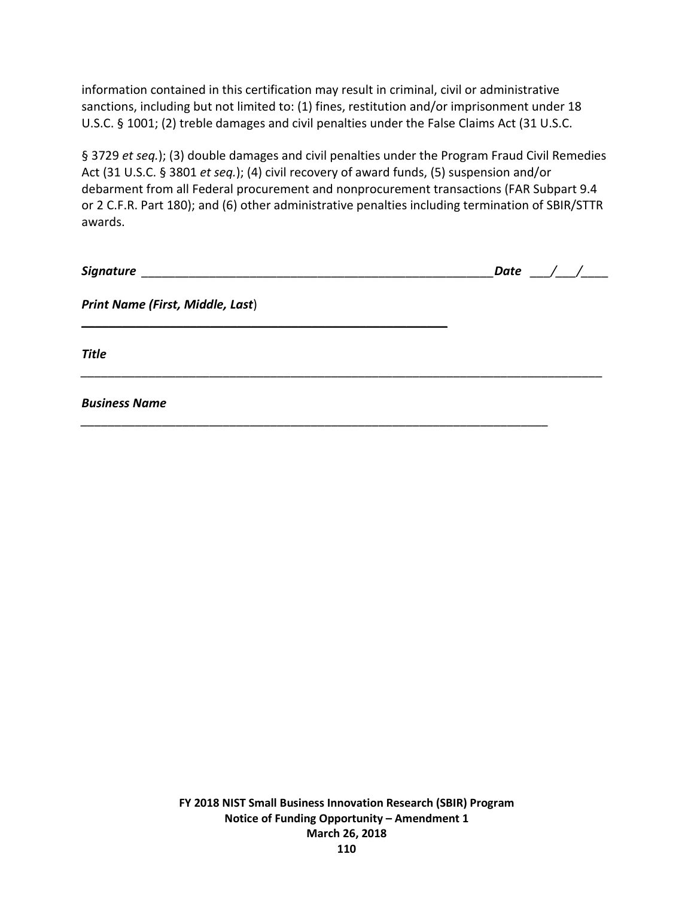information contained in this certification may result in criminal, civil or administrative sanctions, including but not limited to: (1) fines, restitution and/or imprisonment under 18 U.S.C. § 1001; (2) treble damages and civil penalties under the False Claims Act (31 U.S.C.

§ 3729 *et seq.*); (3) double damages and civil penalties under the Program Fraud Civil Remedies Act (31 U.S.C. § 3801 *et seq.*); (4) civil recovery of award funds, (5) suspension and/or debarment from all Federal procurement and nonprocurement transactions (FAR Subpart 9.4 or 2 C.F.R. Part 180); and (6) other administrative penalties including termination of SBIR/STTR awards.

|                                  | Date / $/$ |
|----------------------------------|------------|
| Print Name (First, Middle, Last) |            |
| <b>Title</b>                     |            |
| <b>Business Name</b>             |            |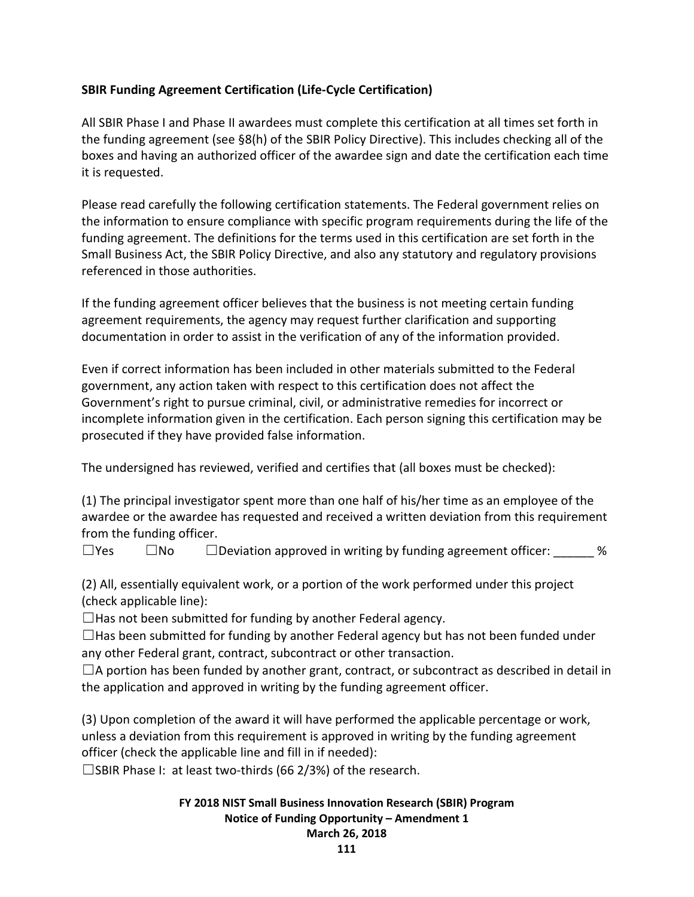## **SBIR Funding Agreement Certification (Life-Cycle Certification)**

All SBIR Phase I and Phase II awardees must complete this certification at all times set forth in the funding agreement (see §8(h) of the SBIR Policy Directive). This includes checking all of the boxes and having an authorized officer of the awardee sign and date the certification each time it is requested.

Please read carefully the following certification statements. The Federal government relies on the information to ensure compliance with specific program requirements during the life of the funding agreement. The definitions for the terms used in this certification are set forth in the Small Business Act, the SBIR Policy Directive, and also any statutory and regulatory provisions referenced in those authorities.

If the funding agreement officer believes that the business is not meeting certain funding agreement requirements, the agency may request further clarification and supporting documentation in order to assist in the verification of any of the information provided.

Even if correct information has been included in other materials submitted to the Federal government, any action taken with respect to this certification does not affect the Government's right to pursue criminal, civil, or administrative remedies for incorrect or incomplete information given in the certification. Each person signing this certification may be prosecuted if they have provided false information.

The undersigned has reviewed, verified and certifies that (all boxes must be checked):

(1) The principal investigator spent more than one half of his/her time as an employee of the awardee or the awardee has requested and received a written deviation from this requirement from the funding officer.

 $\square$ Yes  $\square$ No  $\square$  Deviation approved in writing by funding agreement officer:  $\%$ 

(2) All, essentially equivalent work, or a portion of the work performed under this project (check applicable line):

 $\Box$  Has not been submitted for funding by another Federal agency.

 $\Box$ Has been submitted for funding by another Federal agency but has not been funded under any other Federal grant, contract, subcontract or other transaction.

 $\Box$ A portion has been funded by another grant, contract, or subcontract as described in detail in the application and approved in writing by the funding agreement officer.

(3) Upon completion of the award it will have performed the applicable percentage or work, unless a deviation from this requirement is approved in writing by the funding agreement officer (check the applicable line and fill in if needed):

□SBIR Phase I: at least two-thirds (66 2/3%) of the research.

## **FY 2018 NIST Small Business Innovation Research (SBIR) Program Notice of Funding Opportunity – Amendment 1**

## **March 26, 2018**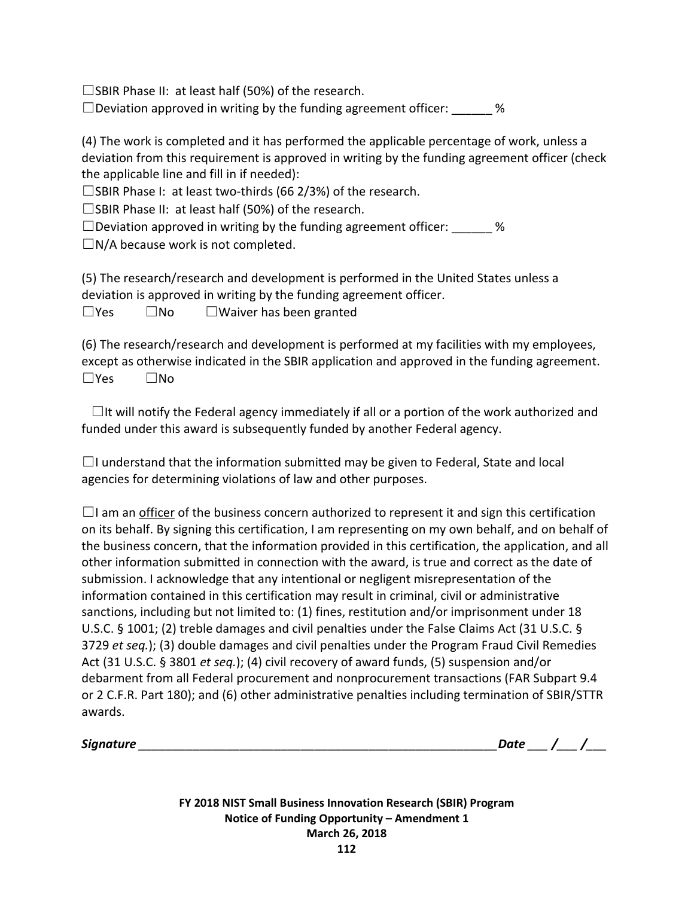$\square$ SBIR Phase II: at least half (50%) of the research.

 $\square$  Deviation approved in writing by the funding agreement officer:  $\%$ 

(4) The work is completed and it has performed the applicable percentage of work, unless a deviation from this requirement is approved in writing by the funding agreement officer (check the applicable line and fill in if needed):

 $\square$ SBIR Phase I: at least two-thirds (66 2/3%) of the research.

☐SBIR Phase II: at least half (50%) of the research.

 $\square$  Deviation approved in writing by the funding agreement officer:  $\%$ 

 $\square$ N/A because work is not completed.

(5) The research/research and development is performed in the United States unless a deviation is approved in writing by the funding agreement officer. ☐Yes ☐No ☐Waiver has been granted

(6) The research/research and development is performed at my facilities with my employees, except as otherwise indicated in the SBIR application and approved in the funding agreement. ☐Yes ☐No

 $\Box$ It will notify the Federal agency immediately if all or a portion of the work authorized and funded under this award is subsequently funded by another Federal agency.

 $\Box$ I understand that the information submitted may be given to Federal, State and local agencies for determining violations of law and other purposes.

 $\Box$ I am an officer of the business concern authorized to represent it and sign this certification on its behalf. By signing this certification, I am representing on my own behalf, and on behalf of the business concern, that the information provided in this certification, the application, and all other information submitted in connection with the award, is true and correct as the date of submission. I acknowledge that any intentional or negligent misrepresentation of the information contained in this certification may result in criminal, civil or administrative sanctions, including but not limited to: (1) fines, restitution and/or imprisonment under 18 U.S.C. § 1001; (2) treble damages and civil penalties under the False Claims Act (31 U.S.C. § 3729 *et seq.*); (3) double damages and civil penalties under the Program Fraud Civil Remedies Act (31 U.S.C. § 3801 *et seq.*); (4) civil recovery of award funds, (5) suspension and/or debarment from all Federal procurement and nonprocurement transactions (FAR Subpart 9.4 or 2 C.F.R. Part 180); and (6) other administrative penalties including termination of SBIR/STTR awards.

*Signature \_\_\_\_\_\_\_\_\_\_\_\_\_\_\_\_\_\_\_\_\_\_\_\_\_\_\_\_\_\_\_\_\_\_\_\_\_\_\_\_\_\_\_\_\_\_\_\_\_\_\_\_\_Date \_\_\_ /\_\_\_ /\_\_\_*

**FY 2018 NIST Small Business Innovation Research (SBIR) Program Notice of Funding Opportunity – Amendment 1 March 26, 2018**